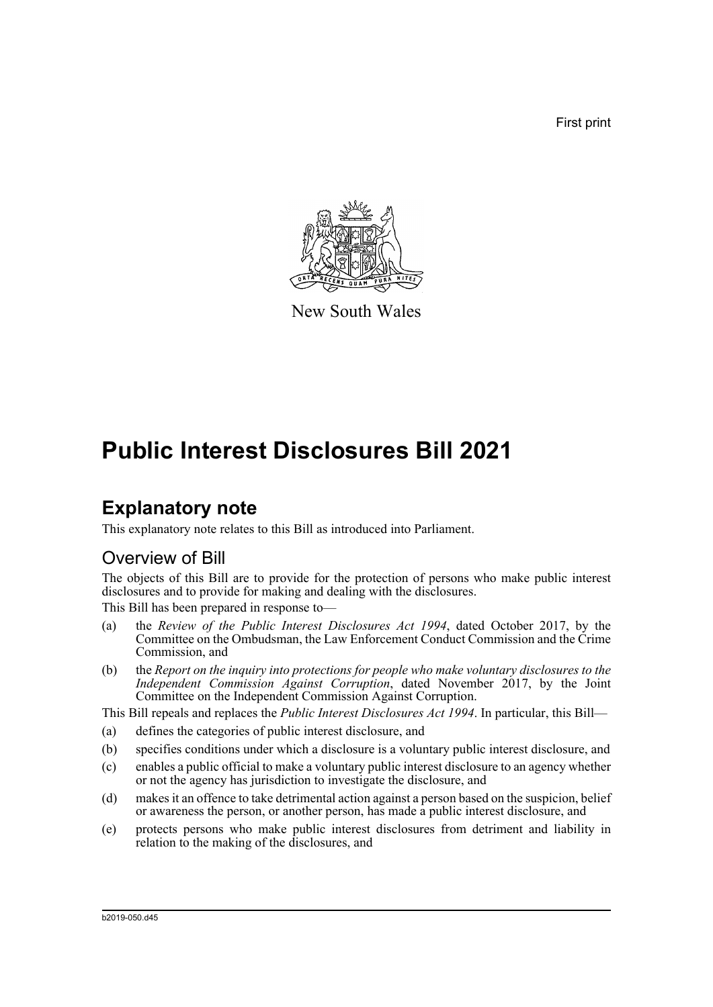First print



New South Wales

# **Public Interest Disclosures Bill 2021**

# **Explanatory note**

This explanatory note relates to this Bill as introduced into Parliament.

# Overview of Bill

The objects of this Bill are to provide for the protection of persons who make public interest disclosures and to provide for making and dealing with the disclosures.

This Bill has been prepared in response to—

- (a) the *Review of the Public Interest Disclosures Act 1994*, dated October 2017, by the Committee on the Ombudsman, the Law Enforcement Conduct Commission and the Crime Commission, and
- (b) the *Report on the inquiry into protections for people who make voluntary disclosures to the Independent Commission Against Corruption*, dated November 2017, by the Joint Committee on the Independent Commission Against Corruption.

This Bill repeals and replaces the *Public Interest Disclosures Act 1994*. In particular, this Bill—

- (a) defines the categories of public interest disclosure, and
- (b) specifies conditions under which a disclosure is a voluntary public interest disclosure, and
- (c) enables a public official to make a voluntary public interest disclosure to an agency whether or not the agency has jurisdiction to investigate the disclosure, and
- (d) makes it an offence to take detrimental action against a person based on the suspicion, belief or awareness the person, or another person, has made a public interest disclosure, and
- (e) protects persons who make public interest disclosures from detriment and liability in relation to the making of the disclosures, and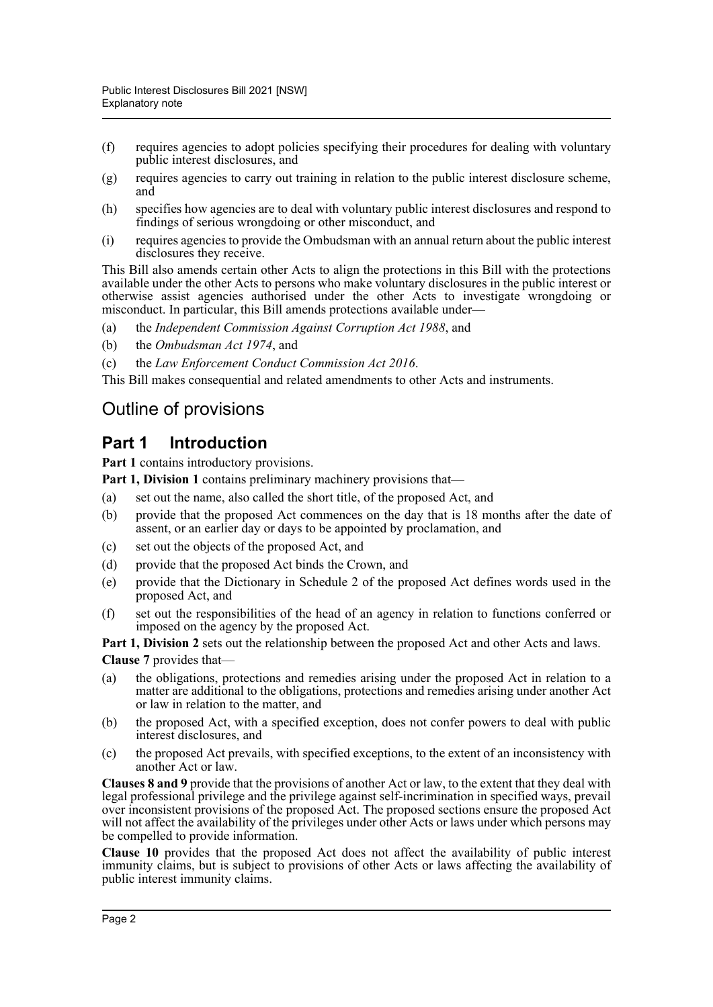- (f) requires agencies to adopt policies specifying their procedures for dealing with voluntary public interest disclosures, and
- (g) requires agencies to carry out training in relation to the public interest disclosure scheme, and
- (h) specifies how agencies are to deal with voluntary public interest disclosures and respond to findings of serious wrongdoing or other misconduct, and
- (i) requires agencies to provide the Ombudsman with an annual return about the public interest disclosures they receive.

This Bill also amends certain other Acts to align the protections in this Bill with the protections available under the other Acts to persons who make voluntary disclosures in the public interest or otherwise assist agencies authorised under the other Acts to investigate wrongdoing or misconduct. In particular, this Bill amends protections available under—

- (a) the *Independent Commission Against Corruption Act 1988*, and
- (b) the *Ombudsman Act 1974*, and
- (c) the *Law Enforcement Conduct Commission Act 2016*.

This Bill makes consequential and related amendments to other Acts and instruments.

# Outline of provisions

### **Part 1 Introduction**

**Part 1** contains introductory provisions.

- **Part 1, Division 1** contains preliminary machinery provisions that—
- (a) set out the name, also called the short title, of the proposed Act, and
- (b) provide that the proposed Act commences on the day that is 18 months after the date of assent, or an earlier day or days to be appointed by proclamation, and
- (c) set out the objects of the proposed Act, and
- (d) provide that the proposed Act binds the Crown, and
- (e) provide that the Dictionary in Schedule 2 of the proposed Act defines words used in the proposed Act, and
- (f) set out the responsibilities of the head of an agency in relation to functions conferred or imposed on the agency by the proposed Act.

**Part 1, Division 2** sets out the relationship between the proposed Act and other Acts and laws. **Clause 7** provides that—

- (a) the obligations, protections and remedies arising under the proposed Act in relation to a matter are additional to the obligations, protections and remedies arising under another Act or law in relation to the matter, and
- (b) the proposed Act, with a specified exception, does not confer powers to deal with public interest disclosures, and
- (c) the proposed Act prevails, with specified exceptions, to the extent of an inconsistency with another Act or law.

**Clauses 8 and 9** provide that the provisions of another Act or law, to the extent that they deal with legal professional privilege and the privilege against self-incrimination in specified ways, prevail over inconsistent provisions of the proposed Act. The proposed sections ensure the proposed Act will not affect the availability of the privileges under other Acts or laws under which persons may be compelled to provide information.

**Clause 10** provides that the proposed Act does not affect the availability of public interest immunity claims, but is subject to provisions of other Acts or laws affecting the availability of public interest immunity claims.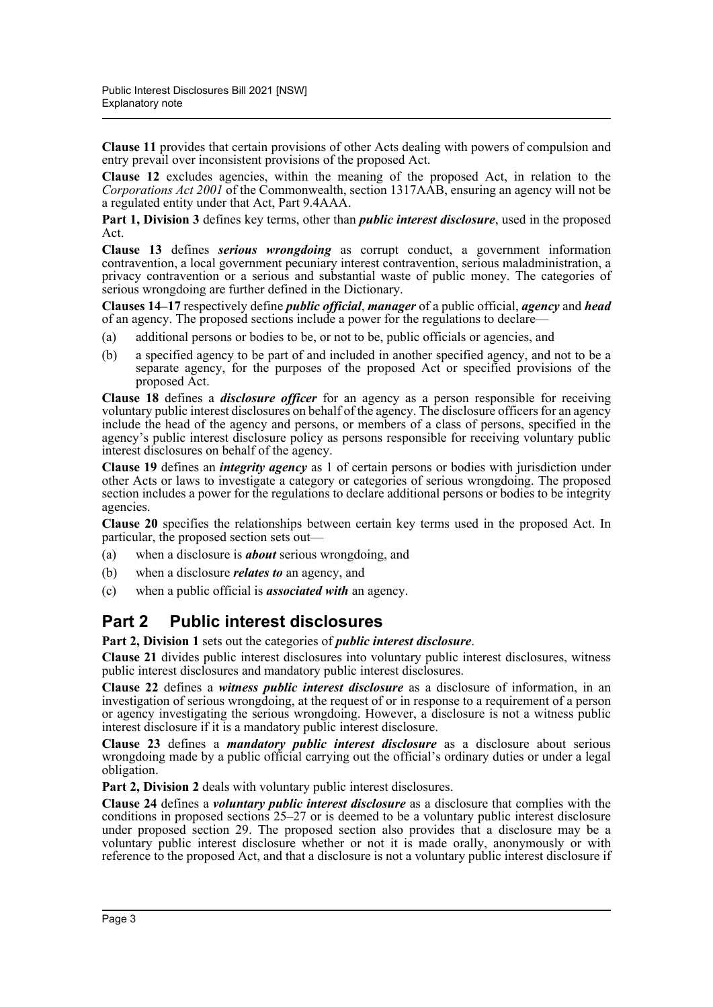**Clause 11** provides that certain provisions of other Acts dealing with powers of compulsion and entry prevail over inconsistent provisions of the proposed Act.

**Clause 12** excludes agencies, within the meaning of the proposed Act, in relation to the *Corporations Act 2001* of the Commonwealth, section 1317AAB, ensuring an agency will not be a regulated entity under that Act, Part 9.4AAA.

**Part 1, Division 3** defines key terms, other than *public interest disclosure*, used in the proposed Act.

**Clause 13** defines *serious wrongdoing* as corrupt conduct, a government information contravention, a local government pecuniary interest contravention, serious maladministration, a privacy contravention or a serious and substantial waste of public money. The categories of serious wrongdoing are further defined in the Dictionary.

**Clauses 14–17** respectively define *public official*, *manager* of a public official, *agency* and *head* of an agency. The proposed sections include a power for the regulations to declare—

- (a) additional persons or bodies to be, or not to be, public officials or agencies, and
- (b) a specified agency to be part of and included in another specified agency, and not to be a separate agency, for the purposes of the proposed Act or specified provisions of the proposed Act.

**Clause 18** defines a *disclosure officer* for an agency as a person responsible for receiving voluntary public interest disclosures on behalf of the agency. The disclosure officers for an agency include the head of the agency and persons, or members of a class of persons, specified in the agency's public interest disclosure policy as persons responsible for receiving voluntary public interest disclosures on behalf of the agency.

**Clause 19** defines an *integrity agency* as 1 of certain persons or bodies with jurisdiction under other Acts or laws to investigate a category or categories of serious wrongdoing. The proposed section includes a power for the regulations to declare additional persons or bodies to be integrity agencies.

**Clause 20** specifies the relationships between certain key terms used in the proposed Act. In particular, the proposed section sets out—

- (a) when a disclosure is *about* serious wrongdoing, and
- (b) when a disclosure *relates to* an agency, and
- (c) when a public official is *associated with* an agency.

### **Part 2 Public interest disclosures**

**Part 2, Division 1** sets out the categories of *public interest disclosure*.

**Clause 21** divides public interest disclosures into voluntary public interest disclosures, witness public interest disclosures and mandatory public interest disclosures.

**Clause 22** defines a *witness public interest disclosure* as a disclosure of information, in an investigation of serious wrongdoing, at the request of or in response to a requirement of a person or agency investigating the serious wrongdoing. However, a disclosure is not a witness public interest disclosure if it is a mandatory public interest disclosure.

**Clause 23** defines a *mandatory public interest disclosure* as a disclosure about serious wrongdoing made by a public official carrying out the official's ordinary duties or under a legal obligation.

**Part 2, Division 2** deals with voluntary public interest disclosures.

**Clause 24** defines a *voluntary public interest disclosure* as a disclosure that complies with the conditions in proposed sections 25–27 or is deemed to be a voluntary public interest disclosure under proposed section 29. The proposed section also provides that a disclosure may be a voluntary public interest disclosure whether or not it is made orally, anonymously or with reference to the proposed Act, and that a disclosure is not a voluntary public interest disclosure if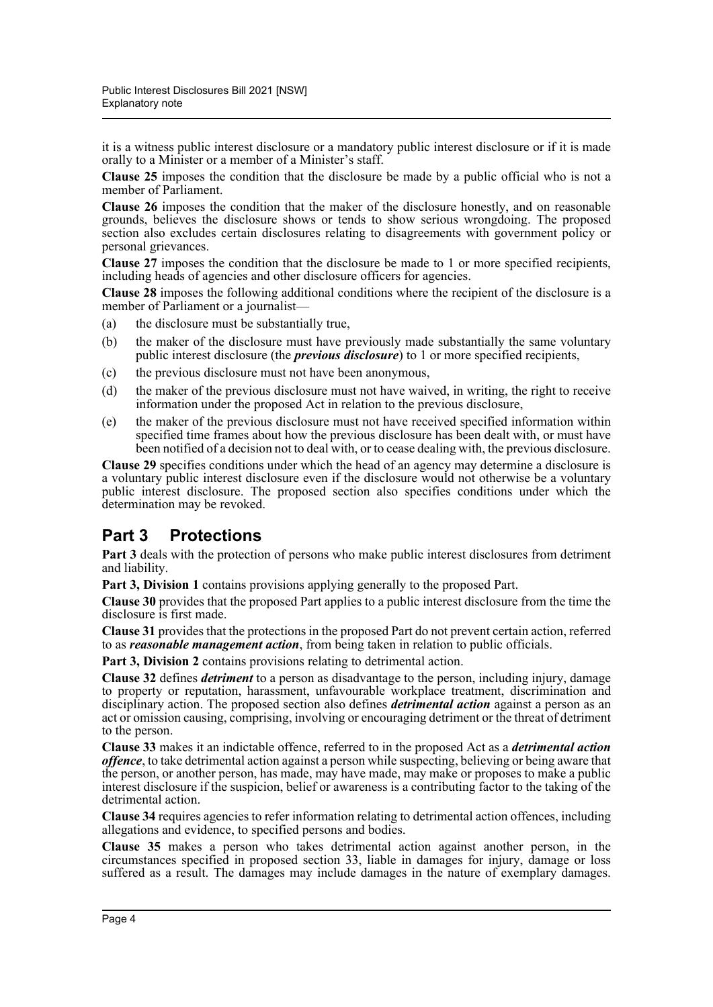it is a witness public interest disclosure or a mandatory public interest disclosure or if it is made orally to a Minister or a member of a Minister's staff.

**Clause 25** imposes the condition that the disclosure be made by a public official who is not a member of Parliament.

**Clause 26** imposes the condition that the maker of the disclosure honestly, and on reasonable grounds, believes the disclosure shows or tends to show serious wrongdoing. The proposed section also excludes certain disclosures relating to disagreements with government policy or personal grievances.

**Clause 27** imposes the condition that the disclosure be made to 1 or more specified recipients, including heads of agencies and other disclosure officers for agencies.

**Clause 28** imposes the following additional conditions where the recipient of the disclosure is a member of Parliament or a journalist-

- (a) the disclosure must be substantially true,
- (b) the maker of the disclosure must have previously made substantially the same voluntary public interest disclosure (the *previous disclosure*) to 1 or more specified recipients,
- (c) the previous disclosure must not have been anonymous,
- (d) the maker of the previous disclosure must not have waived, in writing, the right to receive information under the proposed Act in relation to the previous disclosure,
- (e) the maker of the previous disclosure must not have received specified information within specified time frames about how the previous disclosure has been dealt with, or must have been notified of a decision not to deal with, or to cease dealing with, the previous disclosure.

**Clause 29** specifies conditions under which the head of an agency may determine a disclosure is a voluntary public interest disclosure even if the disclosure would not otherwise be a voluntary public interest disclosure. The proposed section also specifies conditions under which the determination may be revoked.

### **Part 3 Protections**

**Part 3** deals with the protection of persons who make public interest disclosures from detriment and liability.

**Part 3, Division 1** contains provisions applying generally to the proposed Part.

**Clause 30** provides that the proposed Part applies to a public interest disclosure from the time the disclosure is first made.

**Clause 31** provides that the protections in the proposed Part do not prevent certain action, referred to as *reasonable management action*, from being taken in relation to public officials.

**Part 3, Division 2** contains provisions relating to detrimental action.

**Clause 32** defines *detriment* to a person as disadvantage to the person, including injury, damage to property or reputation, harassment, unfavourable workplace treatment, discrimination and disciplinary action. The proposed section also defines *detrimental action* against a person as an act or omission causing, comprising, involving or encouraging detriment or the threat of detriment to the person.

**Clause 33** makes it an indictable offence, referred to in the proposed Act as a *detrimental action offence*, to take detrimental action against a person while suspecting, believing or being aware that the person, or another person, has made, may have made, may make or proposes to make a public interest disclosure if the suspicion, belief or awareness is a contributing factor to the taking of the detrimental action.

**Clause 34** requires agencies to refer information relating to detrimental action offences, including allegations and evidence, to specified persons and bodies.

**Clause 35** makes a person who takes detrimental action against another person, in the circumstances specified in proposed section 33, liable in damages for injury, damage or loss suffered as a result. The damages may include damages in the nature of exemplary damages.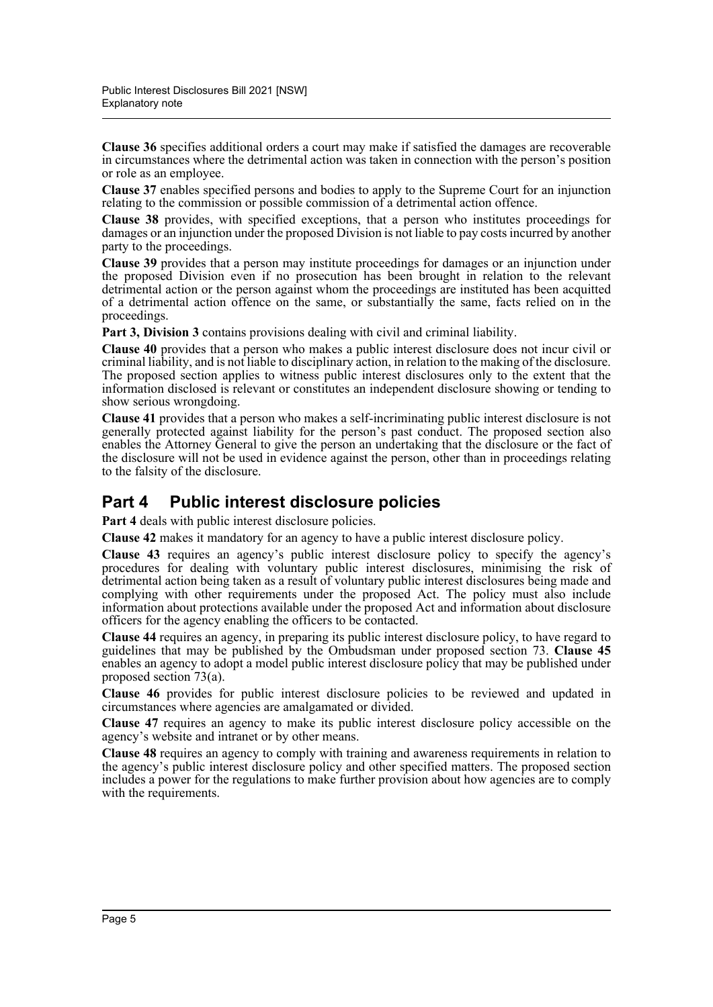**Clause 36** specifies additional orders a court may make if satisfied the damages are recoverable in circumstances where the detrimental action was taken in connection with the person's position or role as an employee.

**Clause 37** enables specified persons and bodies to apply to the Supreme Court for an injunction relating to the commission or possible commission of a detrimental action offence.

**Clause 38** provides, with specified exceptions, that a person who institutes proceedings for damages or an injunction under the proposed Division is not liable to pay costs incurred by another party to the proceedings.

**Clause 39** provides that a person may institute proceedings for damages or an injunction under the proposed Division even if no prosecution has been brought in relation to the relevant detrimental action or the person against whom the proceedings are instituted has been acquitted of a detrimental action offence on the same, or substantially the same, facts relied on in the proceedings.

**Part 3, Division 3** contains provisions dealing with civil and criminal liability.

**Clause 40** provides that a person who makes a public interest disclosure does not incur civil or criminal liability, and is not liable to disciplinary action, in relation to the making of the disclosure. The proposed section applies to witness public interest disclosures only to the extent that the information disclosed is relevant or constitutes an independent disclosure showing or tending to show serious wrongdoing.

**Clause 41** provides that a person who makes a self-incriminating public interest disclosure is not generally protected against liability for the person's past conduct. The proposed section also enables the Attorney General to give the person an undertaking that the disclosure or the fact of the disclosure will not be used in evidence against the person, other than in proceedings relating to the falsity of the disclosure.

#### **Part 4 Public interest disclosure policies**

Part 4 deals with public interest disclosure policies.

**Clause 42** makes it mandatory for an agency to have a public interest disclosure policy.

**Clause 43** requires an agency's public interest disclosure policy to specify the agency's procedures for dealing with voluntary public interest disclosures, minimising the risk of detrimental action being taken as a result of voluntary public interest disclosures being made and complying with other requirements under the proposed Act. The policy must also include information about protections available under the proposed Act and information about disclosure officers for the agency enabling the officers to be contacted.

**Clause 44** requires an agency, in preparing its public interest disclosure policy, to have regard to guidelines that may be published by the Ombudsman under proposed section 73. **Clause 45** enables an agency to adopt a model public interest disclosure policy that may be published under proposed section 73(a).

**Clause 46** provides for public interest disclosure policies to be reviewed and updated in circumstances where agencies are amalgamated or divided.

**Clause 47** requires an agency to make its public interest disclosure policy accessible on the agency's website and intranet or by other means.

**Clause 48** requires an agency to comply with training and awareness requirements in relation to the agency's public interest disclosure policy and other specified matters. The proposed section includes a power for the regulations to make further provision about how agencies are to comply with the requirements.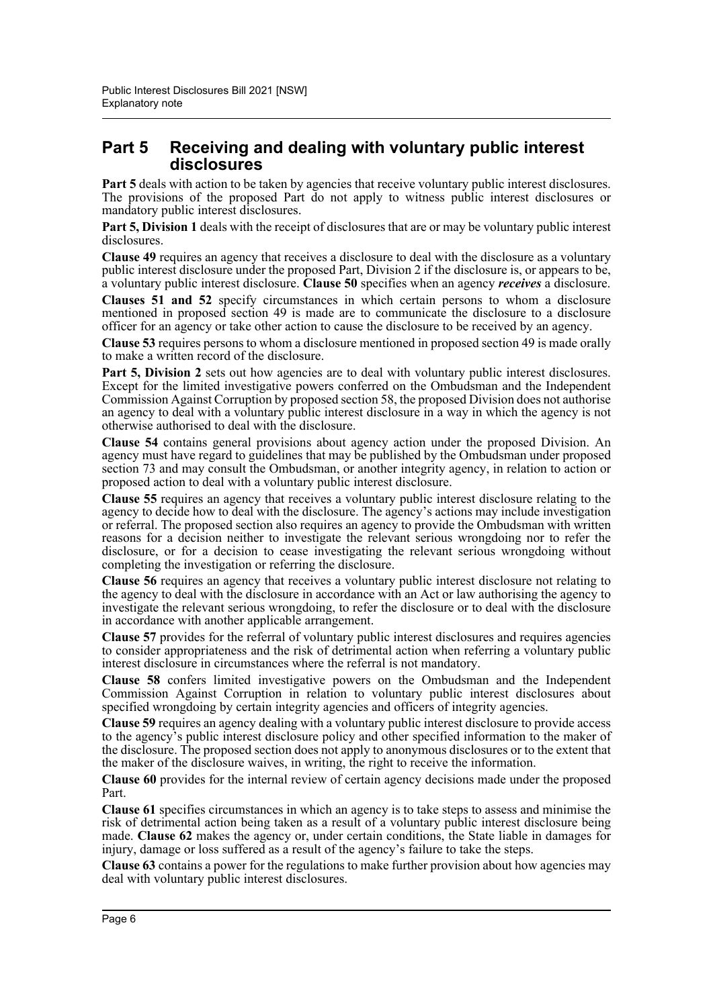#### **Part 5 Receiving and dealing with voluntary public interest disclosures**

**Part 5** deals with action to be taken by agencies that receive voluntary public interest disclosures. The provisions of the proposed Part do not apply to witness public interest disclosures or mandatory public interest disclosures.

**Part 5, Division 1** deals with the receipt of disclosures that are or may be voluntary public interest disclosures.

**Clause 49** requires an agency that receives a disclosure to deal with the disclosure as a voluntary public interest disclosure under the proposed Part, Division 2 if the disclosure is, or appears to be, a voluntary public interest disclosure. **Clause 50** specifies when an agency *receives* a disclosure.

**Clauses 51 and 52** specify circumstances in which certain persons to whom a disclosure mentioned in proposed section 49 is made are to communicate the disclosure to a disclosure officer for an agency or take other action to cause the disclosure to be received by an agency.

**Clause 53** requires persons to whom a disclosure mentioned in proposed section 49 is made orally to make a written record of the disclosure.

Part 5. Division 2 sets out how agencies are to deal with voluntary public interest disclosures. Except for the limited investigative powers conferred on the Ombudsman and the Independent Commission Against Corruption by proposed section 58, the proposed Division does not authorise an agency to deal with a voluntary public interest disclosure in a way in which the agency is not otherwise authorised to deal with the disclosure.

**Clause 54** contains general provisions about agency action under the proposed Division. An agency must have regard to guidelines that may be published by the Ombudsman under proposed section 73 and may consult the Ombudsman, or another integrity agency, in relation to action or proposed action to deal with a voluntary public interest disclosure.

**Clause 55** requires an agency that receives a voluntary public interest disclosure relating to the agency to decide how to deal with the disclosure. The agency's actions may include investigation or referral. The proposed section also requires an agency to provide the Ombudsman with written reasons for a decision neither to investigate the relevant serious wrongdoing nor to refer the disclosure, or for a decision to cease investigating the relevant serious wrongdoing without completing the investigation or referring the disclosure.

**Clause 56** requires an agency that receives a voluntary public interest disclosure not relating to the agency to deal with the disclosure in accordance with an Act or law authorising the agency to investigate the relevant serious wrongdoing, to refer the disclosure or to deal with the disclosure in accordance with another applicable arrangement.

**Clause 57** provides for the referral of voluntary public interest disclosures and requires agencies to consider appropriateness and the risk of detrimental action when referring a voluntary public interest disclosure in circumstances where the referral is not mandatory.

**Clause 58** confers limited investigative powers on the Ombudsman and the Independent Commission Against Corruption in relation to voluntary public interest disclosures about specified wrongdoing by certain integrity agencies and officers of integrity agencies.

**Clause 59** requires an agency dealing with a voluntary public interest disclosure to provide access to the agency's public interest disclosure policy and other specified information to the maker of the disclosure. The proposed section does not apply to anonymous disclosures or to the extent that the maker of the disclosure waives, in writing, the right to receive the information.

**Clause 60** provides for the internal review of certain agency decisions made under the proposed Part.

**Clause 61** specifies circumstances in which an agency is to take steps to assess and minimise the risk of detrimental action being taken as a result of a voluntary public interest disclosure being made. **Clause 62** makes the agency or, under certain conditions, the State liable in damages for injury, damage or loss suffered as a result of the agency's failure to take the steps.

**Clause 63** contains a power for the regulations to make further provision about how agencies may deal with voluntary public interest disclosures.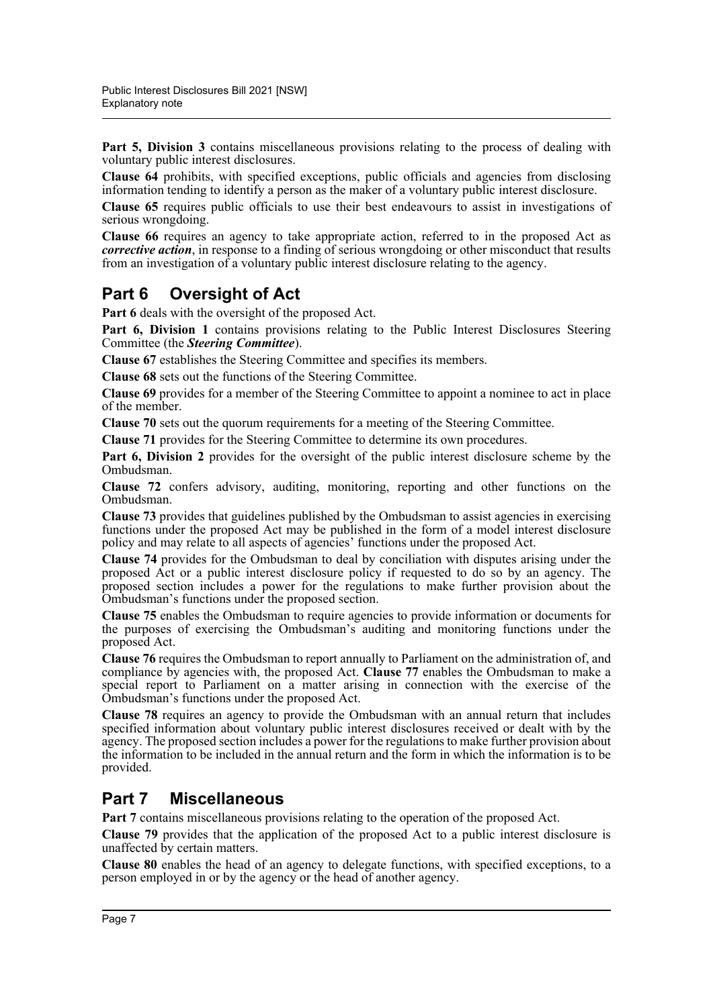**Part 5, Division 3** contains miscellaneous provisions relating to the process of dealing with voluntary public interest disclosures.

**Clause 64** prohibits, with specified exceptions, public officials and agencies from disclosing information tending to identify a person as the maker of a voluntary public interest disclosure.

**Clause 65** requires public officials to use their best endeavours to assist in investigations of serious wrongdoing.

**Clause 66** requires an agency to take appropriate action, referred to in the proposed Act as *corrective action*, in response to a finding of serious wrongdoing or other misconduct that results from an investigation of a voluntary public interest disclosure relating to the agency.

# **Part 6 Oversight of Act**

Part 6 deals with the oversight of the proposed Act.

Part 6, Division 1 contains provisions relating to the Public Interest Disclosures Steering Committee (the *Steering Committee*).

**Clause 67** establishes the Steering Committee and specifies its members.

**Clause 68** sets out the functions of the Steering Committee.

**Clause 69** provides for a member of the Steering Committee to appoint a nominee to act in place of the member.

**Clause 70** sets out the quorum requirements for a meeting of the Steering Committee.

**Clause 71** provides for the Steering Committee to determine its own procedures.

**Part 6, Division 2** provides for the oversight of the public interest disclosure scheme by the Ombudsman.

**Clause 72** confers advisory, auditing, monitoring, reporting and other functions on the Ombudsman.

**Clause 73** provides that guidelines published by the Ombudsman to assist agencies in exercising functions under the proposed Act may be published in the form of a model interest disclosure policy and may relate to all aspects of agencies' functions under the proposed Act.

**Clause 74** provides for the Ombudsman to deal by conciliation with disputes arising under the proposed  $\overrightarrow{Act}$  or a public interest disclosure policy if requested to do so by an agency. The proposed section includes a power for the regulations to make further provision about the Ombudsman's functions under the proposed section.

**Clause 75** enables the Ombudsman to require agencies to provide information or documents for the purposes of exercising the Ombudsman's auditing and monitoring functions under the proposed Act.

**Clause 76** requires the Ombudsman to report annually to Parliament on the administration of, and compliance by agencies with, the proposed Act. **Clause 77** enables the Ombudsman to make a special report to Parliament on a matter arising in connection with the exercise of the Ombudsman's functions under the proposed Act.

**Clause 78** requires an agency to provide the Ombudsman with an annual return that includes specified information about voluntary public interest disclosures received or dealt with by the agency. The proposed section includes a power for the regulations to make further provision about the information to be included in the annual return and the form in which the information is to be provided.

# **Part 7 Miscellaneous**

**Part 7** contains miscellaneous provisions relating to the operation of the proposed Act.

**Clause 79** provides that the application of the proposed Act to a public interest disclosure is unaffected by certain matters.

**Clause 80** enables the head of an agency to delegate functions, with specified exceptions, to a person employed in or by the agency or the head of another agency.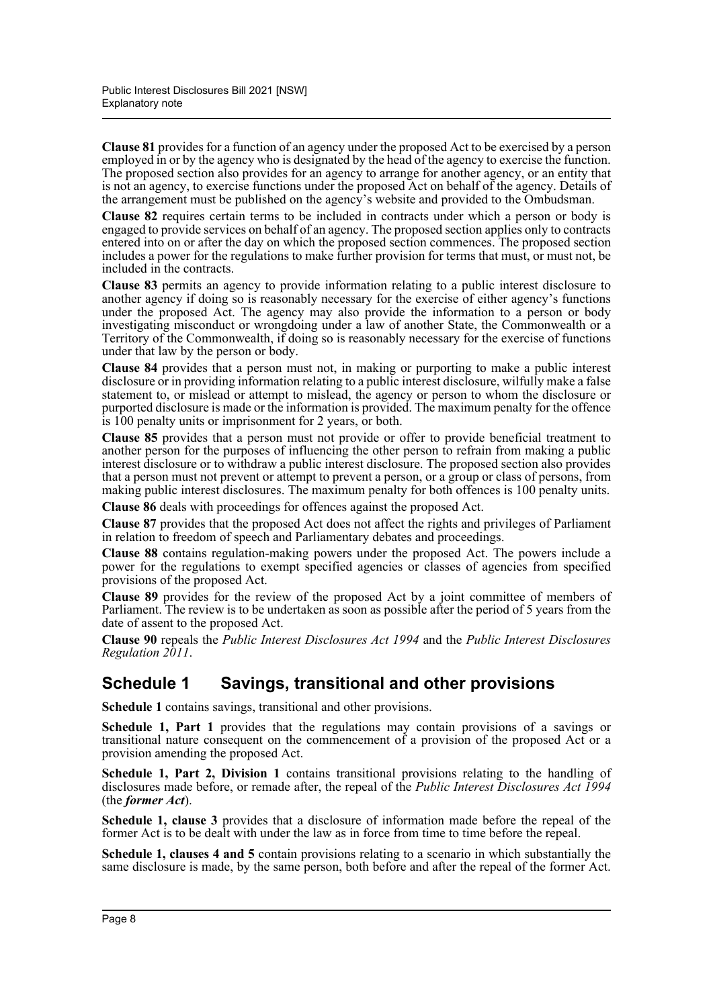**Clause 81** provides for a function of an agency under the proposed Act to be exercised by a person employed in or by the agency who is designated by the head of the agency to exercise the function. The proposed section also provides for an agency to arrange for another agency, or an entity that is not an agency, to exercise functions under the proposed Act on behalf of the agency. Details of the arrangement must be published on the agency's website and provided to the Ombudsman.

**Clause 82** requires certain terms to be included in contracts under which a person or body is engaged to provide services on behalf of an agency. The proposed section applies only to contracts entered into on or after the day on which the proposed section commences. The proposed section includes a power for the regulations to make further provision for terms that must, or must not, be included in the contracts.

**Clause 83** permits an agency to provide information relating to a public interest disclosure to another agency if doing so is reasonably necessary for the exercise of either agency's functions under the proposed Act. The agency may also provide the information to a person or body investigating misconduct or wrongdoing under a law of another State, the Commonwealth or a Territory of the Commonwealth, if doing so is reasonably necessary for the exercise of functions under that law by the person or body.

**Clause 84** provides that a person must not, in making or purporting to make a public interest disclosure or in providing information relating to a public interest disclosure, wilfully make a false statement to, or mislead or attempt to mislead, the agency or person to whom the disclosure or purported disclosure is made or the information is provided. The maximum penalty for the offence is 100 penalty units or imprisonment for 2 years, or both.

**Clause 85** provides that a person must not provide or offer to provide beneficial treatment to another person for the purposes of influencing the other person to refrain from making a public interest disclosure or to withdraw a public interest disclosure. The proposed section also provides that a person must not prevent or attempt to prevent a person, or a group or class of persons, from making public interest disclosures. The maximum penalty for both offences is 100 penalty units.

**Clause 86** deals with proceedings for offences against the proposed Act.

**Clause 87** provides that the proposed Act does not affect the rights and privileges of Parliament in relation to freedom of speech and Parliamentary debates and proceedings.

**Clause 88** contains regulation-making powers under the proposed Act. The powers include a power for the regulations to exempt specified agencies or classes of agencies from specified provisions of the proposed Act.

**Clause 89** provides for the review of the proposed Act by a joint committee of members of Parliament. The review is to be undertaken as soon as possible after the period of 5 years from the date of assent to the proposed Act.

**Clause 90** repeals the *Public Interest Disclosures Act 1994* and the *Public Interest Disclosures Regulation 2011*.

### **Schedule 1 Savings, transitional and other provisions**

**Schedule 1** contains savings, transitional and other provisions.

**Schedule 1, Part 1** provides that the regulations may contain provisions of a savings or transitional nature consequent on the commencement of a provision of the proposed Act or a provision amending the proposed Act.

**Schedule 1, Part 2, Division 1** contains transitional provisions relating to the handling of disclosures made before, or remade after, the repeal of the *Public Interest Disclosures Act 1994* (the *former Act*).

**Schedule 1, clause 3** provides that a disclosure of information made before the repeal of the former Act is to be dealt with under the law as in force from time to time before the repeal.

**Schedule 1, clauses 4 and 5** contain provisions relating to a scenario in which substantially the same disclosure is made, by the same person, both before and after the repeal of the former Act.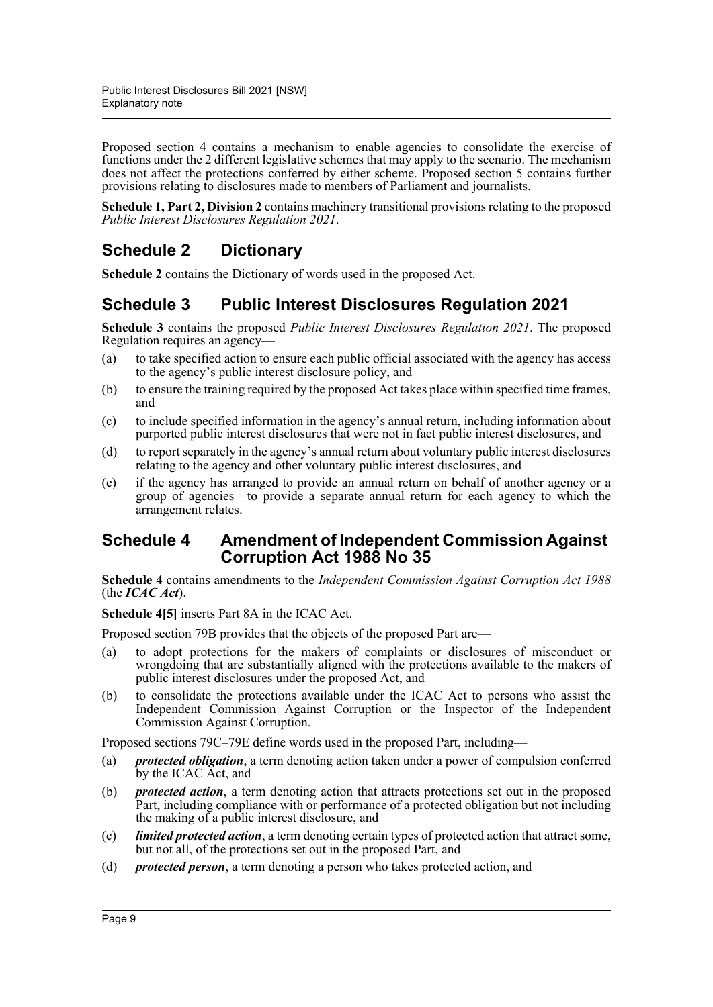Proposed section 4 contains a mechanism to enable agencies to consolidate the exercise of functions under the 2 different legislative schemes that may apply to the scenario. The mechanism does not affect the protections conferred by either scheme. Proposed section 5 contains further provisions relating to disclosures made to members of Parliament and journalists.

**Schedule 1, Part 2, Division 2** contains machinery transitional provisions relating to the proposed *Public Interest Disclosures Regulation 2021*.

# **Schedule 2 Dictionary**

**Schedule 2** contains the Dictionary of words used in the proposed Act.

# **Schedule 3 Public Interest Disclosures Regulation 2021**

**Schedule 3** contains the proposed *Public Interest Disclosures Regulation 2021*. The proposed Regulation requires an agency—

- (a) to take specified action to ensure each public official associated with the agency has access to the agency's public interest disclosure policy, and
- (b) to ensure the training required by the proposed Act takes place within specified time frames, and
- (c) to include specified information in the agency's annual return, including information about purported public interest disclosures that were not in fact public interest disclosures, and
- (d) to report separately in the agency's annual return about voluntary public interest disclosures relating to the agency and other voluntary public interest disclosures, and
- (e) if the agency has arranged to provide an annual return on behalf of another agency or a group of agencies—to provide a separate annual return for each agency to which the arrangement relates.

#### **Schedule 4 Amendment of Independent Commission Against Corruption Act 1988 No 35**

**Schedule 4** contains amendments to the *Independent Commission Against Corruption Act 1988* (the *ICAC Act*).

**Schedule 4[5]** inserts Part 8A in the ICAC Act.

Proposed section 79B provides that the objects of the proposed Part are—

- (a) to adopt protections for the makers of complaints or disclosures of misconduct or wrongdoing that are substantially aligned with the protections available to the makers of public interest disclosures under the proposed Act, and
- (b) to consolidate the protections available under the ICAC Act to persons who assist the Independent Commission Against Corruption or the Inspector of the Independent Commission Against Corruption.

Proposed sections 79C–79E define words used in the proposed Part, including—

- (a) *protected obligation*, a term denoting action taken under a power of compulsion conferred by the ICAC Act, and
- (b) *protected action*, a term denoting action that attracts protections set out in the proposed Part, including compliance with or performance of a protected obligation but not including the making of a public interest disclosure, and
- (c) *limited protected action*, a term denoting certain types of protected action that attract some, but not all, of the protections set out in the proposed Part, and
- (d) *protected person*, a term denoting a person who takes protected action, and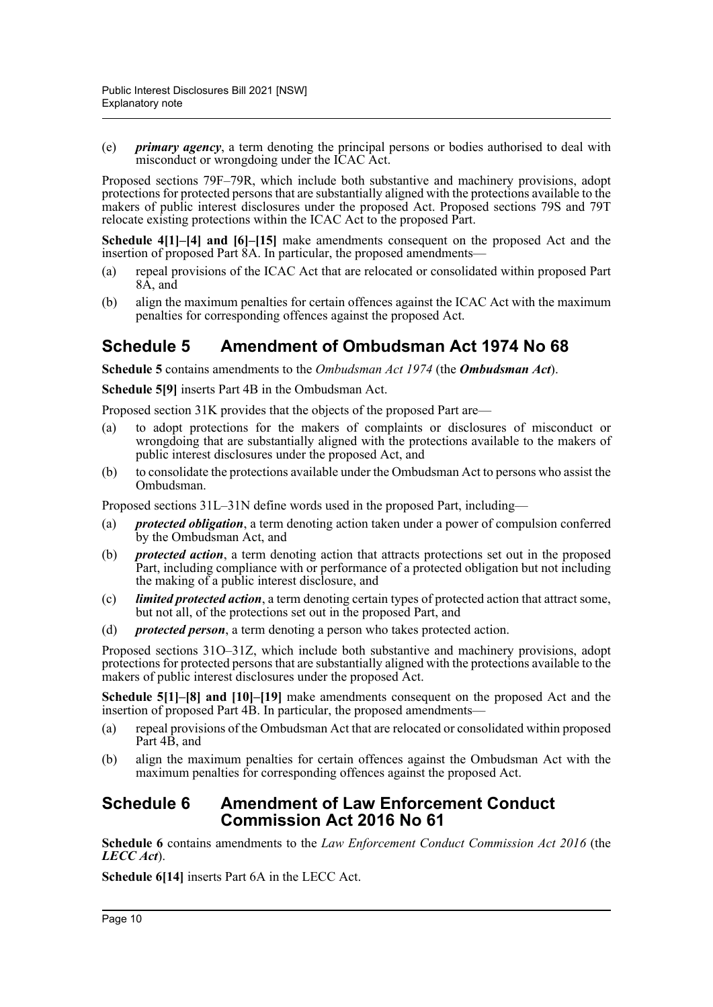(e) *primary agency*, a term denoting the principal persons or bodies authorised to deal with misconduct or wrongdoing under the ICAC Act.

Proposed sections 79F–79R, which include both substantive and machinery provisions, adopt protections for protected persons that are substantially aligned with the protections available to the makers of public interest disclosures under the proposed Act. Proposed sections 79S and 79T relocate existing protections within the ICAC Act to the proposed Part.

**Schedule 4[1]–[4] and [6]–[15]** make amendments consequent on the proposed Act and the insertion of proposed Part 8A. In particular, the proposed amendments—

- (a) repeal provisions of the ICAC Act that are relocated or consolidated within proposed Part 8A, and
- (b) align the maximum penalties for certain offences against the ICAC Act with the maximum penalties for corresponding offences against the proposed Act.

## **Schedule 5 Amendment of Ombudsman Act 1974 No 68**

**Schedule 5** contains amendments to the *Ombudsman Act 1974* (the *Ombudsman Act*).

**Schedule 5[9]** inserts Part 4B in the Ombudsman Act.

Proposed section 31K provides that the objects of the proposed Part are—

- (a) to adopt protections for the makers of complaints or disclosures of misconduct or wrongdoing that are substantially aligned with the protections available to the makers of public interest disclosures under the proposed Act, and
- (b) to consolidate the protections available under the Ombudsman Act to persons who assist the Ombudsman.

Proposed sections 31L–31N define words used in the proposed Part, including—

- (a) *protected obligation*, a term denoting action taken under a power of compulsion conferred by the Ombudsman Act, and
- (b) *protected action*, a term denoting action that attracts protections set out in the proposed Part, including compliance with or performance of a protected obligation but not including the making of a public interest disclosure, and
- (c) *limited protected action*, a term denoting certain types of protected action that attract some, but not all, of the protections set out in the proposed Part, and
- (d) *protected person*, a term denoting a person who takes protected action.

Proposed sections 31O–31Z, which include both substantive and machinery provisions, adopt protections for protected persons that are substantially aligned with the protections available to the makers of public interest disclosures under the proposed Act.

**Schedule 5[1]–[8] and [10]–[19]** make amendments consequent on the proposed Act and the insertion of proposed Part 4B. In particular, the proposed amendments—

- (a) repeal provisions of the Ombudsman Act that are relocated or consolidated within proposed Part 4B, and
- (b) align the maximum penalties for certain offences against the Ombudsman Act with the maximum penalties for corresponding offences against the proposed Act.

#### **Schedule 6 Amendment of Law Enforcement Conduct Commission Act 2016 No 61**

**Schedule 6** contains amendments to the *Law Enforcement Conduct Commission Act 2016* (the *LECC Act*).

**Schedule 6[14]** inserts Part 6A in the LECC Act.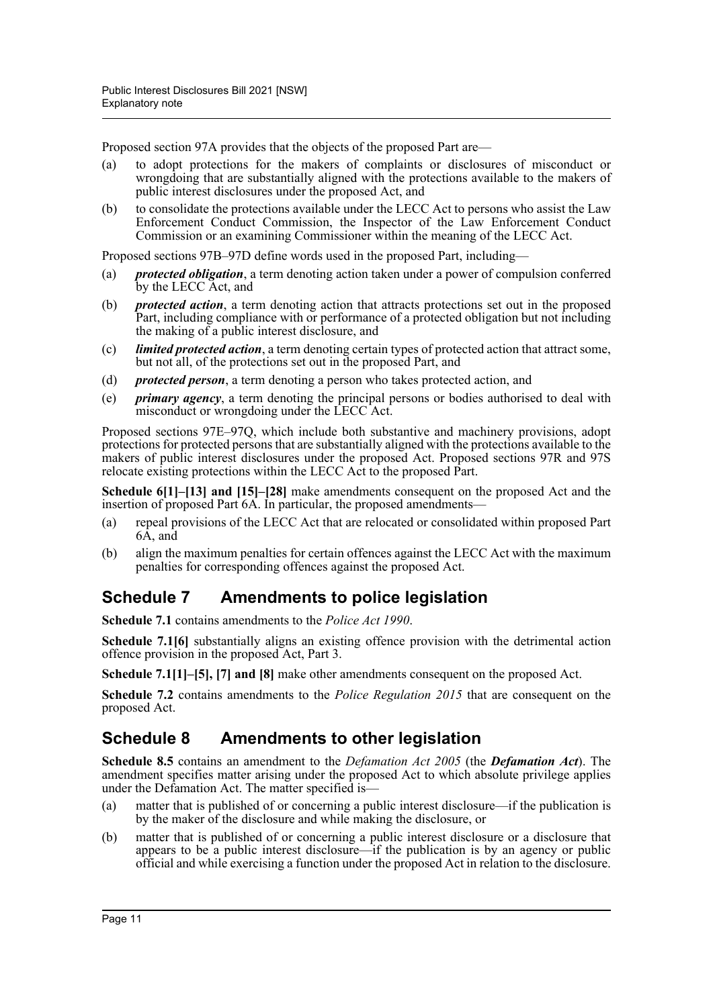Proposed section 97A provides that the objects of the proposed Part are—

- (a) to adopt protections for the makers of complaints or disclosures of misconduct or wrongdoing that are substantially aligned with the protections available to the makers of public interest disclosures under the proposed Act, and
- (b) to consolidate the protections available under the LECC Act to persons who assist the Law Enforcement Conduct Commission, the Inspector of the Law Enforcement Conduct Commission or an examining Commissioner within the meaning of the LECC Act.

Proposed sections 97B–97D define words used in the proposed Part, including—

- (a) *protected obligation*, a term denoting action taken under a power of compulsion conferred by the LECC Act, and
- (b) *protected action*, a term denoting action that attracts protections set out in the proposed Part, including compliance with or performance of a protected obligation but not including the making of a public interest disclosure, and
- (c) *limited protected action*, a term denoting certain types of protected action that attract some, but not all, of the protections set out in the proposed Part, and
- (d) *protected person*, a term denoting a person who takes protected action, and
- (e) *primary agency*, a term denoting the principal persons or bodies authorised to deal with misconduct or wrongdoing under the LECC Act.

Proposed sections 97E–97Q, which include both substantive and machinery provisions, adopt protections for protected persons that are substantially aligned with the protections available to the makers of public interest disclosures under the proposed Act. Proposed sections 97R and 97S relocate existing protections within the LECC Act to the proposed Part.

**Schedule 6[1]–[13] and [15]–[28]** make amendments consequent on the proposed Act and the insertion of proposed Part 6A. In particular, the proposed amendments—

- (a) repeal provisions of the LECC Act that are relocated or consolidated within proposed Part 6A, and
- (b) align the maximum penalties for certain offences against the LECC Act with the maximum penalties for corresponding offences against the proposed Act.

# **Schedule 7 Amendments to police legislation**

**Schedule 7.1** contains amendments to the *Police Act 1990*.

**Schedule 7.1[6]** substantially aligns an existing offence provision with the detrimental action offence provision in the proposed Act, Part 3.

**Schedule 7.1[1]–[5], [7] and [8]** make other amendments consequent on the proposed Act.

**Schedule 7.2** contains amendments to the *Police Regulation 2015* that are consequent on the proposed Act.

### **Schedule 8 Amendments to other legislation**

**Schedule 8.5** contains an amendment to the *Defamation Act 2005* (the *Defamation Act*). The amendment specifies matter arising under the proposed Act to which absolute privilege applies under the Defamation Act. The matter specified is—

- (a) matter that is published of or concerning a public interest disclosure—if the publication is by the maker of the disclosure and while making the disclosure, or
- (b) matter that is published of or concerning a public interest disclosure or a disclosure that appears to be a public interest disclosure—if the publication is by an agency or public official and while exercising a function under the proposed Act in relation to the disclosure.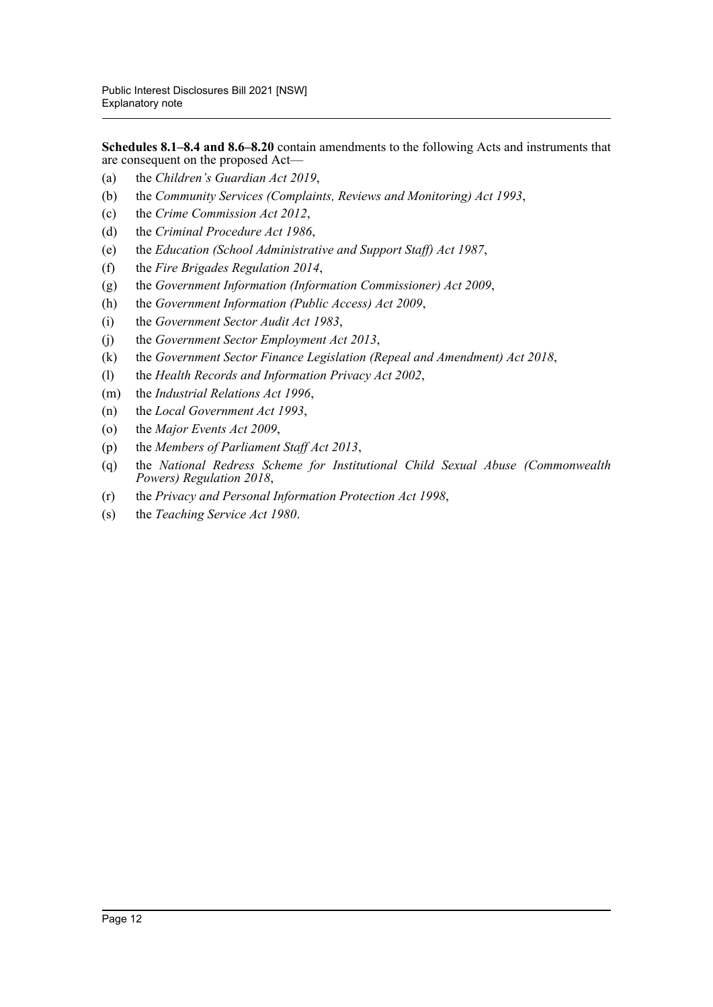**Schedules 8.1–8.4 and 8.6–8.20** contain amendments to the following Acts and instruments that are consequent on the proposed Act—

- (a) the *Children's Guardian Act 2019*,
- (b) the *Community Services (Complaints, Reviews and Monitoring) Act 1993*,
- (c) the *Crime Commission Act 2012*,
- (d) the *Criminal Procedure Act 1986*,
- (e) the *Education (School Administrative and Support Staff) Act 1987*,
- (f) the *Fire Brigades Regulation 2014*,
- (g) the *Government Information (Information Commissioner) Act 2009*,
- (h) the *Government Information (Public Access) Act 2009*,
- (i) the *Government Sector Audit Act 1983*,
- (j) the *Government Sector Employment Act 2013*,
- (k) the *Government Sector Finance Legislation (Repeal and Amendment) Act 2018*,
- (l) the *Health Records and Information Privacy Act 2002*,
- (m) the *Industrial Relations Act 1996*,
- (n) the *Local Government Act 1993*,
- (o) the *Major Events Act 2009*,
- (p) the *Members of Parliament Staff Act 2013*,
- (q) the *National Redress Scheme for Institutional Child Sexual Abuse (Commonwealth Powers) Regulation 2018*,
- (r) the *Privacy and Personal Information Protection Act 1998*,
- (s) the *Teaching Service Act 1980*.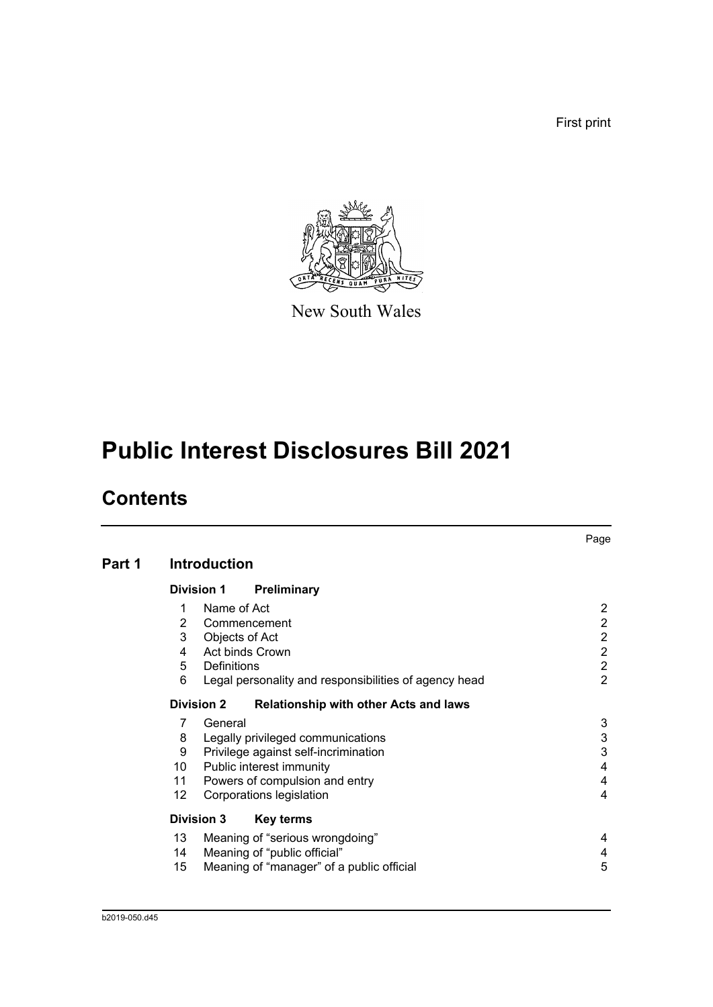First print



New South Wales

# **Public Interest Disclosures Bill 2021**

# **Contents**

|        |                |                     |                                                       | Page           |
|--------|----------------|---------------------|-------------------------------------------------------|----------------|
| Part 1 |                | <b>Introduction</b> |                                                       |                |
|        |                | <b>Division 1</b>   | Preliminary                                           |                |
|        | 1              | Name of Act         |                                                       | 2              |
|        | $\overline{2}$ |                     | Commencement                                          | 2              |
|        | 3              | Objects of Act      |                                                       | $\overline{2}$ |
|        | 4              |                     | Act binds Crown                                       | $\overline{2}$ |
|        | 5              | Definitions         |                                                       | $\overline{2}$ |
|        | 6              |                     | Legal personality and responsibilities of agency head | $\overline{2}$ |
|        |                | <b>Division 2</b>   | <b>Relationship with other Acts and laws</b>          |                |
|        | 7              | General             |                                                       | 3              |
|        | 8              |                     | Legally privileged communications                     | 3              |
|        | 9              |                     | Privilege against self-incrimination                  | 3              |
|        | 10             |                     | Public interest immunity                              | 4              |
|        | 11             |                     | Powers of compulsion and entry                        | 4              |
|        | 12             |                     | Corporations legislation                              | 4              |
|        |                | <b>Division 3</b>   | <b>Key terms</b>                                      |                |
|        | 13             |                     | Meaning of "serious wrongdoing"                       | 4              |
|        | 14             |                     | Meaning of "public official"                          | 4              |
|        | 15             |                     | Meaning of "manager" of a public official             | 5              |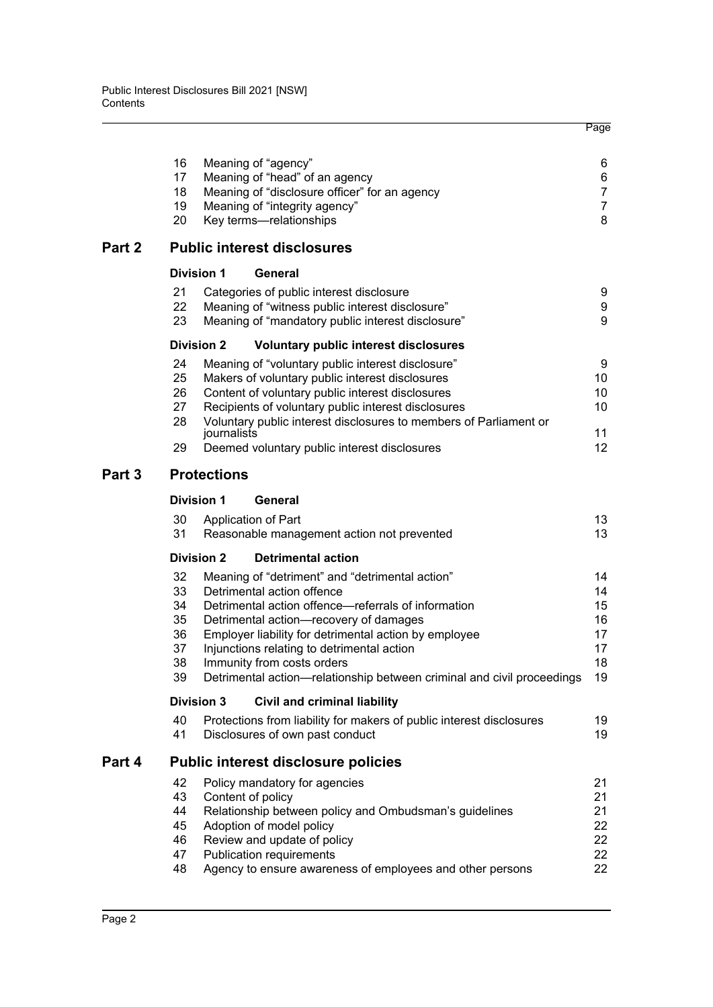|                                              |    |                                                                                                       | Page                                                                                                                                                                                                                                                                                                                                                                                                                                                                                                                                                                                                                                                                                                                                                                                                                                                                                                                                                                                                                                                                                                                                                                                                                                                                                                                                                                                                                                                                                                                                                                                                                                                           |
|----------------------------------------------|----|-------------------------------------------------------------------------------------------------------|----------------------------------------------------------------------------------------------------------------------------------------------------------------------------------------------------------------------------------------------------------------------------------------------------------------------------------------------------------------------------------------------------------------------------------------------------------------------------------------------------------------------------------------------------------------------------------------------------------------------------------------------------------------------------------------------------------------------------------------------------------------------------------------------------------------------------------------------------------------------------------------------------------------------------------------------------------------------------------------------------------------------------------------------------------------------------------------------------------------------------------------------------------------------------------------------------------------------------------------------------------------------------------------------------------------------------------------------------------------------------------------------------------------------------------------------------------------------------------------------------------------------------------------------------------------------------------------------------------------------------------------------------------------|
| 16<br>17<br>18<br>19<br>20                   |    |                                                                                                       | 6<br>6<br>$\overline{7}$<br>$\overline{7}$<br>8                                                                                                                                                                                                                                                                                                                                                                                                                                                                                                                                                                                                                                                                                                                                                                                                                                                                                                                                                                                                                                                                                                                                                                                                                                                                                                                                                                                                                                                                                                                                                                                                                |
|                                              |    |                                                                                                       |                                                                                                                                                                                                                                                                                                                                                                                                                                                                                                                                                                                                                                                                                                                                                                                                                                                                                                                                                                                                                                                                                                                                                                                                                                                                                                                                                                                                                                                                                                                                                                                                                                                                |
|                                              |    | General                                                                                               |                                                                                                                                                                                                                                                                                                                                                                                                                                                                                                                                                                                                                                                                                                                                                                                                                                                                                                                                                                                                                                                                                                                                                                                                                                                                                                                                                                                                                                                                                                                                                                                                                                                                |
| 21<br>22<br>23                               |    |                                                                                                       | 9<br>9<br>9                                                                                                                                                                                                                                                                                                                                                                                                                                                                                                                                                                                                                                                                                                                                                                                                                                                                                                                                                                                                                                                                                                                                                                                                                                                                                                                                                                                                                                                                                                                                                                                                                                                    |
|                                              |    | <b>Voluntary public interest disclosures</b>                                                          |                                                                                                                                                                                                                                                                                                                                                                                                                                                                                                                                                                                                                                                                                                                                                                                                                                                                                                                                                                                                                                                                                                                                                                                                                                                                                                                                                                                                                                                                                                                                                                                                                                                                |
| 24<br>25<br>26<br>27<br>28<br>29             |    |                                                                                                       | 9<br>10<br>10<br>10<br>11<br>12 <sup>2</sup>                                                                                                                                                                                                                                                                                                                                                                                                                                                                                                                                                                                                                                                                                                                                                                                                                                                                                                                                                                                                                                                                                                                                                                                                                                                                                                                                                                                                                                                                                                                                                                                                                   |
|                                              |    |                                                                                                       |                                                                                                                                                                                                                                                                                                                                                                                                                                                                                                                                                                                                                                                                                                                                                                                                                                                                                                                                                                                                                                                                                                                                                                                                                                                                                                                                                                                                                                                                                                                                                                                                                                                                |
|                                              |    |                                                                                                       |                                                                                                                                                                                                                                                                                                                                                                                                                                                                                                                                                                                                                                                                                                                                                                                                                                                                                                                                                                                                                                                                                                                                                                                                                                                                                                                                                                                                                                                                                                                                                                                                                                                                |
|                                              |    |                                                                                                       | 13                                                                                                                                                                                                                                                                                                                                                                                                                                                                                                                                                                                                                                                                                                                                                                                                                                                                                                                                                                                                                                                                                                                                                                                                                                                                                                                                                                                                                                                                                                                                                                                                                                                             |
| 31                                           |    |                                                                                                       | 13                                                                                                                                                                                                                                                                                                                                                                                                                                                                                                                                                                                                                                                                                                                                                                                                                                                                                                                                                                                                                                                                                                                                                                                                                                                                                                                                                                                                                                                                                                                                                                                                                                                             |
|                                              |    | <b>Detrimental action</b>                                                                             |                                                                                                                                                                                                                                                                                                                                                                                                                                                                                                                                                                                                                                                                                                                                                                                                                                                                                                                                                                                                                                                                                                                                                                                                                                                                                                                                                                                                                                                                                                                                                                                                                                                                |
| 32<br>33<br>34<br>35<br>36<br>37<br>38<br>39 |    |                                                                                                       | 14<br>14<br>15<br>16<br>17<br>17<br>18<br>19                                                                                                                                                                                                                                                                                                                                                                                                                                                                                                                                                                                                                                                                                                                                                                                                                                                                                                                                                                                                                                                                                                                                                                                                                                                                                                                                                                                                                                                                                                                                                                                                                   |
|                                              |    | <b>Civil and criminal liability</b>                                                                   |                                                                                                                                                                                                                                                                                                                                                                                                                                                                                                                                                                                                                                                                                                                                                                                                                                                                                                                                                                                                                                                                                                                                                                                                                                                                                                                                                                                                                                                                                                                                                                                                                                                                |
| 40<br>41                                     |    |                                                                                                       | 19<br>19                                                                                                                                                                                                                                                                                                                                                                                                                                                                                                                                                                                                                                                                                                                                                                                                                                                                                                                                                                                                                                                                                                                                                                                                                                                                                                                                                                                                                                                                                                                                                                                                                                                       |
|                                              |    |                                                                                                       |                                                                                                                                                                                                                                                                                                                                                                                                                                                                                                                                                                                                                                                                                                                                                                                                                                                                                                                                                                                                                                                                                                                                                                                                                                                                                                                                                                                                                                                                                                                                                                                                                                                                |
| 42<br>43<br>44<br>45<br>46<br>47<br>48       |    |                                                                                                       | 21<br>21<br>21<br>22<br>22<br>22<br>22                                                                                                                                                                                                                                                                                                                                                                                                                                                                                                                                                                                                                                                                                                                                                                                                                                                                                                                                                                                                                                                                                                                                                                                                                                                                                                                                                                                                                                                                                                                                                                                                                         |
|                                              | 30 | <b>Division 1</b><br><b>Division 2</b><br><b>Division 1</b><br><b>Division 2</b><br><b>Division 3</b> | Meaning of "agency"<br>Meaning of "head" of an agency<br>Meaning of "disclosure officer" for an agency<br>Meaning of "integrity agency"<br>Key terms-relationships<br><b>Public interest disclosures</b><br>Categories of public interest disclosure<br>Meaning of "witness public interest disclosure"<br>Meaning of "mandatory public interest disclosure"<br>Meaning of "voluntary public interest disclosure"<br>Makers of voluntary public interest disclosures<br>Content of voluntary public interest disclosures<br>Recipients of voluntary public interest disclosures<br>Voluntary public interest disclosures to members of Parliament or<br>journalists<br>Deemed voluntary public interest disclosures<br><b>Protections</b><br>General<br>Application of Part<br>Reasonable management action not prevented<br>Meaning of "detriment" and "detrimental action"<br>Detrimental action offence<br>Detrimental action offence—referrals of information<br>Detrimental action-recovery of damages<br>Employer liability for detrimental action by employee<br>Injunctions relating to detrimental action<br>Immunity from costs orders<br>Detrimental action-relationship between criminal and civil proceedings<br>Protections from liability for makers of public interest disclosures<br>Disclosures of own past conduct<br><b>Public interest disclosure policies</b><br>Policy mandatory for agencies<br>Content of policy<br>Relationship between policy and Ombudsman's guidelines<br>Adoption of model policy<br>Review and update of policy<br><b>Publication requirements</b><br>Agency to ensure awareness of employees and other persons |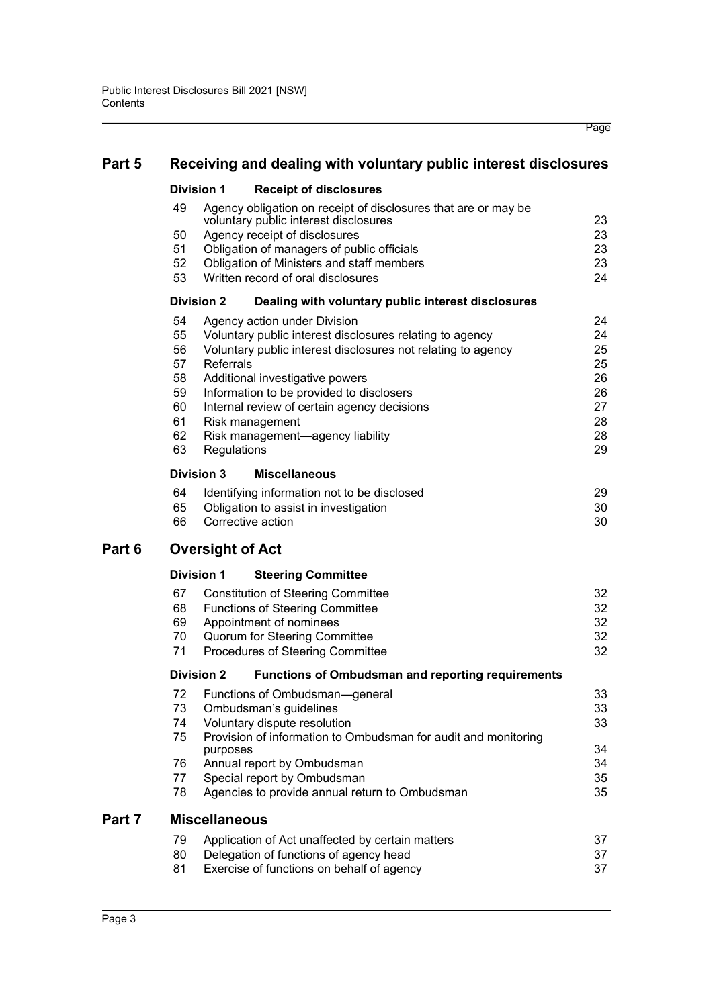| Part 5 | Receiving and dealing with voluntary public interest disclosures                                                                                                                                                                                                                                                                                                                                                                                                                                                                                                                                                  |                                                                            |
|--------|-------------------------------------------------------------------------------------------------------------------------------------------------------------------------------------------------------------------------------------------------------------------------------------------------------------------------------------------------------------------------------------------------------------------------------------------------------------------------------------------------------------------------------------------------------------------------------------------------------------------|----------------------------------------------------------------------------|
|        | <b>Division 1</b><br><b>Receipt of disclosures</b>                                                                                                                                                                                                                                                                                                                                                                                                                                                                                                                                                                |                                                                            |
|        | 49<br>Agency obligation on receipt of disclosures that are or may be<br>voluntary public interest disclosures<br>50<br>Agency receipt of disclosures<br>51<br>Obligation of managers of public officials<br>52<br>Obligation of Ministers and staff members<br>53<br>Written record of oral disclosures                                                                                                                                                                                                                                                                                                           | 23<br>23<br>23<br>23<br>24                                                 |
|        | <b>Division 2</b><br>Dealing with voluntary public interest disclosures                                                                                                                                                                                                                                                                                                                                                                                                                                                                                                                                           |                                                                            |
|        | 54<br>Agency action under Division<br>55<br>Voluntary public interest disclosures relating to agency<br>56<br>Voluntary public interest disclosures not relating to agency<br>57<br>Referrals<br>58<br>Additional investigative powers<br>59<br>Information to be provided to disclosers<br>60<br>Internal review of certain agency decisions<br>61<br>Risk management<br>62<br>Risk management-agency liability<br>63<br>Regulations<br><b>Division 3</b><br><b>Miscellaneous</b><br>64<br>Identifying information not to be disclosed<br>65<br>Obligation to assist in investigation<br>Corrective action<br>66 | 24<br>24<br>25<br>25<br>26<br>26<br>27<br>28<br>28<br>29<br>29<br>30<br>30 |
| Part 6 | <b>Oversight of Act</b>                                                                                                                                                                                                                                                                                                                                                                                                                                                                                                                                                                                           |                                                                            |
|        | <b>Division 1</b><br><b>Steering Committee</b>                                                                                                                                                                                                                                                                                                                                                                                                                                                                                                                                                                    |                                                                            |
|        | 67<br><b>Constitution of Steering Committee</b><br>68<br><b>Functions of Steering Committee</b><br>69<br>Appointment of nominees<br>70<br><b>Quorum for Steering Committee</b><br>71<br>Procedures of Steering Committee                                                                                                                                                                                                                                                                                                                                                                                          | 32<br>32<br>32<br>32<br>32                                                 |
|        | <b>Division 2</b><br><b>Functions of Ombudsman and reporting requirements</b>                                                                                                                                                                                                                                                                                                                                                                                                                                                                                                                                     |                                                                            |

Page

|    | <b>Division 2</b><br><b>Functions of Ombudsman and reporting requirements</b> |    |
|----|-------------------------------------------------------------------------------|----|
| 72 | Functions of Ombudsman—general                                                | 33 |
| 73 | Ombudsman's guidelines                                                        | 33 |
| 74 | Voluntary dispute resolution                                                  | 33 |
| 75 | Provision of information to Ombudsman for audit and monitoring<br>purposes    | 34 |
| 76 | Annual report by Ombudsman                                                    | 34 |
| 77 | Special report by Ombudsman                                                   | 35 |
| 78 | Agencies to provide annual return to Ombudsman                                | 35 |
|    | <b>Miscellaneous</b>                                                          |    |
| 79 | Application of Act unaffected by certain matters                              | 37 |
| 80 | Delegation of functions of agency head                                        | 37 |
| 81 | Exercise of functions on behalf of agency                                     | 37 |
|    |                                                                               |    |

**Part 7** 

Part 6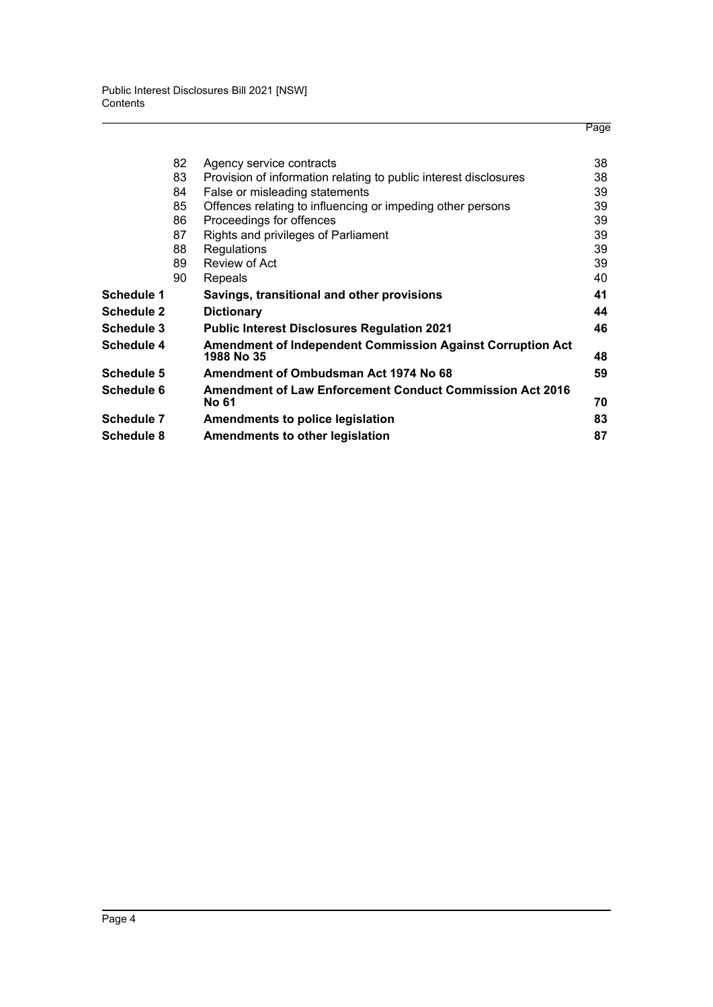|                   | 82 | Agency service contracts                                                        | 38 |
|-------------------|----|---------------------------------------------------------------------------------|----|
|                   | 83 | Provision of information relating to public interest disclosures                | 38 |
|                   | 84 | False or misleading statements                                                  | 39 |
|                   | 85 | Offences relating to influencing or impeding other persons                      | 39 |
|                   | 86 | Proceedings for offences                                                        | 39 |
|                   | 87 | Rights and privileges of Parliament                                             | 39 |
|                   | 88 | <b>Regulations</b>                                                              | 39 |
|                   | 89 | Review of Act                                                                   | 39 |
|                   | 90 | Repeals                                                                         | 40 |
| Schedule 1        |    | Savings, transitional and other provisions                                      | 41 |
| <b>Schedule 2</b> |    | <b>Dictionary</b>                                                               | 44 |
| Schedule 3        |    | <b>Public Interest Disclosures Regulation 2021</b>                              | 46 |
| Schedule 4        |    | <b>Amendment of Independent Commission Against Corruption Act</b><br>1988 No 35 | 48 |
| Schedule 5        |    | Amendment of Ombudsman Act 1974 No 68                                           | 59 |
| Schedule 6        |    | Amendment of Law Enforcement Conduct Commission Act 2016<br><b>No 61</b>        | 70 |
| Schedule 7        |    | Amendments to police legislation                                                | 83 |
| <b>Schedule 8</b> |    | Amendments to other legislation                                                 | 87 |
|                   |    |                                                                                 |    |

Page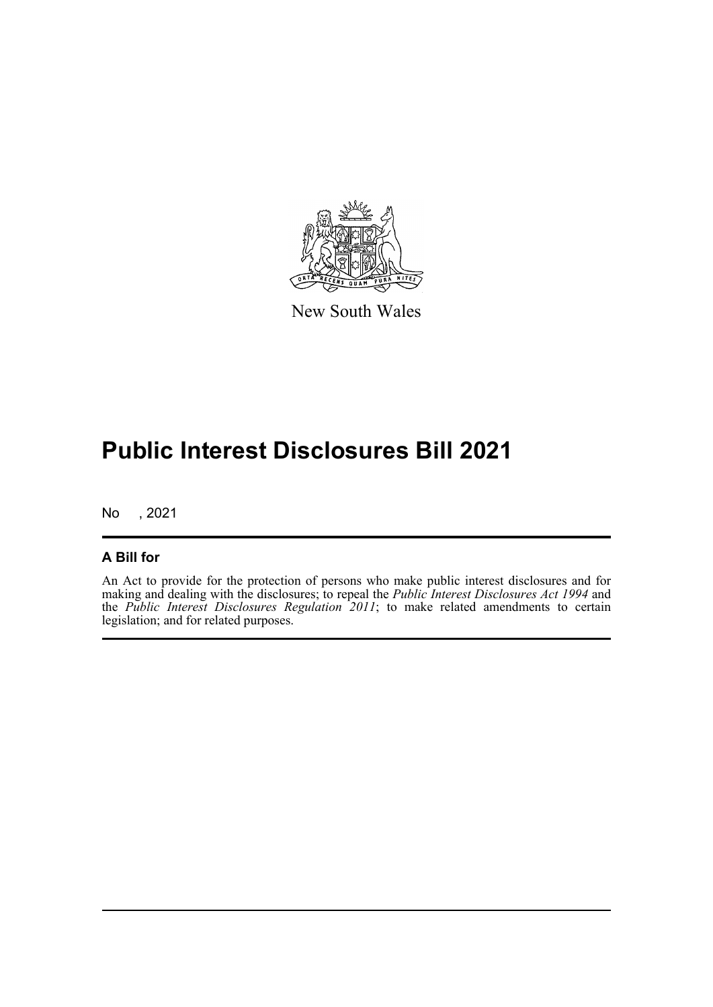

New South Wales

# **Public Interest Disclosures Bill 2021**

No , 2021

#### **A Bill for**

An Act to provide for the protection of persons who make public interest disclosures and for making and dealing with the disclosures; to repeal the *Public Interest Disclosures Act 1994* and the *Public Interest Disclosures Regulation 2011*; to make related amendments to certain legislation; and for related purposes.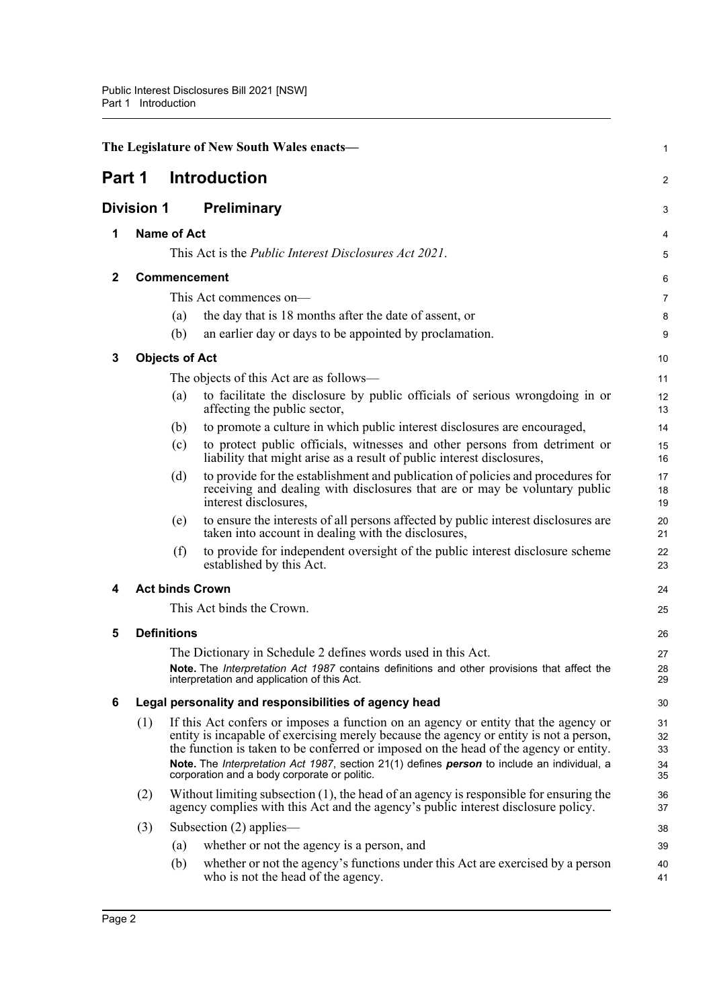<span id="page-17-7"></span><span id="page-17-6"></span><span id="page-17-5"></span><span id="page-17-4"></span><span id="page-17-3"></span><span id="page-17-2"></span><span id="page-17-1"></span><span id="page-17-0"></span>

|              |                   |                       | The Legislature of New South Wales enacts-                                                                                                                                                                                                                                                                                                                                                                            | 1                          |
|--------------|-------------------|-----------------------|-----------------------------------------------------------------------------------------------------------------------------------------------------------------------------------------------------------------------------------------------------------------------------------------------------------------------------------------------------------------------------------------------------------------------|----------------------------|
| Part 1       |                   |                       | <b>Introduction</b>                                                                                                                                                                                                                                                                                                                                                                                                   | 2                          |
|              | <b>Division 1</b> |                       | <b>Preliminary</b>                                                                                                                                                                                                                                                                                                                                                                                                    | 3                          |
| 1            |                   | <b>Name of Act</b>    |                                                                                                                                                                                                                                                                                                                                                                                                                       | 4                          |
|              |                   |                       | This Act is the <i>Public Interest Disclosures Act 2021</i> .                                                                                                                                                                                                                                                                                                                                                         | 5                          |
| $\mathbf{2}$ |                   |                       | Commencement                                                                                                                                                                                                                                                                                                                                                                                                          | 6                          |
|              |                   |                       | This Act commences on-                                                                                                                                                                                                                                                                                                                                                                                                | 7                          |
|              |                   | (a)                   | the day that is 18 months after the date of assent, or                                                                                                                                                                                                                                                                                                                                                                | 8                          |
|              |                   | (b)                   | an earlier day or days to be appointed by proclamation.                                                                                                                                                                                                                                                                                                                                                               | 9                          |
| 3            |                   | <b>Objects of Act</b> |                                                                                                                                                                                                                                                                                                                                                                                                                       | 10                         |
|              |                   |                       | The objects of this Act are as follows—                                                                                                                                                                                                                                                                                                                                                                               | 11                         |
|              |                   | (a)                   | to facilitate the disclosure by public officials of serious wrongdoing in or<br>affecting the public sector,                                                                                                                                                                                                                                                                                                          | 12<br>13                   |
|              |                   | (b)                   | to promote a culture in which public interest disclosures are encouraged,                                                                                                                                                                                                                                                                                                                                             | 14                         |
|              |                   | (c)                   | to protect public officials, witnesses and other persons from detriment or<br>liability that might arise as a result of public interest disclosures,                                                                                                                                                                                                                                                                  | 15<br>16                   |
|              |                   | (d)                   | to provide for the establishment and publication of policies and procedures for<br>receiving and dealing with disclosures that are or may be voluntary public<br>interest disclosures,                                                                                                                                                                                                                                | 17<br>18<br>19             |
|              |                   | (e)                   | to ensure the interests of all persons affected by public interest disclosures are<br>taken into account in dealing with the disclosures,                                                                                                                                                                                                                                                                             | 20<br>21                   |
|              |                   | (f)                   | to provide for independent oversight of the public interest disclosure scheme<br>established by this Act.                                                                                                                                                                                                                                                                                                             | 22<br>23                   |
| 4            |                   |                       | <b>Act binds Crown</b>                                                                                                                                                                                                                                                                                                                                                                                                | 24                         |
|              |                   |                       | This Act binds the Crown.                                                                                                                                                                                                                                                                                                                                                                                             | 25                         |
| 5            |                   | <b>Definitions</b>    |                                                                                                                                                                                                                                                                                                                                                                                                                       | 26                         |
|              |                   |                       | The Dictionary in Schedule 2 defines words used in this Act.                                                                                                                                                                                                                                                                                                                                                          | 27                         |
|              |                   |                       | <b>Note.</b> The <i>Interpretation Act 1987</i> contains definitions and other provisions that affect the<br>interpretation and application of this Act.                                                                                                                                                                                                                                                              | 28<br>29                   |
| 6            |                   |                       | Legal personality and responsibilities of agency head                                                                                                                                                                                                                                                                                                                                                                 | 30                         |
|              | (1)               |                       | If this Act confers or imposes a function on an agency or entity that the agency or<br>entity is incapable of exercising merely because the agency or entity is not a person,<br>the function is taken to be conferred or imposed on the head of the agency or entity.<br>Note. The Interpretation Act 1987, section 21(1) defines person to include an individual, a<br>corporation and a body corporate or politic. | 31<br>32<br>33<br>34<br>35 |
|              | (2)               |                       | Without limiting subsection (1), the head of an agency is responsible for ensuring the<br>agency complies with this Act and the agency's public interest disclosure policy.                                                                                                                                                                                                                                           | 36<br>37                   |
|              | (3)               |                       | Subsection $(2)$ applies—                                                                                                                                                                                                                                                                                                                                                                                             | 38                         |
|              |                   | (a)                   | whether or not the agency is a person, and                                                                                                                                                                                                                                                                                                                                                                            | 39                         |
|              |                   | (b)                   | whether or not the agency's functions under this Act are exercised by a person<br>who is not the head of the agency.                                                                                                                                                                                                                                                                                                  | 40<br>41                   |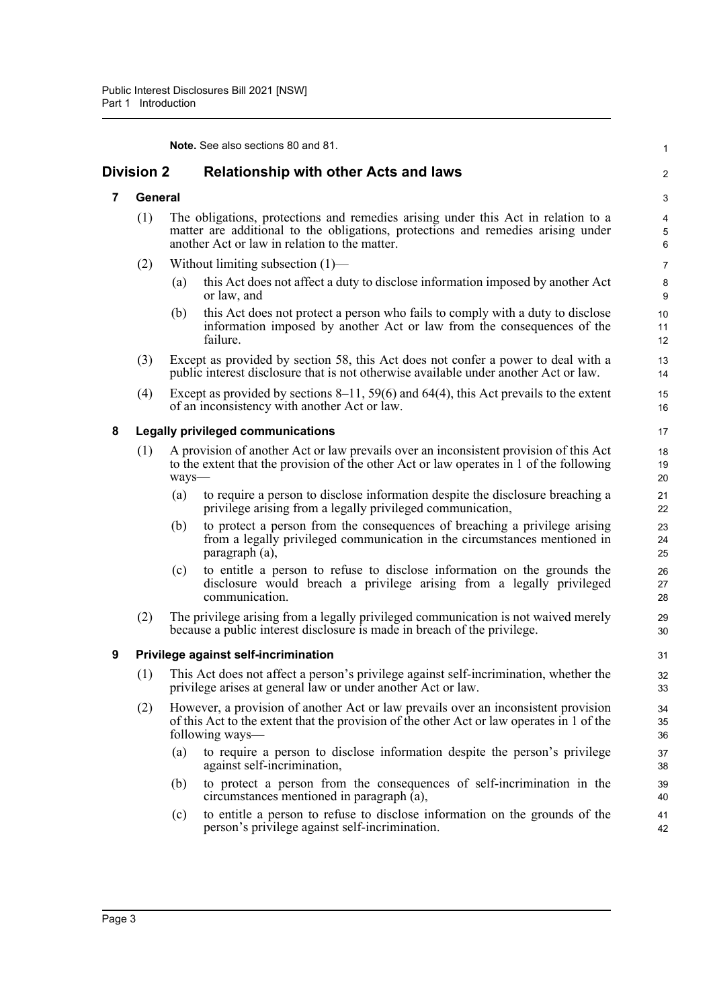<span id="page-18-3"></span><span id="page-18-2"></span><span id="page-18-1"></span><span id="page-18-0"></span>

|   |            |       | <b>Note.</b> See also sections 80 and 81.                                                                                                                                                                              | $\mathbf{1}$              |
|---|------------|-------|------------------------------------------------------------------------------------------------------------------------------------------------------------------------------------------------------------------------|---------------------------|
|   | Division 2 |       | <b>Relationship with other Acts and laws</b>                                                                                                                                                                           | $\overline{\mathbf{c}}$   |
| 7 | General    |       |                                                                                                                                                                                                                        | 3                         |
|   | (1)        |       | The obligations, protections and remedies arising under this Act in relation to a<br>matter are additional to the obligations, protections and remedies arising under<br>another Act or law in relation to the matter. | 4<br>5<br>$6\phantom{1}6$ |
|   | (2)        |       | Without limiting subsection $(1)$ —                                                                                                                                                                                    | $\overline{7}$            |
|   |            | (a)   | this Act does not affect a duty to disclose information imposed by another Act<br>or law, and                                                                                                                          | 8<br>9                    |
|   |            | (b)   | this Act does not protect a person who fails to comply with a duty to disclose<br>information imposed by another Act or law from the consequences of the<br>failure.                                                   | 10<br>11<br>12            |
|   | (3)        |       | Except as provided by section 58, this Act does not confer a power to deal with a<br>public interest disclosure that is not otherwise available under another Act or law.                                              | 13<br>14                  |
|   | (4)        |       | Except as provided by sections $8-11$ , 59(6) and 64(4), this Act prevails to the extent<br>of an inconsistency with another Act or law.                                                                               | 15<br>16                  |
| 8 |            |       | <b>Legally privileged communications</b>                                                                                                                                                                               | 17                        |
|   | (1)        | ways- | A provision of another Act or law prevails over an inconsistent provision of this Act<br>to the extent that the provision of the other Act or law operates in 1 of the following                                       | 18<br>19<br>20            |
|   |            | (a)   | to require a person to disclose information despite the disclosure breaching a<br>privilege arising from a legally privileged communication,                                                                           | 21<br>22                  |
|   |            | (b)   | to protect a person from the consequences of breaching a privilege arising<br>from a legally privileged communication in the circumstances mentioned in<br>paragraph (a),                                              | 23<br>24<br>25            |
|   |            | (c)   | to entitle a person to refuse to disclose information on the grounds the<br>disclosure would breach a privilege arising from a legally privileged<br>communication.                                                    | 26<br>27<br>28            |
|   | (2)        |       | The privilege arising from a legally privileged communication is not waived merely<br>because a public interest disclosure is made in breach of the privilege.                                                         | 29<br>30                  |
| 9 |            |       | Privilege against self-incrimination                                                                                                                                                                                   | 31                        |
|   |            |       | (1) This Act does not affect a person's privilege against self-incrimination, whether the<br>privilege arises at general law or under another Act or law.                                                              | 32<br>33                  |
|   | (2)        |       | However, a provision of another Act or law prevails over an inconsistent provision<br>of this Act to the extent that the provision of the other Act or law operates in 1 of the<br>following ways-                     | 34<br>35<br>36            |
|   |            | (a)   | to require a person to disclose information despite the person's privilege<br>against self-incrimination,                                                                                                              | 37<br>38                  |
|   |            | (b)   | to protect a person from the consequences of self-incrimination in the<br>circumstances mentioned in paragraph (a),                                                                                                    | 39<br>40                  |
|   |            | (c)   | to entitle a person to refuse to disclose information on the grounds of the<br>person's privilege against self-incrimination.                                                                                          | 41<br>42                  |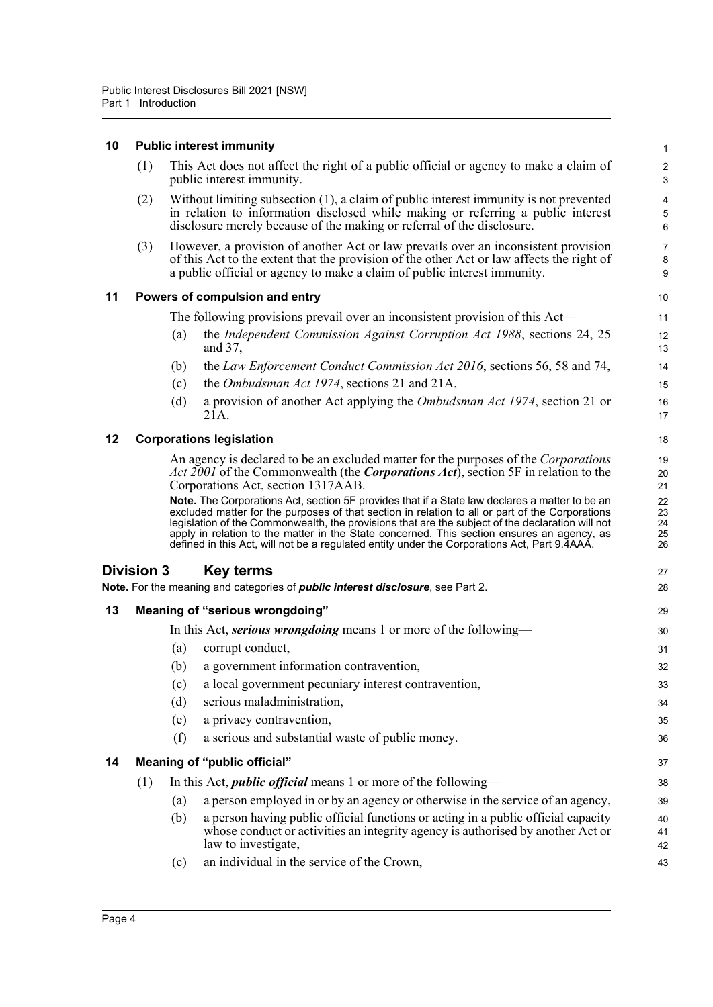#### **10 Public interest immunity**

<span id="page-19-5"></span><span id="page-19-4"></span><span id="page-19-3"></span><span id="page-19-2"></span><span id="page-19-1"></span><span id="page-19-0"></span>

| 10 |                   |     | <b>Public interest immunity</b>                                                                                                                                                                                                                                                                                                                                                                   | $\mathbf{1}$                      |
|----|-------------------|-----|---------------------------------------------------------------------------------------------------------------------------------------------------------------------------------------------------------------------------------------------------------------------------------------------------------------------------------------------------------------------------------------------------|-----------------------------------|
|    | (1)               |     | This Act does not affect the right of a public official or agency to make a claim of<br>public interest immunity.                                                                                                                                                                                                                                                                                 | $\boldsymbol{2}$<br>3             |
|    | (2)               |     | Without limiting subsection (1), a claim of public interest immunity is not prevented<br>in relation to information disclosed while making or referring a public interest<br>disclosure merely because of the making or referral of the disclosure.                                                                                                                                               | $\overline{\mathbf{4}}$<br>5<br>6 |
|    | (3)               |     | However, a provision of another Act or law prevails over an inconsistent provision<br>of this Act to the extent that the provision of the other Act or law affects the right of<br>a public official or agency to make a claim of public interest immunity.                                                                                                                                       | $\overline{7}$<br>$\bf 8$<br>9    |
| 11 |                   |     | Powers of compulsion and entry                                                                                                                                                                                                                                                                                                                                                                    | 10                                |
|    |                   |     | The following provisions prevail over an inconsistent provision of this Act—                                                                                                                                                                                                                                                                                                                      | 11                                |
|    |                   | (a) | the Independent Commission Against Corruption Act 1988, sections 24, 25<br>and 37,                                                                                                                                                                                                                                                                                                                | 12<br>13                          |
|    |                   | (b) | the Law Enforcement Conduct Commission Act 2016, sections 56, 58 and 74,                                                                                                                                                                                                                                                                                                                          | 14                                |
|    |                   | (c) | the Ombudsman Act 1974, sections 21 and 21A,                                                                                                                                                                                                                                                                                                                                                      | 15                                |
|    |                   | (d) | a provision of another Act applying the <i>Ombudsman Act 1974</i> , section 21 or<br>21A.                                                                                                                                                                                                                                                                                                         | 16<br>17                          |
| 12 |                   |     | <b>Corporations legislation</b>                                                                                                                                                                                                                                                                                                                                                                   | 18                                |
|    |                   |     | An agency is declared to be an excluded matter for the purposes of the <i>Corporations</i><br>Act 2001 of the Commonwealth (the Corporations Act), section 5F in relation to the<br>Corporations Act, section 1317AAB.<br>Note. The Corporations Act, section 5F provides that if a State law declares a matter to be an                                                                          | 19<br>20<br>21<br>22              |
|    |                   |     | excluded matter for the purposes of that section in relation to all or part of the Corporations<br>legislation of the Commonwealth, the provisions that are the subject of the declaration will not<br>apply in relation to the matter in the State concerned. This section ensures an agency, as<br>defined in this Act, will not be a regulated entity under the Corporations Act, Part 9.4AAA. | 23<br>24<br>25<br>26              |
|    | <b>Division 3</b> |     | <b>Key terms</b>                                                                                                                                                                                                                                                                                                                                                                                  | 27                                |
|    |                   |     | Note. For the meaning and categories of <i>public interest disclosure</i> , see Part 2.                                                                                                                                                                                                                                                                                                           | 28                                |
| 13 |                   |     | Meaning of "serious wrongdoing"                                                                                                                                                                                                                                                                                                                                                                   | 29                                |
|    |                   |     | In this Act, <i>serious wrongdoing</i> means 1 or more of the following—                                                                                                                                                                                                                                                                                                                          | 30                                |
|    |                   | (a) | corrupt conduct,                                                                                                                                                                                                                                                                                                                                                                                  | 31                                |
|    |                   | (b) | a government information contravention,                                                                                                                                                                                                                                                                                                                                                           | 32                                |
|    |                   | (c) | a local government pecuniary interest contravention,                                                                                                                                                                                                                                                                                                                                              | 33                                |
|    |                   | (d) | serious maladministration,                                                                                                                                                                                                                                                                                                                                                                        | 34                                |
|    |                   | (e) | a privacy contravention,                                                                                                                                                                                                                                                                                                                                                                          | 35                                |
|    |                   | (f) | a serious and substantial waste of public money.                                                                                                                                                                                                                                                                                                                                                  | 36                                |
| 14 |                   |     | Meaning of "public official"                                                                                                                                                                                                                                                                                                                                                                      | 37                                |
|    | (1)               |     | In this Act, <i>public official</i> means 1 or more of the following-                                                                                                                                                                                                                                                                                                                             | 38                                |
|    |                   | (a) | a person employed in or by an agency or otherwise in the service of an agency,                                                                                                                                                                                                                                                                                                                    | 39                                |
|    |                   | (b) | a person having public official functions or acting in a public official capacity<br>whose conduct or activities an integrity agency is authorised by another Act or<br>law to investigate,                                                                                                                                                                                                       | 40<br>41<br>42                    |
|    |                   | (c) | an individual in the service of the Crown,                                                                                                                                                                                                                                                                                                                                                        | 43                                |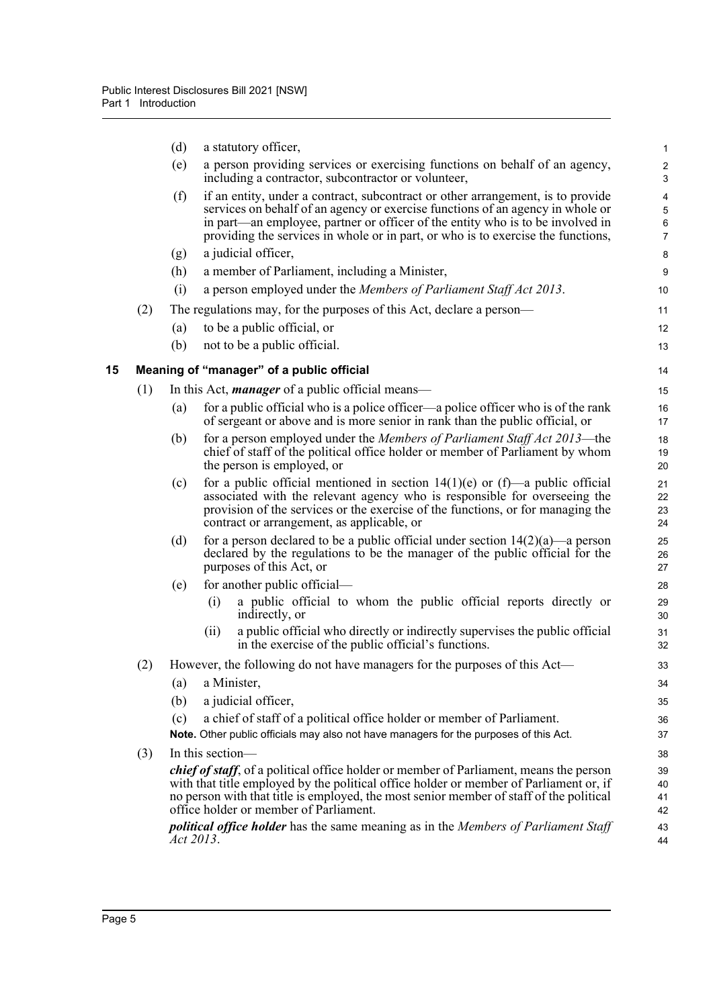<span id="page-20-0"></span>

|    |     | (d)       | a statutory officer,                                                                                                                                                                                                                                                                                                                    | $\mathbf 1$                                |
|----|-----|-----------|-----------------------------------------------------------------------------------------------------------------------------------------------------------------------------------------------------------------------------------------------------------------------------------------------------------------------------------------|--------------------------------------------|
|    |     | (e)       | a person providing services or exercising functions on behalf of an agency,<br>including a contractor, subcontractor or volunteer,                                                                                                                                                                                                      | $\sqrt{2}$<br>$\mathsf 3$                  |
|    |     | (f)       | if an entity, under a contract, subcontract or other arrangement, is to provide<br>services on behalf of an agency or exercise functions of an agency in whole or<br>in part—an employee, partner or officer of the entity who is to be involved in<br>providing the services in whole or in part, or who is to exercise the functions, | 4<br>$\overline{5}$<br>6<br>$\overline{7}$ |
|    |     | (g)       | a judicial officer,                                                                                                                                                                                                                                                                                                                     | 8                                          |
|    |     | (h)       | a member of Parliament, including a Minister,                                                                                                                                                                                                                                                                                           | 9                                          |
|    |     | (i)       | a person employed under the Members of Parliament Staff Act 2013.                                                                                                                                                                                                                                                                       | 10                                         |
|    | (2) |           | The regulations may, for the purposes of this Act, declare a person—                                                                                                                                                                                                                                                                    | 11                                         |
|    |     | (a)       | to be a public official, or                                                                                                                                                                                                                                                                                                             | 12                                         |
|    |     | (b)       | not to be a public official.                                                                                                                                                                                                                                                                                                            | 13                                         |
| 15 |     |           | Meaning of "manager" of a public official                                                                                                                                                                                                                                                                                               | 14                                         |
|    | (1) |           | In this Act, <i>manager</i> of a public official means—                                                                                                                                                                                                                                                                                 | 15                                         |
|    |     | (a)       | for a public official who is a police officer—a police officer who is of the rank<br>of sergeant or above and is more senior in rank than the public official, or                                                                                                                                                                       | 16<br>17                                   |
|    |     | (b)       | for a person employed under the Members of Parliament Staff Act 2013—the<br>chief of staff of the political office holder or member of Parliament by whom<br>the person is employed, or                                                                                                                                                 | 18<br>19<br>20                             |
|    |     | (c)       | for a public official mentioned in section $14(1)(e)$ or $(f)$ —a public official<br>associated with the relevant agency who is responsible for overseeing the<br>provision of the services or the exercise of the functions, or for managing the<br>contract or arrangement, as applicable, or                                         | 21<br>22<br>23<br>24                       |
|    |     | (d)       | for a person declared to be a public official under section $14(2)(a)$ —a person<br>declared by the regulations to be the manager of the public official for the<br>purposes of this Act, or                                                                                                                                            | 25<br>26<br>27                             |
|    |     | (e)       | for another public official—                                                                                                                                                                                                                                                                                                            | 28                                         |
|    |     |           | a public official to whom the public official reports directly or<br>(i)<br>indirectly, or                                                                                                                                                                                                                                              | 29<br>30                                   |
|    |     |           | a public official who directly or indirectly supervises the public official<br>(ii)<br>in the exercise of the public official's functions.                                                                                                                                                                                              | 31<br>32                                   |
|    | (2) |           | However, the following do not have managers for the purposes of this Act—                                                                                                                                                                                                                                                               | 33                                         |
|    |     | (a)       | a Minister,                                                                                                                                                                                                                                                                                                                             | 34                                         |
|    |     | (b)       | a judicial officer,                                                                                                                                                                                                                                                                                                                     | 35                                         |
|    |     | (c)       | a chief of staff of a political office holder or member of Parliament.                                                                                                                                                                                                                                                                  | 36                                         |
|    |     |           | Note. Other public officials may also not have managers for the purposes of this Act.                                                                                                                                                                                                                                                   | 37                                         |
|    | (3) |           | In this section-                                                                                                                                                                                                                                                                                                                        | 38                                         |
|    |     |           | <i>chief of staff</i> , of a political office holder or member of Parliament, means the person<br>with that title employed by the political office holder or member of Parliament or, if<br>no person with that title is employed, the most senior member of staff of the political<br>office holder or member of Parliament.           | 39<br>40<br>41<br>42                       |
|    |     | Act 2013. | <i>political office holder</i> has the same meaning as in the Members of Parliament Staff                                                                                                                                                                                                                                               | 43<br>44                                   |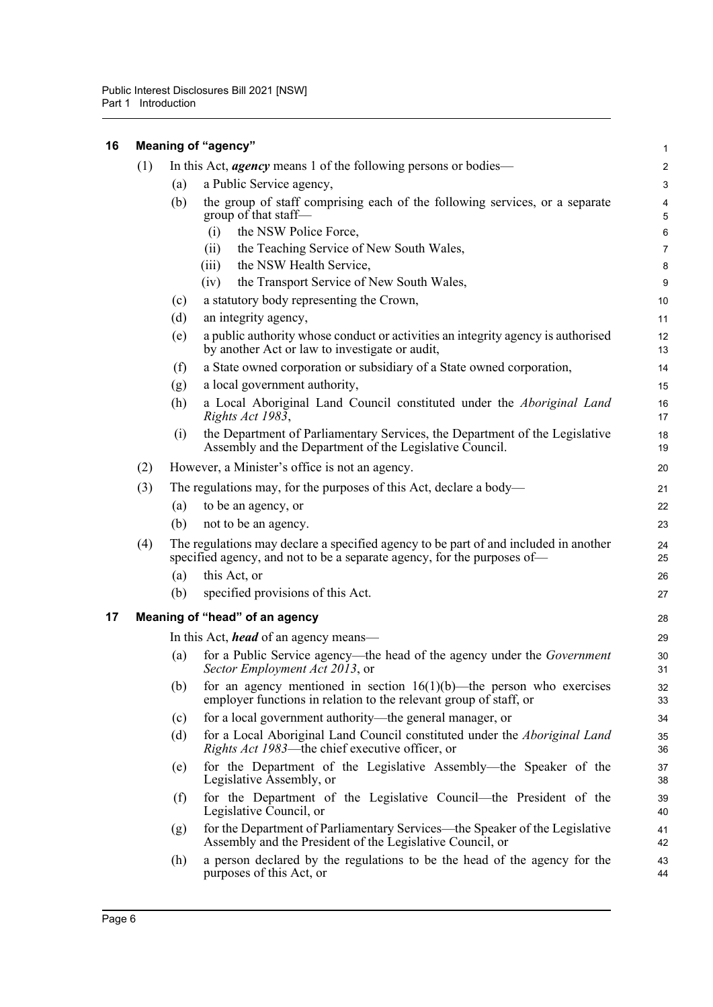<span id="page-21-1"></span><span id="page-21-0"></span>

| 16 |     |                                | Meaning of "agency"                                                                                                                                             | 1                       |  |  |  |  |  |  |
|----|-----|--------------------------------|-----------------------------------------------------------------------------------------------------------------------------------------------------------------|-------------------------|--|--|--|--|--|--|
|    | (1) |                                | In this Act, <i>agency</i> means 1 of the following persons or bodies—                                                                                          | $\overline{\mathbf{c}}$ |  |  |  |  |  |  |
|    |     | (a)                            | a Public Service agency,                                                                                                                                        | 3                       |  |  |  |  |  |  |
|    |     | (b)                            | the group of staff comprising each of the following services, or a separate<br>group of that staff-                                                             | 4<br>5                  |  |  |  |  |  |  |
|    |     |                                | the NSW Police Force,<br>(i)                                                                                                                                    | 6                       |  |  |  |  |  |  |
|    |     |                                | the Teaching Service of New South Wales,<br>(ii)                                                                                                                | 7                       |  |  |  |  |  |  |
|    |     |                                | the NSW Health Service,<br>(iii)                                                                                                                                | 8                       |  |  |  |  |  |  |
|    |     |                                | the Transport Service of New South Wales,<br>(iv)                                                                                                               | 9                       |  |  |  |  |  |  |
|    |     | (c)                            | a statutory body representing the Crown,                                                                                                                        | 10                      |  |  |  |  |  |  |
|    |     | (d)                            | an integrity agency,                                                                                                                                            | 11                      |  |  |  |  |  |  |
|    |     | (e)                            | a public authority whose conduct or activities an integrity agency is authorised<br>by another Act or law to investigate or audit,                              | 12<br>13                |  |  |  |  |  |  |
|    |     | (f)                            | a State owned corporation or subsidiary of a State owned corporation,                                                                                           | 14                      |  |  |  |  |  |  |
|    |     | (g)                            | a local government authority,                                                                                                                                   | 15                      |  |  |  |  |  |  |
|    |     | (h)                            | a Local Aboriginal Land Council constituted under the Aboriginal Land<br>Rights Act 1983,                                                                       | 16<br>17                |  |  |  |  |  |  |
|    |     | (i)                            | the Department of Parliamentary Services, the Department of the Legislative<br>Assembly and the Department of the Legislative Council.                          | 18<br>19                |  |  |  |  |  |  |
|    | (2) |                                | However, a Minister's office is not an agency.                                                                                                                  | 20                      |  |  |  |  |  |  |
|    | (3) |                                | The regulations may, for the purposes of this Act, declare a body—                                                                                              | 21                      |  |  |  |  |  |  |
|    |     | (a)                            | to be an agency, or                                                                                                                                             | 22                      |  |  |  |  |  |  |
|    |     | (b)                            | not to be an agency.                                                                                                                                            | 23                      |  |  |  |  |  |  |
|    | (4) |                                | The regulations may declare a specified agency to be part of and included in another<br>specified agency, and not to be a separate agency, for the purposes of— | 24<br>25                |  |  |  |  |  |  |
|    |     | (a)                            | this Act, or                                                                                                                                                    | 26                      |  |  |  |  |  |  |
|    |     | (b)                            | specified provisions of this Act.                                                                                                                               | 27                      |  |  |  |  |  |  |
|    |     |                                |                                                                                                                                                                 | 28                      |  |  |  |  |  |  |
| 17 |     | Meaning of "head" of an agency |                                                                                                                                                                 |                         |  |  |  |  |  |  |
|    |     |                                | In this Act, <i>head</i> of an agency means—                                                                                                                    | 29                      |  |  |  |  |  |  |
|    |     | (a)                            | for a Public Service agency—the head of the agency under the Government<br>Sector Employment Act 2013, or                                                       | 30<br>31                |  |  |  |  |  |  |
|    |     | (b)                            | for an agency mentioned in section $16(1)(b)$ —the person who exercises<br>employer functions in relation to the relevant group of staff, or                    | 32<br>33                |  |  |  |  |  |  |
|    |     | (c)                            | for a local government authority—the general manager, or                                                                                                        | 34                      |  |  |  |  |  |  |
|    |     | (d)                            | for a Local Aboriginal Land Council constituted under the Aboriginal Land<br>Rights Act 1983—the chief executive officer, or                                    | 35<br>36                |  |  |  |  |  |  |
|    |     | (e)                            | for the Department of the Legislative Assembly—the Speaker of the<br>Legislative Assembly, or                                                                   | 37<br>38                |  |  |  |  |  |  |
|    |     | (f)                            | for the Department of the Legislative Council—the President of the<br>Legislative Council, or                                                                   | 39<br>40                |  |  |  |  |  |  |
|    |     | (g)                            | for the Department of Parliamentary Services—the Speaker of the Legislative<br>Assembly and the President of the Legislative Council, or                        | 41<br>42                |  |  |  |  |  |  |
|    |     | (h)                            | a person declared by the regulations to be the head of the agency for the<br>purposes of this Act, or                                                           | 43<br>44                |  |  |  |  |  |  |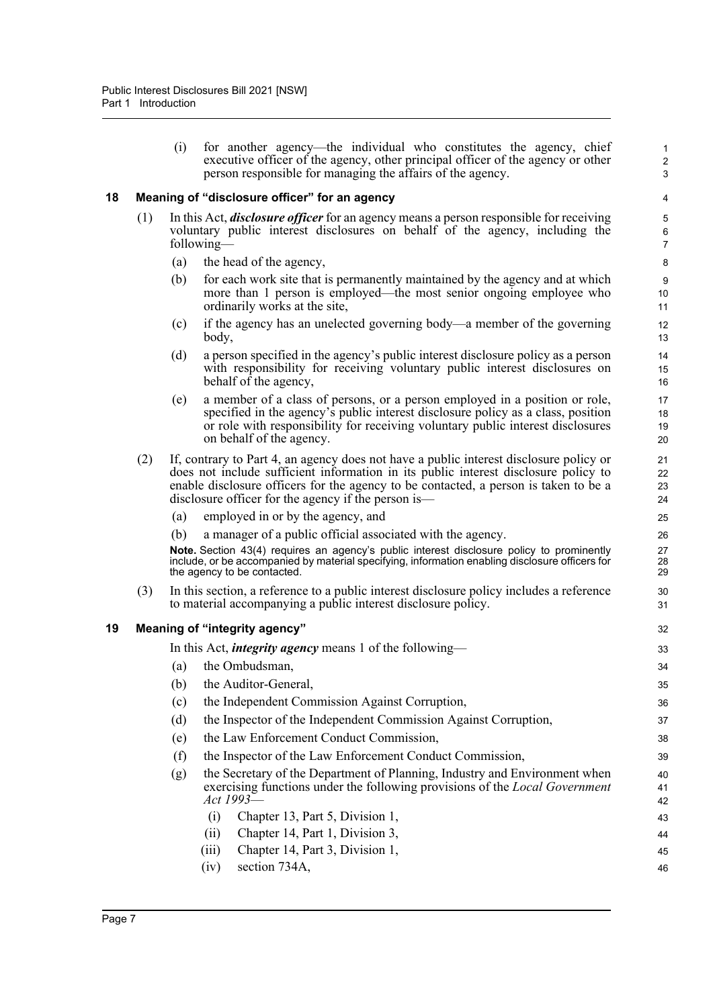(i) for another agency—the individual who constitutes the agency, chief executive officer of the agency, other principal officer of the agency or other person responsible for managing the affairs of the agency.

#### <span id="page-22-0"></span>**18 Meaning of "disclosure officer" for an agency**

- (1) In this Act, *disclosure officer* for an agency means a person responsible for receiving voluntary public interest disclosures on behalf of the agency, including the following—
	- (a) the head of the agency,
	- (b) for each work site that is permanently maintained by the agency and at which more than 1 person is employed—the most senior ongoing employee who ordinarily works at the site,
	- (c) if the agency has an unelected governing body—a member of the governing body,
	- (d) a person specified in the agency's public interest disclosure policy as a person with responsibility for receiving voluntary public interest disclosures on behalf of the agency,
	- (e) a member of a class of persons, or a person employed in a position or role, specified in the agency's public interest disclosure policy as a class, position or role with responsibility for receiving voluntary public interest disclosures on behalf of the agency.
- (2) If, contrary to Part 4, an agency does not have a public interest disclosure policy or does not include sufficient information in its public interest disclosure policy to enable disclosure officers for the agency to be contacted, a person is taken to be a disclosure officer for the agency if the person is—
	- (a) employed in or by the agency, and
	- (b) a manager of a public official associated with the agency.

**Note.** Section 43(4) requires an agency's public interest disclosure policy to prominently include, or be accompanied by material specifying, information enabling disclosure officers for the agency to be contacted.

(3) In this section, a reference to a public interest disclosure policy includes a reference to material accompanying a public interest disclosure policy.

#### <span id="page-22-1"></span>**19 Meaning of "integrity agency"**

In this Act, *integrity agency* means 1 of the following— (a) the Ombudsman, (b) the Auditor-General, (c) the Independent Commission Against Corruption, (d) the Inspector of the Independent Commission Against Corruption, (e) the Law Enforcement Conduct Commission, (f) the Inspector of the Law Enforcement Conduct Commission, (g) the Secretary of the Department of Planning, Industry and Environment when exercising functions under the following provisions of the *Local Government Act 1993*— (i) Chapter 13, Part 5, Division 1, (ii) Chapter 14, Part 1, Division 3, (iii) Chapter 14, Part 3, Division 1, (iv) section 734A, 33 34 35 36 37 38 39 40 41 42 43 44 45 46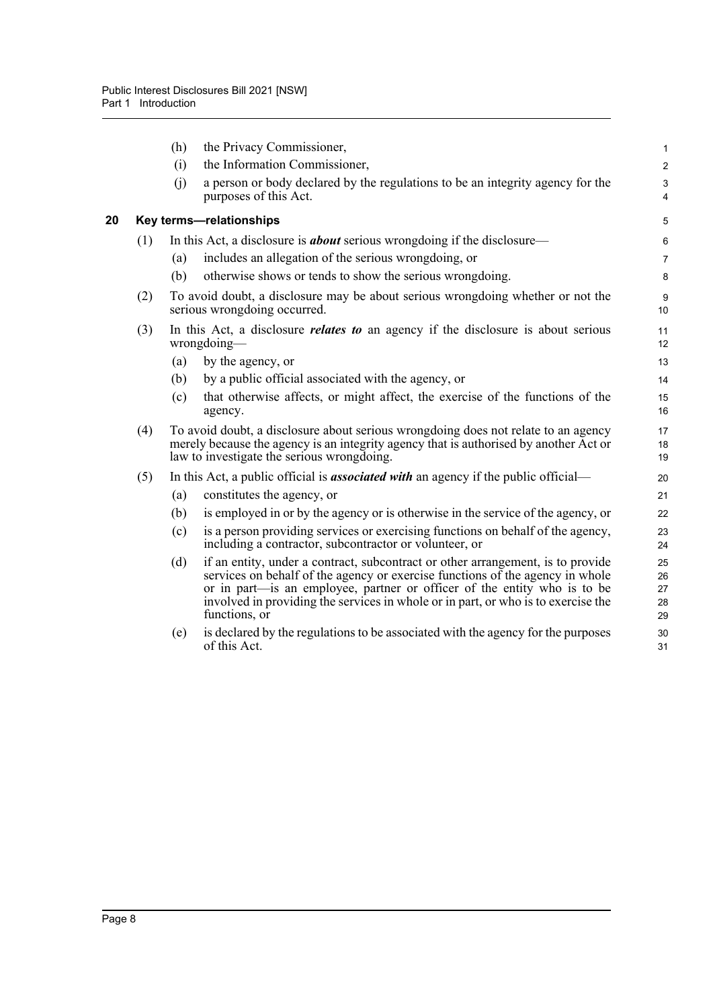<span id="page-23-0"></span>

|    |     | (h) | the Privacy Commissioner,                                                                                                                                                                                                                                                                                                                          | 1                          |
|----|-----|-----|----------------------------------------------------------------------------------------------------------------------------------------------------------------------------------------------------------------------------------------------------------------------------------------------------------------------------------------------------|----------------------------|
|    |     | (i) | the Information Commissioner,                                                                                                                                                                                                                                                                                                                      | $\overline{\mathbf{c}}$    |
|    |     | (i) | a person or body declared by the regulations to be an integrity agency for the<br>purposes of this Act.                                                                                                                                                                                                                                            | 3<br>4                     |
| 20 |     |     | Key terms-relationships                                                                                                                                                                                                                                                                                                                            | 5                          |
|    | (1) |     | In this Act, a disclosure is <b>about</b> serious wrongdoing if the disclosure—                                                                                                                                                                                                                                                                    | 6                          |
|    |     | (a) | includes an allegation of the serious wrongdoing, or                                                                                                                                                                                                                                                                                               | 7                          |
|    |     | (b) | otherwise shows or tends to show the serious wrongdoing.                                                                                                                                                                                                                                                                                           | 8                          |
|    | (2) |     | To avoid doubt, a disclosure may be about serious wrongdoing whether or not the<br>serious wrongdoing occurred.                                                                                                                                                                                                                                    | 9<br>10                    |
|    | (3) |     | In this Act, a disclosure <i>relates to</i> an agency if the disclosure is about serious<br>$wrong doing -$                                                                                                                                                                                                                                        | 11<br>12                   |
|    |     | (a) | by the agency, or                                                                                                                                                                                                                                                                                                                                  | 13                         |
|    |     | (b) | by a public official associated with the agency, or                                                                                                                                                                                                                                                                                                | 14                         |
|    |     | (c) | that otherwise affects, or might affect, the exercise of the functions of the<br>agency.                                                                                                                                                                                                                                                           | 15<br>16                   |
|    | (4) |     | To avoid doubt, a disclosure about serious wrongdoing does not relate to an agency<br>merely because the agency is an integrity agency that is authorised by another Act or<br>law to investigate the serious wrongdoing.                                                                                                                          | 17<br>18<br>19             |
|    | (5) |     | In this Act, a public official is <b>associated with</b> an agency if the public official—                                                                                                                                                                                                                                                         | 20                         |
|    |     | (a) | constitutes the agency, or                                                                                                                                                                                                                                                                                                                         | 21                         |
|    |     | (b) | is employed in or by the agency or is otherwise in the service of the agency, or                                                                                                                                                                                                                                                                   | 22                         |
|    |     | (c) | is a person providing services or exercising functions on behalf of the agency,<br>including a contractor, subcontractor or volunteer, or                                                                                                                                                                                                          | 23<br>24                   |
|    |     | (d) | if an entity, under a contract, subcontract or other arrangement, is to provide<br>services on behalf of the agency or exercise functions of the agency in whole<br>or in part—is an employee, partner or officer of the entity who is to be<br>involved in providing the services in whole or in part, or who is to exercise the<br>functions, or | 25<br>26<br>27<br>28<br>29 |
|    |     | (e) | is declared by the regulations to be associated with the agency for the purposes<br>of this Act.                                                                                                                                                                                                                                                   | 30<br>31                   |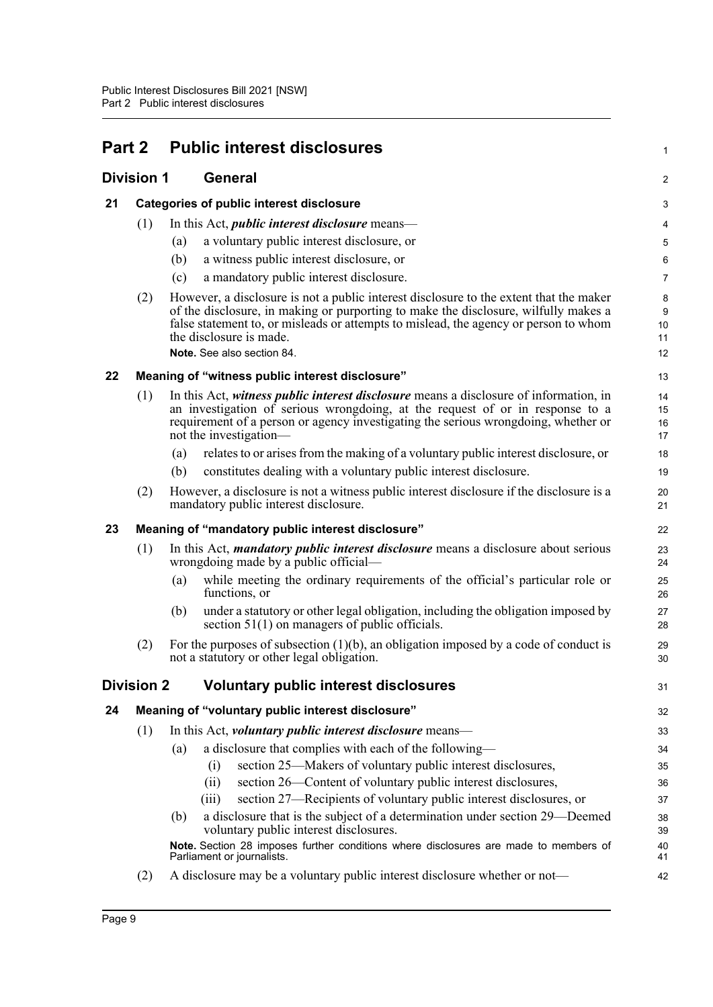<span id="page-24-6"></span><span id="page-24-5"></span><span id="page-24-4"></span><span id="page-24-3"></span><span id="page-24-2"></span><span id="page-24-1"></span><span id="page-24-0"></span>

| Part 2            |                                                                                                                                                                                                                                                                                                      |                | <b>Public interest disclosures</b>                                                                                                                                                                                                                                                                                             | 1                                       |  |  |  |
|-------------------|------------------------------------------------------------------------------------------------------------------------------------------------------------------------------------------------------------------------------------------------------------------------------------------------------|----------------|--------------------------------------------------------------------------------------------------------------------------------------------------------------------------------------------------------------------------------------------------------------------------------------------------------------------------------|-----------------------------------------|--|--|--|
| <b>Division 1</b> |                                                                                                                                                                                                                                                                                                      | <b>General</b> |                                                                                                                                                                                                                                                                                                                                |                                         |  |  |  |
| 21                |                                                                                                                                                                                                                                                                                                      |                | <b>Categories of public interest disclosure</b>                                                                                                                                                                                                                                                                                |                                         |  |  |  |
|                   | (1)                                                                                                                                                                                                                                                                                                  |                | In this Act, <i>public interest disclosure</i> means—                                                                                                                                                                                                                                                                          | 4                                       |  |  |  |
|                   |                                                                                                                                                                                                                                                                                                      | (a)            | a voluntary public interest disclosure, or                                                                                                                                                                                                                                                                                     | 5                                       |  |  |  |
|                   |                                                                                                                                                                                                                                                                                                      | (b)            | a witness public interest disclosure, or                                                                                                                                                                                                                                                                                       | 6                                       |  |  |  |
|                   |                                                                                                                                                                                                                                                                                                      | (c)            | a mandatory public interest disclosure.                                                                                                                                                                                                                                                                                        | $\overline{7}$                          |  |  |  |
|                   | (2)                                                                                                                                                                                                                                                                                                  |                | However, a disclosure is not a public interest disclosure to the extent that the maker<br>of the disclosure, in making or purporting to make the disclosure, wilfully makes a<br>false statement to, or misleads or attempts to mislead, the agency or person to whom<br>the disclosure is made.<br>Note, See also section 84. | 8<br>$\boldsymbol{9}$<br>10<br>11<br>12 |  |  |  |
| 22                |                                                                                                                                                                                                                                                                                                      |                | Meaning of "witness public interest disclosure"                                                                                                                                                                                                                                                                                | 13                                      |  |  |  |
|                   | (1)<br>In this Act, witness <i>public interest disclosure</i> means a disclosure of information, in<br>an investigation of serious wrongdoing, at the request of or in response to a<br>requirement of a person or agency investigating the serious wrongdoing, whether or<br>not the investigation- |                | 14<br>15<br>16<br>17                                                                                                                                                                                                                                                                                                           |                                         |  |  |  |
|                   |                                                                                                                                                                                                                                                                                                      | (a)            | relates to or arises from the making of a voluntary public interest disclosure, or                                                                                                                                                                                                                                             | 18                                      |  |  |  |
|                   |                                                                                                                                                                                                                                                                                                      | (b)            | constitutes dealing with a voluntary public interest disclosure.                                                                                                                                                                                                                                                               | 19                                      |  |  |  |
|                   | (2)                                                                                                                                                                                                                                                                                                  |                | However, a disclosure is not a witness public interest disclosure if the disclosure is a<br>mandatory public interest disclosure.                                                                                                                                                                                              | 20<br>21                                |  |  |  |
| 23                |                                                                                                                                                                                                                                                                                                      |                | Meaning of "mandatory public interest disclosure"                                                                                                                                                                                                                                                                              | 22                                      |  |  |  |
|                   | (1)                                                                                                                                                                                                                                                                                                  |                | In this Act, <i>mandatory public interest disclosure</i> means a disclosure about serious<br>wrongdoing made by a public official—                                                                                                                                                                                             | 23<br>24                                |  |  |  |
|                   |                                                                                                                                                                                                                                                                                                      | (a)            | while meeting the ordinary requirements of the official's particular role or<br>functions, or                                                                                                                                                                                                                                  | 25<br>26                                |  |  |  |
|                   |                                                                                                                                                                                                                                                                                                      | (b)            | under a statutory or other legal obligation, including the obligation imposed by<br>section $51(1)$ on managers of public officials.                                                                                                                                                                                           | 27<br>28                                |  |  |  |
|                   | (2)                                                                                                                                                                                                                                                                                                  |                | For the purposes of subsection $(1)(b)$ , an obligation imposed by a code of conduct is<br>not a statutory or other legal obligation.                                                                                                                                                                                          | 29<br>30                                |  |  |  |
|                   | <b>Division 2</b>                                                                                                                                                                                                                                                                                    |                | <b>Voluntary public interest disclosures</b>                                                                                                                                                                                                                                                                                   | 31                                      |  |  |  |
| 24                |                                                                                                                                                                                                                                                                                                      |                | Meaning of "voluntary public interest disclosure"                                                                                                                                                                                                                                                                              | 32                                      |  |  |  |
|                   | (1)                                                                                                                                                                                                                                                                                                  |                | In this Act, <i>voluntary public interest disclosure</i> means—                                                                                                                                                                                                                                                                | 33                                      |  |  |  |
|                   |                                                                                                                                                                                                                                                                                                      | (a)            | a disclosure that complies with each of the following-                                                                                                                                                                                                                                                                         | 34                                      |  |  |  |
|                   |                                                                                                                                                                                                                                                                                                      |                | section 25—Makers of voluntary public interest disclosures,<br>(i)                                                                                                                                                                                                                                                             | 35                                      |  |  |  |
|                   |                                                                                                                                                                                                                                                                                                      |                | section 26—Content of voluntary public interest disclosures,<br>(ii)                                                                                                                                                                                                                                                           | 36                                      |  |  |  |
|                   |                                                                                                                                                                                                                                                                                                      |                | section 27-Recipients of voluntary public interest disclosures, or<br>(iii)                                                                                                                                                                                                                                                    | 37                                      |  |  |  |
|                   |                                                                                                                                                                                                                                                                                                      | (b)            | a disclosure that is the subject of a determination under section 29—Deemed<br>voluntary public interest disclosures.                                                                                                                                                                                                          | 38<br>39                                |  |  |  |
|                   |                                                                                                                                                                                                                                                                                                      |                | Note. Section 28 imposes further conditions where disclosures are made to members of<br>Parliament or journalists.                                                                                                                                                                                                             | 40<br>41                                |  |  |  |
|                   | (2)                                                                                                                                                                                                                                                                                                  |                | A disclosure may be a voluntary public interest disclosure whether or not-                                                                                                                                                                                                                                                     | 42                                      |  |  |  |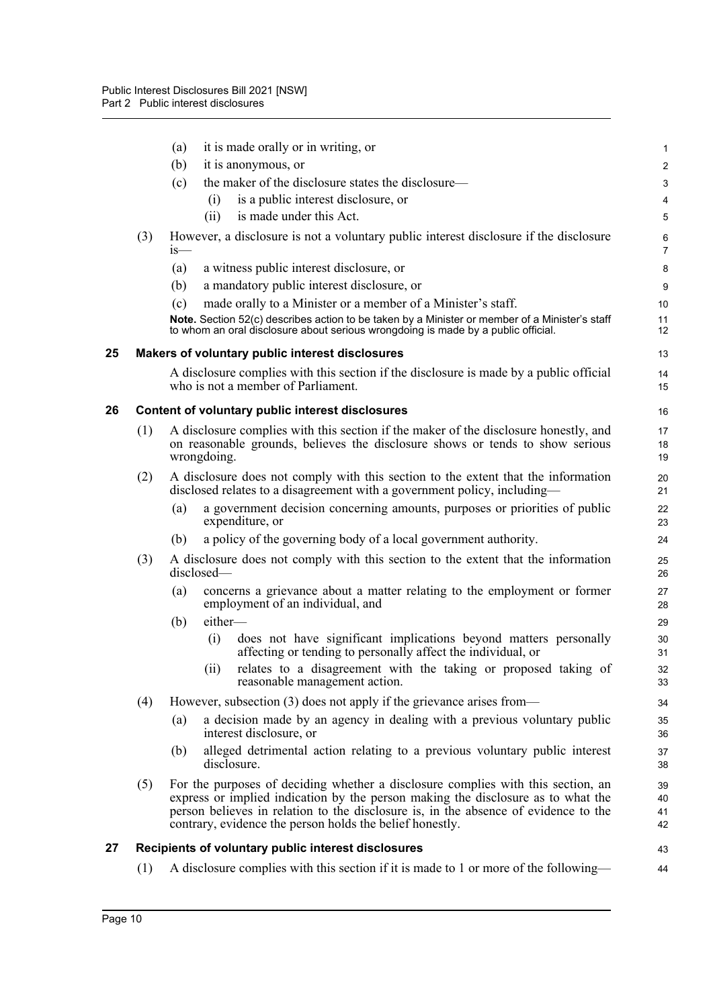<span id="page-25-2"></span><span id="page-25-1"></span><span id="page-25-0"></span>

|    |     | it is made orally or in writing, or<br>(a)                                                                                                                                                                                                                                                                              | 1                       |
|----|-----|-------------------------------------------------------------------------------------------------------------------------------------------------------------------------------------------------------------------------------------------------------------------------------------------------------------------------|-------------------------|
|    |     | (b)<br>it is anonymous, or                                                                                                                                                                                                                                                                                              | $\overline{\mathbf{c}}$ |
|    |     | the maker of the disclosure states the disclosure—<br>(c)                                                                                                                                                                                                                                                               | 3                       |
|    |     | is a public interest disclosure, or<br>(i)                                                                                                                                                                                                                                                                              | 4                       |
|    |     | is made under this Act.<br>(ii)                                                                                                                                                                                                                                                                                         | 5                       |
|    | (3) | However, a disclosure is not a voluntary public interest disclosure if the disclosure<br>$1S$ —                                                                                                                                                                                                                         | 6<br>7                  |
|    |     | a witness public interest disclosure, or<br>(a)                                                                                                                                                                                                                                                                         | 8                       |
|    |     | a mandatory public interest disclosure, or<br>(b)                                                                                                                                                                                                                                                                       | 9                       |
|    |     | (c)<br>made orally to a Minister or a member of a Minister's staff.<br>Note. Section 52(c) describes action to be taken by a Minister or member of a Minister's staff<br>to whom an oral disclosure about serious wrongdoing is made by a public official.                                                              | 10<br>11<br>12          |
| 25 |     | Makers of voluntary public interest disclosures                                                                                                                                                                                                                                                                         | 13                      |
|    |     | A disclosure complies with this section if the disclosure is made by a public official<br>who is not a member of Parliament.                                                                                                                                                                                            | 14<br>15                |
| 26 |     | Content of voluntary public interest disclosures                                                                                                                                                                                                                                                                        | 16                      |
|    | (1) | A disclosure complies with this section if the maker of the disclosure honestly, and<br>on reasonable grounds, believes the disclosure shows or tends to show serious<br>wrongdoing.                                                                                                                                    | 17<br>18<br>19          |
|    | (2) | A disclosure does not comply with this section to the extent that the information<br>disclosed relates to a disagreement with a government policy, including—                                                                                                                                                           | 20<br>21                |
|    |     | a government decision concerning amounts, purposes or priorities of public<br>(a)<br>expenditure, or                                                                                                                                                                                                                    | 22<br>23                |
|    |     | a policy of the governing body of a local government authority.<br>(b)                                                                                                                                                                                                                                                  | 24                      |
|    | (3) | A disclosure does not comply with this section to the extent that the information<br>disclosed-                                                                                                                                                                                                                         | 25<br>26                |
|    |     | concerns a grievance about a matter relating to the employment or former<br>(a)<br>employment of an individual, and                                                                                                                                                                                                     | 27<br>28                |
|    |     | either-<br>(b)                                                                                                                                                                                                                                                                                                          | 29                      |
|    |     | (i)<br>does not have significant implications beyond matters personally<br>affecting or tending to personally affect the individual, or                                                                                                                                                                                 | 30<br>31                |
|    |     | relates to a disagreement with the taking or proposed taking of<br>(ii)<br>reasonable management action.                                                                                                                                                                                                                | 32<br>33                |
|    | (4) | However, subsection (3) does not apply if the grievance arises from—                                                                                                                                                                                                                                                    | 34                      |
|    |     | a decision made by an agency in dealing with a previous voluntary public<br>(a)<br>interest disclosure, or                                                                                                                                                                                                              | 35<br>36                |
|    |     | alleged detrimental action relating to a previous voluntary public interest<br>(b)<br>disclosure.                                                                                                                                                                                                                       | 37<br>38                |
|    | (5) | For the purposes of deciding whether a disclosure complies with this section, an<br>express or implied indication by the person making the disclosure as to what the<br>person believes in relation to the disclosure is, in the absence of evidence to the<br>contrary, evidence the person holds the belief honestly. | 39<br>40<br>41<br>42    |
| 27 |     | Recipients of voluntary public interest disclosures                                                                                                                                                                                                                                                                     | 43                      |
|    | (1) | A disclosure complies with this section if it is made to 1 or more of the following—                                                                                                                                                                                                                                    | 44                      |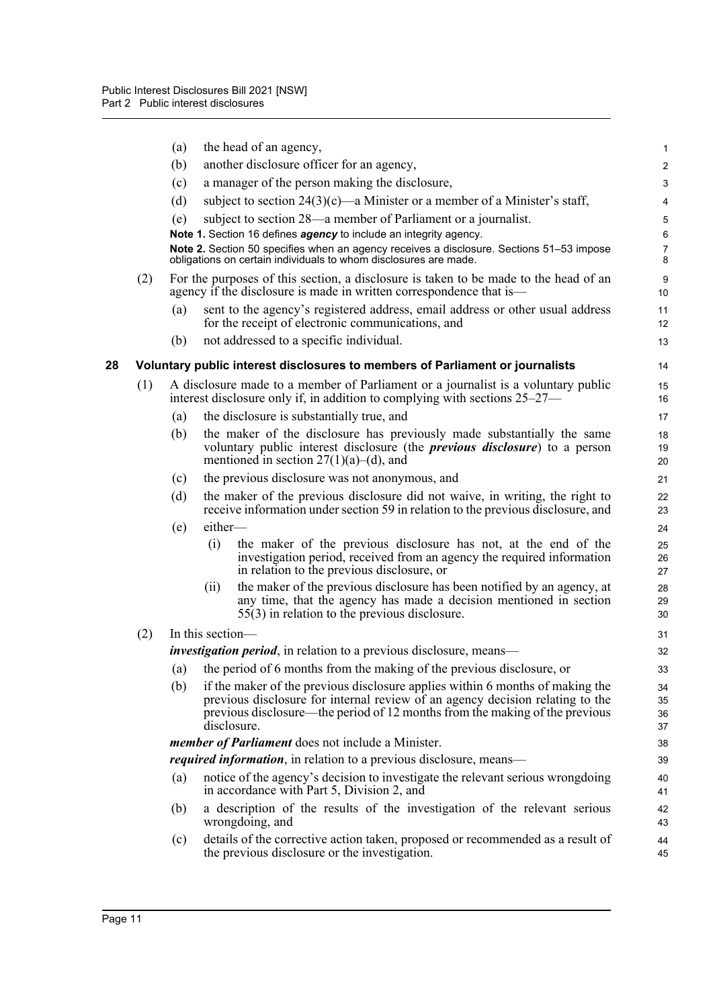<span id="page-26-0"></span>

|    |     | (a)                                                                        |                  | the head of an agency,                                                                                                                                                                                    | 1                   |  |  |
|----|-----|----------------------------------------------------------------------------|------------------|-----------------------------------------------------------------------------------------------------------------------------------------------------------------------------------------------------------|---------------------|--|--|
|    |     | (b)                                                                        |                  | another disclosure officer for an agency,                                                                                                                                                                 | $\overline{2}$      |  |  |
|    |     | (c)                                                                        |                  | a manager of the person making the disclosure,                                                                                                                                                            | 3                   |  |  |
|    |     | (d)                                                                        |                  | subject to section $24(3)(c)$ —a Minister or a member of a Minister's staff,                                                                                                                              | 4                   |  |  |
|    |     | (e)                                                                        |                  | subject to section 28—a member of Parliament or a journalist.                                                                                                                                             | $\mathbf 5$         |  |  |
|    |     |                                                                            |                  | Note 1. Section 16 defines agency to include an integrity agency.                                                                                                                                         | $\,6\,$             |  |  |
|    |     |                                                                            |                  | Note 2. Section 50 specifies when an agency receives a disclosure. Sections 51–53 impose<br>obligations on certain individuals to whom disclosures are made.                                              | $\overline{7}$<br>8 |  |  |
|    | (2) |                                                                            |                  | For the purposes of this section, a disclosure is taken to be made to the head of an<br>agency if the disclosure is made in written correspondence that is—                                               | 9<br>10             |  |  |
|    |     | (a)                                                                        |                  | sent to the agency's registered address, email address or other usual address<br>for the receipt of electronic communications, and                                                                        | 11<br>12            |  |  |
|    |     | (b)                                                                        |                  | not addressed to a specific individual.                                                                                                                                                                   | 13                  |  |  |
| 28 |     |                                                                            |                  | Voluntary public interest disclosures to members of Parliament or journalists                                                                                                                             | 14                  |  |  |
|    | (1) |                                                                            |                  | A disclosure made to a member of Parliament or a journalist is a voluntary public<br>interest disclosure only if, in addition to complying with sections $25-27$ —                                        | 15<br>16            |  |  |
|    |     | (a)                                                                        |                  | the disclosure is substantially true, and                                                                                                                                                                 | 17                  |  |  |
|    |     | (b)                                                                        |                  | the maker of the disclosure has previously made substantially the same<br>voluntary public interest disclosure (the <i>previous disclosure</i> ) to a person<br>mentioned in section $27(1)(a)$ –(d), and | 18<br>19<br>20      |  |  |
|    |     | (c)                                                                        |                  | the previous disclosure was not anonymous, and                                                                                                                                                            | 21                  |  |  |
|    |     | (d)                                                                        |                  | the maker of the previous disclosure did not waive, in writing, the right to<br>receive information under section 59 in relation to the previous disclosure, and                                          | 22<br>23            |  |  |
|    |     | (e)                                                                        | either-          |                                                                                                                                                                                                           | 24                  |  |  |
|    |     |                                                                            | (i)              | the maker of the previous disclosure has not, at the end of the<br>investigation period, received from an agency the required information<br>in relation to the previous disclosure, or                   | 25<br>26<br>27      |  |  |
|    |     |                                                                            | (ii)             | the maker of the previous disclosure has been notified by an agency, at<br>any time, that the agency has made a decision mentioned in section<br>$55(3)$ in relation to the previous disclosure.          | 28<br>29<br>30      |  |  |
|    | (2) |                                                                            | In this section- |                                                                                                                                                                                                           | 31                  |  |  |
|    |     | <i>investigation period</i> , in relation to a previous disclosure, means— |                  |                                                                                                                                                                                                           |                     |  |  |
|    |     | (a)                                                                        |                  | the period of 6 months from the making of the previous disclosure, or                                                                                                                                     | 33                  |  |  |
|    |     | (b)                                                                        |                  | if the maker of the previous disclosure applies within 6 months of making the                                                                                                                             | 34                  |  |  |
|    |     |                                                                            |                  | previous disclosure for internal review of an agency decision relating to the<br>previous disclosure—the period of 12 months from the making of the previous                                              | 35<br>36            |  |  |
|    |     |                                                                            |                  | disclosure.                                                                                                                                                                                               | 37                  |  |  |
|    |     | <i>member of Parliament</i> does not include a Minister.                   |                  |                                                                                                                                                                                                           |                     |  |  |
|    |     | <i>required information</i> , in relation to a previous disclosure, means— |                  |                                                                                                                                                                                                           |                     |  |  |
|    |     | (a)                                                                        |                  | notice of the agency's decision to investigate the relevant serious wrongdoing<br>in accordance with Part 5, Division 2, and                                                                              | 40<br>41            |  |  |
|    |     | (b)                                                                        |                  | a description of the results of the investigation of the relevant serious<br>wrongdoing, and                                                                                                              | 42<br>43            |  |  |
|    |     | (c)                                                                        |                  | details of the corrective action taken, proposed or recommended as a result of<br>the previous disclosure or the investigation.                                                                           | 44<br>45            |  |  |
|    |     |                                                                            |                  |                                                                                                                                                                                                           |                     |  |  |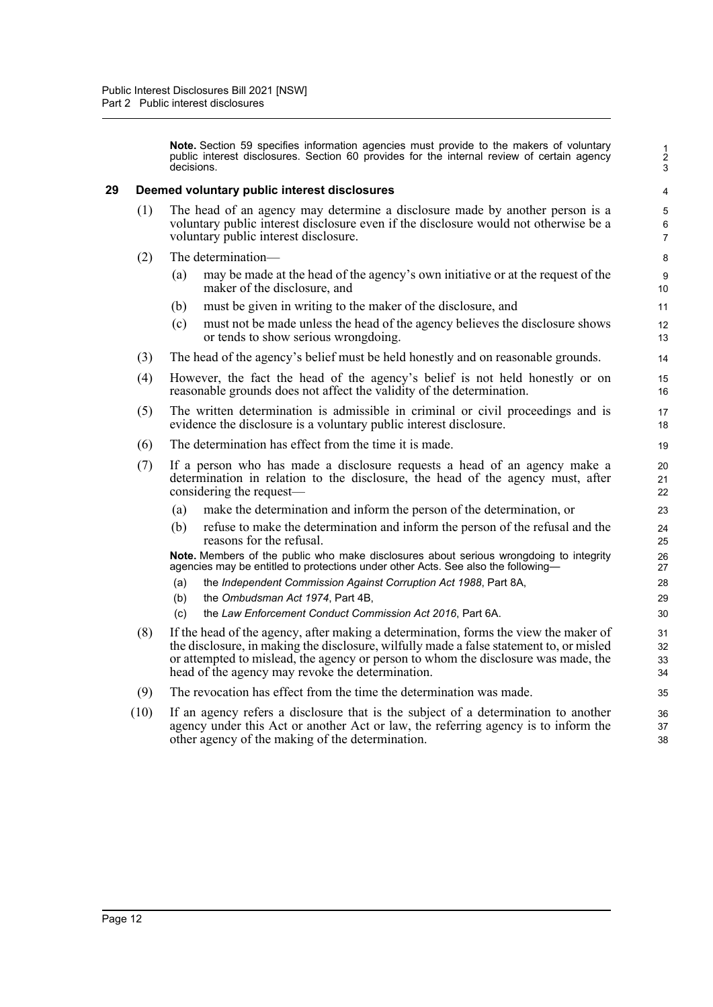**Note.** Section 59 specifies information agencies must provide to the makers of voluntary public interest disclosures. Section 60 provides for the internal review of certain agency decisions.

#### <span id="page-27-0"></span>**29 Deemed voluntary public interest disclosures**

- (1) The head of an agency may determine a disclosure made by another person is a voluntary public interest disclosure even if the disclosure would not otherwise be a voluntary public interest disclosure.
- (2) The determination—
	- (a) may be made at the head of the agency's own initiative or at the request of the maker of the disclosure, and
	- (b) must be given in writing to the maker of the disclosure, and
	- (c) must not be made unless the head of the agency believes the disclosure shows or tends to show serious wrongdoing.
- (3) The head of the agency's belief must be held honestly and on reasonable grounds.
- (4) However, the fact the head of the agency's belief is not held honestly or on reasonable grounds does not affect the validity of the determination.
- (5) The written determination is admissible in criminal or civil proceedings and is evidence the disclosure is a voluntary public interest disclosure.
- (6) The determination has effect from the time it is made.
- (7) If a person who has made a disclosure requests a head of an agency make a determination in relation to the disclosure, the head of the agency must, after considering the request—
	- (a) make the determination and inform the person of the determination, or
	- (b) refuse to make the determination and inform the person of the refusal and the reasons for the refusal.

**Note.** Members of the public who make disclosures about serious wrongdoing to integrity agencies may be entitled to protections under other Acts. See also the following—

- (a) the *Independent Commission Against Corruption Act 1988*, Part 8A,
- (b) the *Ombudsman Act 1974*, Part 4B,
- (c) the *Law Enforcement Conduct Commission Act 2016*, Part 6A.
- (8) If the head of the agency, after making a determination, forms the view the maker of the disclosure, in making the disclosure, wilfully made a false statement to, or misled or attempted to mislead, the agency or person to whom the disclosure was made, the head of the agency may revoke the determination.
- (9) The revocation has effect from the time the determination was made.
- (10) If an agency refers a disclosure that is the subject of a determination to another agency under this Act or another Act or law, the referring agency is to inform the other agency of the making of the determination.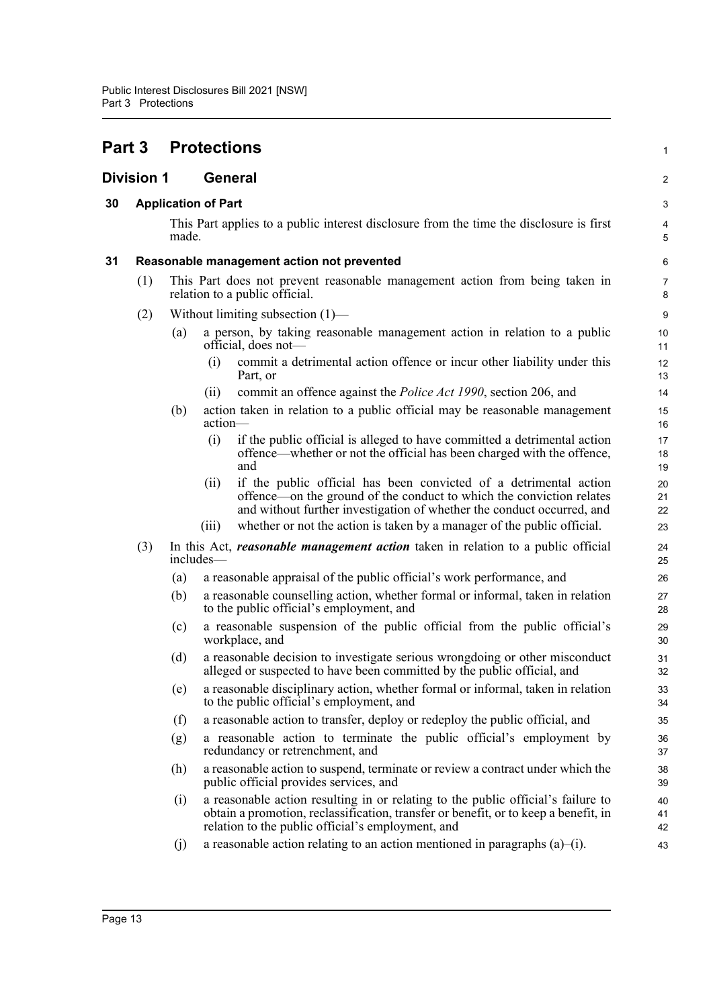<span id="page-28-3"></span><span id="page-28-2"></span><span id="page-28-1"></span><span id="page-28-0"></span>

| <b>Part 3</b>     |                  |                                     | <b>Protections</b>         |                                                                                                                                                                                                                              | 1              |  |  |  |
|-------------------|------------------|-------------------------------------|----------------------------|------------------------------------------------------------------------------------------------------------------------------------------------------------------------------------------------------------------------------|----------------|--|--|--|
| <b>Division 1</b> |                  | <b>General</b>                      |                            |                                                                                                                                                                                                                              |                |  |  |  |
| 30                |                  |                                     | <b>Application of Part</b> |                                                                                                                                                                                                                              | 3              |  |  |  |
|                   |                  | made.                               |                            | This Part applies to a public interest disclosure from the time the disclosure is first                                                                                                                                      | 4<br>5         |  |  |  |
| 31                |                  |                                     |                            | Reasonable management action not prevented                                                                                                                                                                                   | 6              |  |  |  |
|                   | (1)              |                                     |                            | This Part does not prevent reasonable management action from being taken in<br>relation to a public official.                                                                                                                | 7<br>8         |  |  |  |
|                   | (2)              | Without limiting subsection $(1)$ — |                            |                                                                                                                                                                                                                              |                |  |  |  |
|                   |                  | (a)                                 |                            | a person, by taking reasonable management action in relation to a public<br>official, does not-                                                                                                                              | 10<br>11       |  |  |  |
|                   |                  |                                     | (i)                        | commit a detrimental action offence or incur other liability under this<br>Part, or                                                                                                                                          | 12<br>13       |  |  |  |
|                   |                  |                                     | (i)                        | commit an offence against the <i>Police Act 1990</i> , section 206, and                                                                                                                                                      | 14             |  |  |  |
|                   |                  | (b)                                 | action-                    | action taken in relation to a public official may be reasonable management                                                                                                                                                   | 15<br>16       |  |  |  |
|                   |                  |                                     | (i)                        | if the public official is alleged to have committed a detrimental action<br>offence—whether or not the official has been charged with the offence,<br>and                                                                    | 17<br>18<br>19 |  |  |  |
|                   |                  |                                     | (ii)                       | if the public official has been convicted of a detrimental action<br>offence—on the ground of the conduct to which the conviction relates<br>and without further investigation of whether the conduct occurred, and          | 20<br>21<br>22 |  |  |  |
|                   |                  |                                     | (iii)                      | whether or not the action is taken by a manager of the public official.                                                                                                                                                      | 23             |  |  |  |
|                   | (3)<br>includes- |                                     |                            | In this Act, reasonable management action taken in relation to a public official                                                                                                                                             | 24<br>25       |  |  |  |
|                   |                  | (a)                                 |                            | a reasonable appraisal of the public official's work performance, and                                                                                                                                                        | 26             |  |  |  |
|                   |                  | (b)                                 |                            | a reasonable counselling action, whether formal or informal, taken in relation<br>to the public official's employment, and                                                                                                   | 27<br>28       |  |  |  |
|                   |                  | (c)                                 |                            | a reasonable suspension of the public official from the public official's<br>workplace, and                                                                                                                                  | 29<br>30       |  |  |  |
|                   |                  | (d)                                 |                            | a reasonable decision to investigate serious wrongdoing or other misconduct<br>alleged or suspected to have been committed by the public official, and                                                                       | 31<br>32       |  |  |  |
|                   |                  | (e)                                 |                            | a reasonable disciplinary action, whether formal or informal, taken in relation<br>to the public official's employment, and                                                                                                  | 33<br>34       |  |  |  |
|                   |                  | (f)                                 |                            | a reasonable action to transfer, deploy or redeploy the public official, and                                                                                                                                                 | 35             |  |  |  |
|                   |                  | (g)                                 |                            | a reasonable action to terminate the public official's employment by<br>redundancy or retrenchment, and                                                                                                                      | 36<br>37       |  |  |  |
|                   |                  | (h)                                 |                            | a reasonable action to suspend, terminate or review a contract under which the<br>public official provides services, and                                                                                                     | 38<br>39       |  |  |  |
|                   |                  | (i)                                 |                            | a reasonable action resulting in or relating to the public official's failure to<br>obtain a promotion, reclassification, transfer or benefit, or to keep a benefit, in<br>relation to the public official's employment, and | 40<br>41<br>42 |  |  |  |
|                   |                  | (j)                                 |                            | a reasonable action relating to an action mentioned in paragraphs $(a)$ -(i).                                                                                                                                                | 43             |  |  |  |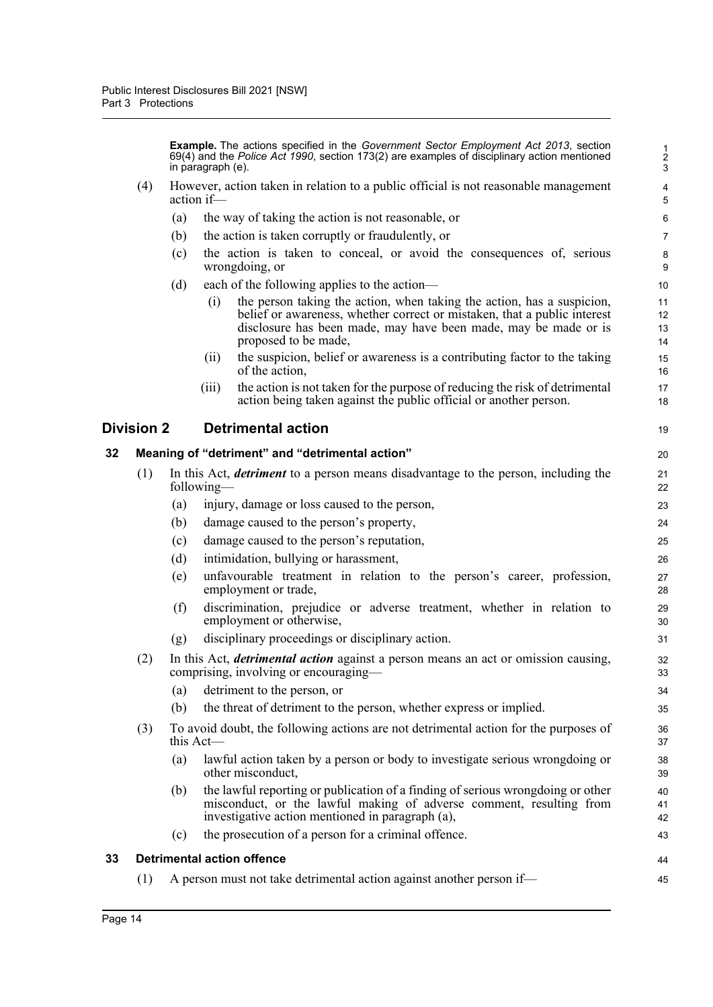**Example.** The actions specified in the *Government Sector Employment Act 2013*, section 69(4) and the *Police Act 1990*, section 173(2) are examples of disciplinary action mentioned in paragraph (e).

19

- (4) However, action taken in relation to a public official is not reasonable management action if—
	- (a) the way of taking the action is not reasonable, or
	- (b) the action is taken corruptly or fraudulently, or
	- (c) the action is taken to conceal, or avoid the consequences of, serious wrongdoing, or
	- (d) each of the following applies to the action—
		- (i) the person taking the action, when taking the action, has a suspicion, belief or awareness, whether correct or mistaken, that a public interest disclosure has been made, may have been made, may be made or is proposed to be made,
		- (ii) the suspicion, belief or awareness is a contributing factor to the taking of the action,
		- (iii) the action is not taken for the purpose of reducing the risk of detrimental action being taken against the public official or another person.

#### <span id="page-29-0"></span>**Division 2 Detrimental action**

<span id="page-29-2"></span><span id="page-29-1"></span>

| 32 | Meaning of "detriment" and "detrimental action" |                                                                                                                                    |                                                                                                                                                                                                            |                |  |  |
|----|-------------------------------------------------|------------------------------------------------------------------------------------------------------------------------------------|------------------------------------------------------------------------------------------------------------------------------------------------------------------------------------------------------------|----------------|--|--|
|    | (1)                                             |                                                                                                                                    | In this Act, <i>detriment</i> to a person means disadvantage to the person, including the<br>following—                                                                                                    | 21<br>22       |  |  |
|    |                                                 | (a)                                                                                                                                | injury, damage or loss caused to the person,                                                                                                                                                               | 23             |  |  |
|    |                                                 | (b)                                                                                                                                | damage caused to the person's property,                                                                                                                                                                    | 24             |  |  |
|    |                                                 | (c)                                                                                                                                | damage caused to the person's reputation,                                                                                                                                                                  | 25             |  |  |
|    |                                                 | (d)                                                                                                                                | intimidation, bullying or harassment,                                                                                                                                                                      | 26             |  |  |
|    |                                                 | (e)                                                                                                                                | unfavourable treatment in relation to the person's career, profession,<br>employment or trade,                                                                                                             | 27<br>28       |  |  |
|    |                                                 | (f)                                                                                                                                | discrimination, prejudice or adverse treatment, whether in relation to<br>employment or otherwise,                                                                                                         | 29<br>30       |  |  |
|    |                                                 | (g)                                                                                                                                | disciplinary proceedings or disciplinary action.                                                                                                                                                           | 31             |  |  |
|    | (2)                                             | In this Act, <i>detrimental action</i> against a person means an act or omission causing,<br>comprising, involving or encouraging— |                                                                                                                                                                                                            |                |  |  |
|    |                                                 | (a)                                                                                                                                | detriment to the person, or                                                                                                                                                                                | 34             |  |  |
|    |                                                 | (b)                                                                                                                                | the threat of detriment to the person, whether express or implied.                                                                                                                                         | 35             |  |  |
|    | (3)                                             | To avoid doubt, the following actions are not detrimental action for the purposes of<br>this Act—                                  |                                                                                                                                                                                                            |                |  |  |
|    |                                                 | (a)                                                                                                                                | lawful action taken by a person or body to investigate serious wrongdoing or<br>other misconduct,                                                                                                          | 38<br>39       |  |  |
|    |                                                 | (b)                                                                                                                                | the lawful reporting or publication of a finding of serious wrongdoing or other<br>misconduct, or the lawful making of adverse comment, resulting from<br>investigative action mentioned in paragraph (a), | 40<br>41<br>42 |  |  |
|    |                                                 | (c)                                                                                                                                | the prosecution of a person for a criminal offence.                                                                                                                                                        | 43             |  |  |
| 33 |                                                 |                                                                                                                                    | <b>Detrimental action offence</b>                                                                                                                                                                          | 44             |  |  |
|    | (1)                                             |                                                                                                                                    | A person must not take detrimental action against another person if—                                                                                                                                       | 45             |  |  |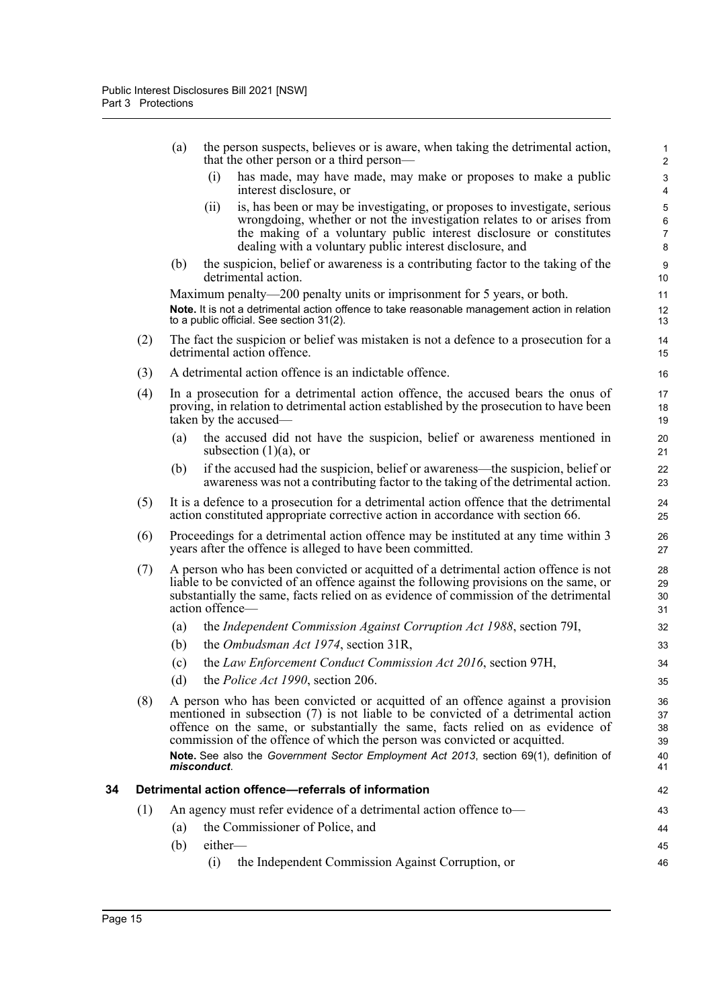<span id="page-30-0"></span>

|    |                                                                          | (a)                                                                                                                                                                                                 |                 | the person suspects, believes or is aware, when taking the detrimental action,<br>that the other person or a third person—                                                                                                                                                                                                                                                                                                   | $\mathbf{1}$<br>$\overline{2}$      |  |  |
|----|--------------------------------------------------------------------------|-----------------------------------------------------------------------------------------------------------------------------------------------------------------------------------------------------|-----------------|------------------------------------------------------------------------------------------------------------------------------------------------------------------------------------------------------------------------------------------------------------------------------------------------------------------------------------------------------------------------------------------------------------------------------|-------------------------------------|--|--|
|    |                                                                          |                                                                                                                                                                                                     | (i)             | has made, may have made, may make or proposes to make a public<br>interest disclosure, or                                                                                                                                                                                                                                                                                                                                    | $\ensuremath{\mathsf{3}}$<br>4      |  |  |
|    |                                                                          |                                                                                                                                                                                                     | (ii)            | is, has been or may be investigating, or proposes to investigate, serious<br>wrongdoing, whether or not the investigation relates to or arises from<br>the making of a voluntary public interest disclosure or constitutes<br>dealing with a voluntary public interest disclosure, and                                                                                                                                       | 5<br>$\,6\,$<br>$\overline{7}$<br>8 |  |  |
|    |                                                                          | (b)                                                                                                                                                                                                 |                 | the suspicion, belief or awareness is a contributing factor to the taking of the<br>detrimental action.                                                                                                                                                                                                                                                                                                                      | $9\,$<br>10                         |  |  |
|    |                                                                          |                                                                                                                                                                                                     |                 | Maximum penalty—200 penalty units or imprisonment for 5 years, or both.<br>Note. It is not a detrimental action offence to take reasonable management action in relation<br>to a public official. See section 31(2).                                                                                                                                                                                                         | 11<br>12<br>13                      |  |  |
|    | (2)                                                                      |                                                                                                                                                                                                     |                 | The fact the suspicion or belief was mistaken is not a defence to a prosecution for a<br>detrimental action offence.                                                                                                                                                                                                                                                                                                         | 14<br>15                            |  |  |
|    | (3)                                                                      |                                                                                                                                                                                                     |                 | A detrimental action offence is an indictable offence.                                                                                                                                                                                                                                                                                                                                                                       | 16                                  |  |  |
|    | (4)                                                                      | In a prosecution for a detrimental action offence, the accused bears the onus of<br>proving, in relation to detrimental action established by the prosecution to have been<br>taken by the accused— |                 |                                                                                                                                                                                                                                                                                                                                                                                                                              | 17<br>18<br>19                      |  |  |
|    |                                                                          | (a)                                                                                                                                                                                                 |                 | the accused did not have the suspicion, belief or awareness mentioned in<br>subsection $(1)(a)$ , or                                                                                                                                                                                                                                                                                                                         | 20<br>21                            |  |  |
|    |                                                                          | (b)                                                                                                                                                                                                 |                 | if the accused had the suspicion, belief or awareness—the suspicion, belief or<br>awareness was not a contributing factor to the taking of the detrimental action.                                                                                                                                                                                                                                                           | 22<br>23                            |  |  |
|    | (5)                                                                      |                                                                                                                                                                                                     |                 | It is a defence to a prosecution for a detrimental action offence that the detrimental<br>action constituted appropriate corrective action in accordance with section 66.                                                                                                                                                                                                                                                    | 24<br>25                            |  |  |
|    | (6)                                                                      | Proceedings for a detrimental action offence may be instituted at any time within 3<br>years after the offence is alleged to have been committed.                                                   |                 |                                                                                                                                                                                                                                                                                                                                                                                                                              |                                     |  |  |
|    | (7)                                                                      |                                                                                                                                                                                                     | action offence- | A person who has been convicted or acquitted of a detrimental action offence is not<br>liable to be convicted of an offence against the following provisions on the same, or<br>substantially the same, facts relied on as evidence of commission of the detrimental                                                                                                                                                         | 28<br>29<br>30<br>31                |  |  |
|    |                                                                          | (a)                                                                                                                                                                                                 |                 | the Independent Commission Against Corruption Act 1988, section 79I,                                                                                                                                                                                                                                                                                                                                                         | 32                                  |  |  |
|    |                                                                          | (b)                                                                                                                                                                                                 |                 | the <i>Ombudsman Act 1974</i> , section 31R,                                                                                                                                                                                                                                                                                                                                                                                 | 33                                  |  |  |
|    |                                                                          | (c)                                                                                                                                                                                                 |                 | the Law Enforcement Conduct Commission Act 2016, section 97H,                                                                                                                                                                                                                                                                                                                                                                | 34                                  |  |  |
|    |                                                                          | (d)                                                                                                                                                                                                 |                 | the <i>Police Act 1990</i> , section 206.                                                                                                                                                                                                                                                                                                                                                                                    | 35                                  |  |  |
|    | (8)                                                                      |                                                                                                                                                                                                     | misconduct.     | A person who has been convicted or acquitted of an offence against a provision<br>mentioned in subsection (7) is not liable to be convicted of a detrimental action<br>offence on the same, or substantially the same, facts relied on as evidence of<br>commission of the offence of which the person was convicted or acquitted.<br>Note. See also the Government Sector Employment Act 2013, section 69(1), definition of | 36<br>37<br>38<br>39<br>40<br>41    |  |  |
| 34 |                                                                          |                                                                                                                                                                                                     |                 | Detrimental action offence—referrals of information                                                                                                                                                                                                                                                                                                                                                                          | 42                                  |  |  |
|    | An agency must refer evidence of a detrimental action offence to-<br>(1) |                                                                                                                                                                                                     |                 |                                                                                                                                                                                                                                                                                                                                                                                                                              |                                     |  |  |
|    |                                                                          | (a)                                                                                                                                                                                                 |                 | the Commissioner of Police, and                                                                                                                                                                                                                                                                                                                                                                                              | 44                                  |  |  |
|    |                                                                          | (b)                                                                                                                                                                                                 | either-         |                                                                                                                                                                                                                                                                                                                                                                                                                              | 45                                  |  |  |
|    |                                                                          |                                                                                                                                                                                                     | (i)             | the Independent Commission Against Corruption, or                                                                                                                                                                                                                                                                                                                                                                            | 46                                  |  |  |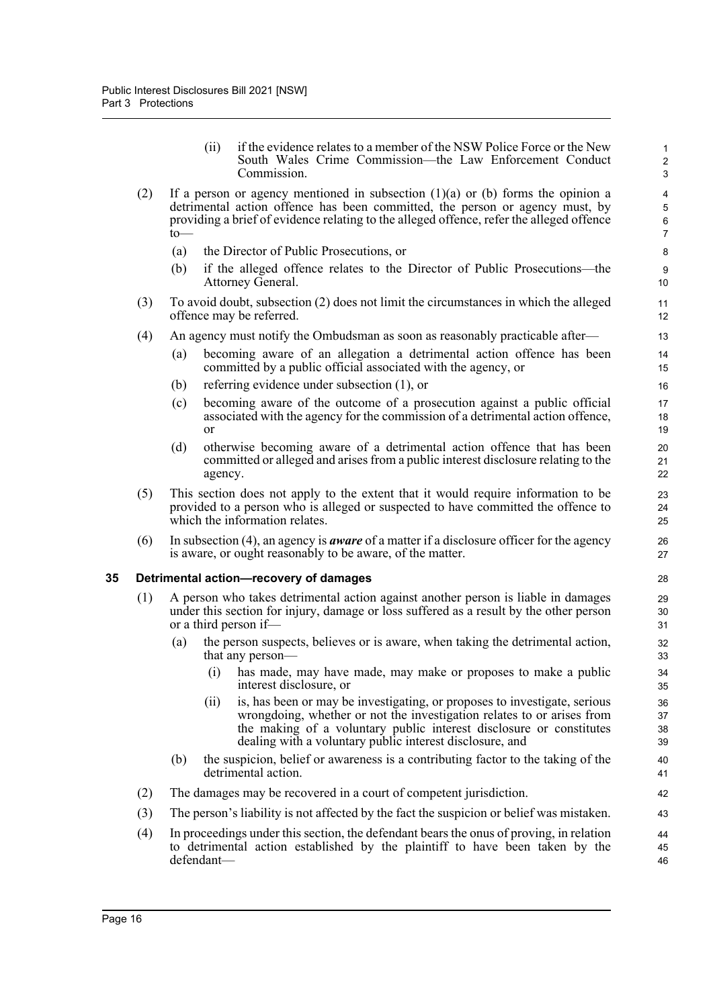<span id="page-31-0"></span>

| If a person or agency mentioned in subsection $(1)(a)$ or $(b)$ forms the opinion a<br>(2)<br>detrimental action offence has been committed, the person or agency must, by<br>providing a brief of evidence relating to the alleged offence, refer the alleged offence<br>to<br>(a)<br>the Director of Public Prosecutions, or<br>(b)<br>if the alleged offence relates to the Director of Public Prosecutions—the<br>Attorney General.<br>(3)<br>To avoid doubt, subsection (2) does not limit the circumstances in which the alleged<br>offence may be referred.<br>An agency must notify the Ombudsman as soon as reasonably practicable after—<br>(4)<br>becoming aware of an allegation a detrimental action offence has been<br>(a)<br>committed by a public official associated with the agency, or<br>referring evidence under subsection (1), or<br>(b) | if the evidence relates to a member of the NSW Police Force or the New<br>1<br>South Wales Crime Commission—the Law Enforcement Conduct<br>$\overline{2}$<br>3 |  |  |  |  |  |  |  |  |
|------------------------------------------------------------------------------------------------------------------------------------------------------------------------------------------------------------------------------------------------------------------------------------------------------------------------------------------------------------------------------------------------------------------------------------------------------------------------------------------------------------------------------------------------------------------------------------------------------------------------------------------------------------------------------------------------------------------------------------------------------------------------------------------------------------------------------------------------------------------|----------------------------------------------------------------------------------------------------------------------------------------------------------------|--|--|--|--|--|--|--|--|
|                                                                                                                                                                                                                                                                                                                                                                                                                                                                                                                                                                                                                                                                                                                                                                                                                                                                  | 4<br>$\mathbf 5$<br>$\,6\,$<br>$\overline{7}$                                                                                                                  |  |  |  |  |  |  |  |  |
|                                                                                                                                                                                                                                                                                                                                                                                                                                                                                                                                                                                                                                                                                                                                                                                                                                                                  | $\bf 8$                                                                                                                                                        |  |  |  |  |  |  |  |  |
|                                                                                                                                                                                                                                                                                                                                                                                                                                                                                                                                                                                                                                                                                                                                                                                                                                                                  | 9<br>10                                                                                                                                                        |  |  |  |  |  |  |  |  |
|                                                                                                                                                                                                                                                                                                                                                                                                                                                                                                                                                                                                                                                                                                                                                                                                                                                                  | 11<br>12                                                                                                                                                       |  |  |  |  |  |  |  |  |
|                                                                                                                                                                                                                                                                                                                                                                                                                                                                                                                                                                                                                                                                                                                                                                                                                                                                  | 13                                                                                                                                                             |  |  |  |  |  |  |  |  |
|                                                                                                                                                                                                                                                                                                                                                                                                                                                                                                                                                                                                                                                                                                                                                                                                                                                                  | 14<br>15                                                                                                                                                       |  |  |  |  |  |  |  |  |
|                                                                                                                                                                                                                                                                                                                                                                                                                                                                                                                                                                                                                                                                                                                                                                                                                                                                  | 16                                                                                                                                                             |  |  |  |  |  |  |  |  |
| becoming aware of the outcome of a prosecution against a public official<br>(c)<br>associated with the agency for the commission of a detrimental action offence,<br>or                                                                                                                                                                                                                                                                                                                                                                                                                                                                                                                                                                                                                                                                                          | 17<br>18<br>19                                                                                                                                                 |  |  |  |  |  |  |  |  |
| otherwise becoming aware of a detrimental action offence that has been<br>(d)<br>committed or alleged and arises from a public interest disclosure relating to the<br>agency.                                                                                                                                                                                                                                                                                                                                                                                                                                                                                                                                                                                                                                                                                    | 20<br>21<br>22                                                                                                                                                 |  |  |  |  |  |  |  |  |
| (5)<br>This section does not apply to the extent that it would require information to be<br>provided to a person who is alleged or suspected to have committed the offence to<br>which the information relates.                                                                                                                                                                                                                                                                                                                                                                                                                                                                                                                                                                                                                                                  | 23<br>24<br>25                                                                                                                                                 |  |  |  |  |  |  |  |  |
| In subsection (4), an agency is <i>aware</i> of a matter if a disclosure officer for the agency<br>(6)<br>is aware, or ought reasonably to be aware, of the matter.                                                                                                                                                                                                                                                                                                                                                                                                                                                                                                                                                                                                                                                                                              | 26<br>27                                                                                                                                                       |  |  |  |  |  |  |  |  |
| Detrimental action-recovery of damages<br>28                                                                                                                                                                                                                                                                                                                                                                                                                                                                                                                                                                                                                                                                                                                                                                                                                     |                                                                                                                                                                |  |  |  |  |  |  |  |  |
| (1)<br>A person who takes detrimental action against another person is liable in damages<br>under this section for injury, damage or loss suffered as a result by the other person<br>or a third person if-                                                                                                                                                                                                                                                                                                                                                                                                                                                                                                                                                                                                                                                      | 29<br>30<br>31                                                                                                                                                 |  |  |  |  |  |  |  |  |
| the person suspects, believes or is aware, when taking the detrimental action,<br>(a)<br>that any person-                                                                                                                                                                                                                                                                                                                                                                                                                                                                                                                                                                                                                                                                                                                                                        | 32<br>33                                                                                                                                                       |  |  |  |  |  |  |  |  |
| (i) has made, may have made, may make or proposes to make a public<br>interest disclosure, or                                                                                                                                                                                                                                                                                                                                                                                                                                                                                                                                                                                                                                                                                                                                                                    | 34<br>35                                                                                                                                                       |  |  |  |  |  |  |  |  |
| is, has been or may be investigating, or proposes to investigate, serious<br>(ii)<br>wrongdoing, whether or not the investigation relates to or arises from<br>the making of a voluntary public interest disclosure or constitutes<br>dealing with a voluntary public interest disclosure, and                                                                                                                                                                                                                                                                                                                                                                                                                                                                                                                                                                   | 36<br>37<br>38<br>39                                                                                                                                           |  |  |  |  |  |  |  |  |
| the suspicion, belief or awareness is a contributing factor to the taking of the<br>(b)<br>detrimental action.                                                                                                                                                                                                                                                                                                                                                                                                                                                                                                                                                                                                                                                                                                                                                   | 40<br>41                                                                                                                                                       |  |  |  |  |  |  |  |  |
| The damages may be recovered in a court of competent jurisdiction.<br>(2)                                                                                                                                                                                                                                                                                                                                                                                                                                                                                                                                                                                                                                                                                                                                                                                        | 42                                                                                                                                                             |  |  |  |  |  |  |  |  |
| The person's liability is not affected by the fact the suspicion or belief was mistaken.<br>(3)                                                                                                                                                                                                                                                                                                                                                                                                                                                                                                                                                                                                                                                                                                                                                                  | 43                                                                                                                                                             |  |  |  |  |  |  |  |  |
| (4)<br>In proceedings under this section, the defendant bears the onus of proving, in relation<br>to detrimental action established by the plaintiff to have been taken by the<br>defendant-                                                                                                                                                                                                                                                                                                                                                                                                                                                                                                                                                                                                                                                                     | 44<br>45<br>46                                                                                                                                                 |  |  |  |  |  |  |  |  |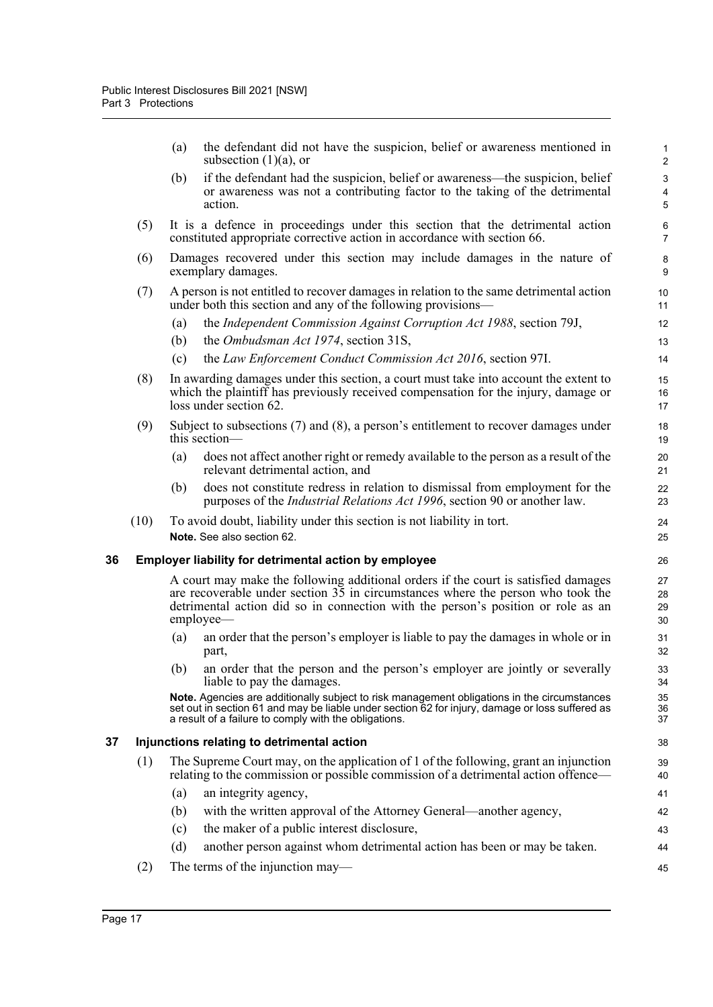|    |      | (a) | the defendant did not have the suspicion, belief or awareness mentioned in<br>subsection $(1)(a)$ , or                                                                                                                                                                              | 1<br>$\overline{2}$                 |
|----|------|-----|-------------------------------------------------------------------------------------------------------------------------------------------------------------------------------------------------------------------------------------------------------------------------------------|-------------------------------------|
|    |      | (b) | if the defendant had the suspicion, belief or awareness—the suspicion, belief<br>or awareness was not a contributing factor to the taking of the detrimental<br>action.                                                                                                             | $\ensuremath{\mathsf{3}}$<br>4<br>5 |
|    | (5)  |     | It is a defence in proceedings under this section that the detrimental action<br>constituted appropriate corrective action in accordance with section 66.                                                                                                                           | 6<br>$\overline{7}$                 |
|    | (6)  |     | Damages recovered under this section may include damages in the nature of<br>exemplary damages.                                                                                                                                                                                     | 8<br>9                              |
|    | (7)  |     | A person is not entitled to recover damages in relation to the same detrimental action<br>under both this section and any of the following provisions—                                                                                                                              | 10<br>11                            |
|    |      | (a) | the Independent Commission Against Corruption Act 1988, section 79J,                                                                                                                                                                                                                | 12                                  |
|    |      | (b) | the <i>Ombudsman Act 1974</i> , section 31S,                                                                                                                                                                                                                                        | 13                                  |
|    |      | (c) | the Law Enforcement Conduct Commission Act 2016, section 971.                                                                                                                                                                                                                       | 14                                  |
|    | (8)  |     | In awarding damages under this section, a court must take into account the extent to<br>which the plaintiff has previously received compensation for the injury, damage or<br>loss under section 62.                                                                                | 15<br>16<br>17                      |
|    | (9)  |     | Subject to subsections $(7)$ and $(8)$ , a person's entitlement to recover damages under<br>this section-                                                                                                                                                                           | 18<br>19                            |
|    |      | (a) | does not affect another right or remedy available to the person as a result of the<br>relevant detrimental action, and                                                                                                                                                              | 20<br>21                            |
|    |      | (b) | does not constitute redress in relation to dismissal from employment for the<br>purposes of the <i>Industrial Relations Act 1996</i> , section 90 or another law.                                                                                                                   | 22<br>23                            |
|    | (10) |     | To avoid doubt, liability under this section is not liability in tort.<br>Note. See also section 62.                                                                                                                                                                                | 24<br>25                            |
| 36 |      |     | <b>Employer liability for detrimental action by employee</b>                                                                                                                                                                                                                        | 26                                  |
|    |      |     | A court may make the following additional orders if the court is satisfied damages<br>are recoverable under section $3\overline{5}$ in circumstances where the person who took the<br>detrimental action did so in connection with the person's position or role as an<br>employee— | 27<br>28<br>29<br>30                |
|    |      | (a) | an order that the person's employer is liable to pay the damages in whole or in<br>part,                                                                                                                                                                                            | 31<br>32                            |
|    |      |     | (b) an order that the person and the person's employer are jointly or severally<br>liable to pay the damages.                                                                                                                                                                       | 33<br>34                            |
|    |      |     | Note. Agencies are additionally subject to risk management obligations in the circumstances<br>set out in section 61 and may be liable under section 62 for injury, damage or loss suffered as<br>a result of a failure to comply with the obligations.                             | 35<br>36<br>37                      |
| 37 |      |     | Injunctions relating to detrimental action                                                                                                                                                                                                                                          | 38                                  |
|    | (1)  |     | The Supreme Court may, on the application of 1 of the following, grant an injunction<br>relating to the commission or possible commission of a detrimental action offence—                                                                                                          | 39<br>40                            |
|    |      | (a) | an integrity agency,                                                                                                                                                                                                                                                                | 41                                  |
|    |      | (b) | with the written approval of the Attorney General—another agency,                                                                                                                                                                                                                   | 42                                  |
|    |      | (c) | the maker of a public interest disclosure,                                                                                                                                                                                                                                          | 43                                  |
|    |      | (d) | another person against whom detrimental action has been or may be taken.                                                                                                                                                                                                            | 44                                  |

45

<span id="page-32-1"></span><span id="page-32-0"></span>(2) The terms of the injunction may—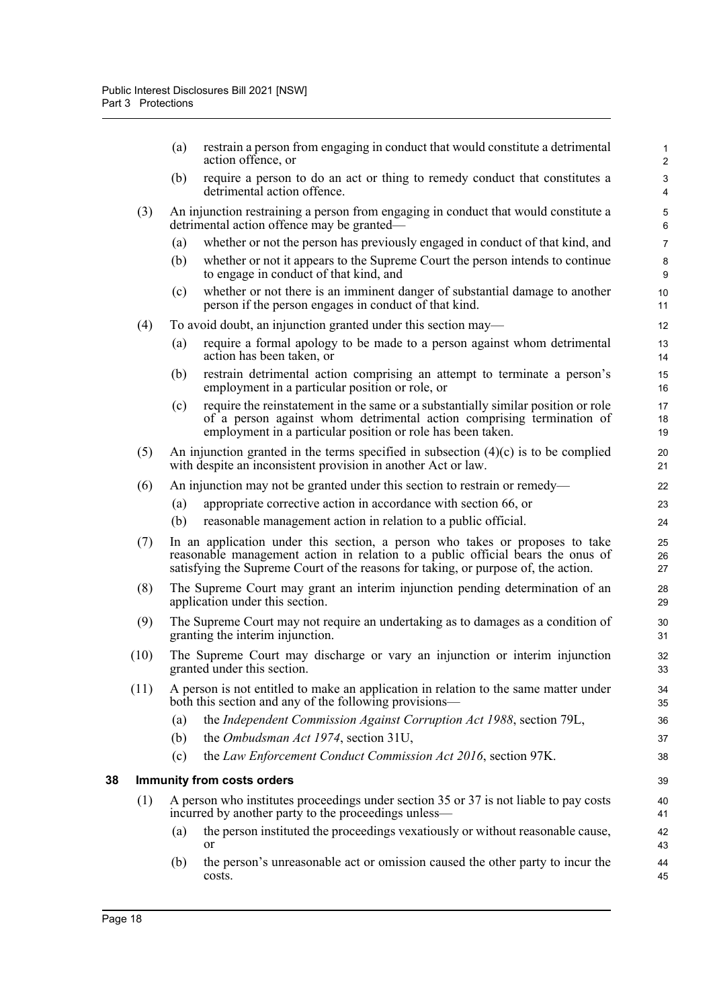<span id="page-33-0"></span>

|    |      | (a)                                                                                                                  | restrain a person from engaging in conduct that would constitute a detrimental<br>action offence, or                                                                                                                                                  | 1<br>2          |  |  |  |  |
|----|------|----------------------------------------------------------------------------------------------------------------------|-------------------------------------------------------------------------------------------------------------------------------------------------------------------------------------------------------------------------------------------------------|-----------------|--|--|--|--|
|    |      | (b)                                                                                                                  | require a person to do an act or thing to remedy conduct that constitutes a<br>detrimental action offence.                                                                                                                                            | $\sqrt{3}$<br>4 |  |  |  |  |
|    | (3)  |                                                                                                                      | An injunction restraining a person from engaging in conduct that would constitute a<br>detrimental action offence may be granted—                                                                                                                     | 5<br>6          |  |  |  |  |
|    |      | (a)                                                                                                                  | whether or not the person has previously engaged in conduct of that kind, and                                                                                                                                                                         | $\overline{7}$  |  |  |  |  |
|    |      | (b)                                                                                                                  | whether or not it appears to the Supreme Court the person intends to continue<br>to engage in conduct of that kind, and                                                                                                                               | 8<br>9          |  |  |  |  |
|    |      | (c)                                                                                                                  | whether or not there is an imminent danger of substantial damage to another<br>person if the person engages in conduct of that kind.                                                                                                                  | 10<br>11        |  |  |  |  |
|    | (4)  |                                                                                                                      | To avoid doubt, an injunction granted under this section may—                                                                                                                                                                                         | 12              |  |  |  |  |
|    |      | (a)                                                                                                                  | require a formal apology to be made to a person against whom detrimental<br>action has been taken, or                                                                                                                                                 | 13<br>14        |  |  |  |  |
|    |      | (b)                                                                                                                  | restrain detrimental action comprising an attempt to terminate a person's<br>employment in a particular position or role, or                                                                                                                          | 15<br>16        |  |  |  |  |
|    |      | (c)                                                                                                                  | require the reinstatement in the same or a substantially similar position or role<br>of a person against whom detrimental action comprising termination of<br>employment in a particular position or role has been taken.                             | 17<br>18<br>19  |  |  |  |  |
|    | (5)  |                                                                                                                      | An injunction granted in the terms specified in subsection $(4)(c)$ is to be complied<br>with despite an inconsistent provision in another Act or law.                                                                                                | 20<br>21        |  |  |  |  |
|    | (6)  |                                                                                                                      | An injunction may not be granted under this section to restrain or remedy—                                                                                                                                                                            | 22              |  |  |  |  |
|    |      | (a)                                                                                                                  | appropriate corrective action in accordance with section 66, or                                                                                                                                                                                       | 23              |  |  |  |  |
|    |      | (b)                                                                                                                  | reasonable management action in relation to a public official.                                                                                                                                                                                        | 24              |  |  |  |  |
|    | (7)  |                                                                                                                      | In an application under this section, a person who takes or proposes to take<br>reasonable management action in relation to a public official bears the onus of<br>satisfying the Supreme Court of the reasons for taking, or purpose of, the action. | 25<br>26<br>27  |  |  |  |  |
|    | (8)  | The Supreme Court may grant an interim injunction pending determination of an<br>application under this section.     |                                                                                                                                                                                                                                                       |                 |  |  |  |  |
|    | (9)  | The Supreme Court may not require an undertaking as to damages as a condition of<br>granting the interim injunction. |                                                                                                                                                                                                                                                       |                 |  |  |  |  |
|    | (10) | The Supreme Court may discharge or vary an injunction or interim injunction<br>granted under this section.           |                                                                                                                                                                                                                                                       |                 |  |  |  |  |
|    | (11) |                                                                                                                      | A person is not entitled to make an application in relation to the same matter under<br>both this section and any of the following provisions-                                                                                                        | 34<br>35        |  |  |  |  |
|    |      | (a)                                                                                                                  | the Independent Commission Against Corruption Act 1988, section 79L,                                                                                                                                                                                  | 36              |  |  |  |  |
|    |      | (b)                                                                                                                  | the Ombudsman Act 1974, section 31U,                                                                                                                                                                                                                  | 37              |  |  |  |  |
|    |      | (c)                                                                                                                  | the Law Enforcement Conduct Commission Act 2016, section 97K.                                                                                                                                                                                         | 38              |  |  |  |  |
| 38 |      | <b>Immunity from costs orders</b>                                                                                    |                                                                                                                                                                                                                                                       |                 |  |  |  |  |
|    | (1)  |                                                                                                                      | A person who institutes proceedings under section 35 or 37 is not liable to pay costs<br>incurred by another party to the proceedings unless—                                                                                                         | 40<br>41        |  |  |  |  |
|    |      | (a)                                                                                                                  | the person instituted the proceedings vexatiously or without reasonable cause,<br>or                                                                                                                                                                  | 42<br>43        |  |  |  |  |
|    |      | (b)                                                                                                                  | the person's unreasonable act or omission caused the other party to incur the<br>costs.                                                                                                                                                               | 44<br>45        |  |  |  |  |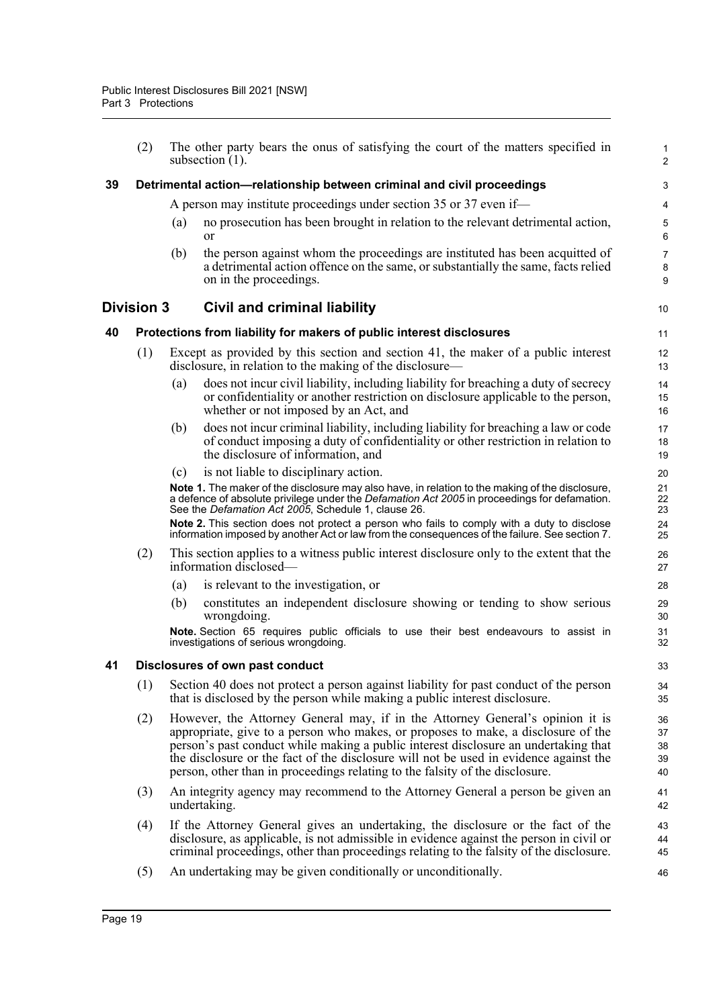<span id="page-34-3"></span><span id="page-34-2"></span><span id="page-34-1"></span><span id="page-34-0"></span>(2) The other party bears the onus of satisfying the court of the matters specified in subsection (1). **39 Detrimental action—relationship between criminal and civil proceedings** A person may institute proceedings under section 35 or 37 even if— (a) no prosecution has been brought in relation to the relevant detrimental action, or (b) the person against whom the proceedings are instituted has been acquitted of a detrimental action offence on the same, or substantially the same, facts relied on in the proceedings. **Division 3 Civil and criminal liability 40 Protections from liability for makers of public interest disclosures** (1) Except as provided by this section and section 41, the maker of a public interest disclosure, in relation to the making of the disclosure— (a) does not incur civil liability, including liability for breaching a duty of secrecy or confidentiality or another restriction on disclosure applicable to the person, whether or not imposed by an Act, and (b) does not incur criminal liability, including liability for breaching a law or code of conduct imposing a duty of confidentiality or other restriction in relation to the disclosure of information, and (c) is not liable to disciplinary action. **Note 1.** The maker of the disclosure may also have, in relation to the making of the disclosure, a defence of absolute privilege under the *Defamation Act 2005* in proceedings for defamation. See the *Defamation Act 2005*, Schedule 1, clause 26. **Note 2.** This section does not protect a person who fails to comply with a duty to disclose information imposed by another Act or law from the consequences of the failure. See section 7. (2) This section applies to a witness public interest disclosure only to the extent that the information disclosed— (a) is relevant to the investigation, or (b) constitutes an independent disclosure showing or tending to show serious wrongdoing. **Note.** Section 65 requires public officials to use their best endeavours to assist in investigations of serious wrongdoing. **41 Disclosures of own past conduct** (1) Section 40 does not protect a person against liability for past conduct of the person that is disclosed by the person while making a public interest disclosure. (2) However, the Attorney General may, if in the Attorney General's opinion it is appropriate, give to a person who makes, or proposes to make, a disclosure of the person's past conduct while making a public interest disclosure an undertaking that the disclosure or the fact of the disclosure will not be used in evidence against the person, other than in proceedings relating to the falsity of the disclosure. (3) An integrity agency may recommend to the Attorney General a person be given an undertaking. (4) If the Attorney General gives an undertaking, the disclosure or the fact of the disclosure, as applicable, is not admissible in evidence against the person in civil or criminal proceedings, other than proceedings relating to the falsity of the disclosure. (5) An undertaking may be given conditionally or unconditionally. 1 2 3 4 5 6 7 8 9 10 11 12 13 14 15 16 17 18 19 20 21 22 23 24 25 26 27 28 29 30 31 32 33 34 35 36 37 38 39 40 41 42 43 44 45 46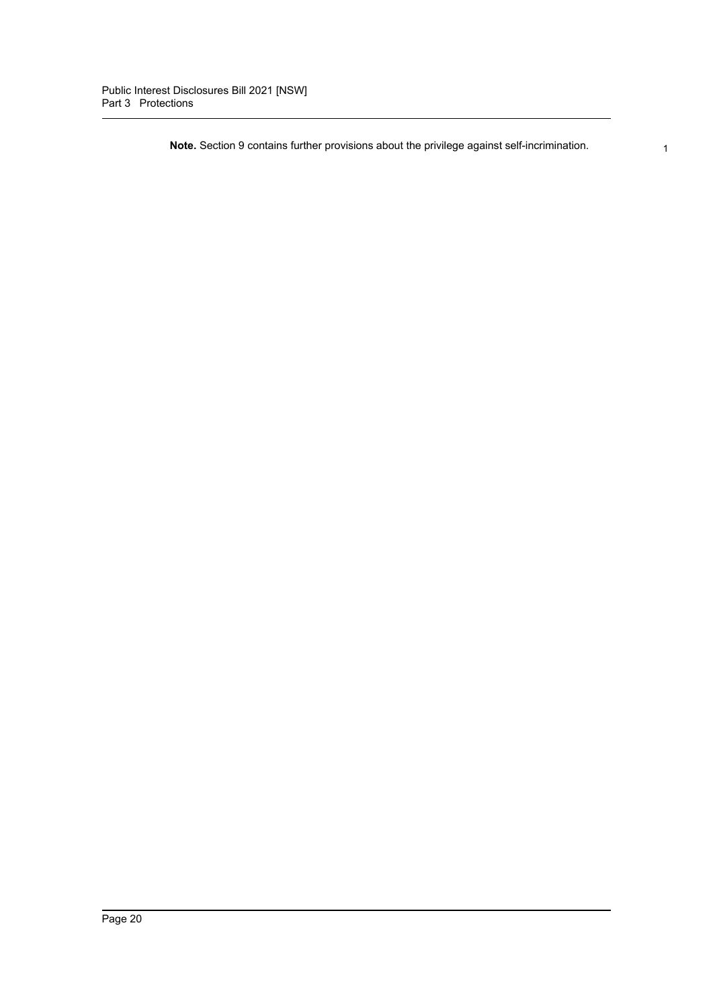**Note.** Section 9 contains further provisions about the privilege against self-incrimination.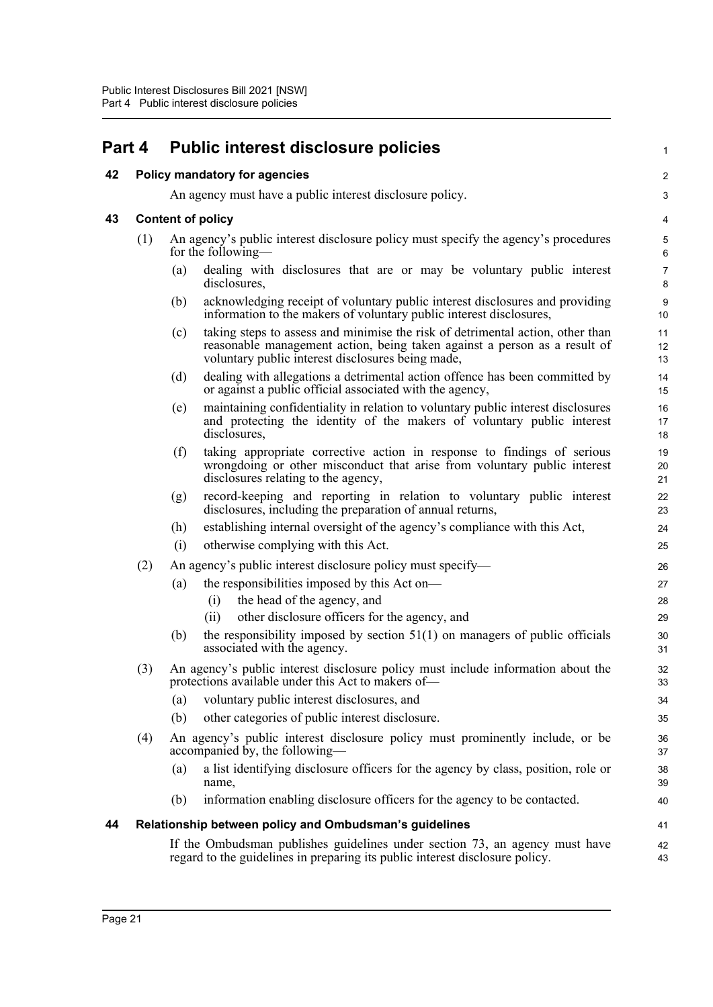| Part 4 |     | <b>Public interest disclosure policies</b>                                                                                                                                                                              | 1                       |  |  |
|--------|-----|-------------------------------------------------------------------------------------------------------------------------------------------------------------------------------------------------------------------------|-------------------------|--|--|
| 42     |     | Policy mandatory for agencies                                                                                                                                                                                           | $\overline{\mathbf{c}}$ |  |  |
|        |     | An agency must have a public interest disclosure policy.                                                                                                                                                                | 3                       |  |  |
| 43     |     | <b>Content of policy</b>                                                                                                                                                                                                |                         |  |  |
|        | (1) | An agency's public interest disclosure policy must specify the agency's procedures<br>for the following—                                                                                                                | 5<br>6                  |  |  |
|        |     | dealing with disclosures that are or may be voluntary public interest<br>(a)<br>disclosures,                                                                                                                            | 7<br>8                  |  |  |
|        |     | acknowledging receipt of voluntary public interest disclosures and providing<br>(b)<br>information to the makers of voluntary public interest disclosures,                                                              | 9<br>10                 |  |  |
|        |     | taking steps to assess and minimise the risk of detrimental action, other than<br>(c)<br>reasonable management action, being taken against a person as a result of<br>voluntary public interest disclosures being made, | 11<br>12<br>13          |  |  |
|        |     | dealing with allegations a detrimental action offence has been committed by<br>(d)<br>or against a public official associated with the agency,                                                                          | 14<br>15                |  |  |
|        |     | maintaining confidentiality in relation to voluntary public interest disclosures<br>(e)<br>and protecting the identity of the makers of voluntary public interest<br>disclosures,                                       | 16<br>17<br>18          |  |  |
|        |     | taking appropriate corrective action in response to findings of serious<br>(f)<br>wrongdoing or other misconduct that arise from voluntary public interest<br>disclosures relating to the agency,                       | 19<br>20<br>21          |  |  |
|        |     | record-keeping and reporting in relation to voluntary public interest<br>(g)<br>disclosures, including the preparation of annual returns,                                                                               | 22<br>23                |  |  |
|        |     | establishing internal oversight of the agency's compliance with this Act,<br>(h)                                                                                                                                        | 24                      |  |  |
|        |     | otherwise complying with this Act.<br>(i)                                                                                                                                                                               | 25                      |  |  |
|        | (2) | An agency's public interest disclosure policy must specify—                                                                                                                                                             | 26                      |  |  |
|        |     | the responsibilities imposed by this Act on-<br>(a)                                                                                                                                                                     | 27                      |  |  |
|        |     | the head of the agency, and<br>(i)                                                                                                                                                                                      | 28                      |  |  |
|        |     | other disclosure officers for the agency, and<br>(ii)                                                                                                                                                                   | 29                      |  |  |
|        |     | (b)<br>the responsibility imposed by section $51(1)$ on managers of public officials<br>associated with the agency.                                                                                                     | 30<br>31                |  |  |
|        | (3) | An agency's public interest disclosure policy must include information about the<br>protections available under this Act to makers of-                                                                                  | 32<br>33                |  |  |
|        |     | voluntary public interest disclosures, and<br>(a)                                                                                                                                                                       | 34                      |  |  |
|        |     | other categories of public interest disclosure.<br>(b)                                                                                                                                                                  | 35                      |  |  |
|        | (4) | An agency's public interest disclosure policy must prominently include, or be<br>accompanied by, the following—                                                                                                         | 36<br>37                |  |  |
|        |     | a list identifying disclosure officers for the agency by class, position, role or<br>(a)<br>name,                                                                                                                       | 38<br>39                |  |  |
|        |     | information enabling disclosure officers for the agency to be contacted.<br>(b)                                                                                                                                         | 40                      |  |  |
| 44     |     | Relationship between policy and Ombudsman's guidelines                                                                                                                                                                  | 41                      |  |  |
|        |     | If the Ombudsman publishes guidelines under section 73, an agency must have<br>regard to the guidelines in preparing its public interest disclosure policy.                                                             | 42<br>43                |  |  |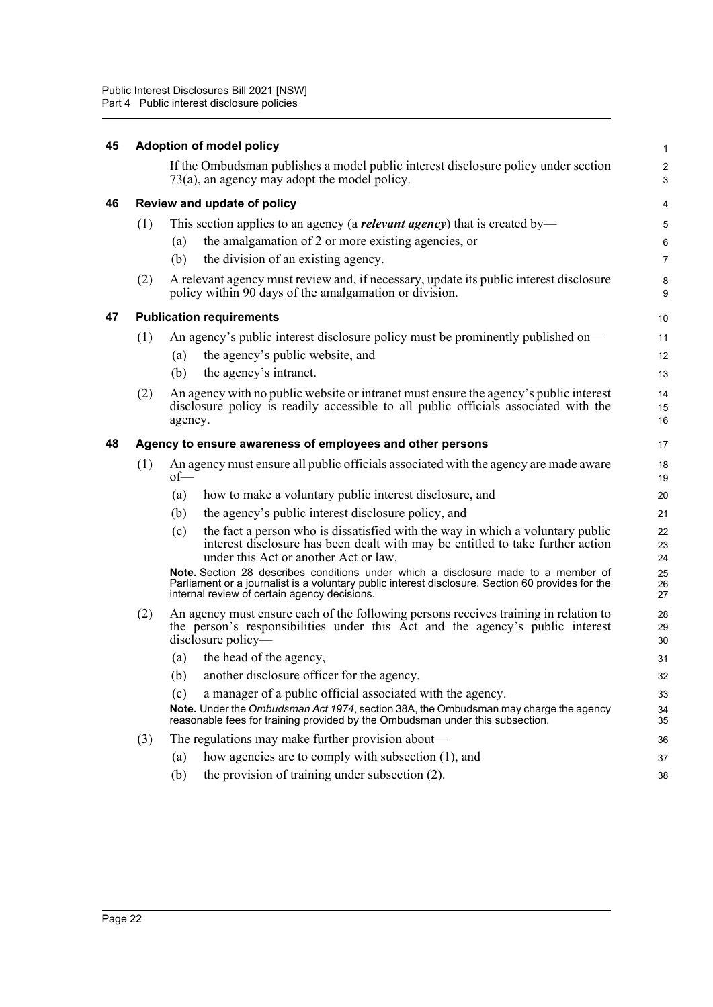| 45 |                                                                 | <b>Adoption of model policy</b>                                                                                                                                                                                                         | 1                            |  |  |  |  |
|----|-----------------------------------------------------------------|-----------------------------------------------------------------------------------------------------------------------------------------------------------------------------------------------------------------------------------------|------------------------------|--|--|--|--|
|    |                                                                 | If the Ombudsman publishes a model public interest disclosure policy under section<br>$73(a)$ , an agency may adopt the model policy.                                                                                                   | $\overline{\mathbf{c}}$<br>3 |  |  |  |  |
| 46 |                                                                 | Review and update of policy                                                                                                                                                                                                             | 4                            |  |  |  |  |
|    | (1)                                                             | This section applies to an agency (a <b><i>relevant agency</i></b> ) that is created by—                                                                                                                                                | 5                            |  |  |  |  |
|    |                                                                 | the amalgamation of 2 or more existing agencies, or<br>(a)                                                                                                                                                                              | 6                            |  |  |  |  |
|    |                                                                 | the division of an existing agency.<br>(b)                                                                                                                                                                                              | 7                            |  |  |  |  |
|    | (2)                                                             | A relevant agency must review and, if necessary, update its public interest disclosure<br>policy within 90 days of the amalgamation or division.                                                                                        | 8<br>9                       |  |  |  |  |
| 47 |                                                                 | <b>Publication requirements</b>                                                                                                                                                                                                         | 10                           |  |  |  |  |
|    | (1)                                                             | An agency's public interest disclosure policy must be prominently published on—                                                                                                                                                         | 11                           |  |  |  |  |
|    |                                                                 | the agency's public website, and<br>(a)                                                                                                                                                                                                 | 12                           |  |  |  |  |
|    |                                                                 | (b)<br>the agency's intranet.                                                                                                                                                                                                           | 13                           |  |  |  |  |
|    | (2)                                                             | An agency with no public website or intranet must ensure the agency's public interest<br>disclosure policy is readily accessible to all public officials associated with the<br>agency.                                                 | 14<br>15<br>16               |  |  |  |  |
| 48 | Agency to ensure awareness of employees and other persons<br>17 |                                                                                                                                                                                                                                         |                              |  |  |  |  |
|    | (1)                                                             | An agency must ensure all public officials associated with the agency are made aware<br>of                                                                                                                                              | 18<br>19                     |  |  |  |  |
|    |                                                                 | how to make a voluntary public interest disclosure, and<br>(a)                                                                                                                                                                          | 20                           |  |  |  |  |
|    |                                                                 | the agency's public interest disclosure policy, and<br>(b)                                                                                                                                                                              | 21                           |  |  |  |  |
|    |                                                                 | the fact a person who is dissatisfied with the way in which a voluntary public<br>(c)<br>interest disclosure has been dealt with may be entitled to take further action<br>under this Act or another Act or law.                        | 22<br>23<br>24               |  |  |  |  |
|    |                                                                 | Note. Section 28 describes conditions under which a disclosure made to a member of<br>Parliament or a journalist is a voluntary public interest disclosure. Section 60 provides for the<br>internal review of certain agency decisions. | 25<br>26<br>27               |  |  |  |  |
|    | (2)                                                             | An agency must ensure each of the following persons receives training in relation to<br>the person's responsibilities under this Act and the agency's public interest<br>disclosure policy—                                             | 28<br>29<br>30               |  |  |  |  |
|    |                                                                 | the head of the agency,<br>(a)                                                                                                                                                                                                          | 31                           |  |  |  |  |
|    |                                                                 | (b) another disclosure officer for the agency,                                                                                                                                                                                          | 32                           |  |  |  |  |
|    |                                                                 | a manager of a public official associated with the agency.<br>(c)                                                                                                                                                                       | 33                           |  |  |  |  |
|    |                                                                 | Note. Under the Ombudsman Act 1974, section 38A, the Ombudsman may charge the agency<br>reasonable fees for training provided by the Ombudsman under this subsection.                                                                   | 34<br>35                     |  |  |  |  |
|    | (3)                                                             | The regulations may make further provision about—                                                                                                                                                                                       | 36                           |  |  |  |  |
|    |                                                                 | how agencies are to comply with subsection (1), and<br>(a)                                                                                                                                                                              | 37                           |  |  |  |  |
|    |                                                                 | (b)<br>the provision of training under subsection (2).                                                                                                                                                                                  | 38                           |  |  |  |  |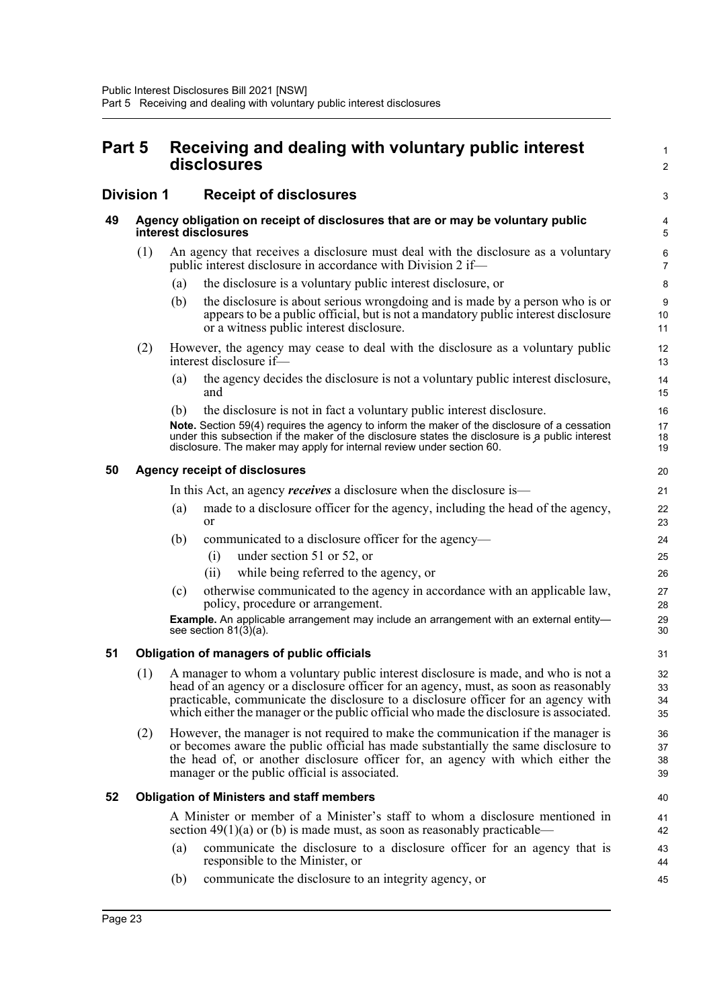| Part 5 |                   | Receiving and dealing with voluntary public interest<br>disclosures |                                                                                                                                                                                                                                                                                                                                                                | $\mathbf{1}$<br>$\overline{2}$ |
|--------|-------------------|---------------------------------------------------------------------|----------------------------------------------------------------------------------------------------------------------------------------------------------------------------------------------------------------------------------------------------------------------------------------------------------------------------------------------------------------|--------------------------------|
|        | <b>Division 1</b> |                                                                     | <b>Receipt of disclosures</b>                                                                                                                                                                                                                                                                                                                                  | 3                              |
| 49     |                   |                                                                     | Agency obligation on receipt of disclosures that are or may be voluntary public<br>interest disclosures                                                                                                                                                                                                                                                        | 4<br>5                         |
|        | (1)               |                                                                     | An agency that receives a disclosure must deal with the disclosure as a voluntary<br>public interest disclosure in accordance with Division 2 if—                                                                                                                                                                                                              | 6<br>$\overline{7}$            |
|        |                   | (a)                                                                 | the disclosure is a voluntary public interest disclosure, or                                                                                                                                                                                                                                                                                                   | 8                              |
|        |                   | (b)                                                                 | the disclosure is about serious wrongdoing and is made by a person who is or<br>appears to be a public official, but is not a mandatory public interest disclosure<br>or a witness public interest disclosure.                                                                                                                                                 | 9<br>10<br>11                  |
|        | (2)               |                                                                     | However, the agency may cease to deal with the disclosure as a voluntary public<br>interest disclosure if—                                                                                                                                                                                                                                                     | 12<br>13                       |
|        |                   | (a)                                                                 | the agency decides the disclosure is not a voluntary public interest disclosure,<br>and                                                                                                                                                                                                                                                                        | 14<br>15                       |
|        |                   | (b)                                                                 | the disclosure is not in fact a voluntary public interest disclosure.                                                                                                                                                                                                                                                                                          | 16                             |
|        |                   |                                                                     | Note. Section 59(4) requires the agency to inform the maker of the disclosure of a cessation<br>under this subsection if the maker of the disclosure states the disclosure is a public interest<br>disclosure. The maker may apply for internal review under section 60.                                                                                       | 17<br>18<br>19                 |
| 50     |                   |                                                                     | <b>Agency receipt of disclosures</b>                                                                                                                                                                                                                                                                                                                           | 20                             |
|        |                   |                                                                     | In this Act, an agency <i>receives</i> a disclosure when the disclosure is—                                                                                                                                                                                                                                                                                    | 21                             |
|        |                   | (a)                                                                 | made to a disclosure officer for the agency, including the head of the agency,<br><b>or</b>                                                                                                                                                                                                                                                                    | 22<br>23                       |
|        |                   | (b)                                                                 | communicated to a disclosure officer for the agency—                                                                                                                                                                                                                                                                                                           | 24                             |
|        |                   |                                                                     | under section 51 or 52, or<br>(i)                                                                                                                                                                                                                                                                                                                              | 25                             |
|        |                   |                                                                     | while being referred to the agency, or<br>(ii)                                                                                                                                                                                                                                                                                                                 | 26                             |
|        |                   | (c)                                                                 | otherwise communicated to the agency in accordance with an applicable law,<br>policy, procedure or arrangement.                                                                                                                                                                                                                                                | 27<br>28                       |
|        |                   |                                                                     | <b>Example.</b> An applicable arrangement may include an arrangement with an external entity-<br>see section $81(3)(a)$ .                                                                                                                                                                                                                                      | 29<br>30                       |
| 51     |                   |                                                                     | <b>Obligation of managers of public officials</b>                                                                                                                                                                                                                                                                                                              | 31                             |
|        |                   |                                                                     | (1) A manager to whom a voluntary public interest disclosure is made, and who is not a<br>head of an agency or a disclosure officer for an agency, must, as soon as reasonably<br>practicable, communicate the disclosure to a disclosure officer for an agency with<br>which either the manager or the public official who made the disclosure is associated. | 32<br>33<br>34<br>35           |
|        | (2)               |                                                                     | However, the manager is not required to make the communication if the manager is<br>or becomes aware the public official has made substantially the same disclosure to<br>the head of, or another disclosure officer for, an agency with which either the<br>manager or the public official is associated.                                                     | 36<br>37<br>38<br>39           |
| 52     |                   |                                                                     | <b>Obligation of Ministers and staff members</b>                                                                                                                                                                                                                                                                                                               | 40                             |
|        |                   |                                                                     | A Minister or member of a Minister's staff to whom a disclosure mentioned in<br>section $49(1)(a)$ or (b) is made must, as soon as reasonably practicable—                                                                                                                                                                                                     | 41<br>42                       |
|        |                   | (a)                                                                 | communicate the disclosure to a disclosure officer for an agency that is<br>responsible to the Minister, or                                                                                                                                                                                                                                                    | 43<br>44                       |
|        |                   | (b)                                                                 | communicate the disclosure to an integrity agency, or                                                                                                                                                                                                                                                                                                          | 45                             |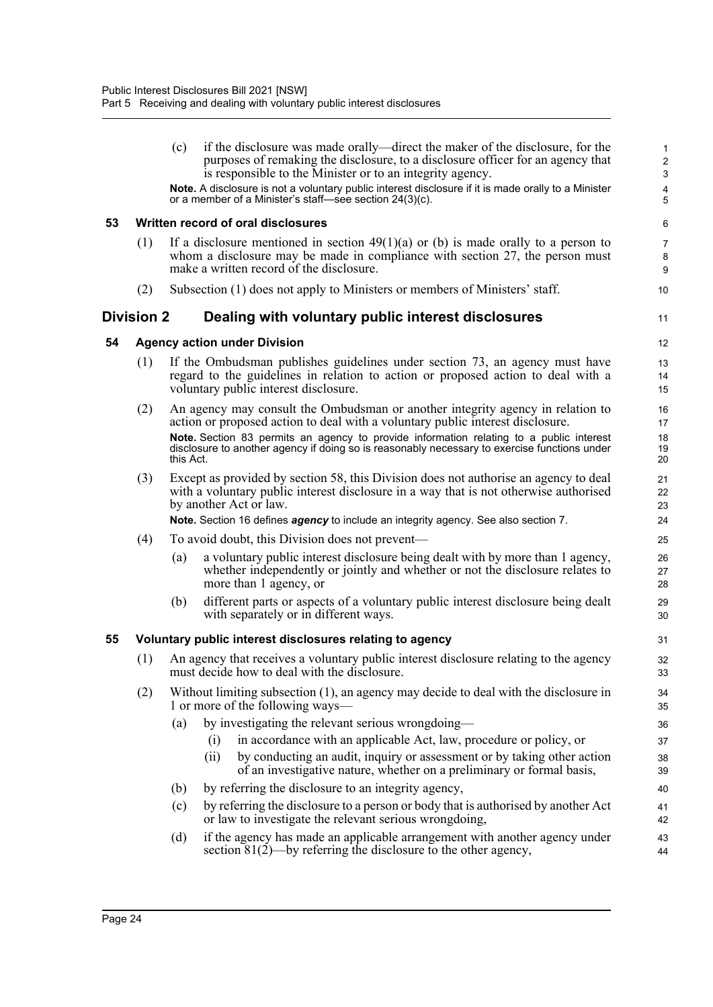|    |            | if the disclosure was made orally—direct the maker of the disclosure, for the<br>(c)<br>purposes of remaking the disclosure, to a disclosure officer for an agency that<br>is responsible to the Minister or to an integrity agency.<br>Note. A disclosure is not a voluntary public interest disclosure if it is made orally to a Minister | $\mathbf{1}$<br>$\sqrt{2}$<br>$\sqrt{3}$<br>4 |
|----|------------|---------------------------------------------------------------------------------------------------------------------------------------------------------------------------------------------------------------------------------------------------------------------------------------------------------------------------------------------|-----------------------------------------------|
|    |            | or a member of a Minister's staff-see section 24(3)(c).                                                                                                                                                                                                                                                                                     | 5                                             |
| 53 |            | Written record of oral disclosures                                                                                                                                                                                                                                                                                                          | 6                                             |
|    | (1)        | If a disclosure mentioned in section $49(1)(a)$ or (b) is made orally to a person to<br>whom a disclosure may be made in compliance with section 27, the person must<br>make a written record of the disclosure.                                                                                                                            | $\overline{7}$<br>8<br>9                      |
|    | (2)        | Subsection (1) does not apply to Ministers or members of Ministers' staff.                                                                                                                                                                                                                                                                  | 10                                            |
|    | Division 2 | Dealing with voluntary public interest disclosures                                                                                                                                                                                                                                                                                          | 11                                            |
| 54 |            | <b>Agency action under Division</b>                                                                                                                                                                                                                                                                                                         | 12                                            |
|    | (1)        | If the Ombudsman publishes guidelines under section 73, an agency must have<br>regard to the guidelines in relation to action or proposed action to deal with a<br>voluntary public interest disclosure.                                                                                                                                    | 13<br>14<br>15                                |
|    | (2)        | An agency may consult the Ombudsman or another integrity agency in relation to<br>action or proposed action to deal with a voluntary public interest disclosure.                                                                                                                                                                            | 16<br>17                                      |
|    |            | Note. Section 83 permits an agency to provide information relating to a public interest<br>disclosure to another agency if doing so is reasonably necessary to exercise functions under<br>this Act.                                                                                                                                        | 18<br>19<br>20                                |
|    | (3)        | Except as provided by section 58, this Division does not authorise an agency to deal<br>with a voluntary public interest disclosure in a way that is not otherwise authorised<br>by another Act or law.                                                                                                                                     | 21<br>22<br>23                                |
|    |            | Note. Section 16 defines <i>agency</i> to include an integrity agency. See also section 7.                                                                                                                                                                                                                                                  | 24                                            |
|    | (4)        | To avoid doubt, this Division does not prevent-                                                                                                                                                                                                                                                                                             | 25                                            |
|    |            | a voluntary public interest disclosure being dealt with by more than 1 agency,<br>(a)<br>whether independently or jointly and whether or not the disclosure relates to<br>more than 1 agency, or                                                                                                                                            | 26<br>27<br>28                                |
|    |            | different parts or aspects of a voluntary public interest disclosure being dealt<br>(b)<br>with separately or in different ways.                                                                                                                                                                                                            | 29<br>30                                      |
| 55 |            | Voluntary public interest disclosures relating to agency                                                                                                                                                                                                                                                                                    | 31                                            |
|    | (1)        | An agency that receives a voluntary public interest disclosure relating to the agency<br>must decide how to deal with the disclosure.                                                                                                                                                                                                       | 32<br>33                                      |
|    | (2)        | Without limiting subsection (1), an agency may decide to deal with the disclosure in<br>1 or more of the following ways—                                                                                                                                                                                                                    | 34<br>35                                      |
|    |            | by investigating the relevant serious wrongdoing—<br>(a)                                                                                                                                                                                                                                                                                    | 36                                            |
|    |            | in accordance with an applicable Act, law, procedure or policy, or<br>(i)                                                                                                                                                                                                                                                                   | 37                                            |
|    |            | by conducting an audit, inquiry or assessment or by taking other action<br>(ii)<br>of an investigative nature, whether on a preliminary or formal basis,                                                                                                                                                                                    | 38<br>39                                      |
|    |            | by referring the disclosure to an integrity agency,<br>(b)                                                                                                                                                                                                                                                                                  | 40                                            |
|    |            | by referring the disclosure to a person or body that is authorised by another Act<br>(c)<br>or law to investigate the relevant serious wrongdoing,                                                                                                                                                                                          | 41<br>42                                      |
|    |            | (d)<br>if the agency has made an applicable arrangement with another agency under<br>section $81(2)$ —by referring the disclosure to the other agency,                                                                                                                                                                                      | 43<br>44                                      |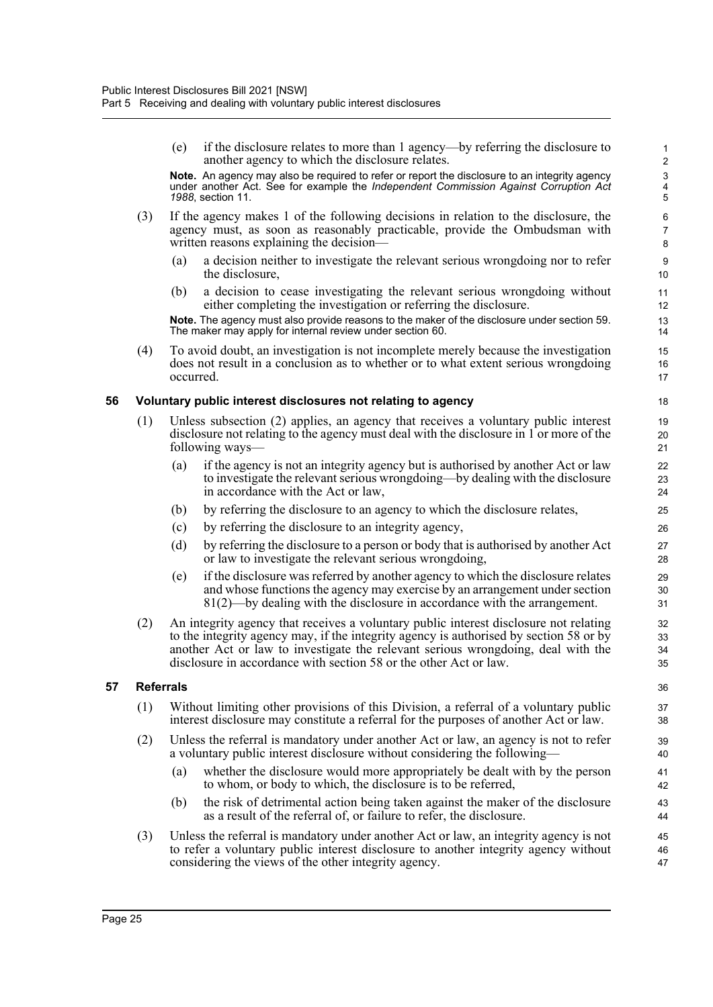(e) if the disclosure relates to more than 1 agency—by referring the disclosure to another agency to which the disclosure relates. **Note.** An agency may also be required to refer or report the disclosure to an integrity agency under another Act. See for example the *Independent Commission Against Corruption Act 1988*, section 11. (3) If the agency makes 1 of the following decisions in relation to the disclosure, the agency must, as soon as reasonably practicable, provide the Ombudsman with written reasons explaining the decision— (a) a decision neither to investigate the relevant serious wrongdoing nor to refer the disclosure, (b) a decision to cease investigating the relevant serious wrongdoing without either completing the investigation or referring the disclosure. **Note.** The agency must also provide reasons to the maker of the disclosure under section 59. The maker may apply for internal review under section 60. (4) To avoid doubt, an investigation is not incomplete merely because the investigation does not result in a conclusion as to whether or to what extent serious wrongdoing occurred. **56 Voluntary public interest disclosures not relating to agency** (1) Unless subsection (2) applies, an agency that receives a voluntary public interest disclosure not relating to the agency must deal with the disclosure in 1 or more of the following ways— (a) if the agency is not an integrity agency but is authorised by another Act or law to investigate the relevant serious wrongdoing—by dealing with the disclosure in accordance with the Act or law, (b) by referring the disclosure to an agency to which the disclosure relates, (c) by referring the disclosure to an integrity agency, (d) by referring the disclosure to a person or body that is authorised by another Act or law to investigate the relevant serious wrongdoing, (e) if the disclosure was referred by another agency to which the disclosure relates and whose functions the agency may exercise by an arrangement under section 81(2)—by dealing with the disclosure in accordance with the arrangement. (2) An integrity agency that receives a voluntary public interest disclosure not relating to the integrity agency may, if the integrity agency is authorised by section 58 or by another Act or law to investigate the relevant serious wrongdoing, deal with the disclosure in accordance with section 58 or the other Act or law. **57 Referrals** (1) Without limiting other provisions of this Division, a referral of a voluntary public interest disclosure may constitute a referral for the purposes of another Act or law. (2) Unless the referral is mandatory under another Act or law, an agency is not to refer a voluntary public interest disclosure without considering the following— (a) whether the disclosure would more appropriately be dealt with by the person to whom, or body to which, the disclosure is to be referred, (b) the risk of detrimental action being taken against the maker of the disclosure as a result of the referral of, or failure to refer, the disclosure. (3) Unless the referral is mandatory under another Act or law, an integrity agency is not to refer a voluntary public interest disclosure to another integrity agency without considering the views of the other integrity agency. 1 2 3 4 5 6 7 8 9 10 11 12 13 14 15 16 17 18 19 20 21 22 23 24 25 26 27 28 29 30 31 32 33 34 35 36 37 38 39 40 41 42 43 44 45 46 47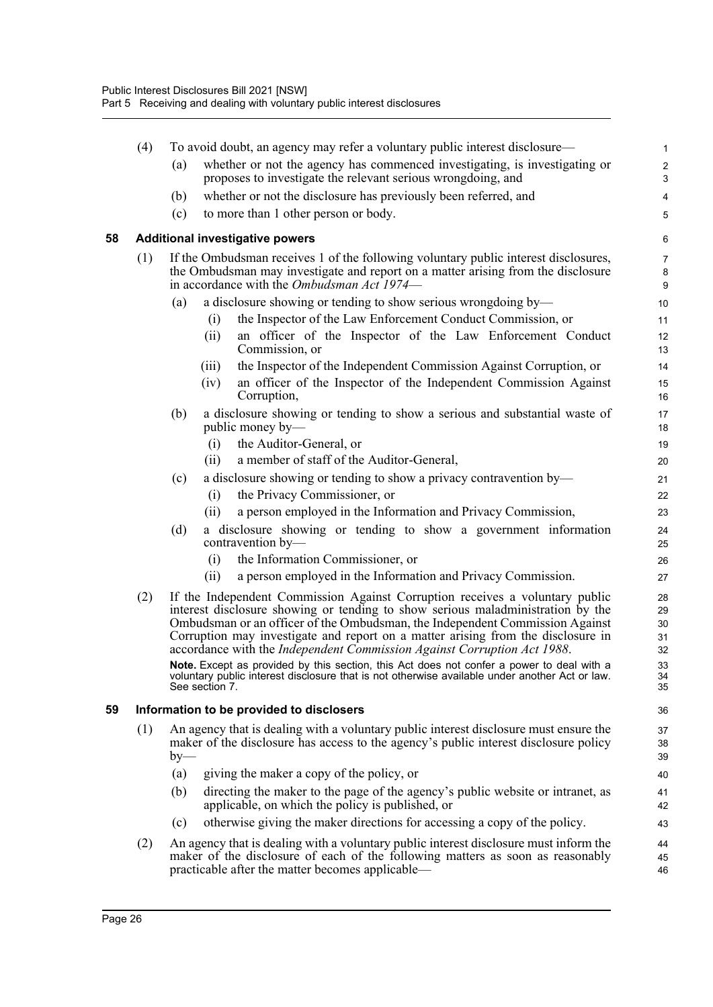|    | (4) |       | To avoid doubt, an agency may refer a voluntary public interest disclosure—                                                                                                                                                                                                                                                                                                                                                                                                                                                                                                                                                     | $\mathbf{1}$                                  |
|----|-----|-------|---------------------------------------------------------------------------------------------------------------------------------------------------------------------------------------------------------------------------------------------------------------------------------------------------------------------------------------------------------------------------------------------------------------------------------------------------------------------------------------------------------------------------------------------------------------------------------------------------------------------------------|-----------------------------------------------|
|    |     | (a)   | whether or not the agency has commenced investigating, is investigating or<br>proposes to investigate the relevant serious wrongdoing, and                                                                                                                                                                                                                                                                                                                                                                                                                                                                                      | $\overline{2}$<br>3                           |
|    |     | (b)   | whether or not the disclosure has previously been referred, and                                                                                                                                                                                                                                                                                                                                                                                                                                                                                                                                                                 | 4                                             |
|    |     | (c)   | to more than 1 other person or body.                                                                                                                                                                                                                                                                                                                                                                                                                                                                                                                                                                                            | 5                                             |
| 58 |     |       | <b>Additional investigative powers</b>                                                                                                                                                                                                                                                                                                                                                                                                                                                                                                                                                                                          | 6                                             |
|    | (1) |       | If the Ombudsman receives 1 of the following voluntary public interest disclosures,<br>the Ombudsman may investigate and report on a matter arising from the disclosure<br>in accordance with the <i>Ombudsman Act</i> 1974—                                                                                                                                                                                                                                                                                                                                                                                                    | $\overline{7}$<br>$\bf 8$<br>$\boldsymbol{9}$ |
|    |     | (a)   | a disclosure showing or tending to show serious wrongdoing by-                                                                                                                                                                                                                                                                                                                                                                                                                                                                                                                                                                  | 10                                            |
|    |     |       | the Inspector of the Law Enforcement Conduct Commission, or<br>(i)                                                                                                                                                                                                                                                                                                                                                                                                                                                                                                                                                              | 11                                            |
|    |     |       | an officer of the Inspector of the Law Enforcement Conduct<br>(ii)<br>Commission, or                                                                                                                                                                                                                                                                                                                                                                                                                                                                                                                                            | 12<br>13                                      |
|    |     |       | the Inspector of the Independent Commission Against Corruption, or<br>(iii)<br>an officer of the Inspector of the Independent Commission Against<br>(iv)<br>Corruption,                                                                                                                                                                                                                                                                                                                                                                                                                                                         | 14<br>15<br>16                                |
|    |     | (b)   | a disclosure showing or tending to show a serious and substantial waste of<br>public money by-                                                                                                                                                                                                                                                                                                                                                                                                                                                                                                                                  | 17<br>18                                      |
|    |     |       | the Auditor-General, or<br>(i)                                                                                                                                                                                                                                                                                                                                                                                                                                                                                                                                                                                                  | 19                                            |
|    |     |       | a member of staff of the Auditor-General,<br>(i)                                                                                                                                                                                                                                                                                                                                                                                                                                                                                                                                                                                | 20                                            |
|    |     | (c)   | a disclosure showing or tending to show a privacy contravention by-                                                                                                                                                                                                                                                                                                                                                                                                                                                                                                                                                             | 21                                            |
|    |     |       | the Privacy Commissioner, or<br>(i)                                                                                                                                                                                                                                                                                                                                                                                                                                                                                                                                                                                             | 22                                            |
|    |     |       | a person employed in the Information and Privacy Commission,<br>(ii)                                                                                                                                                                                                                                                                                                                                                                                                                                                                                                                                                            | 23                                            |
|    |     | (d)   | a disclosure showing or tending to show a government information<br>contravention by-                                                                                                                                                                                                                                                                                                                                                                                                                                                                                                                                           | 24<br>25                                      |
|    |     |       | the Information Commissioner, or<br>(i)                                                                                                                                                                                                                                                                                                                                                                                                                                                                                                                                                                                         | 26                                            |
|    |     |       | a person employed in the Information and Privacy Commission.<br>(ii)                                                                                                                                                                                                                                                                                                                                                                                                                                                                                                                                                            | 27                                            |
|    | (2) |       | If the Independent Commission Against Corruption receives a voluntary public<br>interest disclosure showing or tending to show serious maladministration by the<br>Ombudsman or an officer of the Ombudsman, the Independent Commission Against<br>Corruption may investigate and report on a matter arising from the disclosure in<br>accordance with the Independent Commission Against Corruption Act 1988.<br>Note. Except as provided by this section, this Act does not confer a power to deal with a<br>voluntary public interest disclosure that is not otherwise available under another Act or law.<br>See section 7. | 28<br>29<br>30<br>31<br>32<br>33<br>34<br>35  |
| 59 |     |       | Information to be provided to disclosers                                                                                                                                                                                                                                                                                                                                                                                                                                                                                                                                                                                        | 36                                            |
|    | (1) | $by-$ | An agency that is dealing with a voluntary public interest disclosure must ensure the<br>maker of the disclosure has access to the agency's public interest disclosure policy                                                                                                                                                                                                                                                                                                                                                                                                                                                   | 37<br>38<br>39                                |
|    |     | (a)   | giving the maker a copy of the policy, or                                                                                                                                                                                                                                                                                                                                                                                                                                                                                                                                                                                       | 40                                            |
|    |     | (b)   | directing the maker to the page of the agency's public website or intranet, as<br>applicable, on which the policy is published, or                                                                                                                                                                                                                                                                                                                                                                                                                                                                                              | 41<br>42                                      |
|    |     | (c)   | otherwise giving the maker directions for accessing a copy of the policy.                                                                                                                                                                                                                                                                                                                                                                                                                                                                                                                                                       | 43                                            |
|    | (2) |       | An agency that is dealing with a voluntary public interest disclosure must inform the<br>maker of the disclosure of each of the following matters as soon as reasonably<br>practicable after the matter becomes applicable—                                                                                                                                                                                                                                                                                                                                                                                                     | 44<br>45<br>46                                |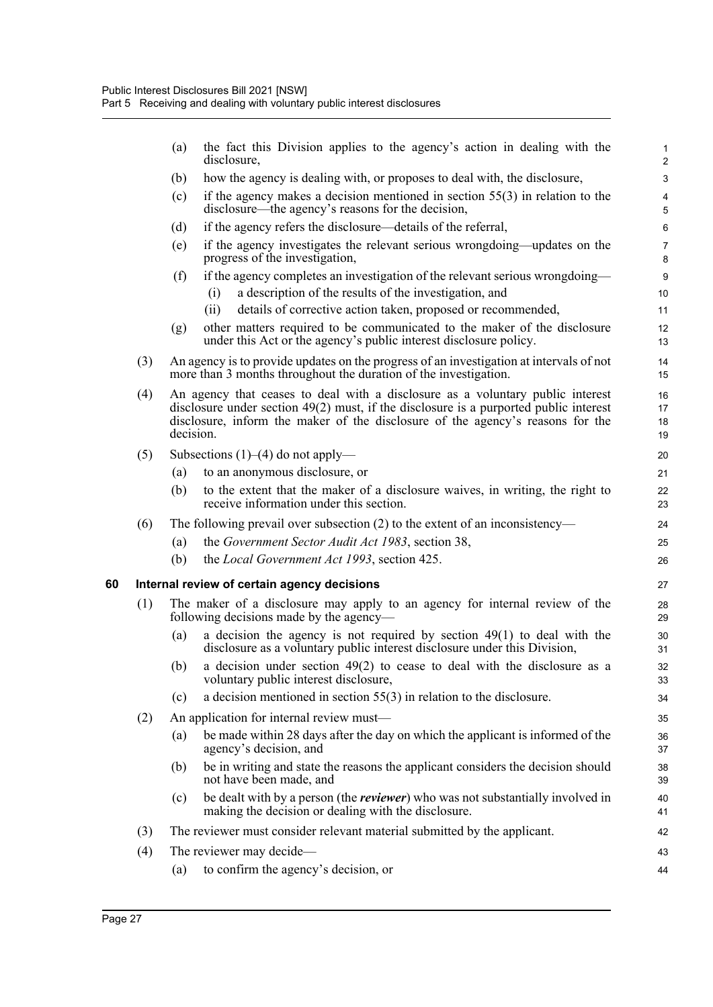|    |     | (a)                                                                                                                    | the fact this Division applies to the agency's action in dealing with the<br>disclosure,                                                                                                                                                                    | $\mathbf{1}$<br>$\overline{2}$ |  |  |
|----|-----|------------------------------------------------------------------------------------------------------------------------|-------------------------------------------------------------------------------------------------------------------------------------------------------------------------------------------------------------------------------------------------------------|--------------------------------|--|--|
|    |     | (b)                                                                                                                    | how the agency is dealing with, or proposes to deal with, the disclosure,                                                                                                                                                                                   | 3                              |  |  |
|    |     | (c)                                                                                                                    | if the agency makes a decision mentioned in section $55(3)$ in relation to the<br>disclosure—the agency's reasons for the decision,                                                                                                                         | $\overline{\mathbf{4}}$<br>5   |  |  |
|    |     | (d)                                                                                                                    | if the agency refers the disclosure—details of the referral,                                                                                                                                                                                                | 6                              |  |  |
|    |     | (e)                                                                                                                    | if the agency investigates the relevant serious wrongdoing—updates on the<br>progress of the investigation,                                                                                                                                                 | $\overline{7}$<br>8            |  |  |
|    |     | (f)                                                                                                                    | if the agency completes an investigation of the relevant serious wrongdoing—                                                                                                                                                                                | $\boldsymbol{9}$               |  |  |
|    |     |                                                                                                                        | a description of the results of the investigation, and<br>(i)                                                                                                                                                                                               | 10                             |  |  |
|    |     |                                                                                                                        | details of corrective action taken, proposed or recommended,<br>(ii)                                                                                                                                                                                        | 11                             |  |  |
|    |     | (g)                                                                                                                    | other matters required to be communicated to the maker of the disclosure<br>under this Act or the agency's public interest disclosure policy.                                                                                                               | 12<br>13                       |  |  |
|    | (3) |                                                                                                                        | An agency is to provide updates on the progress of an investigation at intervals of not<br>more than 3 months throughout the duration of the investigation.                                                                                                 | 14<br>15                       |  |  |
|    | (4) | decision.                                                                                                              | An agency that ceases to deal with a disclosure as a voluntary public interest<br>disclosure under section $49(2)$ must, if the disclosure is a purported public interest<br>disclosure, inform the maker of the disclosure of the agency's reasons for the | 16<br>17<br>18<br>19           |  |  |
|    | (5) |                                                                                                                        | Subsections $(1)$ – $(4)$ do not apply—                                                                                                                                                                                                                     | 20                             |  |  |
|    |     | (a)                                                                                                                    | to an anonymous disclosure, or                                                                                                                                                                                                                              | 21                             |  |  |
|    |     | (b)                                                                                                                    | to the extent that the maker of a disclosure waives, in writing, the right to<br>receive information under this section.                                                                                                                                    | 22<br>23                       |  |  |
|    | (6) |                                                                                                                        | The following prevail over subsection $(2)$ to the extent of an inconsistency—                                                                                                                                                                              | 24                             |  |  |
|    |     | (a)                                                                                                                    | the Government Sector Audit Act 1983, section 38,                                                                                                                                                                                                           | 25                             |  |  |
|    |     | (b)                                                                                                                    | the Local Government Act 1993, section 425.                                                                                                                                                                                                                 | 26                             |  |  |
| 60 |     |                                                                                                                        | Internal review of certain agency decisions                                                                                                                                                                                                                 | 27                             |  |  |
|    | (1) | The maker of a disclosure may apply to an agency for internal review of the<br>following decisions made by the agency— |                                                                                                                                                                                                                                                             |                                |  |  |
|    |     | (a)                                                                                                                    | a decision the agency is not required by section $49(1)$ to deal with the<br>disclosure as a voluntary public interest disclosure under this Division,                                                                                                      | 30<br>31                       |  |  |
|    |     | (b)                                                                                                                    | a decision under section $49(2)$ to cease to deal with the disclosure as a<br>voluntary public interest disclosure,                                                                                                                                         | 32<br>33                       |  |  |
|    |     | (c)                                                                                                                    | a decision mentioned in section $55(3)$ in relation to the disclosure.                                                                                                                                                                                      | 34                             |  |  |
|    | (2) |                                                                                                                        | An application for internal review must—                                                                                                                                                                                                                    | 35                             |  |  |
|    |     | (a)                                                                                                                    | be made within 28 days after the day on which the applicant is informed of the<br>agency's decision, and                                                                                                                                                    | 36<br>37                       |  |  |
|    |     | (b)                                                                                                                    | be in writing and state the reasons the applicant considers the decision should<br>not have been made, and                                                                                                                                                  | 38<br>39                       |  |  |
|    |     | (c)                                                                                                                    | be dealt with by a person (the <i>reviewer</i> ) who was not substantially involved in<br>making the decision or dealing with the disclosure.                                                                                                               | 40<br>41                       |  |  |
|    | (3) |                                                                                                                        | The reviewer must consider relevant material submitted by the applicant.                                                                                                                                                                                    | 42                             |  |  |
|    | (4) |                                                                                                                        | The reviewer may decide—                                                                                                                                                                                                                                    | 43                             |  |  |
|    |     | (a)                                                                                                                    | to confirm the agency's decision, or                                                                                                                                                                                                                        | 44                             |  |  |
|    |     |                                                                                                                        |                                                                                                                                                                                                                                                             |                                |  |  |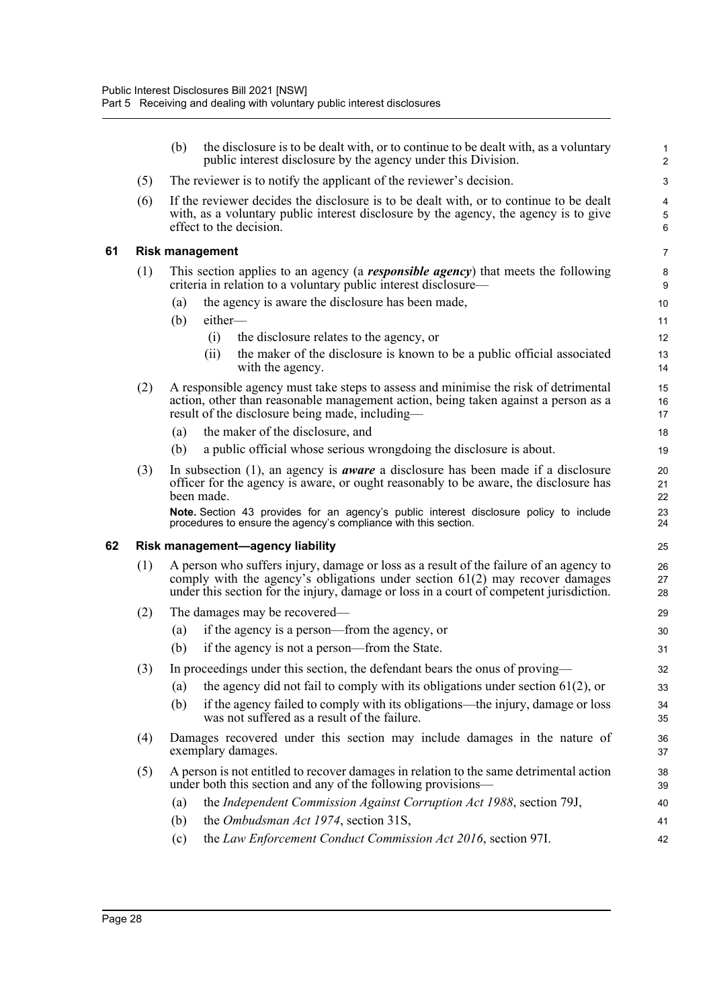|    |     | (b)                                                                                                                                                                 | the disclosure is to be dealt with, or to continue to be dealt with, as a voluntary<br>public interest disclosure by the agency under this Division.                                                                                                                | 1<br>$\overline{2}$   |  |  |
|----|-----|---------------------------------------------------------------------------------------------------------------------------------------------------------------------|---------------------------------------------------------------------------------------------------------------------------------------------------------------------------------------------------------------------------------------------------------------------|-----------------------|--|--|
|    | (5) |                                                                                                                                                                     | The reviewer is to notify the applicant of the reviewer's decision.                                                                                                                                                                                                 | 3                     |  |  |
|    | (6) |                                                                                                                                                                     | If the reviewer decides the disclosure is to be dealt with, or to continue to be dealt<br>with, as a voluntary public interest disclosure by the agency, the agency is to give<br>effect to the decision.                                                           | 4<br>$\mathbf 5$<br>6 |  |  |
| 61 |     |                                                                                                                                                                     | <b>Risk management</b>                                                                                                                                                                                                                                              | $\overline{7}$        |  |  |
|    | (1) | This section applies to an agency (a <b><i>responsible agency</i></b> ) that meets the following<br>criteria in relation to a voluntary public interest disclosure— |                                                                                                                                                                                                                                                                     |                       |  |  |
|    |     | (a)                                                                                                                                                                 | the agency is aware the disclosure has been made,                                                                                                                                                                                                                   | 10                    |  |  |
|    |     | (b)                                                                                                                                                                 | either-                                                                                                                                                                                                                                                             | 11                    |  |  |
|    |     |                                                                                                                                                                     | (i)<br>the disclosure relates to the agency, or                                                                                                                                                                                                                     | 12                    |  |  |
|    |     |                                                                                                                                                                     | the maker of the disclosure is known to be a public official associated<br>(ii)<br>with the agency.                                                                                                                                                                 | 13<br>14              |  |  |
|    | (2) |                                                                                                                                                                     | A responsible agency must take steps to assess and minimise the risk of detrimental<br>action, other than reasonable management action, being taken against a person as a<br>result of the disclosure being made, including—                                        | 15<br>16<br>17        |  |  |
|    |     | (a)                                                                                                                                                                 | the maker of the disclosure, and                                                                                                                                                                                                                                    | 18                    |  |  |
|    |     | (b)                                                                                                                                                                 | a public official whose serious wrongdoing the disclosure is about.                                                                                                                                                                                                 | 19                    |  |  |
|    | (3) |                                                                                                                                                                     | In subsection $(1)$ , an agency is <i>aware</i> a disclosure has been made if a disclosure<br>officer for the agency is aware, or ought reasonably to be aware, the disclosure has<br>been made.                                                                    | 20<br>21<br>22        |  |  |
|    |     |                                                                                                                                                                     | Note. Section 43 provides for an agency's public interest disclosure policy to include<br>procedures to ensure the agency's compliance with this section.                                                                                                           | 23<br>24              |  |  |
| 62 |     |                                                                                                                                                                     | Risk management-agency liability                                                                                                                                                                                                                                    | 25                    |  |  |
|    | (1) |                                                                                                                                                                     | A person who suffers injury, damage or loss as a result of the failure of an agency to<br>comply with the agency's obligations under section $61(2)$ may recover damages<br>under this section for the injury, damage or loss in a court of competent jurisdiction. | 26<br>27<br>28        |  |  |
|    | (2) |                                                                                                                                                                     | The damages may be recovered—                                                                                                                                                                                                                                       | 29                    |  |  |
|    |     | $\left( a\right)$                                                                                                                                                   | if the agency is a person—from the agency, or                                                                                                                                                                                                                       | 30                    |  |  |
|    |     | (b)                                                                                                                                                                 | if the agency is not a person—from the State.                                                                                                                                                                                                                       | 31                    |  |  |
|    |     |                                                                                                                                                                     | (3) In proceedings under this section, the defendant bears the onus of proving-                                                                                                                                                                                     | 32                    |  |  |
|    |     | $\left( a\right)$                                                                                                                                                   | the agency did not fail to comply with its obligations under section $61(2)$ , or                                                                                                                                                                                   | 33                    |  |  |
|    |     | (b)                                                                                                                                                                 | if the agency failed to comply with its obligations—the injury, damage or loss<br>was not suffered as a result of the failure.                                                                                                                                      | 34<br>35              |  |  |
|    | (4) | Damages recovered under this section may include damages in the nature of<br>exemplary damages.                                                                     |                                                                                                                                                                                                                                                                     |                       |  |  |
|    | (5) |                                                                                                                                                                     | A person is not entitled to recover damages in relation to the same detrimental action<br>under both this section and any of the following provisions—                                                                                                              | 38<br>39              |  |  |
|    |     | (a)                                                                                                                                                                 | the Independent Commission Against Corruption Act 1988, section 79J,                                                                                                                                                                                                | 40                    |  |  |
|    |     | (b)                                                                                                                                                                 | the Ombudsman Act 1974, section 31S,                                                                                                                                                                                                                                | 41                    |  |  |
|    |     | (c)                                                                                                                                                                 | the Law Enforcement Conduct Commission Act 2016, section 97I.                                                                                                                                                                                                       | 42                    |  |  |

(c) the *Law Enforcement Conduct Commission Act 2016*, section 97I.

**61 Risk management**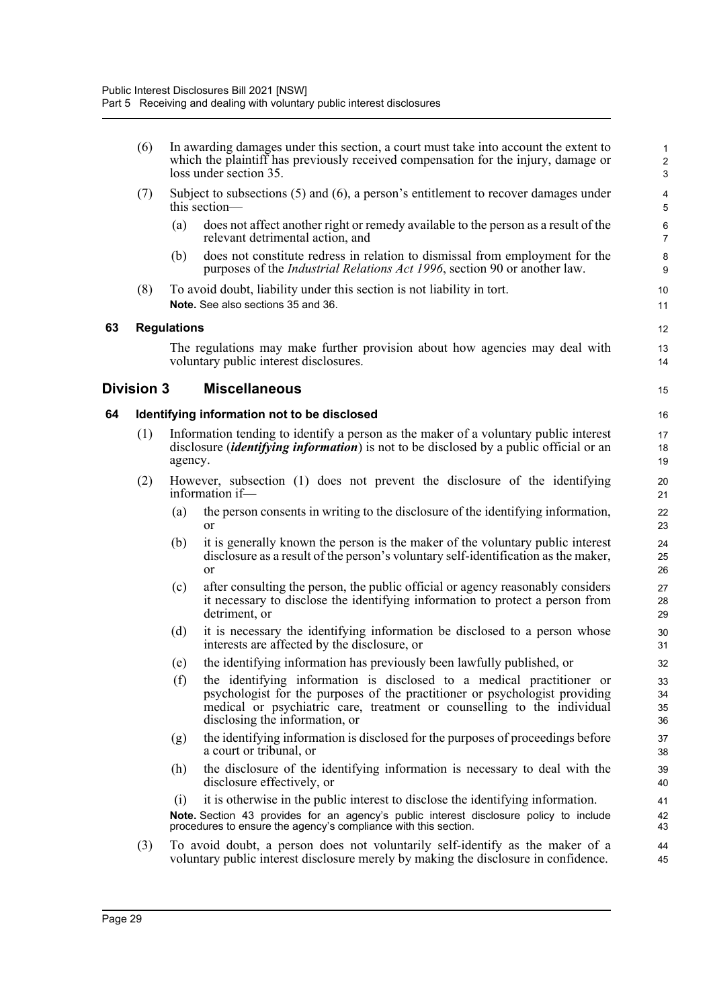|    | (6)               |                    | In awarding damages under this section, a court must take into account the extent to<br>which the plaintiff has previously received compensation for the injury, damage or<br>loss under section 35.                                                              | $\mathbf{1}$<br>$\overline{c}$<br>$\mathbf{3}$ |
|----|-------------------|--------------------|-------------------------------------------------------------------------------------------------------------------------------------------------------------------------------------------------------------------------------------------------------------------|------------------------------------------------|
|    | (7)               |                    | Subject to subsections $(5)$ and $(6)$ , a person's entitlement to recover damages under<br>this section—                                                                                                                                                         | $\overline{\mathbf{4}}$<br>5                   |
|    |                   | (a)                | does not affect another right or remedy available to the person as a result of the<br>relevant detrimental action, and                                                                                                                                            | 6<br>$\overline{7}$                            |
|    |                   | (b)                | does not constitute redress in relation to dismissal from employment for the<br>purposes of the <i>Industrial Relations Act 1996</i> , section 90 or another law.                                                                                                 | $\bf 8$<br>9                                   |
|    | (8)               |                    | To avoid doubt, liability under this section is not liability in tort.<br>Note. See also sections 35 and 36.                                                                                                                                                      | 10<br>11                                       |
| 63 |                   | <b>Regulations</b> |                                                                                                                                                                                                                                                                   | 12                                             |
|    |                   |                    | The regulations may make further provision about how agencies may deal with<br>voluntary public interest disclosures.                                                                                                                                             | 13<br>14                                       |
|    | <b>Division 3</b> |                    | <b>Miscellaneous</b>                                                                                                                                                                                                                                              | 15                                             |
| 64 |                   |                    | Identifying information not to be disclosed                                                                                                                                                                                                                       | 16                                             |
|    | (1)               | agency.            | Information tending to identify a person as the maker of a voluntary public interest<br>disclosure <i>(identifying information)</i> is not to be disclosed by a public official or an                                                                             | 17<br>18<br>19                                 |
|    | (2)               |                    | However, subsection (1) does not prevent the disclosure of the identifying<br>information if-                                                                                                                                                                     | 20<br>21                                       |
|    |                   | (a)                | the person consents in writing to the disclosure of the identifying information,<br><b>or</b>                                                                                                                                                                     | 22<br>23                                       |
|    |                   | (b)                | it is generally known the person is the maker of the voluntary public interest<br>disclosure as a result of the person's voluntary self-identification as the maker,<br>or                                                                                        | 24<br>25<br>26                                 |
|    |                   | (c)                | after consulting the person, the public official or agency reasonably considers<br>it necessary to disclose the identifying information to protect a person from<br>detriment, or                                                                                 | 27<br>28<br>29                                 |
|    |                   | (d)                | it is necessary the identifying information be disclosed to a person whose<br>interests are affected by the disclosure, or                                                                                                                                        | 30<br>31                                       |
|    |                   | (e)                | the identifying information has previously been lawfully published, or                                                                                                                                                                                            | 32                                             |
|    |                   | (f)                | the identifying information is disclosed to a medical practitioner or<br>psychologist for the purposes of the practitioner or psychologist providing<br>medical or psychiatric care, treatment or counselling to the individual<br>disclosing the information, or | 33<br>34<br>35<br>36                           |
|    |                   | (g)                | the identifying information is disclosed for the purposes of proceedings before<br>a court or tribunal, or                                                                                                                                                        | 37<br>38                                       |
|    |                   | (h)                | the disclosure of the identifying information is necessary to deal with the<br>disclosure effectively, or                                                                                                                                                         | 39<br>40                                       |
|    |                   | (i)                | it is otherwise in the public interest to disclose the identifying information.                                                                                                                                                                                   | 41                                             |
|    |                   |                    | Note. Section 43 provides for an agency's public interest disclosure policy to include<br>procedures to ensure the agency's compliance with this section.                                                                                                         | 42<br>43                                       |
|    | (3)               |                    | To avoid doubt, a person does not voluntarily self-identify as the maker of a<br>voluntary public interest disclosure merely by making the disclosure in confidence.                                                                                              | 44<br>45                                       |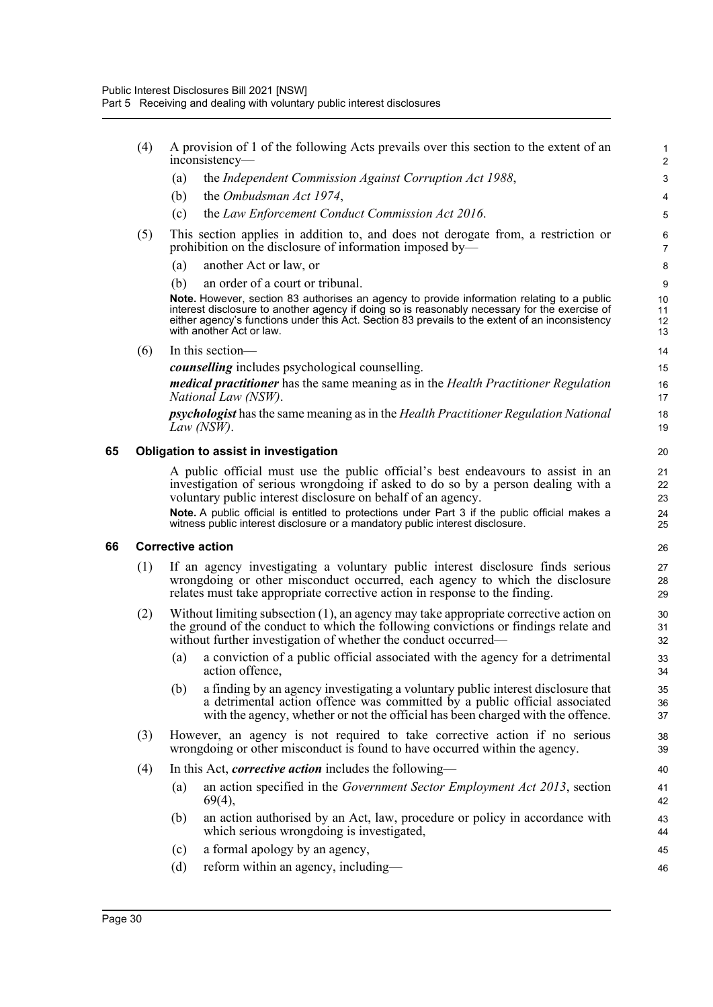|    | (4) | A provision of 1 of the following Acts prevails over this section to the extent of an<br>inconsistency-                                                                                                                                                                                                                    | $\mathbf{1}$<br>$\overline{2}$ |
|----|-----|----------------------------------------------------------------------------------------------------------------------------------------------------------------------------------------------------------------------------------------------------------------------------------------------------------------------------|--------------------------------|
|    |     | the Independent Commission Against Corruption Act 1988,<br>(a)                                                                                                                                                                                                                                                             | 3                              |
|    |     | (b)<br>the Ombudsman Act 1974,                                                                                                                                                                                                                                                                                             | 4                              |
|    |     | the Law Enforcement Conduct Commission Act 2016.<br>(c)                                                                                                                                                                                                                                                                    | 5                              |
|    | (5) | This section applies in addition to, and does not derogate from, a restriction or<br>prohibition on the disclosure of information imposed by—                                                                                                                                                                              | 6<br>$\overline{7}$            |
|    |     | another Act or law, or<br>(a)                                                                                                                                                                                                                                                                                              | 8                              |
|    |     | (b)<br>an order of a court or tribunal.                                                                                                                                                                                                                                                                                    | 9                              |
|    |     | Note. However, section 83 authorises an agency to provide information relating to a public<br>interest disclosure to another agency if doing so is reasonably necessary for the exercise of<br>either agency's functions under this Act. Section 83 prevails to the extent of an inconsistency<br>with another Act or law. | 10<br>11<br>12<br>13           |
|    | (6) | In this section-                                                                                                                                                                                                                                                                                                           | 14                             |
|    |     | counselling includes psychological counselling.                                                                                                                                                                                                                                                                            | 15                             |
|    |     | <i>medical practitioner</i> has the same meaning as in the <i>Health Practitioner Regulation</i><br>National Law (NSW).                                                                                                                                                                                                    | 16<br>17                       |
|    |     | <i>psychologist</i> has the same meaning as in the <i>Health Practitioner Regulation National</i><br>Law $(NSW)$ .                                                                                                                                                                                                         | 18<br>19                       |
| 65 |     | Obligation to assist in investigation                                                                                                                                                                                                                                                                                      | 20                             |
|    |     | A public official must use the public official's best endeavours to assist in an<br>investigation of serious wrongdoing if asked to do so by a person dealing with a<br>voluntary public interest disclosure on behalf of an agency.                                                                                       | 21<br>22<br>23                 |
|    |     | Note. A public official is entitled to protections under Part 3 if the public official makes a<br>witness public interest disclosure or a mandatory public interest disclosure.                                                                                                                                            | 24<br>25                       |
| 66 |     | <b>Corrective action</b>                                                                                                                                                                                                                                                                                                   | 26                             |
|    | (1) | If an agency investigating a voluntary public interest disclosure finds serious<br>wrongdoing or other misconduct occurred, each agency to which the disclosure<br>relates must take appropriate corrective action in response to the finding.                                                                             | 27<br>28<br>29                 |
|    | (2) | Without limiting subsection $(1)$ , an agency may take appropriate corrective action on<br>the ground of the conduct to which the following convictions or findings relate and<br>without further investigation of whether the conduct occurred—                                                                           | 30<br>31<br>32                 |
|    |     | a conviction of a public official associated with the agency for a detrimental<br>(a)<br>action offence,                                                                                                                                                                                                                   | 33<br>34                       |
|    |     | a finding by an agency investigating a voluntary public interest disclosure that<br>(b)<br>a detrimental action offence was committed by a public official associated<br>with the agency, whether or not the official has been charged with the offence.                                                                   | 35<br>36<br>37                 |
|    | (3) | However, an agency is not required to take corrective action if no serious<br>wrongdoing or other misconduct is found to have occurred within the agency.                                                                                                                                                                  | 38<br>39                       |
|    | (4) | In this Act, <i>corrective action</i> includes the following—                                                                                                                                                                                                                                                              | 40                             |
|    |     | an action specified in the Government Sector Employment Act 2013, section<br>(a)<br>$69(4)$ ,                                                                                                                                                                                                                              | 41<br>42                       |
|    |     | an action authorised by an Act, law, procedure or policy in accordance with<br>(b)<br>which serious wrongdoing is investigated,                                                                                                                                                                                            | 43<br>44                       |
|    |     | a formal apology by an agency,<br>(c)                                                                                                                                                                                                                                                                                      | 45                             |
|    |     | (d)<br>reform within an agency, including—                                                                                                                                                                                                                                                                                 | 46                             |

**66 Corrective action**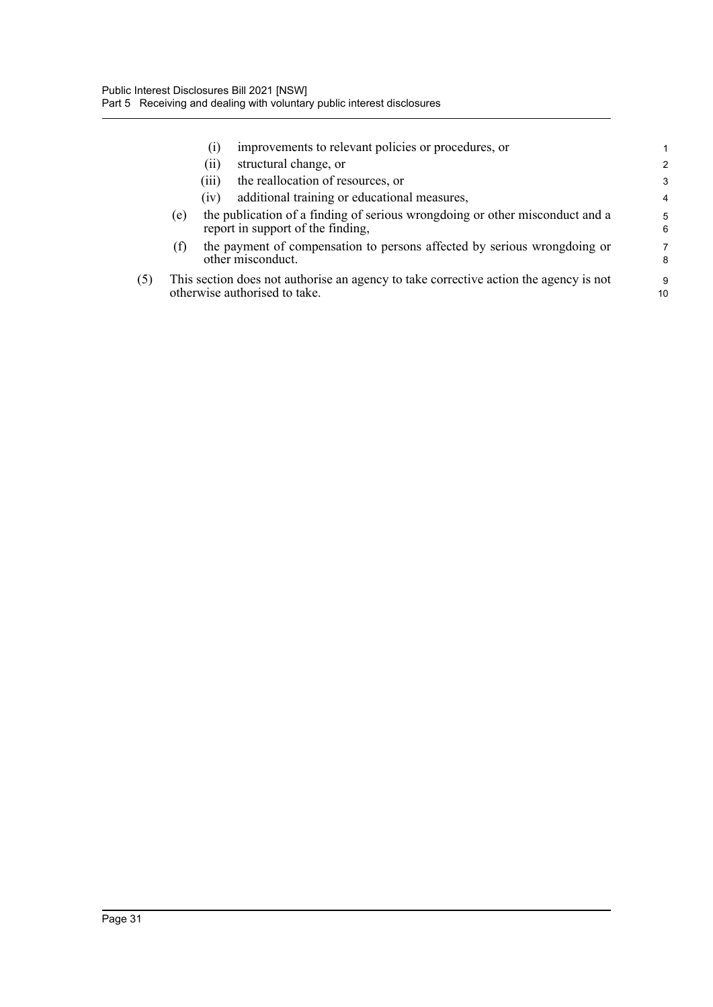|     |     | $\left( 1\right)$ | improvements to relevant policies or procedures, or                                                                    |               |
|-----|-----|-------------------|------------------------------------------------------------------------------------------------------------------------|---------------|
|     |     | (11)              | structural change, or                                                                                                  | $\mathcal{P}$ |
|     |     | (111)             | the reallocation of resources, or                                                                                      | 3             |
|     |     | (1V)              | additional training or educational measures,                                                                           | 4             |
|     | (e) |                   | the publication of a finding of serious wrongdoing or other misconduct and a<br>report in support of the finding,      | 5<br>6        |
|     | (f) |                   | the payment of compensation to persons affected by serious wrongdoing or<br>other misconduct.                          | 7<br>8        |
| (5) |     |                   | This section does not authorise an agency to take corrective action the agency is not<br>otherwise authorised to take. | 9<br>10       |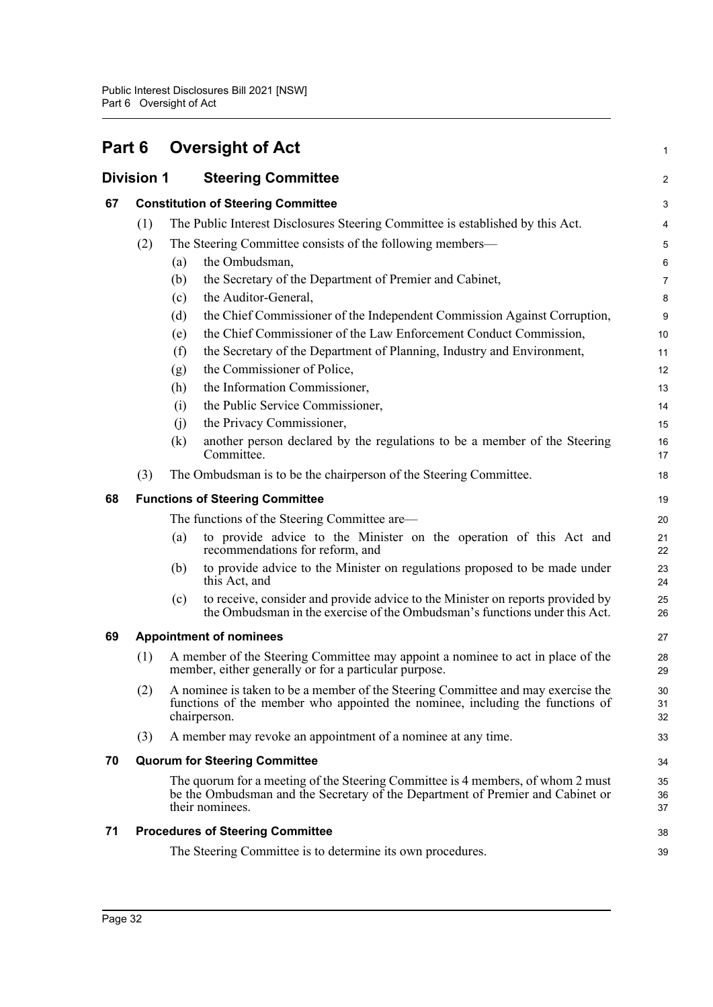|    |                   |     | Part 6 Oversight of Act                                                                                                                                                              | 1              |
|----|-------------------|-----|--------------------------------------------------------------------------------------------------------------------------------------------------------------------------------------|----------------|
|    | <b>Division 1</b> |     | <b>Steering Committee</b>                                                                                                                                                            | $\overline{c}$ |
| 67 |                   |     | <b>Constitution of Steering Committee</b>                                                                                                                                            | 3              |
|    | (1)               |     | The Public Interest Disclosures Steering Committee is established by this Act.                                                                                                       | 4              |
|    | (2)               |     | The Steering Committee consists of the following members—                                                                                                                            | 5              |
|    |                   | (a) | the Ombudsman,                                                                                                                                                                       | 6              |
|    |                   | (b) | the Secretary of the Department of Premier and Cabinet,                                                                                                                              | 7              |
|    |                   | (c) | the Auditor-General,                                                                                                                                                                 | 8              |
|    |                   | (d) | the Chief Commissioner of the Independent Commission Against Corruption,                                                                                                             | 9              |
|    |                   | (e) | the Chief Commissioner of the Law Enforcement Conduct Commission,                                                                                                                    | 10             |
|    |                   | (f) | the Secretary of the Department of Planning, Industry and Environment,                                                                                                               | 11             |
|    |                   | (g) | the Commissioner of Police,                                                                                                                                                          | 12             |
|    |                   | (h) | the Information Commissioner,                                                                                                                                                        | 13             |
|    |                   | (i) | the Public Service Commissioner,                                                                                                                                                     | 14             |
|    |                   | (j) | the Privacy Commissioner,                                                                                                                                                            | 15             |
|    |                   | (k) | another person declared by the regulations to be a member of the Steering<br>Committee.                                                                                              | 16<br>17       |
|    | (3)               |     | The Ombudsman is to be the chairperson of the Steering Committee.                                                                                                                    | 18             |
| 68 |                   |     | <b>Functions of Steering Committee</b>                                                                                                                                               | 19             |
|    |                   |     | The functions of the Steering Committee are—                                                                                                                                         | 20             |
|    |                   | (a) | to provide advice to the Minister on the operation of this Act and<br>recommendations for reform, and                                                                                | 21<br>22       |
|    |                   | (b) | to provide advice to the Minister on regulations proposed to be made under<br>this Act, and                                                                                          | 23<br>24       |
|    |                   | (c) | to receive, consider and provide advice to the Minister on reports provided by<br>the Ombudsman in the exercise of the Ombudsman's functions under this Act.                         | 25<br>26       |
| 69 |                   |     | <b>Appointment of nominees</b>                                                                                                                                                       | 27             |
|    | (1)               |     | A member of the Steering Committee may appoint a nominee to act in place of the<br>member, either generally or for a particular purpose.                                             | 28<br>29       |
|    | (2)               |     | A nominee is taken to be a member of the Steering Committee and may exercise the<br>functions of the member who appointed the nominee, including the functions of<br>chairperson.    | 30<br>31<br>32 |
|    | (3)               |     | A member may revoke an appointment of a nominee at any time.                                                                                                                         | 33             |
| 70 |                   |     | <b>Quorum for Steering Committee</b>                                                                                                                                                 | 34             |
|    |                   |     | The quorum for a meeting of the Steering Committee is 4 members, of whom 2 must<br>be the Ombudsman and the Secretary of the Department of Premier and Cabinet or<br>their nominees. | 35<br>36<br>37 |
| 71 |                   |     | <b>Procedures of Steering Committee</b>                                                                                                                                              | 38             |
|    |                   |     | The Steering Committee is to determine its own procedures.                                                                                                                           | 39             |
|    |                   |     |                                                                                                                                                                                      |                |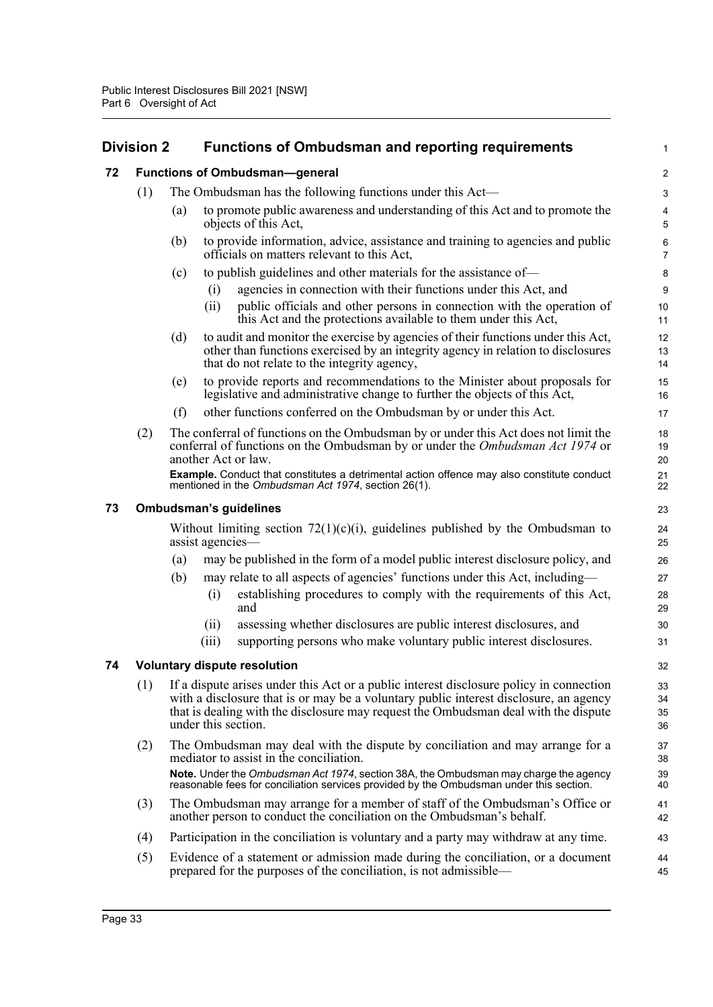# **Division 2 Functions of Ombudsman and reporting requirements**

|    | Division 2 |     | <b>Functions of Ombudsman and reporting requirements</b> |                                                                                                                                                                                                                                                                         |                      |  |
|----|------------|-----|----------------------------------------------------------|-------------------------------------------------------------------------------------------------------------------------------------------------------------------------------------------------------------------------------------------------------------------------|----------------------|--|
| 72 |            |     |                                                          | <b>Functions of Ombudsman-general</b>                                                                                                                                                                                                                                   | 2                    |  |
|    | (1)        |     |                                                          | The Ombudsman has the following functions under this Act—                                                                                                                                                                                                               | 3                    |  |
|    |            | (a) |                                                          | to promote public awareness and understanding of this Act and to promote the<br>objects of this Act,                                                                                                                                                                    | 4<br>5               |  |
|    |            | (b) |                                                          | to provide information, advice, assistance and training to agencies and public<br>officials on matters relevant to this Act,                                                                                                                                            | 6<br>$\overline{7}$  |  |
|    |            | (c) |                                                          | to publish guidelines and other materials for the assistance of—                                                                                                                                                                                                        | 8                    |  |
|    |            |     | (i)                                                      | agencies in connection with their functions under this Act, and                                                                                                                                                                                                         | 9                    |  |
|    |            |     | (ii)                                                     | public officials and other persons in connection with the operation of<br>this Act and the protections available to them under this Act,                                                                                                                                | 10<br>11             |  |
|    |            | (d) |                                                          | to audit and monitor the exercise by agencies of their functions under this Act,<br>other than functions exercised by an integrity agency in relation to disclosures<br>that do not relate to the integrity agency,                                                     | 12<br>13<br>14       |  |
|    |            | (e) |                                                          | to provide reports and recommendations to the Minister about proposals for<br>legislative and administrative change to further the objects of this Act,                                                                                                                 | 15<br>16             |  |
|    |            | (f) |                                                          | other functions conferred on the Ombudsman by or under this Act.                                                                                                                                                                                                        | 17                   |  |
|    | (2)        |     |                                                          | The conferral of functions on the Ombudsman by or under this Act does not limit the<br>conferral of functions on the Ombudsman by or under the <i>Ombudsman Act 1974</i> or<br>another Act or law.                                                                      | 18<br>19<br>20       |  |
|    |            |     |                                                          | <b>Example.</b> Conduct that constitutes a detrimental action offence may also constitute conduct<br>mentioned in the Ombudsman Act 1974, section 26(1).                                                                                                                | 21<br>22             |  |
| 73 |            |     |                                                          | <b>Ombudsman's guidelines</b>                                                                                                                                                                                                                                           | 23                   |  |
|    |            |     | assist agencies-                                         | Without limiting section $72(1)(c)(i)$ , guidelines published by the Ombudsman to                                                                                                                                                                                       | 24<br>25             |  |
|    |            | (a) |                                                          | may be published in the form of a model public interest disclosure policy, and                                                                                                                                                                                          | 26                   |  |
|    |            | (b) | (i)                                                      | may relate to all aspects of agencies' functions under this Act, including—<br>establishing procedures to comply with the requirements of this Act,<br>and                                                                                                              | 27<br>28<br>29       |  |
|    |            |     | (ii)                                                     | assessing whether disclosures are public interest disclosures, and                                                                                                                                                                                                      | 30                   |  |
|    |            |     | (iii)                                                    | supporting persons who make voluntary public interest disclosures.                                                                                                                                                                                                      | 31                   |  |
| 74 |            |     |                                                          | <b>Voluntary dispute resolution</b>                                                                                                                                                                                                                                     | 32                   |  |
|    | (1)        |     | under this section.                                      | If a dispute arises under this Act or a public interest disclosure policy in connection<br>with a disclosure that is or may be a voluntary public interest disclosure, an agency<br>that is dealing with the disclosure may request the Ombudsman deal with the dispute | 33<br>34<br>35<br>36 |  |
|    | (2)        |     |                                                          | The Ombudsman may deal with the dispute by conciliation and may arrange for a<br>mediator to assist in the conciliation.                                                                                                                                                | 37<br>38             |  |
|    |            |     |                                                          | Note. Under the Ombudsman Act 1974, section 38A, the Ombudsman may charge the agency<br>reasonable fees for conciliation services provided by the Ombudsman under this section.                                                                                         | 39<br>40             |  |
|    | (3)        |     |                                                          | The Ombudsman may arrange for a member of staff of the Ombudsman's Office or<br>another person to conduct the conciliation on the Ombudsman's behalf.                                                                                                                   | 41<br>42             |  |
|    | (4)        |     |                                                          | Participation in the conciliation is voluntary and a party may withdraw at any time.                                                                                                                                                                                    | 43                   |  |
|    | (5)        |     |                                                          | Evidence of a statement or admission made during the conciliation, or a document<br>prepared for the purposes of the conciliation, is not admissible—                                                                                                                   | 44<br>45             |  |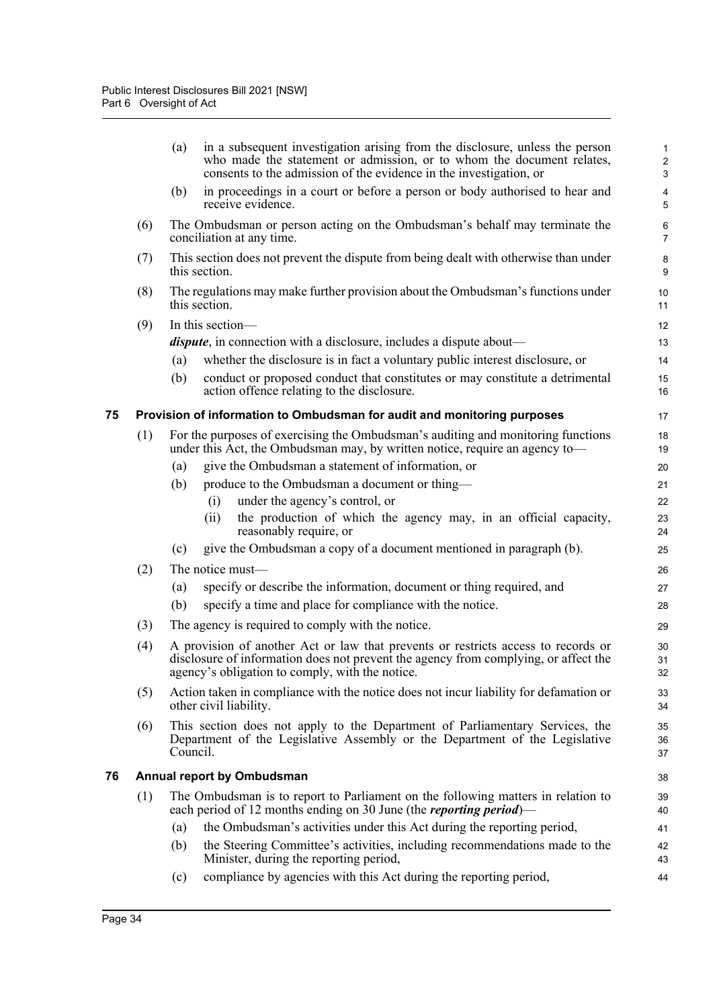|    |     | (a)      | in a subsequent investigation arising from the disclosure, unless the person<br>who made the statement or admission, or to whom the document relates,<br>consents to the admission of the evidence in the investigation, or | $\mathbf{1}$<br>$\overline{2}$<br>3 |
|----|-----|----------|-----------------------------------------------------------------------------------------------------------------------------------------------------------------------------------------------------------------------------|-------------------------------------|
|    |     | (b)      | in proceedings in a court or before a person or body authorised to hear and<br>receive evidence.                                                                                                                            | 4<br>5                              |
|    | (6) |          | The Ombudsman or person acting on the Ombudsman's behalf may terminate the<br>conciliation at any time.                                                                                                                     | 6<br>$\overline{7}$                 |
|    | (7) |          | This section does not prevent the dispute from being dealt with otherwise than under<br>this section.                                                                                                                       | 8<br>9                              |
|    | (8) |          | The regulations may make further provision about the Ombudsman's functions under<br>this section.                                                                                                                           | 10<br>11                            |
|    | (9) |          | In this section-                                                                                                                                                                                                            | 12                                  |
|    |     |          | <i>dispute</i> , in connection with a disclosure, includes a dispute about—                                                                                                                                                 | 13                                  |
|    |     | (a)      | whether the disclosure is in fact a voluntary public interest disclosure, or                                                                                                                                                | 14                                  |
|    |     | (b)      | conduct or proposed conduct that constitutes or may constitute a detrimental<br>action offence relating to the disclosure.                                                                                                  | 15<br>16                            |
| 75 |     |          | Provision of information to Ombudsman for audit and monitoring purposes                                                                                                                                                     | 17                                  |
|    | (1) |          | For the purposes of exercising the Ombudsman's auditing and monitoring functions<br>under this Act, the Ombudsman may, by written notice, require an agency to—                                                             | 18<br>19                            |
|    |     | (a)      | give the Ombudsman a statement of information, or                                                                                                                                                                           | 20                                  |
|    |     | (b)      | produce to the Ombudsman a document or thing—                                                                                                                                                                               | 21                                  |
|    |     |          | under the agency's control, or<br>(i)                                                                                                                                                                                       | 22                                  |
|    |     |          | the production of which the agency may, in an official capacity,<br>(ii)<br>reasonably require, or                                                                                                                          | 23<br>24                            |
|    |     | (c)      | give the Ombudsman a copy of a document mentioned in paragraph (b).                                                                                                                                                         | 25                                  |
|    | (2) |          | The notice must-                                                                                                                                                                                                            | 26                                  |
|    |     | (a)      | specify or describe the information, document or thing required, and                                                                                                                                                        | 27                                  |
|    |     | (b)      | specify a time and place for compliance with the notice.                                                                                                                                                                    | 28                                  |
|    | (3) |          | The agency is required to comply with the notice.                                                                                                                                                                           | 29                                  |
|    | (4) |          | A provision of another Act or law that prevents or restricts access to records or<br>disclosure of information does not prevent the agency from complying, or affect the<br>agency's obligation to comply, with the notice. | 30<br>31<br>32                      |
|    | (5) |          | Action taken in compliance with the notice does not incur liability for defamation or<br>other civil liability.                                                                                                             | 33<br>34                            |
|    | (6) | Council. | This section does not apply to the Department of Parliamentary Services, the<br>Department of the Legislative Assembly or the Department of the Legislative                                                                 | 35<br>36<br>37                      |
| 76 |     |          | <b>Annual report by Ombudsman</b>                                                                                                                                                                                           | 38                                  |
|    | (1) |          | The Ombudsman is to report to Parliament on the following matters in relation to<br>each period of 12 months ending on 30 June (the <i>reporting period</i> )—                                                              | 39<br>40                            |
|    |     | (a)      | the Ombudsman's activities under this Act during the reporting period,                                                                                                                                                      | 41                                  |
|    |     | (b)      | the Steering Committee's activities, including recommendations made to the<br>Minister, during the reporting period,                                                                                                        | 42<br>43                            |
|    |     | (c)      | compliance by agencies with this Act during the reporting period,                                                                                                                                                           | 44                                  |
|    |     |          |                                                                                                                                                                                                                             |                                     |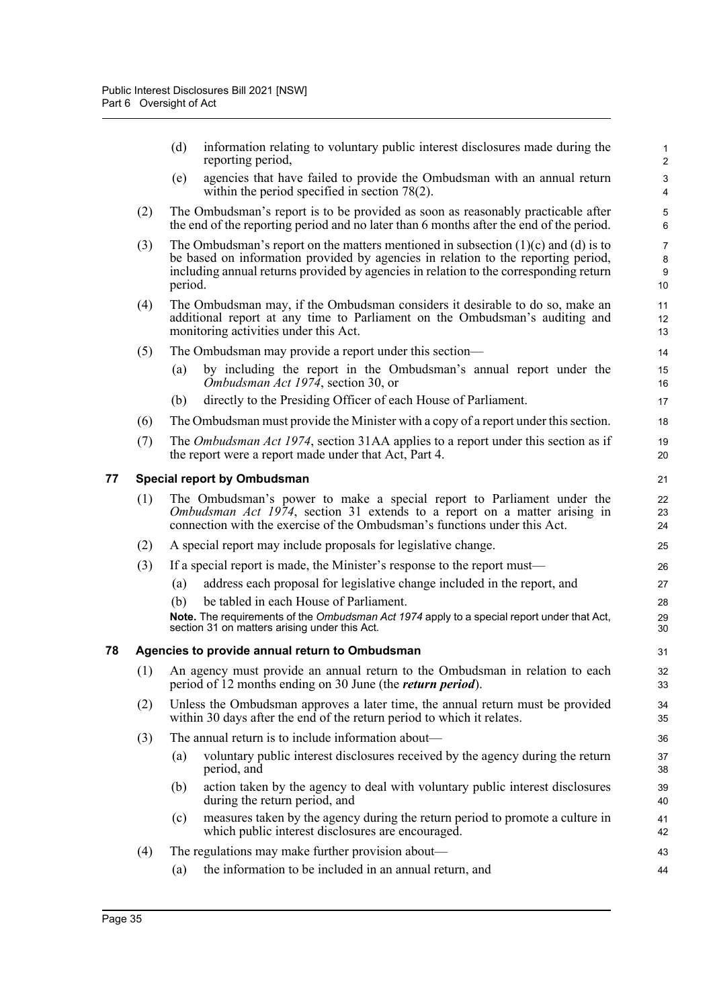|    |     | (d)                                | information relating to voluntary public interest disclosures made during the<br>reporting period,                                                                                                                                                                   | $\mathbf{1}$<br>$\mathbf 2$            |
|----|-----|------------------------------------|----------------------------------------------------------------------------------------------------------------------------------------------------------------------------------------------------------------------------------------------------------------------|----------------------------------------|
|    |     | (e)                                | agencies that have failed to provide the Ombudsman with an annual return<br>within the period specified in section $78(2)$ .                                                                                                                                         | $\mathsf 3$<br>$\overline{\mathbf{4}}$ |
|    | (2) |                                    | The Ombudsman's report is to be provided as soon as reasonably practicable after<br>the end of the reporting period and no later than 6 months after the end of the period.                                                                                          | 5<br>$6\phantom{1}$                    |
|    | (3) | period.                            | The Ombudsman's report on the matters mentioned in subsection $(1)(c)$ and $(d)$ is to<br>be based on information provided by agencies in relation to the reporting period,<br>including annual returns provided by agencies in relation to the corresponding return | $\overline{7}$<br>8<br>9<br>10         |
|    | (4) |                                    | The Ombudsman may, if the Ombudsman considers it desirable to do so, make an<br>additional report at any time to Parliament on the Ombudsman's auditing and<br>monitoring activities under this Act.                                                                 | 11<br>12<br>13                         |
|    | (5) |                                    | The Ombudsman may provide a report under this section—                                                                                                                                                                                                               | 14                                     |
|    |     | (a)                                | by including the report in the Ombudsman's annual report under the<br>Ombudsman Act 1974, section 30, or                                                                                                                                                             | 15<br>16                               |
|    |     | (b)                                | directly to the Presiding Officer of each House of Parliament.                                                                                                                                                                                                       | 17                                     |
|    | (6) |                                    | The Ombudsman must provide the Minister with a copy of a report under this section.                                                                                                                                                                                  | 18                                     |
|    | (7) |                                    | The <i>Ombudsman Act 1974</i> , section 31AA applies to a report under this section as if<br>the report were a report made under that Act, Part 4.                                                                                                                   | 19<br>20                               |
| 77 |     | <b>Special report by Ombudsman</b> |                                                                                                                                                                                                                                                                      | 21                                     |
|    | (1) |                                    | The Ombudsman's power to make a special report to Parliament under the<br>Ombudsman Act 1974, section 31 extends to a report on a matter arising in<br>connection with the exercise of the Ombudsman's functions under this Act.                                     | 22<br>23<br>24                         |
|    | (2) |                                    | A special report may include proposals for legislative change.                                                                                                                                                                                                       | 25                                     |
|    | (3) |                                    | If a special report is made, the Minister's response to the report must—                                                                                                                                                                                             | 26                                     |
|    |     | (a)                                | address each proposal for legislative change included in the report, and                                                                                                                                                                                             | 27                                     |
|    |     | (b)                                | be tabled in each House of Parliament.                                                                                                                                                                                                                               | 28                                     |
|    |     |                                    | Note. The requirements of the Ombudsman Act 1974 apply to a special report under that Act,<br>section 31 on matters arising under this Act.                                                                                                                          | 29<br>30                               |
| 78 |     |                                    | Agencies to provide annual return to Ombudsman                                                                                                                                                                                                                       | 31                                     |
|    |     |                                    | (1) An agency must provide an annual return to the Ombudsman in relation to each<br>period of 12 months ending on 30 June (the <i>return period</i> ).                                                                                                               | 32<br>33                               |
|    | (2) |                                    | Unless the Ombudsman approves a later time, the annual return must be provided<br>within 30 days after the end of the return period to which it relates.                                                                                                             | 34<br>35                               |
|    | (3) |                                    | The annual return is to include information about—                                                                                                                                                                                                                   | 36                                     |
|    |     | (a)<br>period, and                 | voluntary public interest disclosures received by the agency during the return                                                                                                                                                                                       | 37<br>38                               |
|    |     | (b)                                | action taken by the agency to deal with voluntary public interest disclosures<br>during the return period, and                                                                                                                                                       | 39<br>40                               |
|    |     | (c)                                | measures taken by the agency during the return period to promote a culture in<br>which public interest disclosures are encouraged.                                                                                                                                   | 41<br>42                               |
|    | (4) |                                    | The regulations may make further provision about—                                                                                                                                                                                                                    | 43                                     |
|    |     | (a)                                | the information to be included in an annual return, and                                                                                                                                                                                                              | 44                                     |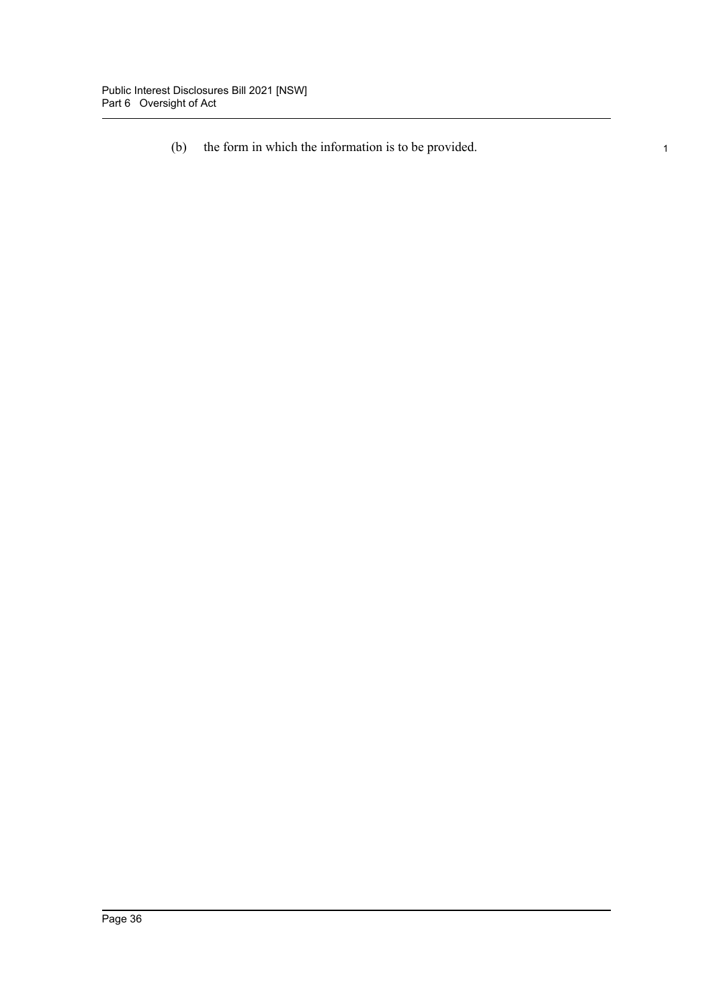(b) the form in which the information is to be provided. 1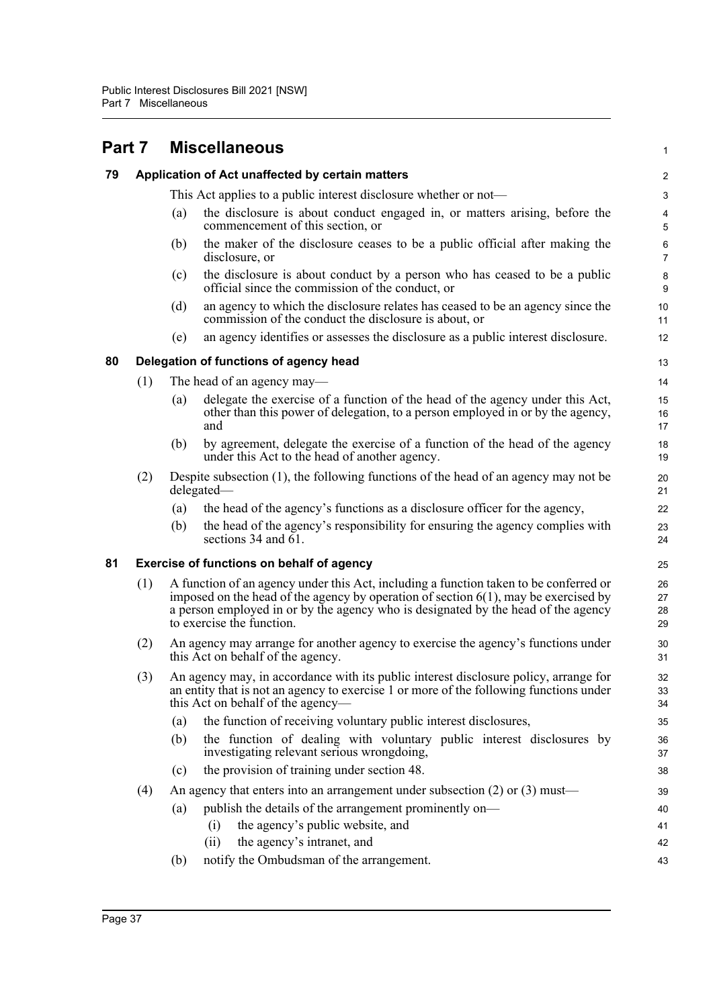| Part 7 |     |                                                                                                                                                                                                                                                                                                   | <b>Miscellaneous</b>                                                                                                                                                                                                | 1                   |  |  |  |
|--------|-----|---------------------------------------------------------------------------------------------------------------------------------------------------------------------------------------------------------------------------------------------------------------------------------------------------|---------------------------------------------------------------------------------------------------------------------------------------------------------------------------------------------------------------------|---------------------|--|--|--|
| 79     |     | Application of Act unaffected by certain matters                                                                                                                                                                                                                                                  |                                                                                                                                                                                                                     |                     |  |  |  |
|        |     |                                                                                                                                                                                                                                                                                                   | This Act applies to a public interest disclosure whether or not—                                                                                                                                                    | 3                   |  |  |  |
|        |     | (a)                                                                                                                                                                                                                                                                                               | the disclosure is about conduct engaged in, or matters arising, before the<br>commencement of this section, or                                                                                                      | 4<br>5              |  |  |  |
|        |     | (b)                                                                                                                                                                                                                                                                                               | the maker of the disclosure ceases to be a public official after making the<br>disclosure, or                                                                                                                       | 6<br>$\overline{7}$ |  |  |  |
|        |     | (c)                                                                                                                                                                                                                                                                                               | the disclosure is about conduct by a person who has ceased to be a public<br>official since the commission of the conduct, or                                                                                       | 8<br>9              |  |  |  |
|        |     | (d)                                                                                                                                                                                                                                                                                               | an agency to which the disclosure relates has ceased to be an agency since the<br>commission of the conduct the disclosure is about, or                                                                             | 10<br>11            |  |  |  |
|        |     | (e)                                                                                                                                                                                                                                                                                               | an agency identifies or assesses the disclosure as a public interest disclosure.                                                                                                                                    | 12                  |  |  |  |
| 80     |     |                                                                                                                                                                                                                                                                                                   | Delegation of functions of agency head                                                                                                                                                                              | 13                  |  |  |  |
|        | (1) |                                                                                                                                                                                                                                                                                                   | The head of an agency may—                                                                                                                                                                                          | 14                  |  |  |  |
|        |     | (a)                                                                                                                                                                                                                                                                                               | delegate the exercise of a function of the head of the agency under this Act,<br>other than this power of delegation, to a person employed in or by the agency,<br>and                                              | 15<br>16<br>17      |  |  |  |
|        |     | (b)                                                                                                                                                                                                                                                                                               | by agreement, delegate the exercise of a function of the head of the agency<br>under this Act to the head of another agency.                                                                                        | 18<br>19            |  |  |  |
|        | (2) |                                                                                                                                                                                                                                                                                                   | Despite subsection $(1)$ , the following functions of the head of an agency may not be<br>delegated—                                                                                                                | 20<br>21            |  |  |  |
|        |     | (a)                                                                                                                                                                                                                                                                                               | the head of the agency's functions as a disclosure officer for the agency,                                                                                                                                          | 22                  |  |  |  |
|        |     | (b)                                                                                                                                                                                                                                                                                               | the head of the agency's responsibility for ensuring the agency complies with<br>sections 34 and $\overline{61}$ .                                                                                                  | 23<br>24            |  |  |  |
| 81     |     |                                                                                                                                                                                                                                                                                                   | Exercise of functions on behalf of agency                                                                                                                                                                           | 25                  |  |  |  |
|        | (1) | A function of an agency under this Act, including a function taken to be conferred or<br>imposed on the head of the agency by operation of section $6(1)$ , may be exercised by<br>a person employed in or by the agency who is designated by the head of the agency<br>to exercise the function. |                                                                                                                                                                                                                     |                     |  |  |  |
|        | (2) | An agency may arrange for another agency to exercise the agency's functions under<br>this Act on behalf of the agency.                                                                                                                                                                            |                                                                                                                                                                                                                     |                     |  |  |  |
|        | (3) |                                                                                                                                                                                                                                                                                                   | An agency may, in accordance with its public interest disclosure policy, arrange for<br>an entity that is not an agency to exercise 1 or more of the following functions under<br>this Act on behalf of the agency— | 32<br>33<br>34      |  |  |  |
|        |     | (a)                                                                                                                                                                                                                                                                                               | the function of receiving voluntary public interest disclosures,                                                                                                                                                    | 35                  |  |  |  |
|        |     | (b)                                                                                                                                                                                                                                                                                               | the function of dealing with voluntary public interest disclosures by<br>investigating relevant serious wrongdoing,                                                                                                 | 36<br>37            |  |  |  |
|        |     | (c)                                                                                                                                                                                                                                                                                               | the provision of training under section 48.                                                                                                                                                                         | 38                  |  |  |  |
|        | (4) |                                                                                                                                                                                                                                                                                                   | An agency that enters into an arrangement under subsection $(2)$ or $(3)$ must—                                                                                                                                     | 39                  |  |  |  |
|        |     | (a)                                                                                                                                                                                                                                                                                               | publish the details of the arrangement prominently on—                                                                                                                                                              | 40                  |  |  |  |
|        |     |                                                                                                                                                                                                                                                                                                   | the agency's public website, and<br>(i)                                                                                                                                                                             | 41                  |  |  |  |
|        |     |                                                                                                                                                                                                                                                                                                   | the agency's intranet, and<br>(ii)                                                                                                                                                                                  | 42                  |  |  |  |
|        |     | (b)                                                                                                                                                                                                                                                                                               | notify the Ombudsman of the arrangement.                                                                                                                                                                            | 43                  |  |  |  |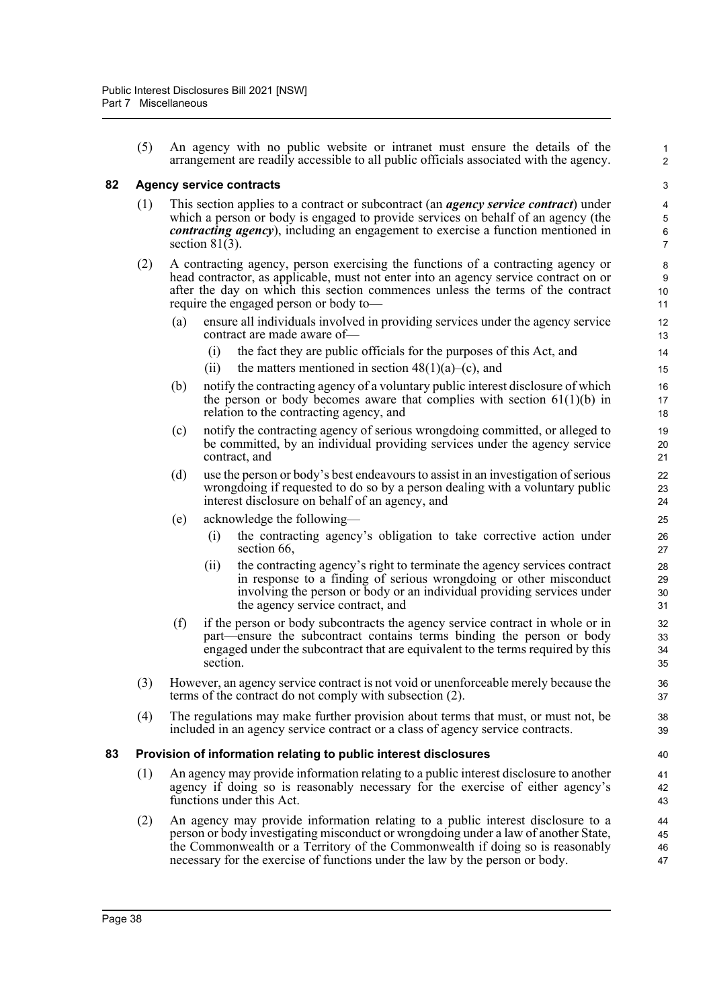(5) An agency with no public website or intranet must ensure the details of the arrangement are readily accessible to all public officials associated with the agency.

1 2

### **82 Agency service contracts**

- (1) This section applies to a contract or subcontract (an *agency service contract*) under which a person or body is engaged to provide services on behalf of an agency (the *contracting agency*), including an engagement to exercise a function mentioned in section  $81(3)$ .
- (2) A contracting agency, person exercising the functions of a contracting agency or head contractor, as applicable, must not enter into an agency service contract on or after the day on which this section commences unless the terms of the contract require the engaged person or body to—
	- (a) ensure all individuals involved in providing services under the agency service contract are made aware of—
		- (i) the fact they are public officials for the purposes of this Act, and
		- (ii) the matters mentioned in section  $48(1)(a)$ –(c), and
	- (b) notify the contracting agency of a voluntary public interest disclosure of which the person or body becomes aware that complies with section  $61(1)(b)$  in relation to the contracting agency, and
	- (c) notify the contracting agency of serious wrongdoing committed, or alleged to be committed, by an individual providing services under the agency service contract, and
	- (d) use the person or body's best endeavours to assist in an investigation of serious wrongdoing if requested to do so by a person dealing with a voluntary public interest disclosure on behalf of an agency, and
	- (e) acknowledge the following—
		- (i) the contracting agency's obligation to take corrective action under section 66,
		- (ii) the contracting agency's right to terminate the agency services contract in response to a finding of serious wrongdoing or other misconduct involving the person or body or an individual providing services under the agency service contract, and
	- (f) if the person or body subcontracts the agency service contract in whole or in part—ensure the subcontract contains terms binding the person or body engaged under the subcontract that are equivalent to the terms required by this section.
- (3) However, an agency service contract is not void or unenforceable merely because the terms of the contract do not comply with subsection (2).
- (4) The regulations may make further provision about terms that must, or must not, be included in an agency service contract or a class of agency service contracts.

#### **83 Provision of information relating to public interest disclosures**

- (1) An agency may provide information relating to a public interest disclosure to another agency if doing so is reasonably necessary for the exercise of either agency's functions under this Act.
- (2) An agency may provide information relating to a public interest disclosure to a person or body investigating misconduct or wrongdoing under a law of another State, the Commonwealth or a Territory of the Commonwealth if doing so is reasonably necessary for the exercise of functions under the law by the person or body.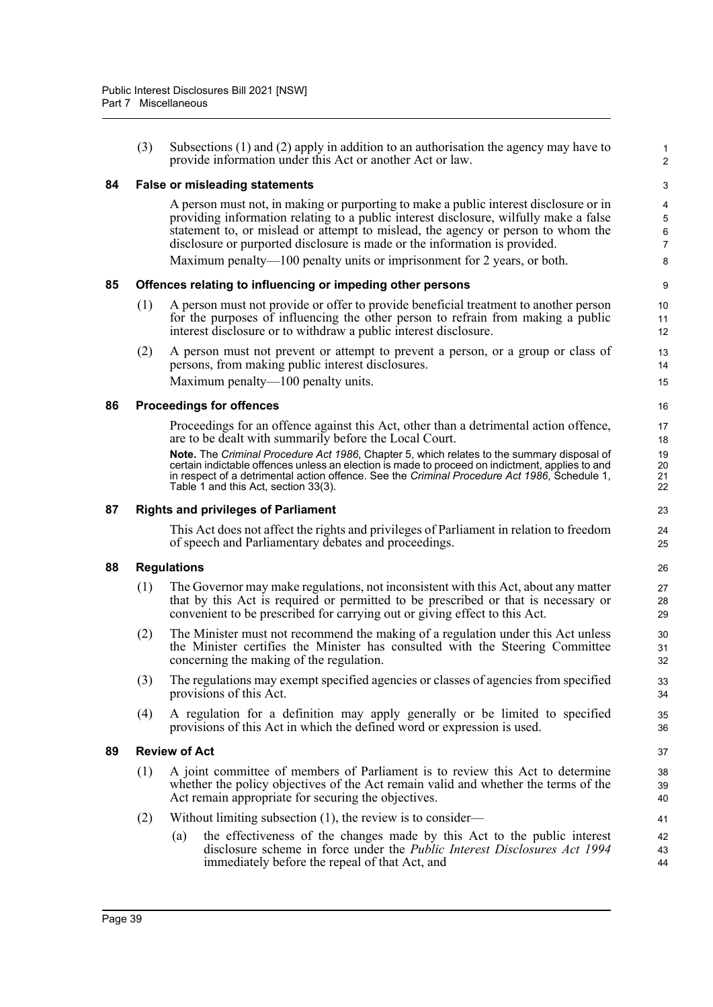|    | (3) | Subsections $(1)$ and $(2)$ apply in addition to an authorisation the agency may have to<br>provide information under this Act or another Act or law.                                                                                                                                                                                                                                                                                                                                    | 1<br>2                              |
|----|-----|------------------------------------------------------------------------------------------------------------------------------------------------------------------------------------------------------------------------------------------------------------------------------------------------------------------------------------------------------------------------------------------------------------------------------------------------------------------------------------------|-------------------------------------|
| 84 |     | <b>False or misleading statements</b>                                                                                                                                                                                                                                                                                                                                                                                                                                                    | 3                                   |
|    |     | A person must not, in making or purporting to make a public interest disclosure or in<br>providing information relating to a public interest disclosure, wilfully make a false<br>statement to, or mislead or attempt to mislead, the agency or person to whom the<br>disclosure or purported disclosure is made or the information is provided.                                                                                                                                         | 4<br>5<br>$\,6\,$<br>$\overline{7}$ |
|    |     | Maximum penalty—100 penalty units or imprisonment for 2 years, or both.                                                                                                                                                                                                                                                                                                                                                                                                                  | 8                                   |
| 85 |     | Offences relating to influencing or impeding other persons                                                                                                                                                                                                                                                                                                                                                                                                                               | 9                                   |
|    | (1) | A person must not provide or offer to provide beneficial treatment to another person<br>for the purposes of influencing the other person to refrain from making a public<br>interest disclosure or to withdraw a public interest disclosure.                                                                                                                                                                                                                                             | 10<br>11<br>12                      |
|    | (2) | A person must not prevent or attempt to prevent a person, or a group or class of<br>persons, from making public interest disclosures.<br>Maximum penalty—100 penalty units.                                                                                                                                                                                                                                                                                                              | 13<br>14<br>15                      |
| 86 |     | <b>Proceedings for offences</b>                                                                                                                                                                                                                                                                                                                                                                                                                                                          | 16                                  |
|    |     | Proceedings for an offence against this Act, other than a detrimental action offence,<br>are to be dealt with summarily before the Local Court.<br>Note. The Criminal Procedure Act 1986, Chapter 5, which relates to the summary disposal of<br>certain indictable offences unless an election is made to proceed on indictment, applies to and<br>in respect of a detrimental action offence. See the Criminal Procedure Act 1986, Schedule 1,<br>Table 1 and this Act, section 33(3). | 17<br>18<br>19<br>20<br>21<br>22    |
| 87 |     | <b>Rights and privileges of Parliament</b>                                                                                                                                                                                                                                                                                                                                                                                                                                               | 23                                  |
|    |     | This Act does not affect the rights and privileges of Parliament in relation to freedom<br>of speech and Parliamentary debates and proceedings.                                                                                                                                                                                                                                                                                                                                          | 24<br>25                            |
| 88 |     | <b>Regulations</b>                                                                                                                                                                                                                                                                                                                                                                                                                                                                       | 26                                  |
|    | (1) | The Governor may make regulations, not inconsistent with this Act, about any matter<br>that by this Act is required or permitted to be prescribed or that is necessary or<br>convenient to be prescribed for carrying out or giving effect to this Act.                                                                                                                                                                                                                                  | 27<br>28<br>29                      |
|    | (2) | The Minister must not recommend the making of a regulation under this Act unless<br>the Minister certifies the Minister has consulted with the Steering Committee<br>concerning the making of the regulation.                                                                                                                                                                                                                                                                            | 30<br>31<br>32                      |
|    | (3) | The regulations may exempt specified agencies or classes of agencies from specified<br>provisions of this Act.                                                                                                                                                                                                                                                                                                                                                                           | 33<br>34                            |
|    | (4) | A regulation for a definition may apply generally or be limited to specified<br>provisions of this Act in which the defined word or expression is used.                                                                                                                                                                                                                                                                                                                                  | 35<br>36                            |
| 89 |     | <b>Review of Act</b>                                                                                                                                                                                                                                                                                                                                                                                                                                                                     | 37                                  |
|    | (1) | A joint committee of members of Parliament is to review this Act to determine<br>whether the policy objectives of the Act remain valid and whether the terms of the<br>Act remain appropriate for securing the objectives.                                                                                                                                                                                                                                                               | 38<br>39<br>40                      |
|    | (2) | Without limiting subsection $(1)$ , the review is to consider—                                                                                                                                                                                                                                                                                                                                                                                                                           | 41                                  |
|    |     | the effectiveness of the changes made by this Act to the public interest<br>(a)<br>disclosure scheme in force under the <i>Public Interest Disclosures Act 1994</i><br>immediately before the repeal of that Act, and                                                                                                                                                                                                                                                                    | 42<br>43<br>44                      |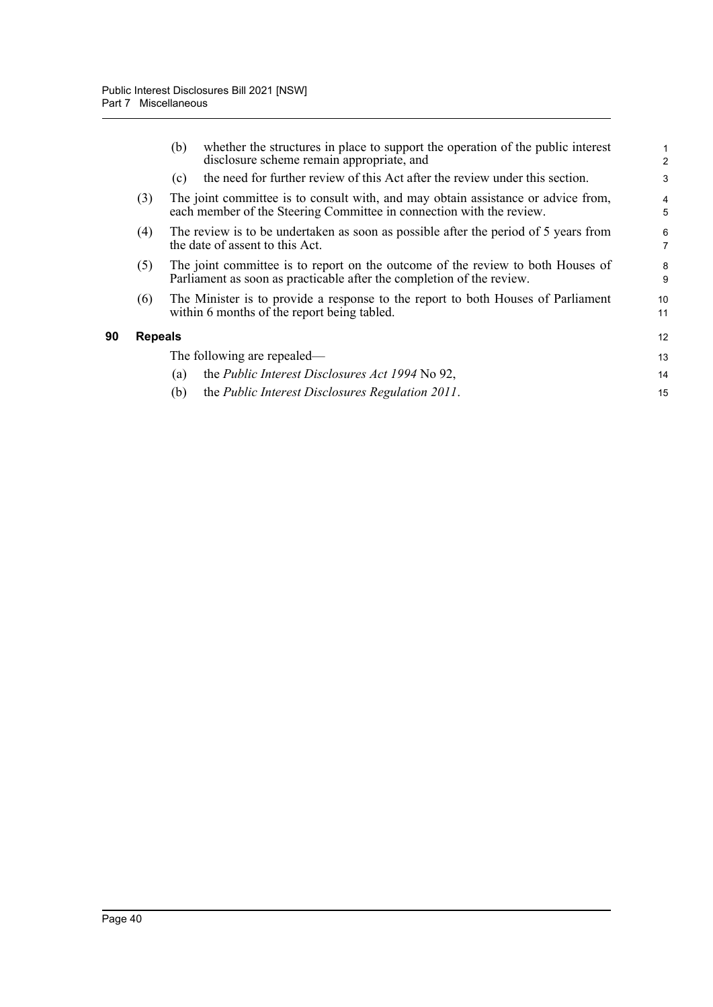|     | (b)                                                                                                                    | whether the structures in place to support the operation of the public interest<br>disclosure scheme remain appropriate, and                              | $\overline{2}$      |  |  |
|-----|------------------------------------------------------------------------------------------------------------------------|-----------------------------------------------------------------------------------------------------------------------------------------------------------|---------------------|--|--|
|     | (c)                                                                                                                    | the need for further review of this Act after the review under this section.                                                                              | 3                   |  |  |
| (3) |                                                                                                                        | The joint committee is to consult with, and may obtain assistance or advice from,<br>each member of the Steering Committee in connection with the review. | $\overline{4}$<br>5 |  |  |
| (4) | The review is to be undertaken as soon as possible after the period of 5 years from<br>the date of assent to this Act. |                                                                                                                                                           |                     |  |  |
| (5) |                                                                                                                        | The joint committee is to report on the outcome of the review to both Houses of<br>Parliament as soon as practicable after the completion of the review.  | 8<br>9              |  |  |
| (6) |                                                                                                                        | The Minister is to provide a response to the report to both Houses of Parliament<br>within 6 months of the report being tabled.                           | 10<br>11            |  |  |
|     | <b>Repeals</b>                                                                                                         |                                                                                                                                                           | 12                  |  |  |
|     |                                                                                                                        | The following are repealed—                                                                                                                               | 13                  |  |  |
|     | (a)                                                                                                                    | the <i>Public Interest Disclosures Act 1994</i> No 92,                                                                                                    | 14                  |  |  |
|     | (b)                                                                                                                    | the Public Interest Disclosures Regulation 2011.                                                                                                          | 15                  |  |  |
|     |                                                                                                                        |                                                                                                                                                           |                     |  |  |

**90 Repeals**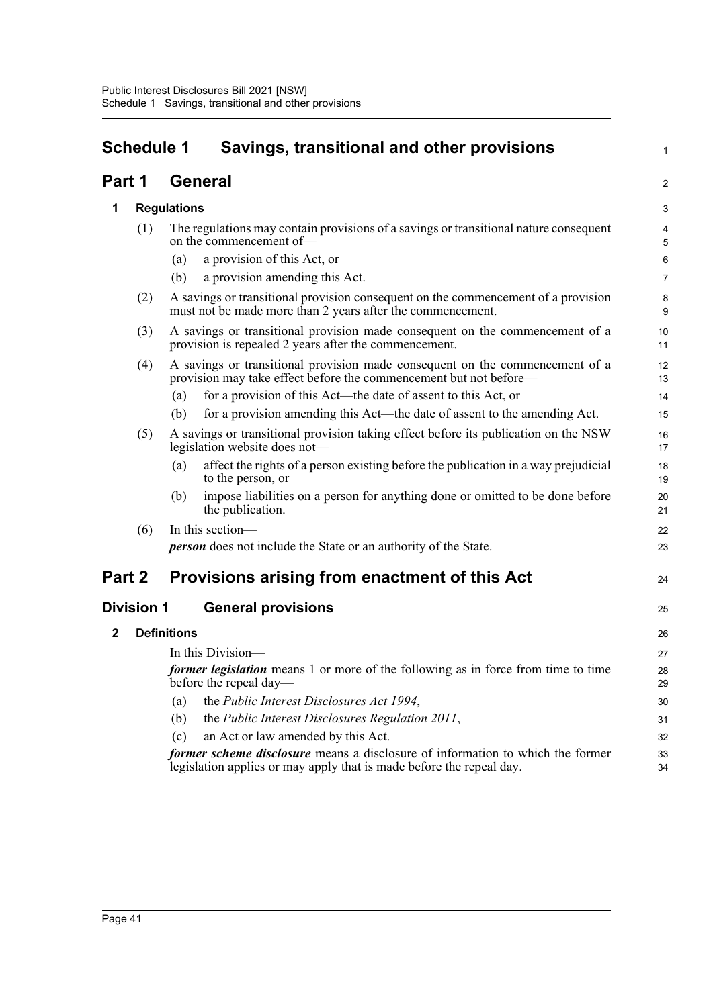|                   | <b>Schedule 1</b><br>Savings, transitional and other provisions                                                                                          |                    |                                                                                                                                                        |                     |  |
|-------------------|----------------------------------------------------------------------------------------------------------------------------------------------------------|--------------------|--------------------------------------------------------------------------------------------------------------------------------------------------------|---------------------|--|
| Part 1            |                                                                                                                                                          |                    | General                                                                                                                                                | 2                   |  |
| 1                 |                                                                                                                                                          | <b>Regulations</b> |                                                                                                                                                        |                     |  |
|                   | (1)                                                                                                                                                      |                    | The regulations may contain provisions of a savings or transitional nature consequent<br>on the commencement of-                                       | $\overline{4}$<br>5 |  |
|                   |                                                                                                                                                          | (a)                | a provision of this Act, or                                                                                                                            | $6\phantom{1}$      |  |
|                   |                                                                                                                                                          | (b)                | a provision amending this Act.                                                                                                                         | $\overline{7}$      |  |
|                   | (2)                                                                                                                                                      |                    | A savings or transitional provision consequent on the commencement of a provision<br>must not be made more than 2 years after the commencement.        | 8<br>9              |  |
|                   | (3)                                                                                                                                                      |                    | A savings or transitional provision made consequent on the commencement of a<br>provision is repealed 2 years after the commencement.                  | 10<br>11            |  |
|                   | A savings or transitional provision made consequent on the commencement of a<br>(4)<br>provision may take effect before the commencement but not before— |                    |                                                                                                                                                        |                     |  |
|                   |                                                                                                                                                          | (a)                | for a provision of this Act—the date of assent to this Act, or                                                                                         | 14                  |  |
|                   |                                                                                                                                                          | (b)                | for a provision amending this Act—the date of assent to the amending Act.                                                                              | 15                  |  |
|                   | (5)                                                                                                                                                      |                    | A savings or transitional provision taking effect before its publication on the NSW<br>legislation website does not-                                   | 16<br>17            |  |
|                   |                                                                                                                                                          | (a)                | affect the rights of a person existing before the publication in a way prejudicial<br>to the person, or                                                | 18<br>19            |  |
|                   |                                                                                                                                                          | (b)                | impose liabilities on a person for anything done or omitted to be done before<br>the publication.                                                      | 20<br>21            |  |
|                   | (6)                                                                                                                                                      |                    | In this section-                                                                                                                                       | 22                  |  |
|                   |                                                                                                                                                          |                    | <b>person</b> does not include the State or an authority of the State.                                                                                 | 23                  |  |
| Part 2            |                                                                                                                                                          |                    | Provisions arising from enactment of this Act                                                                                                          | 24                  |  |
| <b>Division 1</b> |                                                                                                                                                          |                    | <b>General provisions</b>                                                                                                                              | 25                  |  |
| $\mathbf 2$       |                                                                                                                                                          | <b>Definitions</b> |                                                                                                                                                        | 26                  |  |
|                   |                                                                                                                                                          |                    | In this Division—                                                                                                                                      | 27                  |  |
|                   |                                                                                                                                                          |                    | former legislation means 1 or more of the following as in force from time to time<br>before the repeal day—                                            | 28<br>29            |  |
|                   |                                                                                                                                                          | (a)                | the Public Interest Disclosures Act 1994,                                                                                                              | 30                  |  |
|                   |                                                                                                                                                          | (b)                | the Public Interest Disclosures Regulation 2011,                                                                                                       | 31                  |  |
|                   |                                                                                                                                                          | (c)                | an Act or law amended by this Act.                                                                                                                     | 32                  |  |
|                   |                                                                                                                                                          |                    | former scheme disclosure means a disclosure of information to which the former<br>legislation applies or may apply that is made before the repeal day. | 33<br>34            |  |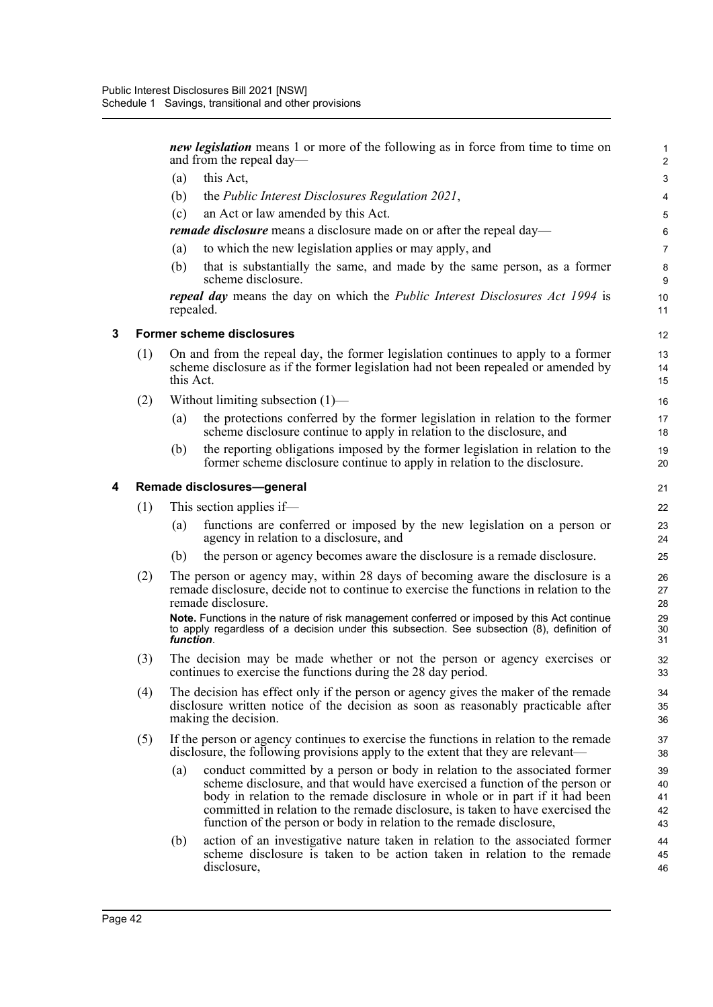*new legislation* means 1 or more of the following as in force from time to time on and from the repeal day— (a) this Act, (b) the *Public Interest Disclosures Regulation 2021*, (c) an Act or law amended by this Act. *remade disclosure* means a disclosure made on or after the repeal day— (a) to which the new legislation applies or may apply, and (b) that is substantially the same, and made by the same person, as a former scheme disclosure. *repeal day* means the day on which the *Public Interest Disclosures Act 1994* is repealed. **3 Former scheme disclosures** (1) On and from the repeal day, the former legislation continues to apply to a former scheme disclosure as if the former legislation had not been repealed or amended by this Act. (2) Without limiting subsection (1)— (a) the protections conferred by the former legislation in relation to the former scheme disclosure continue to apply in relation to the disclosure, and (b) the reporting obligations imposed by the former legislation in relation to the former scheme disclosure continue to apply in relation to the disclosure. **4 Remade disclosures—general** (1) This section applies if— (a) functions are conferred or imposed by the new legislation on a person or agency in relation to a disclosure, and (b) the person or agency becomes aware the disclosure is a remade disclosure. (2) The person or agency may, within 28 days of becoming aware the disclosure is a remade disclosure, decide not to continue to exercise the functions in relation to the remade disclosure. **Note.** Functions in the nature of risk management conferred or imposed by this Act continue to apply regardless of a decision under this subsection. See subsection (8), definition of *function*. (3) The decision may be made whether or not the person or agency exercises or continues to exercise the functions during the 28 day period. (4) The decision has effect only if the person or agency gives the maker of the remade disclosure written notice of the decision as soon as reasonably practicable after making the decision. (5) If the person or agency continues to exercise the functions in relation to the remade disclosure, the following provisions apply to the extent that they are relevant— (a) conduct committed by a person or body in relation to the associated former scheme disclosure, and that would have exercised a function of the person or body in relation to the remade disclosure in whole or in part if it had been committed in relation to the remade disclosure, is taken to have exercised the function of the person or body in relation to the remade disclosure, (b) action of an investigative nature taken in relation to the associated former scheme disclosure is taken to be action taken in relation to the remade disclosure, 1 2 3 4 5 6 7 8 9 10 11 12 13 14 15 16 17 18 19 20 21 22  $23$ 24 25 26 27 28 29  $30$ 31 32 33  $34$ 35 36 37 38 39  $40$ 41 42 43 44 45 46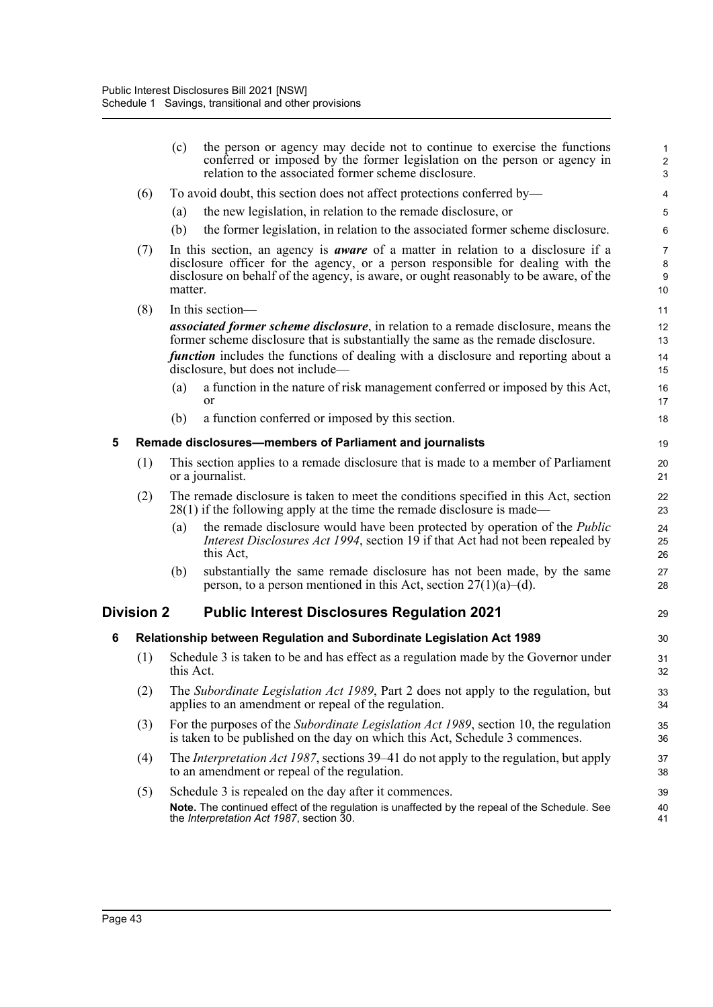|   |                   | (c)       | the person or agency may decide not to continue to exercise the functions<br>conferred or imposed by the former legislation on the person or agency in<br>relation to the associated former scheme disclosure.                                                             | $\mathbf{1}$<br>$\sqrt{2}$<br>$\mathbf{3}$          |
|---|-------------------|-----------|----------------------------------------------------------------------------------------------------------------------------------------------------------------------------------------------------------------------------------------------------------------------------|-----------------------------------------------------|
|   | (6)               |           | To avoid doubt, this section does not affect protections conferred by—                                                                                                                                                                                                     | 4                                                   |
|   |                   | (a)       | the new legislation, in relation to the remade disclosure, or                                                                                                                                                                                                              | 5                                                   |
|   |                   | (b)       | the former legislation, in relation to the associated former scheme disclosure.                                                                                                                                                                                            | 6                                                   |
|   | (7)               | matter.   | In this section, an agency is <b><i>aware</i></b> of a matter in relation to a disclosure if a<br>disclosure officer for the agency, or a person responsible for dealing with the<br>disclosure on behalf of the agency, is aware, or ought reasonably to be aware, of the | $\overline{7}$<br>$\bf 8$<br>$\boldsymbol{9}$<br>10 |
|   | (8)               |           | In this section-                                                                                                                                                                                                                                                           | 11                                                  |
|   |                   |           | <i>associated former scheme disclosure</i> , in relation to a remade disclosure, means the<br>former scheme disclosure that is substantially the same as the remade disclosure.                                                                                            | 12<br>13                                            |
|   |                   |           | <i>function</i> includes the functions of dealing with a disclosure and reporting about a<br>disclosure, but does not include—                                                                                                                                             | 14<br>15                                            |
|   |                   | (a)       | a function in the nature of risk management conferred or imposed by this Act,<br><b>or</b>                                                                                                                                                                                 | 16<br>17                                            |
|   |                   | (b)       | a function conferred or imposed by this section.                                                                                                                                                                                                                           | 18                                                  |
| 5 |                   |           | Remade disclosures-members of Parliament and journalists                                                                                                                                                                                                                   | 19                                                  |
|   | (1)               |           | This section applies to a remade disclosure that is made to a member of Parliament<br>or a journalist.                                                                                                                                                                     | 20<br>21                                            |
|   | (2)               |           | The remade disclosure is taken to meet the conditions specified in this Act, section<br>$28(1)$ if the following apply at the time the remade disclosure is made—                                                                                                          | 22<br>23                                            |
|   |                   | (a)       | the remade disclosure would have been protected by operation of the <i>Public</i><br><i>Interest Disclosures Act 1994</i> , section 19 if that Act had not been repealed by<br>this Act,                                                                                   | 24<br>25<br>26                                      |
|   |                   | (b)       | substantially the same remade disclosure has not been made, by the same<br>person, to a person mentioned in this Act, section $27(1)(a)$ –(d).                                                                                                                             | 27<br>28                                            |
|   | <b>Division 2</b> |           | <b>Public Interest Disclosures Regulation 2021</b>                                                                                                                                                                                                                         | 29                                                  |
| 6 |                   |           | Relationship between Regulation and Subordinate Legislation Act 1989                                                                                                                                                                                                       | 30                                                  |
|   | (1)               | this Act. | Schedule 3 is taken to be and has effect as a regulation made by the Governor under                                                                                                                                                                                        | 31<br>32                                            |
|   | (2)               |           | The Subordinate Legislation Act 1989, Part 2 does not apply to the regulation, but<br>applies to an amendment or repeal of the regulation.                                                                                                                                 | 33<br>34                                            |
|   | (3)               |           | For the purposes of the <i>Subordinate Legislation Act 1989</i> , section 10, the regulation<br>is taken to be published on the day on which this Act, Schedule 3 commences.                                                                                               | 35<br>36                                            |
|   | (4)               |           | The <i>Interpretation Act 1987</i> , sections 39–41 do not apply to the regulation, but apply<br>to an amendment or repeal of the regulation.                                                                                                                              | 37<br>38                                            |
|   | (5)               |           | Schedule 3 is repealed on the day after it commences.<br>Note. The continued effect of the regulation is unaffected by the repeal of the Schedule. See<br>the <i>Interpretation Act 1987</i> , section 30.                                                                 | 39<br>40<br>41                                      |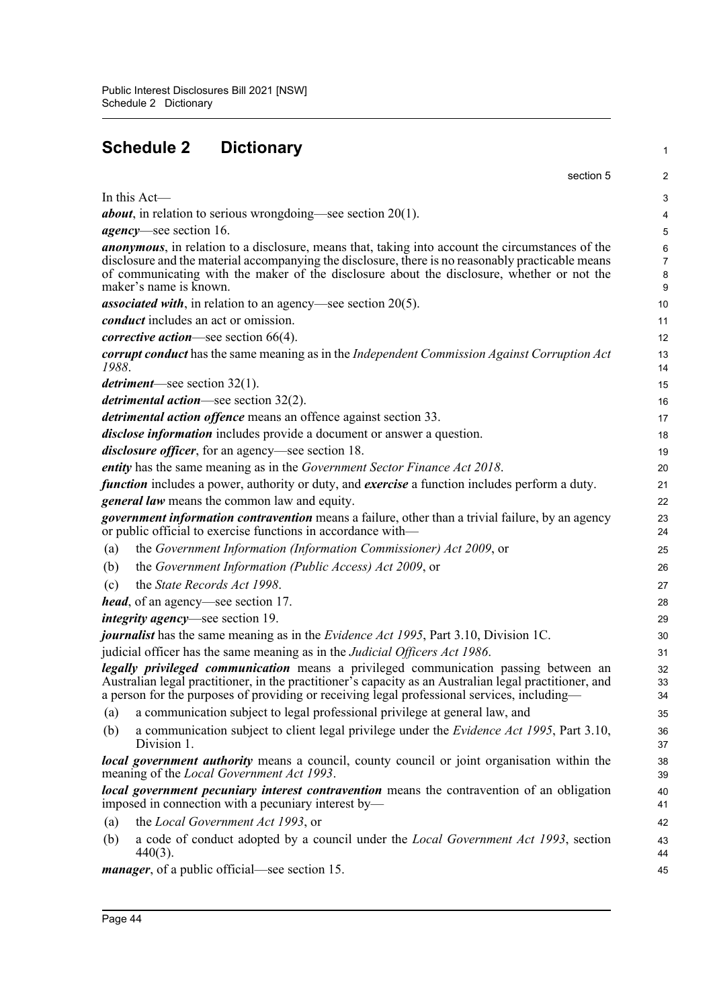# **Schedule 2 Dictionary**

|                   | section 5                                                                                                                                                                                                                                                                                                                             | $\overline{2}$                |
|-------------------|---------------------------------------------------------------------------------------------------------------------------------------------------------------------------------------------------------------------------------------------------------------------------------------------------------------------------------------|-------------------------------|
|                   | In this Act-                                                                                                                                                                                                                                                                                                                          | 3                             |
|                   | <i>about</i> , in relation to serious wrongdoing—see section $20(1)$ .                                                                                                                                                                                                                                                                | 4                             |
|                   | <i>agency</i> —see section 16.                                                                                                                                                                                                                                                                                                        | 5                             |
|                   | <i>anonymous</i> , in relation to a disclosure, means that, taking into account the circumstances of the<br>disclosure and the material accompanying the disclosure, there is no reasonably practicable means<br>of communicating with the maker of the disclosure about the disclosure, whether or not the<br>maker's name is known. | 6<br>$\overline{7}$<br>8<br>9 |
|                   | <i>associated with</i> , in relation to an agency—see section $20(5)$ .                                                                                                                                                                                                                                                               | 10                            |
|                   | <i>conduct</i> includes an act or omission.                                                                                                                                                                                                                                                                                           | 11                            |
|                   | <i>corrective action</i> —see section $66(4)$ .                                                                                                                                                                                                                                                                                       | 12                            |
| 1988.             | <b>corrupt conduct</b> has the same meaning as in the Independent Commission Against Corruption Act                                                                                                                                                                                                                                   | 13<br>14                      |
|                   | <i>detriment</i> —see section $32(1)$ .                                                                                                                                                                                                                                                                                               | 15                            |
|                   | <i>detrimental action</i> —see section $32(2)$ .                                                                                                                                                                                                                                                                                      | 16                            |
|                   | <i>detrimental action offence</i> means an offence against section 33.                                                                                                                                                                                                                                                                | 17                            |
|                   | <i>disclose information</i> includes provide a document or answer a question.                                                                                                                                                                                                                                                         | 18                            |
|                   | <i>disclosure officer</i> , for an agency—see section 18.                                                                                                                                                                                                                                                                             | 19                            |
|                   | entity has the same meaning as in the Government Sector Finance Act 2018.                                                                                                                                                                                                                                                             | 20                            |
|                   | <i>function</i> includes a power, authority or duty, and <i>exercise</i> a function includes perform a duty.                                                                                                                                                                                                                          | 21                            |
|                   | <i>general law</i> means the common law and equity.                                                                                                                                                                                                                                                                                   | 22                            |
|                   | <i>government information contravention</i> means a failure, other than a trivial failure, by an agency<br>or public official to exercise functions in accordance with-                                                                                                                                                               | 23<br>24                      |
| (a)               | the Government Information (Information Commissioner) Act 2009, or                                                                                                                                                                                                                                                                    | 25                            |
| (b)               | the Government Information (Public Access) Act 2009, or                                                                                                                                                                                                                                                                               | 26                            |
| (c)               | the State Records Act 1998.                                                                                                                                                                                                                                                                                                           | 27                            |
|                   | <i>head</i> , of an agency—see section 17.                                                                                                                                                                                                                                                                                            | 28                            |
|                   | <i>integrity agency</i> —see section 19.                                                                                                                                                                                                                                                                                              | 29                            |
|                   | journalist has the same meaning as in the Evidence Act 1995, Part 3.10, Division 1C.                                                                                                                                                                                                                                                  | 30                            |
|                   | judicial officer has the same meaning as in the Judicial Officers Act 1986.                                                                                                                                                                                                                                                           | 31                            |
|                   | legally privileged communication means a privileged communication passing between an<br>Australian legal practitioner, in the practitioner's capacity as an Australian legal practitioner, and<br>a person for the purposes of providing or receiving legal professional services, including—                                         | 32<br>33<br>34                |
| $\left( a\right)$ | a communication subject to legal professional privilege at general law, and                                                                                                                                                                                                                                                           | 35                            |
| (b)               | a communication subject to client legal privilege under the <i>Evidence Act 1995</i> , Part 3.10,<br>Division 1.                                                                                                                                                                                                                      | 36<br>37                      |
|                   | <b><i>local government authority</i></b> means a council, county council or joint organisation within the<br>meaning of the <i>Local Government Act 1993</i> .                                                                                                                                                                        | 38<br>39                      |
|                   | <i>local government pecuniary interest contravention</i> means the contravention of an obligation<br>imposed in connection with a pecuniary interest by—                                                                                                                                                                              | 40<br>41                      |
| (a)               | the Local Government Act 1993, or                                                                                                                                                                                                                                                                                                     | 42                            |
| (b)               | a code of conduct adopted by a council under the <i>Local Government Act 1993</i> , section<br>$440(3)$ .                                                                                                                                                                                                                             | 43<br>44                      |
|                   | <i>manager</i> , of a public official—see section 15.                                                                                                                                                                                                                                                                                 | 45                            |

1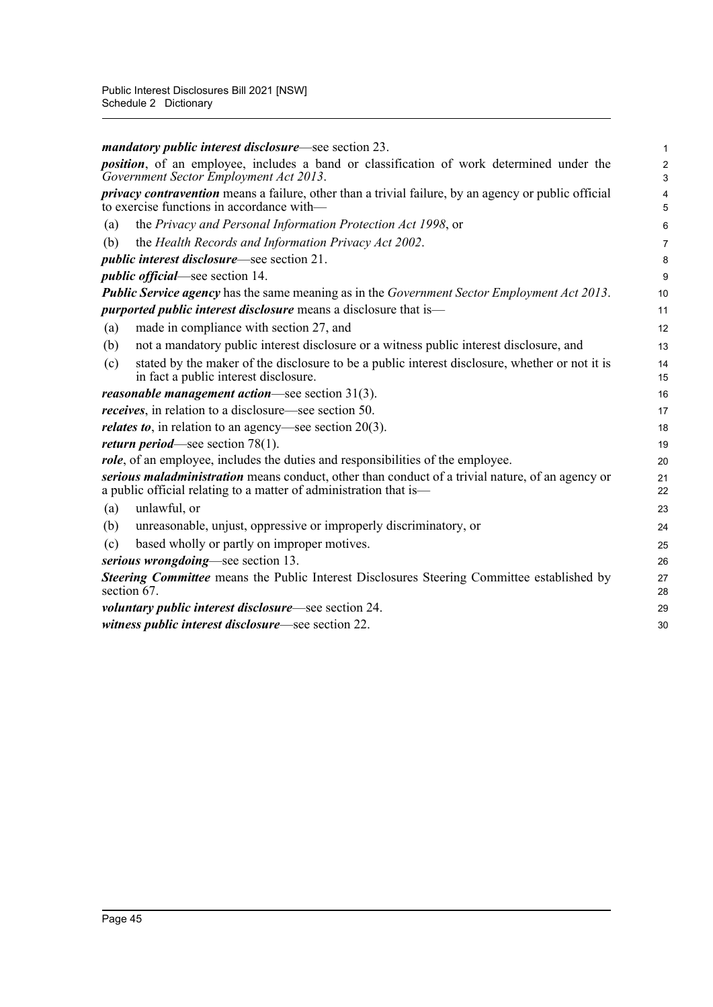|     | <i>mandatory public interest disclosure</i> —see section 23.                                                                                                          | 1                            |
|-----|-----------------------------------------------------------------------------------------------------------------------------------------------------------------------|------------------------------|
|     | <i>position</i> , of an employee, includes a band or classification of work determined under the<br>Government Sector Employment Act 2013.                            | $\overline{\mathbf{c}}$<br>3 |
|     | <i>privacy contravention</i> means a failure, other than a trivial failure, by an agency or public official<br>to exercise functions in accordance with-              | 4<br>5                       |
| (a) | the Privacy and Personal Information Protection Act 1998, or                                                                                                          | 6                            |
| (b) | the Health Records and Information Privacy Act 2002.                                                                                                                  | 7                            |
|     | <i>public interest disclosure</i> —see section 21.                                                                                                                    | 8                            |
|     | <i>public official</i> —see section 14.                                                                                                                               | 9                            |
|     | <b>Public Service agency</b> has the same meaning as in the Government Sector Employment Act 2013.                                                                    | 10                           |
|     | <i>purported public interest disclosure</i> means a disclosure that is-                                                                                               | 11                           |
| (a) | made in compliance with section 27, and                                                                                                                               | 12                           |
| (b) | not a mandatory public interest disclosure or a witness public interest disclosure, and                                                                               | 13                           |
| (c) | stated by the maker of the disclosure to be a public interest disclosure, whether or not it is<br>in fact a public interest disclosure.                               | 14<br>15                     |
|     | <i>reasonable management action</i> —see section $31(3)$ .                                                                                                            | 16                           |
|     | <i>receives</i> , in relation to a disclosure—see section 50.                                                                                                         | 17                           |
|     | <i>relates to</i> , in relation to an agency—see section $20(3)$ .                                                                                                    | 18                           |
|     | <i>return period</i> —see section $78(1)$ .                                                                                                                           | 19                           |
|     | role, of an employee, includes the duties and responsibilities of the employee.                                                                                       | 20                           |
|     | serious maladministration means conduct, other than conduct of a trivial nature, of an agency or<br>a public official relating to a matter of administration that is— | 21<br>22                     |
| (a) | unlawful, or                                                                                                                                                          | 23                           |
| (b) | unreasonable, unjust, oppressive or improperly discriminatory, or                                                                                                     | 24                           |
| (c) | based wholly or partly on improper motives.                                                                                                                           | 25                           |
|     | serious wrongdoing—see section 13.                                                                                                                                    | 26                           |
|     | <b>Steering Committee</b> means the Public Interest Disclosures Steering Committee established by<br>section 67.                                                      | 27<br>28                     |
|     | <i>voluntary public interest disclosure</i> —see section 24.                                                                                                          | 29                           |
|     | witness public interest disclosure—see section 22.                                                                                                                    | 30                           |
|     |                                                                                                                                                                       |                              |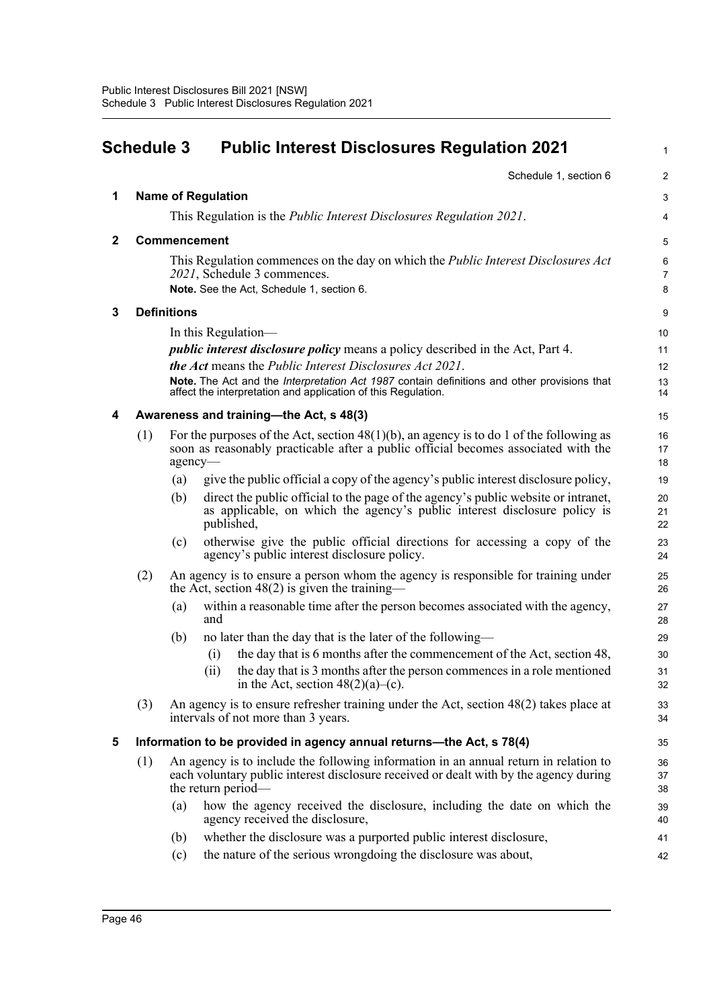|              | <b>Schedule 3</b> |                    |                           | <b>Public Interest Disclosures Regulation 2021</b>                                                                                                                                                                                                                                                                              | 1                        |
|--------------|-------------------|--------------------|---------------------------|---------------------------------------------------------------------------------------------------------------------------------------------------------------------------------------------------------------------------------------------------------------------------------------------------------------------------------|--------------------------|
|              |                   |                    |                           | Schedule 1, section 6                                                                                                                                                                                                                                                                                                           | $\overline{2}$           |
| 1            |                   |                    | <b>Name of Regulation</b> |                                                                                                                                                                                                                                                                                                                                 | 3                        |
|              |                   |                    |                           | This Regulation is the <i>Public Interest Disclosures Regulation 2021</i> .                                                                                                                                                                                                                                                     | 4                        |
| $\mathbf{2}$ |                   |                    | Commencement              |                                                                                                                                                                                                                                                                                                                                 | 5                        |
|              |                   |                    |                           | This Regulation commences on the day on which the <i>Public Interest Disclosures Act</i><br>2021, Schedule 3 commences.<br>Note. See the Act, Schedule 1, section 6.                                                                                                                                                            | 6<br>$\overline{7}$<br>8 |
| 3            |                   | <b>Definitions</b> |                           |                                                                                                                                                                                                                                                                                                                                 | 9                        |
|              |                   |                    |                           | In this Regulation—                                                                                                                                                                                                                                                                                                             | 10                       |
|              |                   |                    |                           | <i>public interest disclosure policy</i> means a policy described in the Act, Part 4.<br><b>the Act</b> means the <i>Public Interest Disclosures Act 2021</i> .<br>Note. The Act and the Interpretation Act 1987 contain definitions and other provisions that<br>affect the interpretation and application of this Regulation. | 11<br>12<br>13<br>14     |
| 4            |                   |                    |                           | Awareness and training-the Act, s 48(3)                                                                                                                                                                                                                                                                                         | 15                       |
|              | (1)               | agency-            |                           | For the purposes of the Act, section $48(1)(b)$ , an agency is to do 1 of the following as<br>soon as reasonably practicable after a public official becomes associated with the                                                                                                                                                | 16<br>17<br>18           |
|              |                   | (a)                |                           | give the public official a copy of the agency's public interest disclosure policy,                                                                                                                                                                                                                                              | 19                       |
|              |                   | (b)                |                           | direct the public official to the page of the agency's public website or intranet,<br>as applicable, on which the agency's public interest disclosure policy is<br>published,                                                                                                                                                   | 20<br>21<br>22           |
|              |                   | (c)                |                           | otherwise give the public official directions for accessing a copy of the<br>agency's public interest disclosure policy.                                                                                                                                                                                                        | 23<br>24                 |
|              | (2)               |                    |                           | An agency is to ensure a person whom the agency is responsible for training under<br>the Act, section $48(2)$ is given the training—                                                                                                                                                                                            | 25<br>26                 |
|              |                   | (a)                | and                       | within a reasonable time after the person becomes associated with the agency,                                                                                                                                                                                                                                                   | 27<br>28                 |
|              |                   | (b)                |                           | no later than the day that is the later of the following—                                                                                                                                                                                                                                                                       | 29                       |
|              |                   |                    | (i)                       | the day that is 6 months after the commencement of the Act, section 48,                                                                                                                                                                                                                                                         | 30                       |
|              |                   |                    | (ii)                      | the day that is 3 months after the person commences in a role mentioned<br>in the Act, section $48(2)(a)-(c)$ .                                                                                                                                                                                                                 | 31<br>32                 |
|              | (3)               |                    |                           | An agency is to ensure refresher training under the Act, section $48(2)$ takes place at<br>intervals of not more than 3 years.                                                                                                                                                                                                  | 33<br>34                 |
| 5            |                   |                    |                           | Information to be provided in agency annual returns—the Act, s 78(4)                                                                                                                                                                                                                                                            | 35                       |
|              | (1)               |                    |                           | An agency is to include the following information in an annual return in relation to<br>each voluntary public interest disclosure received or dealt with by the agency during<br>the return period—                                                                                                                             | 36<br>37<br>38           |
|              |                   | (a)                |                           | how the agency received the disclosure, including the date on which the<br>agency received the disclosure,                                                                                                                                                                                                                      | 39<br>40                 |
|              |                   | (b)                |                           | whether the disclosure was a purported public interest disclosure,                                                                                                                                                                                                                                                              | 41                       |
|              |                   | (c)                |                           | the nature of the serious wrongdoing the disclosure was about,                                                                                                                                                                                                                                                                  | 42                       |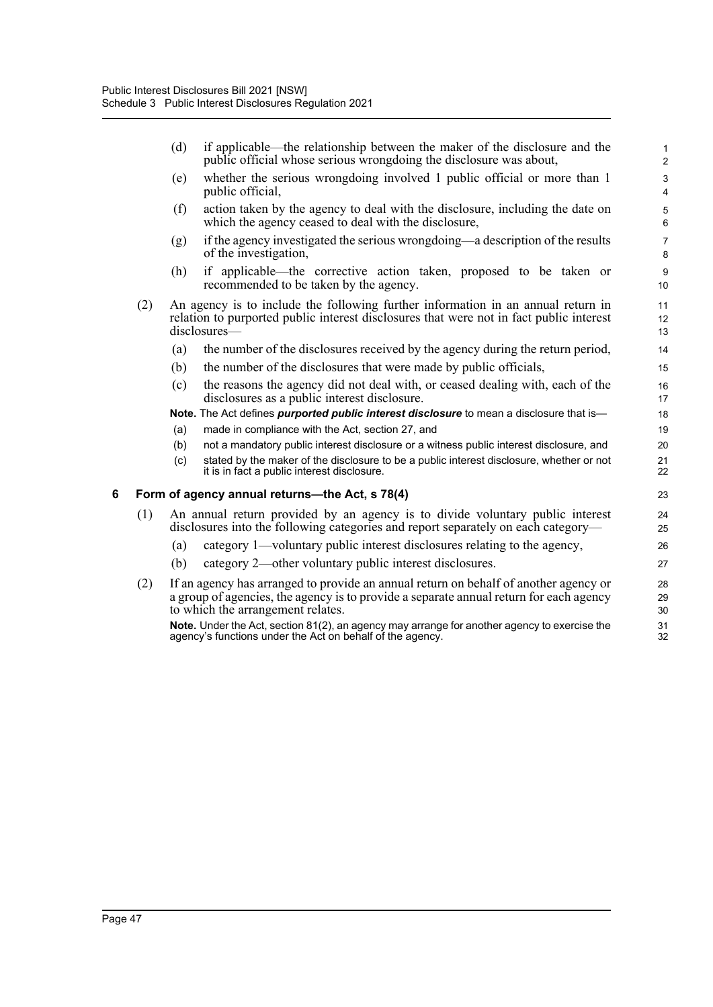(d) if applicable—the relationship between the maker of the disclosure and the public official whose serious wrongdoing the disclosure was about,

- (e) whether the serious wrongdoing involved 1 public official or more than 1 public official,
- (f) action taken by the agency to deal with the disclosure, including the date on which the agency ceased to deal with the disclosure,
- $(g)$  if the agency investigated the serious wrongdoing—a description of the results of the investigation,
- (h) if applicable—the corrective action taken, proposed to be taken or recommended to be taken by the agency.
- (2) An agency is to include the following further information in an annual return in relation to purported public interest disclosures that were not in fact public interest disclosures-
	- (a) the number of the disclosures received by the agency during the return period,
	- (b) the number of the disclosures that were made by public officials,
	- (c) the reasons the agency did not deal with, or ceased dealing with, each of the disclosures as a public interest disclosure.
	- **Note.** The Act defines *purported public interest disclosure* to mean a disclosure that is—
	- (a) made in compliance with the Act, section 27, and
	- (b) not a mandatory public interest disclosure or a witness public interest disclosure, and
	- (c) stated by the maker of the disclosure to be a public interest disclosure, whether or not it is in fact a public interest disclosure.

### **6 Form of agency annual returns—the Act, s 78(4)**

- (1) An annual return provided by an agency is to divide voluntary public interest disclosures into the following categories and report separately on each category—
	- (a) category 1—voluntary public interest disclosures relating to the agency,
	- (b) category 2—other voluntary public interest disclosures.
- (2) If an agency has arranged to provide an annual return on behalf of another agency or a group of agencies, the agency is to provide a separate annual return for each agency to which the arrangement relates.

**Note.** Under the Act, section 81(2), an agency may arrange for another agency to exercise the agency's functions under the Act on behalf of the agency.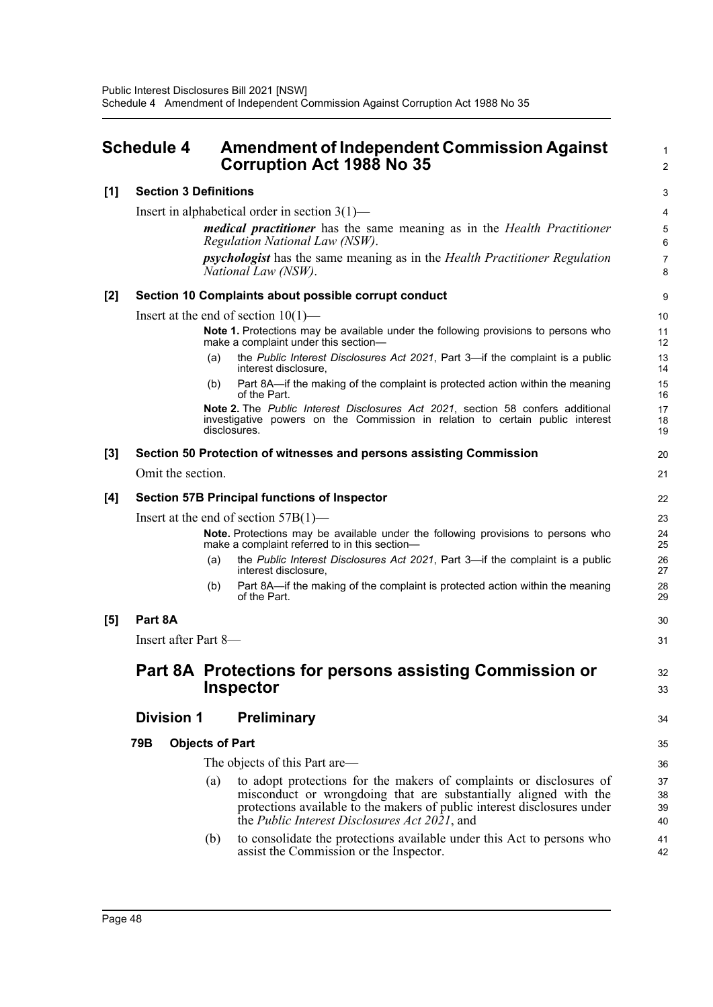|       | <b>Schedule 4</b>            |                        | <b>Amendment of Independent Commission Against</b><br><b>Corruption Act 1988 No 35</b>                                                                                                                                                                                       | 1<br>$\overline{a}$ |
|-------|------------------------------|------------------------|------------------------------------------------------------------------------------------------------------------------------------------------------------------------------------------------------------------------------------------------------------------------------|---------------------|
| [1]   | <b>Section 3 Definitions</b> |                        |                                                                                                                                                                                                                                                                              | 3                   |
|       |                              |                        | Insert in alphabetical order in section $3(1)$ —                                                                                                                                                                                                                             | 4                   |
|       |                              |                        | <i>medical practitioner</i> has the same meaning as in the <i>Health Practitioner</i><br>Regulation National Law (NSW).                                                                                                                                                      | 5<br>6              |
|       |                              |                        | <i>psychologist</i> has the same meaning as in the <i>Health Practitioner Regulation</i><br>National Law (NSW).                                                                                                                                                              | 7<br>8              |
| $[2]$ |                              |                        | Section 10 Complaints about possible corrupt conduct                                                                                                                                                                                                                         | 9                   |
|       |                              |                        | Insert at the end of section $10(1)$ —                                                                                                                                                                                                                                       | 10                  |
|       |                              |                        | Note 1. Protections may be available under the following provisions to persons who<br>make a complaint under this section-                                                                                                                                                   | 11<br>12            |
|       |                              | (a)                    | the Public Interest Disclosures Act 2021, Part 3-if the complaint is a public<br>interest disclosure,                                                                                                                                                                        | 13<br>14            |
|       |                              | (b)                    | Part 8A—if the making of the complaint is protected action within the meaning<br>of the Part.                                                                                                                                                                                | 15<br>16            |
|       |                              |                        | Note 2. The Public Interest Disclosures Act 2021, section 58 confers additional<br>investigative powers on the Commission in relation to certain public interest<br>disclosures.                                                                                             | 17<br>18<br>19      |
| $[3]$ |                              |                        | Section 50 Protection of witnesses and persons assisting Commission                                                                                                                                                                                                          | 20                  |
|       | Omit the section.            |                        |                                                                                                                                                                                                                                                                              | 21                  |
| [4]   |                              |                        | <b>Section 57B Principal functions of Inspector</b>                                                                                                                                                                                                                          | 22                  |
|       |                              |                        | Insert at the end of section $57B(1)$ —                                                                                                                                                                                                                                      | 23                  |
|       |                              |                        | Note. Protections may be available under the following provisions to persons who<br>make a complaint referred to in this section-                                                                                                                                            | 24<br>25            |
|       |                              | (a)                    | the Public Interest Disclosures Act 2021, Part 3-if the complaint is a public<br>interest disclosure,                                                                                                                                                                        | 26<br>27            |
|       |                              | (b)                    | Part 8A—if the making of the complaint is protected action within the meaning<br>of the Part.                                                                                                                                                                                | 28<br>29            |
| [5]   | Part 8A                      |                        |                                                                                                                                                                                                                                                                              | 30                  |
|       | Insert after Part 8-         |                        |                                                                                                                                                                                                                                                                              | 31                  |
|       |                              |                        | Part 8A Protections for persons assisting Commission or                                                                                                                                                                                                                      | 32                  |
|       |                              |                        | <b>Inspector</b>                                                                                                                                                                                                                                                             | 33                  |
|       | <b>Division 1</b>            |                        | <b>Preliminary</b>                                                                                                                                                                                                                                                           | 34                  |
|       | 79B                          | <b>Objects of Part</b> |                                                                                                                                                                                                                                                                              | 35                  |
|       |                              |                        | The objects of this Part are—                                                                                                                                                                                                                                                | 36                  |
|       |                              | (a)                    | to adopt protections for the makers of complaints or disclosures of<br>misconduct or wrongdoing that are substantially aligned with the<br>protections available to the makers of public interest disclosures under<br>the <i>Public Interest Disclosures Act 2021</i> , and | 37<br>38<br>39      |
|       |                              | (b)                    | to consolidate the protections available under this Act to persons who<br>assist the Commission or the Inspector.                                                                                                                                                            | 40<br>41<br>42      |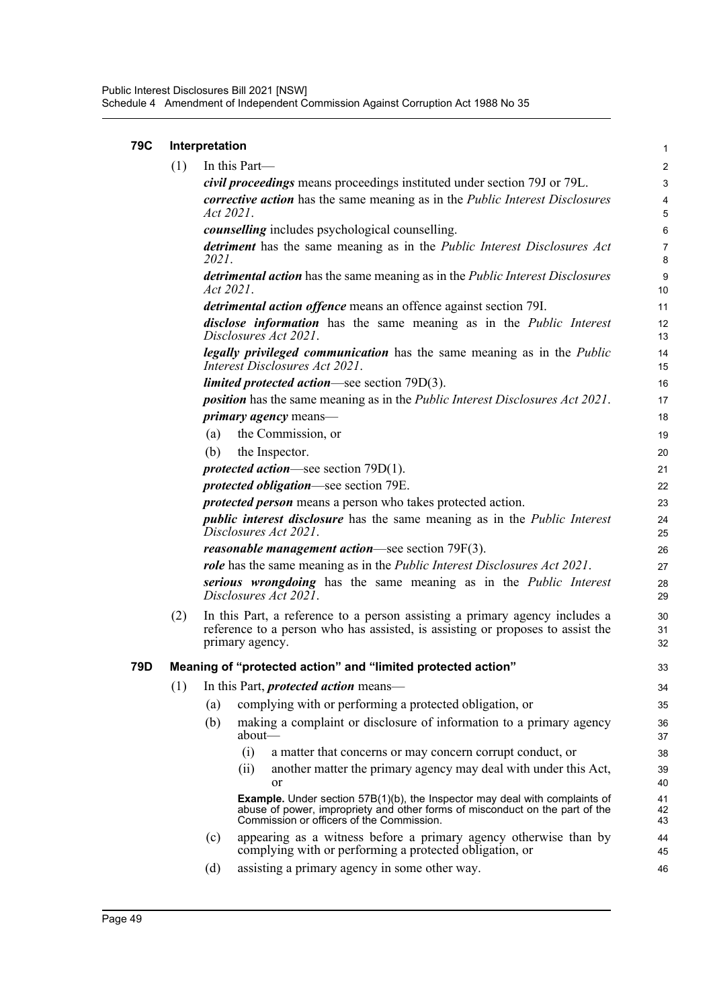| <b>79C</b> | Interpretation |           |                                                                                                                                                                                                                    |                        |  |  |
|------------|----------------|-----------|--------------------------------------------------------------------------------------------------------------------------------------------------------------------------------------------------------------------|------------------------|--|--|
|            | (1)            |           | In this Part-                                                                                                                                                                                                      | $\overline{2}$         |  |  |
|            |                |           | civil proceedings means proceedings instituted under section 79J or 79L.                                                                                                                                           | 3                      |  |  |
|            |                | Act 2021. | corrective action has the same meaning as in the Public Interest Disclosures                                                                                                                                       | $\overline{4}$<br>5    |  |  |
|            |                |           | <i>counselling</i> includes psychological counselling.                                                                                                                                                             | $6\phantom{1}6$        |  |  |
|            |                | 2021.     | detriment has the same meaning as in the Public Interest Disclosures Act                                                                                                                                           | $\overline{7}$<br>8    |  |  |
|            |                | Act 2021. | detrimental action has the same meaning as in the Public Interest Disclosures                                                                                                                                      | $\boldsymbol{9}$<br>10 |  |  |
|            |                |           | <i>detrimental action offence</i> means an offence against section 79I.                                                                                                                                            | 11                     |  |  |
|            |                |           | disclose information has the same meaning as in the Public Interest<br>Disclosures Act 2021.                                                                                                                       | 12<br>13               |  |  |
|            |                |           | legally privileged communication has the same meaning as in the Public<br>Interest Disclosures Act 2021.                                                                                                           | 14<br>15               |  |  |
|            |                |           | <i>limited protected action—see section 79D(3).</i>                                                                                                                                                                | 16                     |  |  |
|            |                |           | <i>position</i> has the same meaning as in the <i>Public Interest Disclosures Act 2021</i> .                                                                                                                       | 17                     |  |  |
|            |                |           | <i>primary agency</i> means—                                                                                                                                                                                       | 18                     |  |  |
|            |                | (a)       | the Commission, or                                                                                                                                                                                                 | 19                     |  |  |
|            |                | (b)       | the Inspector.                                                                                                                                                                                                     | 20                     |  |  |
|            |                |           | <i>protected action</i> —see section $79D(1)$ .                                                                                                                                                                    | 21                     |  |  |
|            |                |           | <i>protected obligation</i> —see section 79E.                                                                                                                                                                      | 22                     |  |  |
|            |                |           | <i>protected person</i> means a person who takes protected action.                                                                                                                                                 | 23                     |  |  |
|            |                |           | <i>public interest disclosure</i> has the same meaning as in the <i>Public Interest</i><br>Disclosures Act 2021.                                                                                                   | 24<br>25               |  |  |
|            |                |           | reasonable management action-see section 79F(3).                                                                                                                                                                   | 26                     |  |  |
|            |                |           | role has the same meaning as in the Public Interest Disclosures Act 2021.                                                                                                                                          | 27                     |  |  |
|            |                |           | serious wrongdoing has the same meaning as in the Public Interest<br>Disclosures Act 2021.                                                                                                                         | 28<br>29               |  |  |
|            | (2)            |           | In this Part, a reference to a person assisting a primary agency includes a<br>reference to a person who has assisted, is assisting or proposes to assist the<br>primary agency.                                   | 30<br>31<br>32         |  |  |
| 79D        |                |           | Meaning of "protected action" and "limited protected action"                                                                                                                                                       | 33                     |  |  |
|            | (1)            |           | In this Part, <i>protected action</i> means—                                                                                                                                                                       | 34                     |  |  |
|            |                | (a)       | complying with or performing a protected obligation, or                                                                                                                                                            | 35                     |  |  |
|            |                | (b)       | making a complaint or disclosure of information to a primary agency<br>about-                                                                                                                                      | 36<br>37               |  |  |
|            |                |           | (i)<br>a matter that concerns or may concern corrupt conduct, or                                                                                                                                                   | 38                     |  |  |
|            |                |           | another matter the primary agency may deal with under this Act,<br>(ii)                                                                                                                                            | 39                     |  |  |
|            |                |           | or                                                                                                                                                                                                                 | 40                     |  |  |
|            |                |           | <b>Example.</b> Under section $57B(1)(b)$ , the Inspector may deal with complaints of<br>abuse of power, impropriety and other forms of misconduct on the part of the<br>Commission or officers of the Commission. | 41<br>42<br>43         |  |  |
|            |                | (c)       | appearing as a witness before a primary agency otherwise than by<br>complying with or performing a protected obligation, or                                                                                        | 44<br>45               |  |  |
|            |                | (d)       | assisting a primary agency in some other way.                                                                                                                                                                      | 46                     |  |  |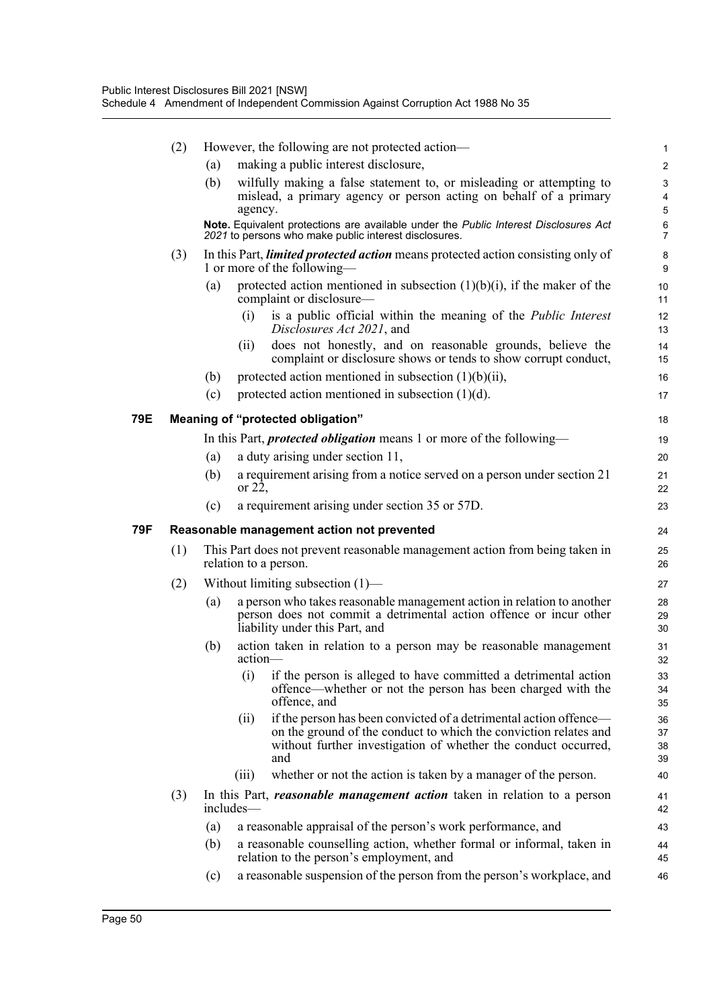|     | (2) | However, the following are not protected action—                                                                       |                                                                                                        |                                                                                                                                                                                                                |                           |  |
|-----|-----|------------------------------------------------------------------------------------------------------------------------|--------------------------------------------------------------------------------------------------------|----------------------------------------------------------------------------------------------------------------------------------------------------------------------------------------------------------------|---------------------------|--|
|     |     | (a)                                                                                                                    |                                                                                                        | making a public interest disclosure,                                                                                                                                                                           | $\boldsymbol{2}$          |  |
|     |     | (b)                                                                                                                    | agency.                                                                                                | wilfully making a false statement to, or misleading or attempting to<br>mislead, a primary agency or person acting on behalf of a primary                                                                      | 3<br>$\overline{4}$<br>5  |  |
|     |     |                                                                                                                        |                                                                                                        | Note. Equivalent protections are available under the Public Interest Disclosures Act<br>2021 to persons who make public interest disclosures.                                                                  | $\,6\,$<br>$\overline{7}$ |  |
|     | (3) | In this Part, <i>limited protected action</i> means protected action consisting only of<br>1 or more of the following— |                                                                                                        |                                                                                                                                                                                                                |                           |  |
|     |     | (a)                                                                                                                    | protected action mentioned in subsection $(1)(b)(i)$ , if the maker of the<br>complaint or disclosure- |                                                                                                                                                                                                                |                           |  |
|     |     |                                                                                                                        | (i)                                                                                                    | is a public official within the meaning of the <i>Public Interest</i><br>Disclosures Act 2021, and                                                                                                             | 12<br>13                  |  |
|     |     |                                                                                                                        | (11)                                                                                                   | does not honestly, and on reasonable grounds, believe the<br>complaint or disclosure shows or tends to show corrupt conduct,                                                                                   | 14<br>15                  |  |
|     |     | (b)                                                                                                                    |                                                                                                        | protected action mentioned in subsection $(1)(b)(ii)$ ,                                                                                                                                                        | 16                        |  |
|     |     | (c)                                                                                                                    |                                                                                                        | protected action mentioned in subsection $(1)(d)$ .                                                                                                                                                            | 17                        |  |
| 79E |     |                                                                                                                        |                                                                                                        | Meaning of "protected obligation"                                                                                                                                                                              | 18                        |  |
|     |     |                                                                                                                        |                                                                                                        | In this Part, <i>protected obligation</i> means 1 or more of the following-                                                                                                                                    | 19                        |  |
|     |     | (a)                                                                                                                    |                                                                                                        | a duty arising under section 11,                                                                                                                                                                               | 20                        |  |
|     |     | (b)                                                                                                                    | or $22$ ,                                                                                              | a requirement arising from a notice served on a person under section 21                                                                                                                                        | 21<br>22                  |  |
|     |     | (c)                                                                                                                    |                                                                                                        | a requirement arising under section 35 or 57D.                                                                                                                                                                 | 23                        |  |
| 79F |     |                                                                                                                        |                                                                                                        |                                                                                                                                                                                                                |                           |  |
|     |     |                                                                                                                        |                                                                                                        | Reasonable management action not prevented                                                                                                                                                                     | 24                        |  |
|     | (1) |                                                                                                                        |                                                                                                        | This Part does not prevent reasonable management action from being taken in<br>relation to a person.                                                                                                           | 25<br>26                  |  |
|     |     |                                                                                                                        |                                                                                                        | Without limiting subsection $(1)$ —                                                                                                                                                                            | 27                        |  |
|     | (2) | (a)                                                                                                                    |                                                                                                        | a person who takes reasonable management action in relation to another<br>person does not commit a detrimental action offence or incur other<br>liability under this Part, and                                 | 28<br>29<br>30            |  |
|     |     | (b)                                                                                                                    | action-                                                                                                | action taken in relation to a person may be reasonable management                                                                                                                                              | 31<br>32                  |  |
|     |     |                                                                                                                        |                                                                                                        | (i) if the person is alleged to have committed a detrimental action<br>offence—whether or not the person has been charged with the<br>offence, and                                                             | 33<br>34<br>35            |  |
|     |     |                                                                                                                        | (ii)                                                                                                   | if the person has been convicted of a detrimental action offence—<br>on the ground of the conduct to which the conviction relates and<br>without further investigation of whether the conduct occurred,<br>and | 36<br>37<br>38<br>39      |  |
|     |     |                                                                                                                        | (iii)                                                                                                  | whether or not the action is taken by a manager of the person.                                                                                                                                                 | 40                        |  |
|     | (3) |                                                                                                                        | includes—                                                                                              | In this Part, <i>reasonable management action</i> taken in relation to a person                                                                                                                                | 41<br>42                  |  |
|     |     | (a)                                                                                                                    |                                                                                                        | a reasonable appraisal of the person's work performance, and                                                                                                                                                   | 43                        |  |
|     |     | (b)                                                                                                                    |                                                                                                        | a reasonable counselling action, whether formal or informal, taken in<br>relation to the person's employment, and                                                                                              | 44<br>45                  |  |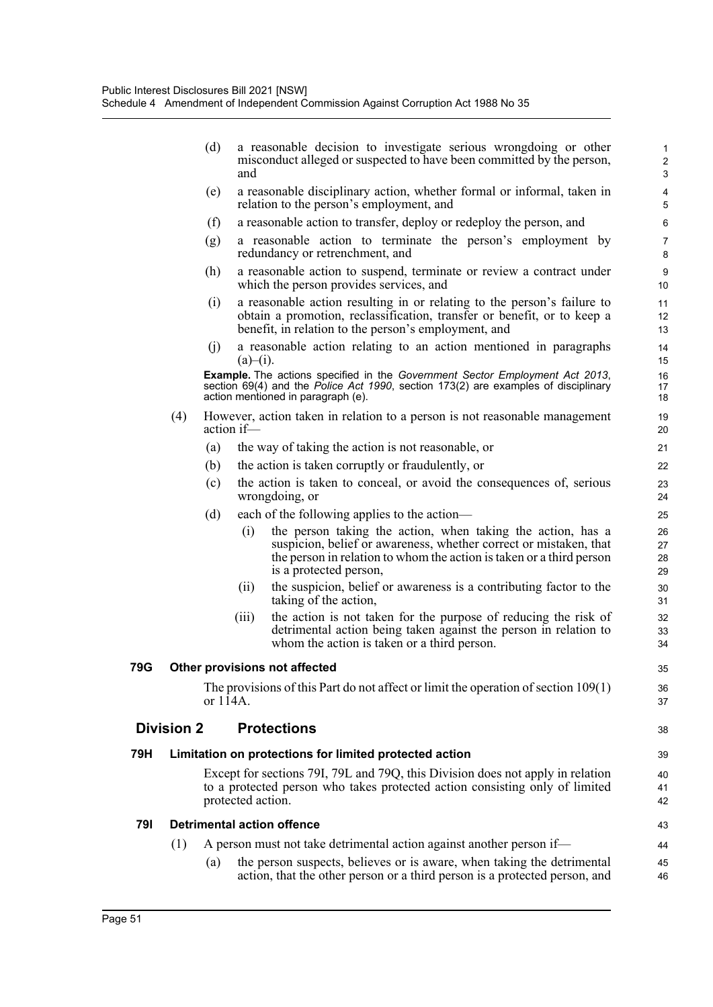|     |                               | (d)                                                                                                                                                                                                             | and               | a reasonable decision to investigate serious wrongdoing or other<br>misconduct alleged or suspected to have been committed by the person,                                                                                          | $\mathbf{1}$<br>$\sqrt{2}$<br>3 |  |  |
|-----|-------------------------------|-----------------------------------------------------------------------------------------------------------------------------------------------------------------------------------------------------------------|-------------------|------------------------------------------------------------------------------------------------------------------------------------------------------------------------------------------------------------------------------------|---------------------------------|--|--|
|     |                               | (e)                                                                                                                                                                                                             |                   | a reasonable disciplinary action, whether formal or informal, taken in<br>relation to the person's employment, and                                                                                                                 | 4<br>5                          |  |  |
|     |                               | (f)                                                                                                                                                                                                             |                   | a reasonable action to transfer, deploy or redeploy the person, and                                                                                                                                                                | 6                               |  |  |
|     |                               | (g)                                                                                                                                                                                                             |                   | a reasonable action to terminate the person's employment by<br>redundancy or retrenchment, and                                                                                                                                     | $\overline{7}$<br>8             |  |  |
|     |                               | (h)                                                                                                                                                                                                             |                   | a reasonable action to suspend, terminate or review a contract under<br>which the person provides services, and                                                                                                                    | $\boldsymbol{9}$<br>10          |  |  |
|     |                               | (i)                                                                                                                                                                                                             |                   | a reasonable action resulting in or relating to the person's failure to<br>obtain a promotion, reclassification, transfer or benefit, or to keep a<br>benefit, in relation to the person's employment, and                         | 11<br>12<br>13                  |  |  |
|     |                               | (i)                                                                                                                                                                                                             | $(a)$ – $(i)$ .   | a reasonable action relating to an action mentioned in paragraphs                                                                                                                                                                  | 14<br>15                        |  |  |
|     |                               | <b>Example.</b> The actions specified in the Government Sector Employment Act 2013,<br>section 69(4) and the Police Act 1990, section 173(2) are examples of disciplinary<br>action mentioned in paragraph (e). |                   |                                                                                                                                                                                                                                    |                                 |  |  |
|     | (4)                           |                                                                                                                                                                                                                 | action if-        | However, action taken in relation to a person is not reasonable management                                                                                                                                                         | 19<br>20                        |  |  |
|     |                               | (a)                                                                                                                                                                                                             |                   | the way of taking the action is not reasonable, or                                                                                                                                                                                 | 21                              |  |  |
|     |                               | (b)                                                                                                                                                                                                             |                   | the action is taken corruptly or fraudulently, or                                                                                                                                                                                  | 22                              |  |  |
|     |                               | (c)                                                                                                                                                                                                             |                   | the action is taken to conceal, or avoid the consequences of, serious<br>wrongdoing, or                                                                                                                                            | 23<br>24                        |  |  |
|     |                               | (d)                                                                                                                                                                                                             |                   | each of the following applies to the action-                                                                                                                                                                                       | 25                              |  |  |
|     |                               |                                                                                                                                                                                                                 | (i)               | the person taking the action, when taking the action, has a<br>suspicion, belief or awareness, whether correct or mistaken, that<br>the person in relation to whom the action is taken or a third person<br>is a protected person, | 26<br>27<br>28<br>29            |  |  |
|     |                               |                                                                                                                                                                                                                 | (i)               | the suspicion, belief or awareness is a contributing factor to the<br>taking of the action,                                                                                                                                        | 30<br>31                        |  |  |
|     |                               |                                                                                                                                                                                                                 | (iii)             | the action is not taken for the purpose of reducing the risk of<br>detrimental action being taken against the person in relation to<br>whom the action is taken or a third person.                                                 | 32<br>33<br>34                  |  |  |
| 79G | Other provisions not affected |                                                                                                                                                                                                                 |                   |                                                                                                                                                                                                                                    |                                 |  |  |
|     |                               | or 114A.                                                                                                                                                                                                        |                   | The provisions of this Part do not affect or limit the operation of section $109(1)$                                                                                                                                               | 36<br>37                        |  |  |
|     | <b>Division 2</b>             |                                                                                                                                                                                                                 |                   | <b>Protections</b>                                                                                                                                                                                                                 | 38                              |  |  |
| 79H |                               |                                                                                                                                                                                                                 |                   | Limitation on protections for limited protected action                                                                                                                                                                             | 39                              |  |  |
|     |                               |                                                                                                                                                                                                                 | protected action. | Except for sections 79I, 79L and 79Q, this Division does not apply in relation<br>to a protected person who takes protected action consisting only of limited                                                                      | 40<br>41<br>42                  |  |  |
| 791 |                               |                                                                                                                                                                                                                 |                   | <b>Detrimental action offence</b>                                                                                                                                                                                                  | 43                              |  |  |
|     | (1)                           | A person must not take detrimental action against another person if—                                                                                                                                            |                   |                                                                                                                                                                                                                                    |                                 |  |  |
|     |                               | (a)                                                                                                                                                                                                             |                   | the person suspects, believes or is aware, when taking the detrimental<br>action, that the other person or a third person is a protected person, and                                                                               | 45<br>46                        |  |  |

**79G**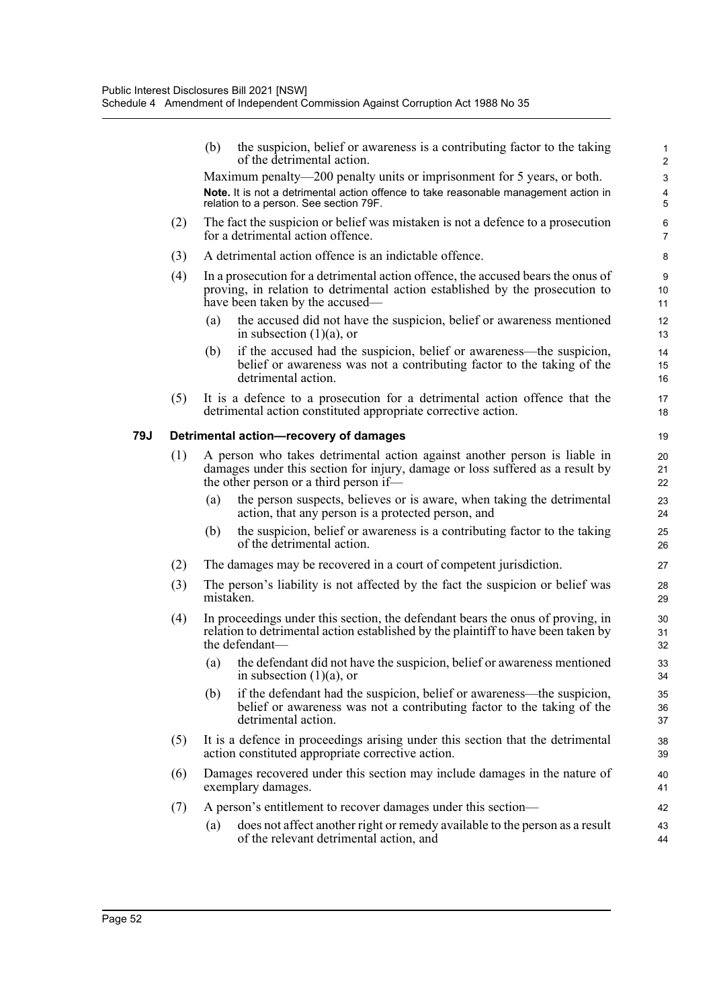|     |     | the suspicion, belief or awareness is a contributing factor to the taking<br>(b)<br>of the detrimental action.                                                                                       | $\mathbf{1}$<br>$\overline{2}$ |
|-----|-----|------------------------------------------------------------------------------------------------------------------------------------------------------------------------------------------------------|--------------------------------|
|     |     | Maximum penalty—200 penalty units or imprisonment for 5 years, or both.                                                                                                                              | $\mathbf{3}$                   |
|     |     | Note. It is not a detrimental action offence to take reasonable management action in<br>relation to a person. See section 79F.                                                                       | $\overline{\mathbf{4}}$<br>5   |
|     | (2) | The fact the suspicion or belief was mistaken is not a defence to a prosecution<br>for a detrimental action offence.                                                                                 | 6<br>$\overline{7}$            |
|     | (3) | A detrimental action offence is an indictable offence.                                                                                                                                               | 8                              |
|     | (4) | In a prosecution for a detrimental action offence, the accused bears the onus of<br>proving, in relation to detrimental action established by the prosecution to<br>have been taken by the accused—  | 9<br>10<br>11                  |
|     |     | the accused did not have the suspicion, belief or awareness mentioned<br>(a)<br>in subsection $(1)(a)$ , or                                                                                          | 12<br>13                       |
|     |     | if the accused had the suspicion, belief or awareness—the suspicion,<br>(b)<br>belief or awareness was not a contributing factor to the taking of the<br>detrimental action.                         | 14<br>15<br>16                 |
|     | (5) | It is a defence to a prosecution for a detrimental action offence that the<br>detrimental action constituted appropriate corrective action.                                                          | 17<br>18                       |
| 79J |     | Detrimental action-recovery of damages                                                                                                                                                               | 19                             |
|     | (1) | A person who takes detrimental action against another person is liable in<br>damages under this section for injury, damage or loss suffered as a result by<br>the other person or a third person if— | 20<br>21<br>22                 |
|     |     | the person suspects, believes or is aware, when taking the detrimental<br>(a)<br>action, that any person is a protected person, and                                                                  | 23<br>24                       |
|     |     | the suspicion, belief or awareness is a contributing factor to the taking<br>(b)<br>of the detrimental action.                                                                                       | 25<br>26                       |
|     | (2) | The damages may be recovered in a court of competent jurisdiction.                                                                                                                                   | 27                             |
|     | (3) | The person's liability is not affected by the fact the suspicion or belief was<br>mistaken.                                                                                                          | 28<br>29                       |
|     | (4) | In proceedings under this section, the defendant bears the onus of proving, in<br>relation to detrimental action established by the plaintiff to have been taken by<br>the defendant-                | 30<br>31<br>32                 |
|     |     | (a) the defendant did not have the suspicion, belief or awareness mentioned<br>in subsection $(1)(a)$ , or                                                                                           | 33<br>34                       |
|     |     | if the defendant had the suspicion, belief or awareness—the suspicion,<br>(b)<br>belief or awareness was not a contributing factor to the taking of the<br>detrimental action.                       | 35<br>36<br>37                 |
|     | (5) | It is a defence in proceedings arising under this section that the detrimental<br>action constituted appropriate corrective action.                                                                  | 38<br>39                       |
|     | (6) | Damages recovered under this section may include damages in the nature of<br>exemplary damages.                                                                                                      | 40<br>41                       |
|     | (7) | A person's entitlement to recover damages under this section—                                                                                                                                        | 42                             |
|     |     | does not affect another right or remedy available to the person as a result<br>(a)<br>of the relevant detrimental action, and                                                                        | 43<br>44                       |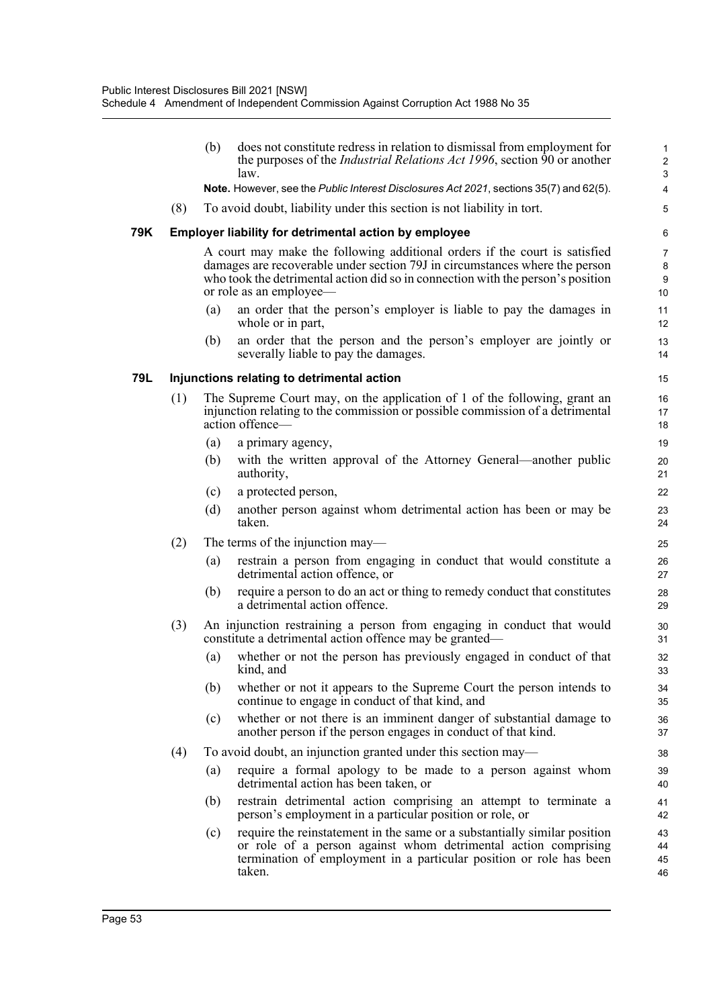|     |                                            | (b)                                                                                                                                                                                                                                                                     | does not constitute redress in relation to dismissal from employment for<br>the purposes of the <i>Industrial Relations Act 1996</i> , section 90 or another<br>law.                                                         | $\mathbf{1}$<br>$\overline{2}$<br>$\sqrt{3}$ |  |  |  |  |
|-----|--------------------------------------------|-------------------------------------------------------------------------------------------------------------------------------------------------------------------------------------------------------------------------------------------------------------------------|------------------------------------------------------------------------------------------------------------------------------------------------------------------------------------------------------------------------------|----------------------------------------------|--|--|--|--|
|     |                                            |                                                                                                                                                                                                                                                                         | Note. However, see the Public Interest Disclosures Act 2021, sections 35(7) and 62(5).                                                                                                                                       | $\pmb{4}$                                    |  |  |  |  |
|     | (8)                                        |                                                                                                                                                                                                                                                                         | To avoid doubt, liability under this section is not liability in tort.                                                                                                                                                       | 5                                            |  |  |  |  |
| 79K |                                            |                                                                                                                                                                                                                                                                         | <b>Employer liability for detrimental action by employee</b>                                                                                                                                                                 | 6                                            |  |  |  |  |
|     |                                            | A court may make the following additional orders if the court is satisfied<br>damages are recoverable under section 79J in circumstances where the person<br>who took the detrimental action did so in connection with the person's position<br>or role as an employee— |                                                                                                                                                                                                                              |                                              |  |  |  |  |
|     |                                            | (a)                                                                                                                                                                                                                                                                     | an order that the person's employer is liable to pay the damages in<br>whole or in part,                                                                                                                                     | 11<br>12                                     |  |  |  |  |
|     |                                            | (b)                                                                                                                                                                                                                                                                     | an order that the person and the person's employer are jointly or<br>severally liable to pay the damages.                                                                                                                    | 13<br>14                                     |  |  |  |  |
| 79L | Injunctions relating to detrimental action |                                                                                                                                                                                                                                                                         |                                                                                                                                                                                                                              |                                              |  |  |  |  |
|     | (1)                                        |                                                                                                                                                                                                                                                                         | The Supreme Court may, on the application of 1 of the following, grant an<br>injunction relating to the commission or possible commission of a detrimental<br>action offence-                                                | 16<br>17<br>18                               |  |  |  |  |
|     |                                            | (a)                                                                                                                                                                                                                                                                     | a primary agency,                                                                                                                                                                                                            | 19                                           |  |  |  |  |
|     |                                            | (b)                                                                                                                                                                                                                                                                     | with the written approval of the Attorney General—another public<br>authority,                                                                                                                                               | 20<br>21                                     |  |  |  |  |
|     |                                            | (c)                                                                                                                                                                                                                                                                     | a protected person,                                                                                                                                                                                                          | 22                                           |  |  |  |  |
|     |                                            | (d)                                                                                                                                                                                                                                                                     | another person against whom detrimental action has been or may be<br>taken.                                                                                                                                                  | 23<br>24                                     |  |  |  |  |
|     | (2)                                        |                                                                                                                                                                                                                                                                         | The terms of the injunction may—                                                                                                                                                                                             | 25                                           |  |  |  |  |
|     |                                            | (a)                                                                                                                                                                                                                                                                     | restrain a person from engaging in conduct that would constitute a<br>detrimental action offence, or                                                                                                                         | 26<br>27                                     |  |  |  |  |
|     |                                            | (b)                                                                                                                                                                                                                                                                     | require a person to do an act or thing to remedy conduct that constitutes<br>a detrimental action offence.                                                                                                                   | 28<br>29                                     |  |  |  |  |
|     | (3)                                        |                                                                                                                                                                                                                                                                         | An injunction restraining a person from engaging in conduct that would<br>constitute a detrimental action offence may be granted—                                                                                            | 30<br>31                                     |  |  |  |  |
|     |                                            | (a)                                                                                                                                                                                                                                                                     | whether or not the person has previously engaged in conduct of that<br>kind, and                                                                                                                                             | 32<br>33                                     |  |  |  |  |
|     |                                            | (b)                                                                                                                                                                                                                                                                     | whether or not it appears to the Supreme Court the person intends to<br>continue to engage in conduct of that kind, and                                                                                                      | 34<br>35                                     |  |  |  |  |
|     |                                            | (c)                                                                                                                                                                                                                                                                     | whether or not there is an imminent danger of substantial damage to<br>another person if the person engages in conduct of that kind.                                                                                         | 36<br>37                                     |  |  |  |  |
|     | (4)                                        |                                                                                                                                                                                                                                                                         | To avoid doubt, an injunction granted under this section may—                                                                                                                                                                | 38                                           |  |  |  |  |
|     |                                            | (a)                                                                                                                                                                                                                                                                     | require a formal apology to be made to a person against whom<br>detrimental action has been taken, or                                                                                                                        | 39<br>40                                     |  |  |  |  |
|     |                                            | (b)                                                                                                                                                                                                                                                                     | restrain detrimental action comprising an attempt to terminate a<br>person's employment in a particular position or role, or                                                                                                 | 41<br>42                                     |  |  |  |  |
|     |                                            | (c)                                                                                                                                                                                                                                                                     | require the reinstatement in the same or a substantially similar position<br>or role of a person against whom detrimental action comprising<br>termination of employment in a particular position or role has been<br>taken. | 43<br>44<br>45<br>46                         |  |  |  |  |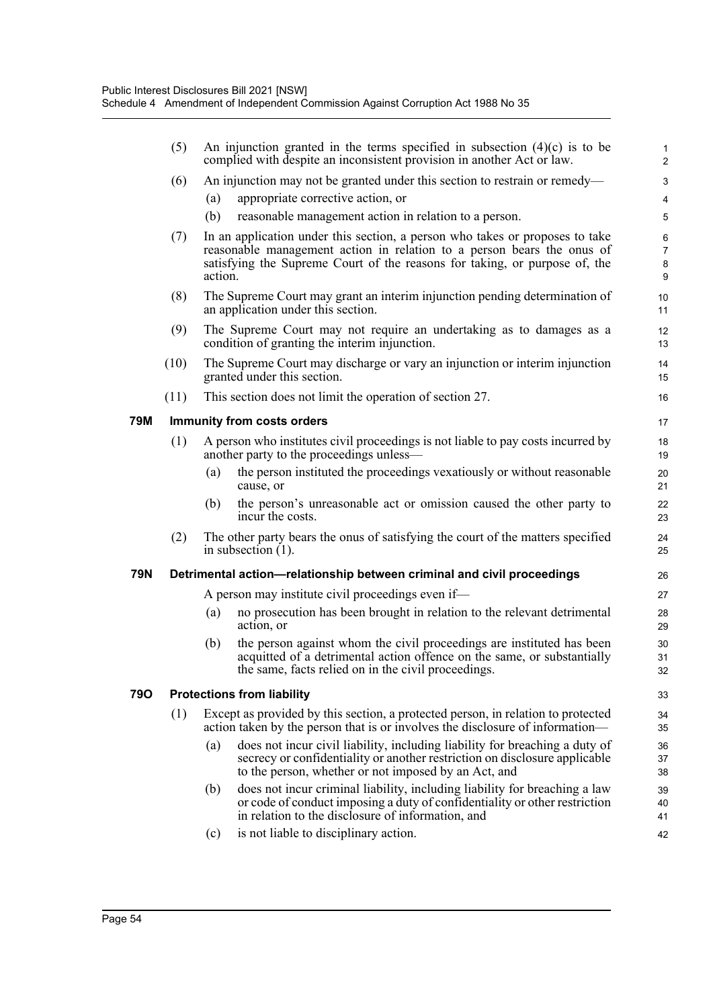|     | (5)  |                                                                                                                      | An injunction granted in the terms specified in subsection $(4)(c)$ is to be<br>complied with despite an inconsistent provision in another Act or law.                                                            | $\mathbf{1}$<br>$\overline{c}$ |  |  |
|-----|------|----------------------------------------------------------------------------------------------------------------------|-------------------------------------------------------------------------------------------------------------------------------------------------------------------------------------------------------------------|--------------------------------|--|--|
|     | (6)  |                                                                                                                      | An injunction may not be granted under this section to restrain or remedy—                                                                                                                                        | 3                              |  |  |
|     |      | (a)                                                                                                                  | appropriate corrective action, or                                                                                                                                                                                 | 4                              |  |  |
|     |      | (b)                                                                                                                  | reasonable management action in relation to a person.                                                                                                                                                             | 5                              |  |  |
|     | (7)  |                                                                                                                      | In an application under this section, a person who takes or proposes to take                                                                                                                                      | $\,6\,$                        |  |  |
|     |      |                                                                                                                      | reasonable management action in relation to a person bears the onus of<br>satisfying the Supreme Court of the reasons for taking, or purpose of, the                                                              | $\overline{7}$<br>8            |  |  |
|     |      | action.                                                                                                              |                                                                                                                                                                                                                   | 9                              |  |  |
|     | (8)  |                                                                                                                      | The Supreme Court may grant an interim injunction pending determination of                                                                                                                                        | 10                             |  |  |
|     |      |                                                                                                                      | an application under this section.                                                                                                                                                                                | 11                             |  |  |
|     | (9)  | The Supreme Court may not require an undertaking as to damages as a<br>condition of granting the interim injunction. |                                                                                                                                                                                                                   |                                |  |  |
|     | (10) | The Supreme Court may discharge or vary an injunction or interim injunction<br>granted under this section.           |                                                                                                                                                                                                                   |                                |  |  |
|     | (11) |                                                                                                                      | This section does not limit the operation of section 27.                                                                                                                                                          | 16                             |  |  |
| 79M |      |                                                                                                                      | <b>Immunity from costs orders</b>                                                                                                                                                                                 | 17                             |  |  |
|     | (1)  |                                                                                                                      | A person who institutes civil proceedings is not liable to pay costs incurred by<br>another party to the proceedings unless—                                                                                      | 18<br>19                       |  |  |
|     |      | (a)                                                                                                                  | the person instituted the proceedings vexatiously or without reasonable<br>cause, or                                                                                                                              | 20<br>21                       |  |  |
|     |      | (b)                                                                                                                  | the person's unreasonable act or omission caused the other party to<br>incur the costs.                                                                                                                           | 22<br>23                       |  |  |
|     | (2)  |                                                                                                                      | The other party bears the onus of satisfying the court of the matters specified<br>in subsection $(1)$ .                                                                                                          | 24<br>25                       |  |  |
| 79N |      |                                                                                                                      | Detrimental action-relationship between criminal and civil proceedings                                                                                                                                            | 26                             |  |  |
|     |      |                                                                                                                      | A person may institute civil proceedings even if—                                                                                                                                                                 | 27                             |  |  |
|     |      | (a)                                                                                                                  | no prosecution has been brought in relation to the relevant detrimental<br>action, or                                                                                                                             | 28<br>29                       |  |  |
|     |      | (b)                                                                                                                  | the person against whom the civil proceedings are instituted has been                                                                                                                                             | 30                             |  |  |
|     |      |                                                                                                                      | acquitted of a detrimental action offence on the same, or substantially<br>the same, facts relied on in the civil proceedings.                                                                                    | 31<br>32                       |  |  |
| 79O |      |                                                                                                                      | <b>Protections from liability</b>                                                                                                                                                                                 | 33                             |  |  |
|     | (1)  |                                                                                                                      | Except as provided by this section, a protected person, in relation to protected<br>action taken by the person that is or involves the disclosure of information—                                                 | 34<br>35                       |  |  |
|     |      | (a)                                                                                                                  | does not incur civil liability, including liability for breaching a duty of<br>secrecy or confidentiality or another restriction on disclosure applicable<br>to the person, whether or not imposed by an Act, and | 36<br>37<br>38                 |  |  |
|     |      | (b)                                                                                                                  | does not incur criminal liability, including liability for breaching a law<br>or code of conduct imposing a duty of confidentiality or other restriction<br>in relation to the disclosure of information, and     | 39<br>40<br>41                 |  |  |
|     |      | (c)                                                                                                                  | is not liable to disciplinary action.                                                                                                                                                                             | 42                             |  |  |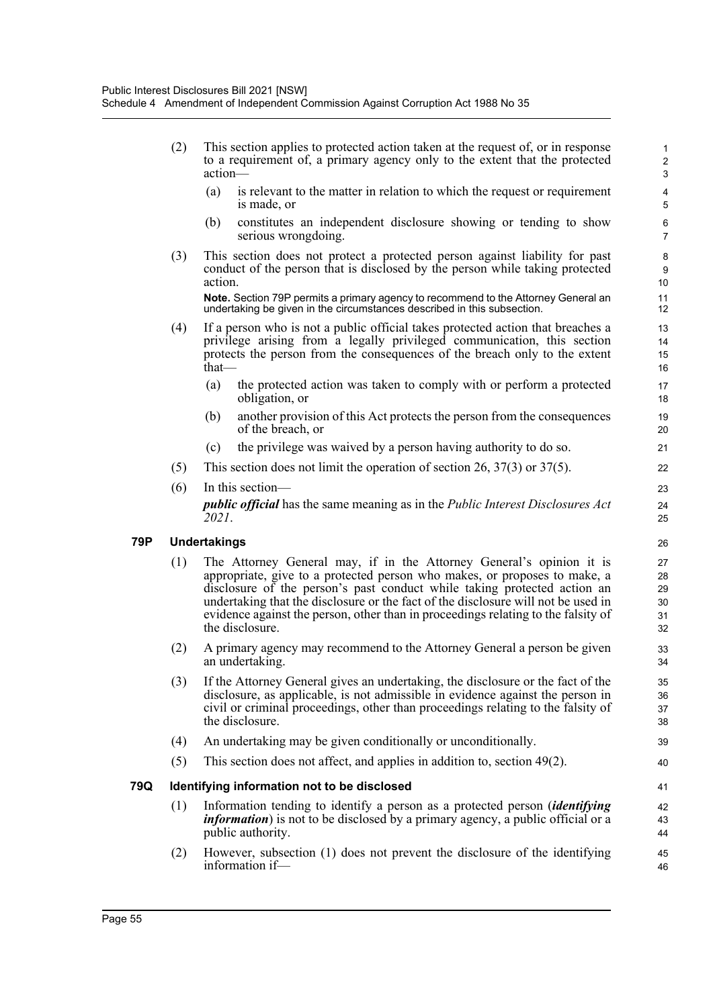(2) This section applies to protected action taken at the request of, or in response to a requirement of, a primary agency only to the extent that the protected action— (a) is relevant to the matter in relation to which the request or requirement is made, or

- (b) constitutes an independent disclosure showing or tending to show serious wrongdoing.
- (3) This section does not protect a protected person against liability for past conduct of the person that is disclosed by the person while taking protected action.

**Note.** Section 79P permits a primary agency to recommend to the Attorney General an undertaking be given in the circumstances described in this subsection.

- (4) If a person who is not a public official takes protected action that breaches a privilege arising from a legally privileged communication, this section protects the person from the consequences of the breach only to the extent that—
	- (a) the protected action was taken to comply with or perform a protected obligation, or
	- (b) another provision of this Act protects the person from the consequences of the breach, or
	- (c) the privilege was waived by a person having authority to do so.
- (5) This section does not limit the operation of section 26, 37(3) or 37(5).
- (6) In this section *public official* has the same meaning as in the *Public Interest Disclosures Act 2021*.

# **79P Undertakings**

- (1) The Attorney General may, if in the Attorney General's opinion it is appropriate, give to a protected person who makes, or proposes to make, a disclosure of the person's past conduct while taking protected action an undertaking that the disclosure or the fact of the disclosure will not be used in evidence against the person, other than in proceedings relating to the falsity of the disclosure.
- (2) A primary agency may recommend to the Attorney General a person be given an undertaking.
- (3) If the Attorney General gives an undertaking, the disclosure or the fact of the disclosure, as applicable, is not admissible in evidence against the person in civil or criminal proceedings, other than proceedings relating to the falsity of the disclosure.
- (4) An undertaking may be given conditionally or unconditionally.
- (5) This section does not affect, and applies in addition to, section 49(2).

# **79Q Identifying information not to be disclosed**

- (1) Information tending to identify a person as a protected person (*identifying information*) is not to be disclosed by a primary agency, a public official or a public authority.
- (2) However, subsection (1) does not prevent the disclosure of the identifying information if—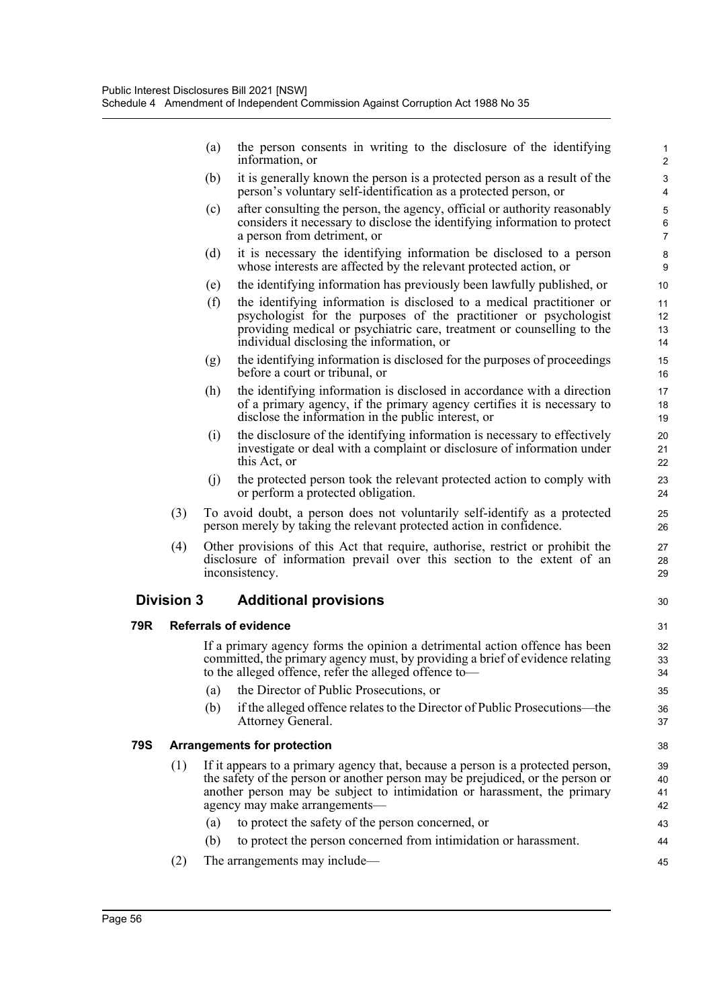|     |                                    | (a) | the person consents in writing to the disclosure of the identifying<br>information, or                                                                                                                                                                                         | 1<br>$\overline{2}$               |  |  |
|-----|------------------------------------|-----|--------------------------------------------------------------------------------------------------------------------------------------------------------------------------------------------------------------------------------------------------------------------------------|-----------------------------------|--|--|
|     |                                    | (b) | it is generally known the person is a protected person as a result of the<br>person's voluntary self-identification as a protected person, or                                                                                                                                  | 3<br>4                            |  |  |
|     |                                    | (c) | after consulting the person, the agency, official or authority reasonably<br>considers it necessary to disclose the identifying information to protect<br>a person from detriment, or                                                                                          | 5<br>6<br>$\overline{7}$          |  |  |
|     |                                    | (d) | it is necessary the identifying information be disclosed to a person<br>whose interests are affected by the relevant protected action, or                                                                                                                                      | 8<br>9                            |  |  |
|     |                                    | (e) | the identifying information has previously been lawfully published, or                                                                                                                                                                                                         | 10                                |  |  |
|     |                                    | (f) | the identifying information is disclosed to a medical practitioner or<br>psychologist for the purposes of the practitioner or psychologist<br>providing medical or psychiatric care, treatment or counselling to the<br>individual disclosing the information, or              | 11<br>12 <sup>2</sup><br>13<br>14 |  |  |
|     |                                    | (g) | the identifying information is disclosed for the purposes of proceedings<br>before a court or tribunal, or                                                                                                                                                                     | 15<br>16                          |  |  |
|     |                                    | (h) | the identifying information is disclosed in accordance with a direction<br>of a primary agency, if the primary agency certifies it is necessary to<br>disclose the information in the public interest, or                                                                      | 17<br>18<br>19                    |  |  |
|     |                                    | (i) | the disclosure of the identifying information is necessary to effectively<br>investigate or deal with a complaint or disclosure of information under<br>this Act, or                                                                                                           | 20<br>21<br>22                    |  |  |
|     |                                    | (j) | the protected person took the relevant protected action to comply with<br>or perform a protected obligation.                                                                                                                                                                   | 23<br>24                          |  |  |
|     | (3)                                |     | To avoid doubt, a person does not voluntarily self-identify as a protected<br>person merely by taking the relevant protected action in confidence.                                                                                                                             | 25<br>26                          |  |  |
|     | (4)                                |     | Other provisions of this Act that require, authorise, restrict or prohibit the<br>disclosure of information prevail over this section to the extent of an<br>inconsistency.                                                                                                    | 27<br>28<br>29                    |  |  |
|     | <b>Division 3</b>                  |     | <b>Additional provisions</b>                                                                                                                                                                                                                                                   | 30                                |  |  |
| 79R |                                    |     | <b>Referrals of evidence</b>                                                                                                                                                                                                                                                   | 31                                |  |  |
|     |                                    |     | If a primary agency forms the opinion a detrimental action offence has been<br>committed, the primary agency must, by providing a brief of evidence relating to the alleged offence, refer the alleged offence to—                                                             | 32<br>33<br>34                    |  |  |
|     |                                    | (a) | the Director of Public Prosecutions, or                                                                                                                                                                                                                                        | 35                                |  |  |
|     |                                    | (b) | if the alleged offence relates to the Director of Public Prosecutions—the<br>Attorney General.                                                                                                                                                                                 | 36<br>37                          |  |  |
| 79S | <b>Arrangements for protection</b> |     |                                                                                                                                                                                                                                                                                |                                   |  |  |
|     | (1)                                |     | If it appears to a primary agency that, because a person is a protected person,<br>the safety of the person or another person may be prejudiced, or the person or<br>another person may be subject to intimidation or harassment, the primary<br>agency may make arrangements- | 39<br>40<br>41<br>42              |  |  |
|     |                                    | (a) | to protect the safety of the person concerned, or                                                                                                                                                                                                                              | 43                                |  |  |
|     |                                    | (b) | to protect the person concerned from intimidation or harassment.                                                                                                                                                                                                               | 44                                |  |  |
|     | (2)                                |     | The arrangements may include—                                                                                                                                                                                                                                                  | 45                                |  |  |

**79R Referrals of evidence**

**79S Arrangements for protection**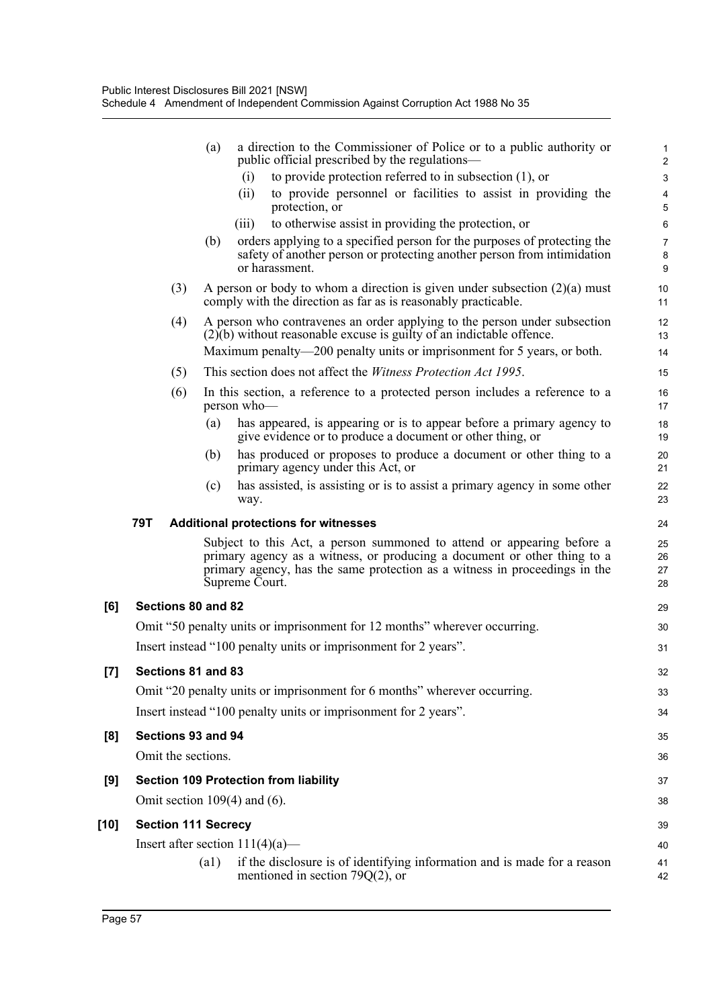|        |                                          | (a)  | a direction to the Commissioner of Police or to a public authority or<br>public official prescribed by the regulations—                                                                                                                            | 1<br>$\overline{2}$          |
|--------|------------------------------------------|------|----------------------------------------------------------------------------------------------------------------------------------------------------------------------------------------------------------------------------------------------------|------------------------------|
|        |                                          |      | to provide protection referred to in subsection $(1)$ , or<br>(i)                                                                                                                                                                                  | $\ensuremath{\mathsf{3}}$    |
|        |                                          |      | to provide personnel or facilities to assist in providing the<br>(ii)<br>protection, or                                                                                                                                                            | $\overline{\mathbf{4}}$<br>5 |
|        |                                          |      | to otherwise assist in providing the protection, or<br>(111)                                                                                                                                                                                       | 6                            |
|        |                                          | (b)  | orders applying to a specified person for the purposes of protecting the<br>safety of another person or protecting another person from intimidation<br>or harassment.                                                                              | $\overline{7}$<br>8<br>9     |
|        | (3)                                      |      | A person or body to whom a direction is given under subsection $(2)(a)$ must<br>comply with the direction as far as is reasonably practicable.                                                                                                     | 10<br>11                     |
|        | (4)                                      |      | A person who contravenes an order applying to the person under subsection<br>$(2)(b)$ without reasonable excuse is guilty of an indictable offence.                                                                                                | 12<br>13                     |
|        |                                          |      | Maximum penalty—200 penalty units or imprisonment for 5 years, or both.                                                                                                                                                                            | 14                           |
|        | (5)                                      |      | This section does not affect the <i>Witness Protection Act 1995</i> .                                                                                                                                                                              | 15                           |
|        | (6)                                      |      | In this section, a reference to a protected person includes a reference to a<br>person who-                                                                                                                                                        | 16<br>17                     |
|        |                                          | (a)  | has appeared, is appearing or is to appear before a primary agency to<br>give evidence or to produce a document or other thing, or                                                                                                                 | 18<br>19                     |
|        |                                          | (b)  | has produced or proposes to produce a document or other thing to a<br>primary agency under this Act, or                                                                                                                                            | 20<br>21                     |
|        |                                          | (c)  | has assisted, is assisting or is to assist a primary agency in some other<br>way.                                                                                                                                                                  | 22<br>23                     |
|        | 79T                                      |      | <b>Additional protections for witnesses</b>                                                                                                                                                                                                        | 24                           |
|        |                                          |      | Subject to this Act, a person summoned to attend or appearing before a<br>primary agency as a witness, or producing a document or other thing to a<br>primary agency, has the same protection as a witness in proceedings in the<br>Supreme Court. | 25<br>26<br>27<br>28         |
| [6]    | Sections 80 and 82                       |      |                                                                                                                                                                                                                                                    | 29                           |
|        |                                          |      | Omit "50 penalty units or imprisonment for 12 months" wherever occurring.                                                                                                                                                                          | 30                           |
|        |                                          |      | Insert instead "100 penalty units or imprisonment for 2 years".                                                                                                                                                                                    | 31                           |
| $[7]$  | Sections 81 and 83                       |      |                                                                                                                                                                                                                                                    | 32                           |
|        |                                          |      | Omit "20 penalty units or imprisonment for 6 months" wherever occurring.                                                                                                                                                                           | 33                           |
|        |                                          |      | Insert instead "100 penalty units or imprisonment for 2 years".                                                                                                                                                                                    | 34                           |
|        |                                          |      |                                                                                                                                                                                                                                                    |                              |
| [8]    | Sections 93 and 94<br>Omit the sections. |      |                                                                                                                                                                                                                                                    | 35                           |
|        |                                          |      |                                                                                                                                                                                                                                                    | 36                           |
| [9]    |                                          |      | <b>Section 109 Protection from liability</b>                                                                                                                                                                                                       | 37                           |
|        |                                          |      | Omit section $109(4)$ and (6).                                                                                                                                                                                                                     | 38                           |
| $[10]$ | <b>Section 111 Secrecy</b>               |      |                                                                                                                                                                                                                                                    | 39                           |
|        |                                          |      | Insert after section $111(4)(a)$ —                                                                                                                                                                                                                 | 40                           |
|        |                                          | (a1) | if the disclosure is of identifying information and is made for a reason<br>mentioned in section 79 $Q(2)$ , or                                                                                                                                    | 41<br>42                     |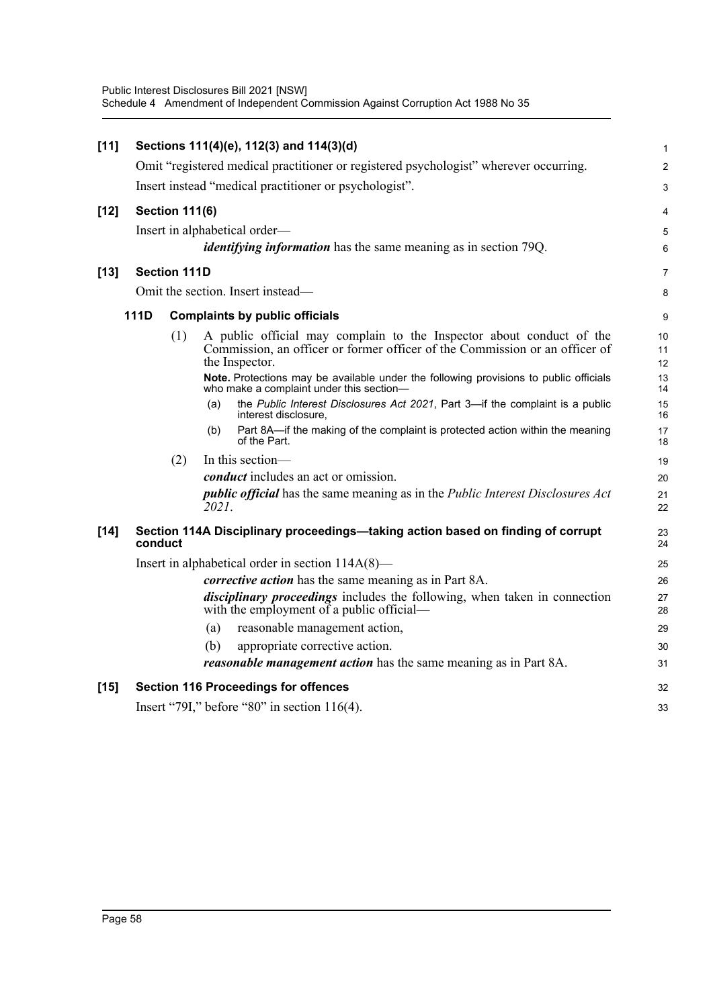|      |     |                                                                                                                                                                       | $\mathbf{1}$                                                                                                                                                                                                                                                                                                                                                                                                                                                                                                                                                                                           |
|------|-----|-----------------------------------------------------------------------------------------------------------------------------------------------------------------------|--------------------------------------------------------------------------------------------------------------------------------------------------------------------------------------------------------------------------------------------------------------------------------------------------------------------------------------------------------------------------------------------------------------------------------------------------------------------------------------------------------------------------------------------------------------------------------------------------------|
|      |     |                                                                                                                                                                       | $\overline{2}$                                                                                                                                                                                                                                                                                                                                                                                                                                                                                                                                                                                         |
|      |     |                                                                                                                                                                       | 3                                                                                                                                                                                                                                                                                                                                                                                                                                                                                                                                                                                                      |
|      |     |                                                                                                                                                                       | 4                                                                                                                                                                                                                                                                                                                                                                                                                                                                                                                                                                                                      |
|      |     |                                                                                                                                                                       | 5                                                                                                                                                                                                                                                                                                                                                                                                                                                                                                                                                                                                      |
|      |     | <i>identifying information</i> has the same meaning as in section 79Q.                                                                                                | 6                                                                                                                                                                                                                                                                                                                                                                                                                                                                                                                                                                                                      |
|      |     |                                                                                                                                                                       | $\overline{7}$                                                                                                                                                                                                                                                                                                                                                                                                                                                                                                                                                                                         |
|      |     |                                                                                                                                                                       | 8                                                                                                                                                                                                                                                                                                                                                                                                                                                                                                                                                                                                      |
| 111D |     |                                                                                                                                                                       | 9                                                                                                                                                                                                                                                                                                                                                                                                                                                                                                                                                                                                      |
|      | (1) | A public official may complain to the Inspector about conduct of the<br>Commission, an officer or former officer of the Commission or an officer of<br>the Inspector. | 10<br>11<br>12                                                                                                                                                                                                                                                                                                                                                                                                                                                                                                                                                                                         |
|      |     | Note. Protections may be available under the following provisions to public officials<br>who make a complaint under this section-                                     | 13<br>14                                                                                                                                                                                                                                                                                                                                                                                                                                                                                                                                                                                               |
|      |     | the Public Interest Disclosures Act 2021, Part 3-if the complaint is a public<br>(a)<br>interest disclosure,                                                          | 15<br>16                                                                                                                                                                                                                                                                                                                                                                                                                                                                                                                                                                                               |
|      |     | Part 8A-if the making of the complaint is protected action within the meaning<br>(b)<br>of the Part.                                                                  | 17<br>18                                                                                                                                                                                                                                                                                                                                                                                                                                                                                                                                                                                               |
|      | (2) | In this section-                                                                                                                                                      | 19                                                                                                                                                                                                                                                                                                                                                                                                                                                                                                                                                                                                     |
|      |     | conduct includes an act or omission.                                                                                                                                  | 20                                                                                                                                                                                                                                                                                                                                                                                                                                                                                                                                                                                                     |
|      |     | <i>public official</i> has the same meaning as in the <i>Public Interest Disclosures Act</i><br>2021.                                                                 | 21<br>22                                                                                                                                                                                                                                                                                                                                                                                                                                                                                                                                                                                               |
|      |     |                                                                                                                                                                       | 23<br>24                                                                                                                                                                                                                                                                                                                                                                                                                                                                                                                                                                                               |
|      |     |                                                                                                                                                                       | 25                                                                                                                                                                                                                                                                                                                                                                                                                                                                                                                                                                                                     |
|      |     | <i>corrective action</i> has the same meaning as in Part 8A.                                                                                                          | 26                                                                                                                                                                                                                                                                                                                                                                                                                                                                                                                                                                                                     |
|      |     | disciplinary proceedings includes the following, when taken in connection<br>with the employment of a public official—                                                | 27<br>28                                                                                                                                                                                                                                                                                                                                                                                                                                                                                                                                                                                               |
|      |     | reasonable management action,<br>(a)                                                                                                                                  | 29                                                                                                                                                                                                                                                                                                                                                                                                                                                                                                                                                                                                     |
|      |     | appropriate corrective action.<br>(b)                                                                                                                                 | 30                                                                                                                                                                                                                                                                                                                                                                                                                                                                                                                                                                                                     |
|      |     | <i>reasonable management action</i> has the same meaning as in Part 8A.                                                                                               | 31                                                                                                                                                                                                                                                                                                                                                                                                                                                                                                                                                                                                     |
|      |     |                                                                                                                                                                       | 32                                                                                                                                                                                                                                                                                                                                                                                                                                                                                                                                                                                                     |
|      |     |                                                                                                                                                                       | 33                                                                                                                                                                                                                                                                                                                                                                                                                                                                                                                                                                                                     |
|      |     | conduct                                                                                                                                                               | Sections 111(4)(e), 112(3) and 114(3)(d)<br>Omit "registered medical practitioner or registered psychologist" wherever occurring.<br>Insert instead "medical practitioner or psychologist".<br><b>Section 111(6)</b><br>Insert in alphabetical order—<br><b>Section 111D</b><br>Omit the section. Insert instead—<br><b>Complaints by public officials</b><br>Section 114A Disciplinary proceedings—taking action based on finding of corrupt<br>Insert in alphabetical order in section $114A(8)$ —<br><b>Section 116 Proceedings for offences</b><br>Insert "79I," before "80" in section $116(4)$ . |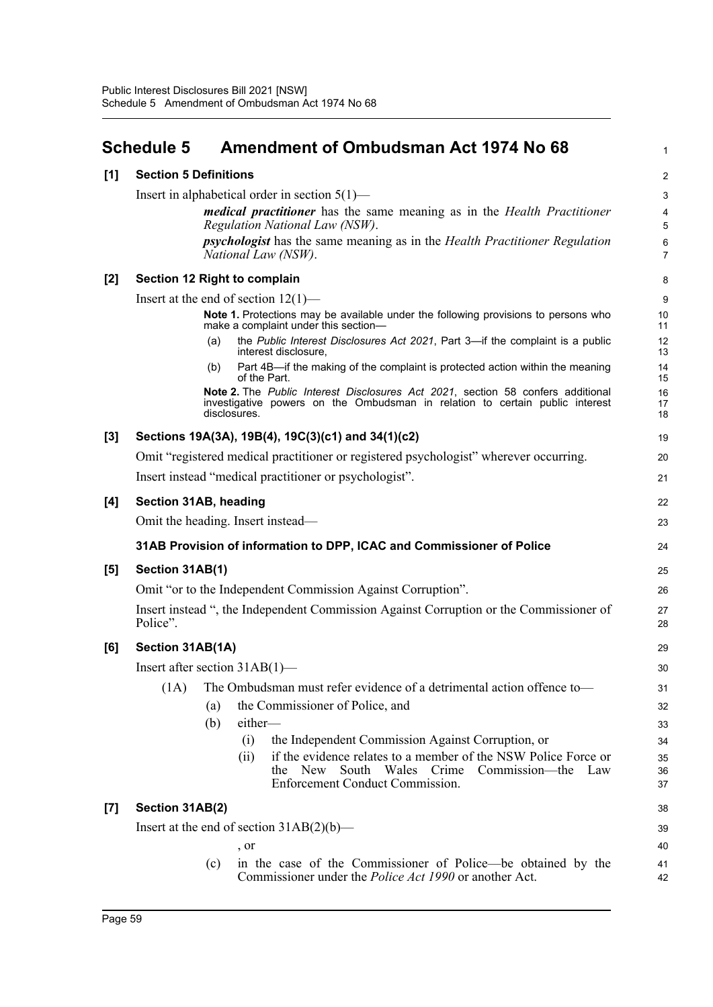## **Schedule 5 Amendment of Ombudsman Act 1974 No 68**

1

38

## **[1] Section 5 Definitions**

| [1]                 | <b>Section 5 Definitions</b>                                                                                                                                                    |                     |  |  |  |  |  |
|---------------------|---------------------------------------------------------------------------------------------------------------------------------------------------------------------------------|---------------------|--|--|--|--|--|
|                     | Insert in alphabetical order in section $5(1)$ —                                                                                                                                | 3                   |  |  |  |  |  |
|                     | <i>medical practitioner</i> has the same meaning as in the <i>Health Practitioner</i><br>Regulation National Law (NSW).                                                         | 4<br>5              |  |  |  |  |  |
|                     | <i>psychologist</i> has the same meaning as in the <i>Health Practitioner Regulation</i><br>National Law (NSW).                                                                 | 6<br>$\overline{7}$ |  |  |  |  |  |
| [2]                 | Section 12 Right to complain                                                                                                                                                    | 8                   |  |  |  |  |  |
|                     | Insert at the end of section $12(1)$ —                                                                                                                                          | 9                   |  |  |  |  |  |
|                     | Note 1. Protections may be available under the following provisions to persons who<br>make a complaint under this section-                                                      | 10<br>11            |  |  |  |  |  |
|                     | the Public Interest Disclosures Act 2021, Part 3-if the complaint is a public<br>(a)<br>interest disclosure,                                                                    | 12<br>13            |  |  |  |  |  |
|                     | Part 4B-if the making of the complaint is protected action within the meaning<br>(b)<br>of the Part.                                                                            | 14<br>15            |  |  |  |  |  |
|                     | Note 2. The Public Interest Disclosures Act 2021, section 58 confers additional<br>investigative powers on the Ombudsman in relation to certain public interest<br>disclosures. | 16<br>17<br>18      |  |  |  |  |  |
| $\left[3\right]$    | Sections 19A(3A), 19B(4), 19C(3)(c1) and 34(1)(c2)                                                                                                                              | 19                  |  |  |  |  |  |
|                     | Omit "registered medical practitioner or registered psychologist" wherever occurring.                                                                                           | 20                  |  |  |  |  |  |
|                     | Insert instead "medical practitioner or psychologist".                                                                                                                          | 21                  |  |  |  |  |  |
| [4]                 | Section 31AB, heading                                                                                                                                                           | 22                  |  |  |  |  |  |
|                     | Omit the heading. Insert instead—                                                                                                                                               | 23                  |  |  |  |  |  |
|                     | 31AB Provision of information to DPP, ICAC and Commissioner of Police                                                                                                           | 24                  |  |  |  |  |  |
| $\lbrack 5 \rbrack$ | Section 31AB(1)                                                                                                                                                                 | 25                  |  |  |  |  |  |
|                     | Omit "or to the Independent Commission Against Corruption".                                                                                                                     | 26                  |  |  |  |  |  |
|                     | Insert instead ", the Independent Commission Against Corruption or the Commissioner of<br>Police".                                                                              | 27<br>28            |  |  |  |  |  |
| [6]                 | Section 31AB(1A)                                                                                                                                                                | 29                  |  |  |  |  |  |
|                     | Insert after section $31AB(1)$ —                                                                                                                                                | 30                  |  |  |  |  |  |
|                     | The Ombudsman must refer evidence of a detrimental action offence to-<br>(1A)                                                                                                   | 31                  |  |  |  |  |  |
|                     | the Commissioner of Police, and<br>(a)                                                                                                                                          | 32                  |  |  |  |  |  |
|                     | (b)<br>either-                                                                                                                                                                  | 33                  |  |  |  |  |  |

- (i) the Independent Commission Against Corruption, or
- (ii) if the evidence relates to a member of the NSW Police Force or the New South Wales Crime Commission—the Law Enforcement Conduct Commission.

## **[7] Section 31AB(2)**

| Insert at the end of section $31AB(2)(b)$ —                      | 39 |
|------------------------------------------------------------------|----|
| . or                                                             | 40 |
| (c) in the case of the Commissioner of Police—be obtained by the | 41 |
| Commissioner under the <i>Police Act 1990</i> or another Act.    | 42 |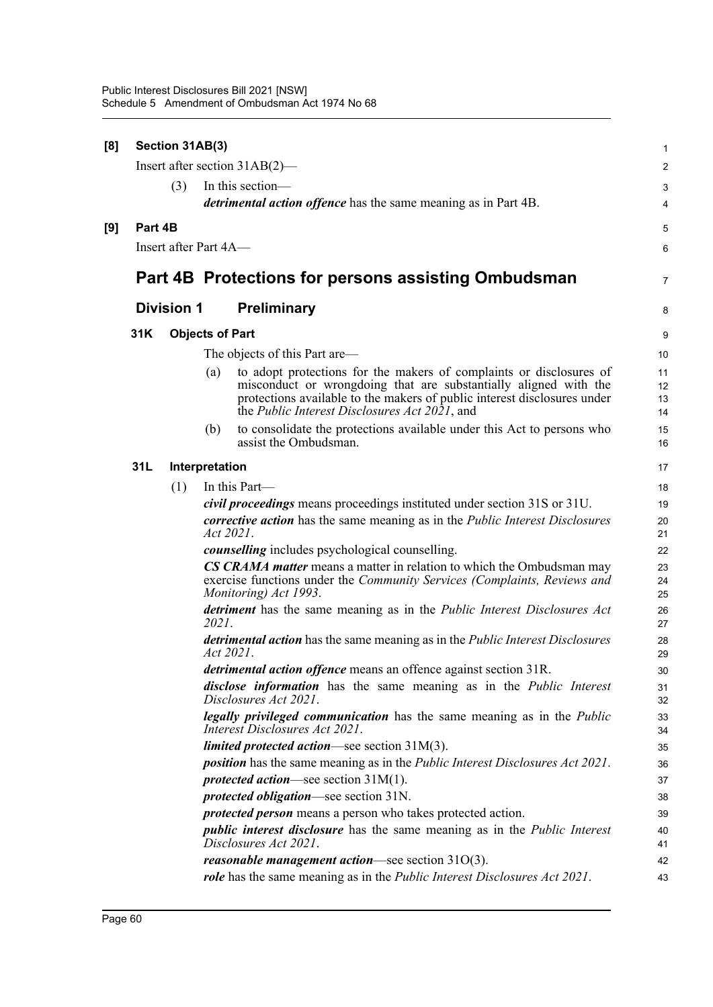| [8] |         | Section 31AB(3)       |                        |                                                                                                                                                                                                                                                                      | $\mathbf{1}$         |
|-----|---------|-----------------------|------------------------|----------------------------------------------------------------------------------------------------------------------------------------------------------------------------------------------------------------------------------------------------------------------|----------------------|
|     |         |                       |                        | Insert after section $31AB(2)$ —                                                                                                                                                                                                                                     | $\boldsymbol{2}$     |
|     |         | (3)                   |                        | In this section-                                                                                                                                                                                                                                                     | 3                    |
|     |         |                       |                        | <i>detrimental action offence</i> has the same meaning as in Part 4B.                                                                                                                                                                                                | 4                    |
| [9] | Part 4B |                       |                        |                                                                                                                                                                                                                                                                      | 5                    |
|     |         | Insert after Part 4A- |                        |                                                                                                                                                                                                                                                                      | 6                    |
|     |         |                       |                        |                                                                                                                                                                                                                                                                      |                      |
|     |         |                       |                        | Part 4B Protections for persons assisting Ombudsman                                                                                                                                                                                                                  | $\overline{7}$       |
|     |         | <b>Division 1</b>     | <b>Preliminary</b>     |                                                                                                                                                                                                                                                                      | 8                    |
|     | 31K     |                       | <b>Objects of Part</b> |                                                                                                                                                                                                                                                                      | 9                    |
|     |         |                       |                        | The objects of this Part are—                                                                                                                                                                                                                                        | 10                   |
|     |         |                       | (a)                    | to adopt protections for the makers of complaints or disclosures of<br>misconduct or wrongdoing that are substantially aligned with the<br>protections available to the makers of public interest disclosures under<br>the Public Interest Disclosures Act 2021, and | 11<br>12<br>13<br>14 |
|     |         |                       | (b)                    | to consolidate the protections available under this Act to persons who<br>assist the Ombudsman.                                                                                                                                                                      | 15<br>16             |
|     | 31L     |                       | Interpretation         |                                                                                                                                                                                                                                                                      | 17                   |
|     |         | (1)                   |                        | In this Part-                                                                                                                                                                                                                                                        | 18                   |
|     |         |                       |                        | civil proceedings means proceedings instituted under section 31S or 31U.                                                                                                                                                                                             | 19                   |
|     |         |                       | Act 2021.              | <i>corrective action</i> has the same meaning as in the <i>Public Interest Disclosures</i>                                                                                                                                                                           | 20<br>21             |
|     |         |                       |                        | counselling includes psychological counselling.                                                                                                                                                                                                                      | 22                   |
|     |         |                       |                        | <b>CS CRAMA matter</b> means a matter in relation to which the Ombudsman may<br>exercise functions under the Community Services (Complaints, Reviews and<br>Monitoring) Act 1993.                                                                                    | 23<br>24<br>25       |
|     |         |                       | 2021.                  | detriment has the same meaning as in the Public Interest Disclosures Act                                                                                                                                                                                             | 26<br>27             |
|     |         |                       | Act 2021.              | detrimental action has the same meaning as in the Public Interest Disclosures                                                                                                                                                                                        | 28<br>29             |
|     |         |                       |                        | detrimental action offence means an offence against section 31R                                                                                                                                                                                                      | 30                   |
|     |         |                       |                        | disclose information has the same meaning as in the Public Interest<br>Disclosures Act 2021.                                                                                                                                                                         | 31<br>32             |
|     |         |                       |                        | legally privileged communication has the same meaning as in the Public<br>Interest Disclosures Act 2021.                                                                                                                                                             | 33<br>34             |
|     |         |                       |                        | <i>limited protected action</i> —see section $31M(3)$ .                                                                                                                                                                                                              | 35                   |
|     |         |                       |                        | <i>position</i> has the same meaning as in the <i>Public Interest Disclosures Act 2021</i> .                                                                                                                                                                         | 36                   |
|     |         |                       |                        | <i>protected action</i> —see section $31M(1)$ .                                                                                                                                                                                                                      | 37                   |
|     |         |                       |                        | protected obligation-see section 31N.                                                                                                                                                                                                                                | 38                   |
|     |         |                       |                        | <i>protected person</i> means a person who takes protected action.                                                                                                                                                                                                   | 39                   |
|     |         |                       |                        | <i>public interest disclosure</i> has the same meaning as in the <i>Public Interest</i><br>Disclosures Act 2021.                                                                                                                                                     | 40<br>41             |
|     |         |                       |                        | reasonable management action-see section 31O(3).                                                                                                                                                                                                                     | 42                   |
|     |         |                       |                        | <i>role</i> has the same meaning as in the <i>Public Interest Disclosures Act 2021</i> .                                                                                                                                                                             | 43                   |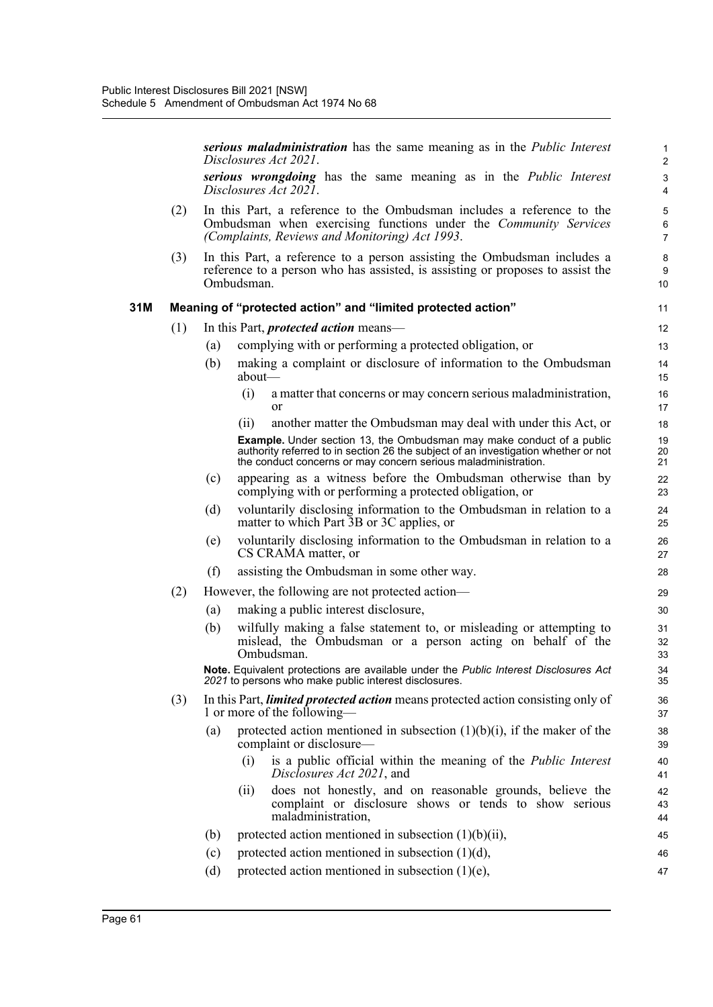|     |     |     | serious maladministration has the same meaning as in the <i>Public Interest</i><br>Disclosures Act 2021.                                                                                                                             | 1<br>$\overline{2}$            |
|-----|-----|-----|--------------------------------------------------------------------------------------------------------------------------------------------------------------------------------------------------------------------------------------|--------------------------------|
|     |     |     | serious wrongdoing has the same meaning as in the Public Interest<br>Disclosures Act 2021.                                                                                                                                           | 3<br>4                         |
|     | (2) |     | In this Part, a reference to the Ombudsman includes a reference to the<br>Ombudsman when exercising functions under the Community Services<br>(Complaints, Reviews and Monitoring) Act 1993.                                         | 5<br>$\,6\,$<br>$\overline{7}$ |
|     | (3) |     | In this Part, a reference to a person assisting the Ombudsman includes a<br>reference to a person who has assisted, is assisting or proposes to assist the<br>Ombudsman.                                                             | 8<br>9<br>10                   |
| 31M |     |     | Meaning of "protected action" and "limited protected action"                                                                                                                                                                         | 11                             |
|     | (1) |     | In this Part, <i>protected action</i> means—                                                                                                                                                                                         | 12                             |
|     |     | (a) | complying with or performing a protected obligation, or                                                                                                                                                                              | 13                             |
|     |     | (b) | making a complaint or disclosure of information to the Ombudsman<br>about                                                                                                                                                            | 14<br>15                       |
|     |     |     | (i)<br>a matter that concerns or may concern serious maladministration,<br>or                                                                                                                                                        | 16<br>17                       |
|     |     |     | another matter the Ombudsman may deal with under this Act, or<br>(i)                                                                                                                                                                 | 18                             |
|     |     |     | <b>Example.</b> Under section 13, the Ombudsman may make conduct of a public<br>authority referred to in section 26 the subject of an investigation whether or not<br>the conduct concerns or may concern serious maladministration. | 19<br>20<br>21                 |
|     |     | (c) | appearing as a witness before the Ombudsman otherwise than by<br>complying with or performing a protected obligation, or                                                                                                             | 22<br>23                       |
|     |     | (d) | voluntarily disclosing information to the Ombudsman in relation to a<br>matter to which Part 3B or 3C applies, or                                                                                                                    | 24<br>25                       |
|     |     | (e) | voluntarily disclosing information to the Ombudsman in relation to a<br>CS CRAMA matter, or                                                                                                                                          | 26<br>27                       |
|     |     | (f) | assisting the Ombudsman in some other way.                                                                                                                                                                                           | 28                             |
|     | (2) |     | However, the following are not protected action—                                                                                                                                                                                     | 29                             |
|     |     | (a) | making a public interest disclosure,                                                                                                                                                                                                 | 30                             |
|     |     | (b) | wilfully making a false statement to, or misleading or attempting to<br>mislead, the Ombudsman or a person acting on behalf of the<br>Ombudsman.                                                                                     | 31<br>32<br>33                 |
|     |     |     | Note. Equivalent protections are available under the Public Interest Disclosures Act<br>2021 to persons who make public interest disclosures.                                                                                        | 34<br>35                       |
|     | (3) |     | In this Part, <i>limited protected action</i> means protected action consisting only of<br>1 or more of the following—                                                                                                               | 36<br>37                       |
|     |     | (a) | protected action mentioned in subsection $(1)(b)(i)$ , if the maker of the<br>complaint or disclosure-                                                                                                                               | 38<br>39                       |
|     |     |     | is a public official within the meaning of the Public Interest<br>(i)<br>Disclosures Act 2021, and                                                                                                                                   | 40<br>41                       |
|     |     |     | does not honestly, and on reasonable grounds, believe the<br>(11)<br>complaint or disclosure shows or tends to show serious<br>maladministration,                                                                                    | 42<br>43<br>44                 |
|     |     | (b) | protected action mentioned in subsection $(1)(b)(ii)$ ,                                                                                                                                                                              | 45                             |
|     |     | (c) | protected action mentioned in subsection (1)(d),                                                                                                                                                                                     | 46                             |
|     |     | (d) | protected action mentioned in subsection $(1)(e)$ ,                                                                                                                                                                                  | 47                             |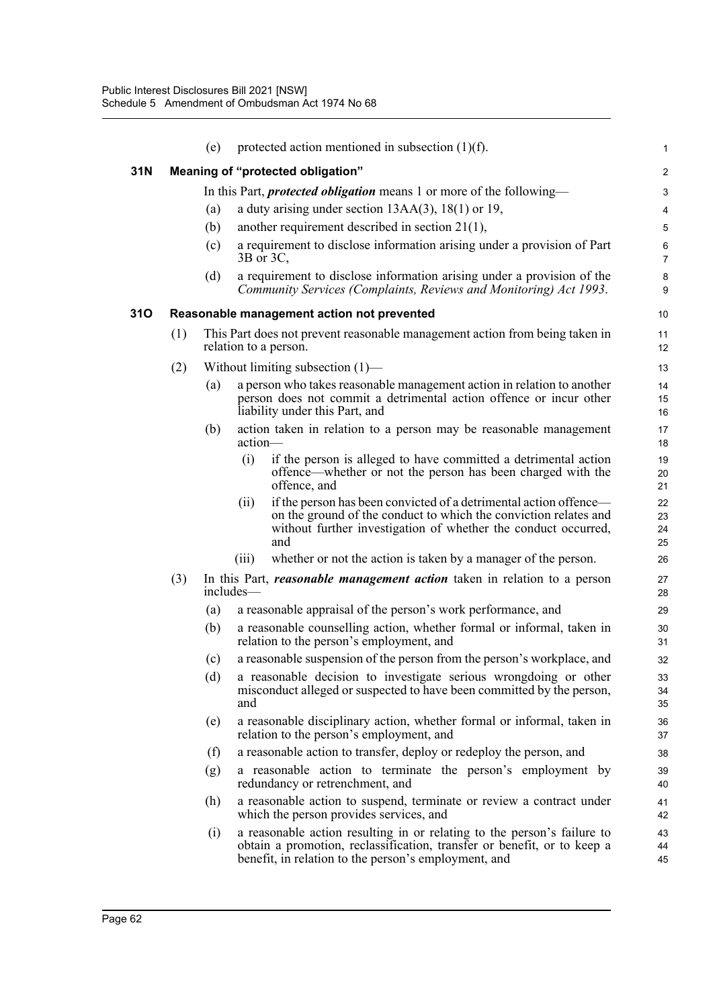| 31N<br>Meaning of "protected obligation"<br>In this Part, <i>protected obligation</i> means 1 or more of the following-<br>a duty arising under section $13AA(3)$ , $18(1)$ or 19,<br>(a)<br>another requirement described in section $21(1)$ ,<br>(b)<br>a requirement to disclose information arising under a provision of Part<br>(c)<br>$3B$ or $3C$ ,<br>a requirement to disclose information arising under a provision of the<br>(d)<br>Community Services (Complaints, Reviews and Monitoring) Act 1993.<br>310<br>Reasonable management action not prevented<br>This Part does not prevent reasonable management action from being taken in<br>(1)<br>relation to a person.<br>Without limiting subsection $(1)$ —<br>(2)<br>a person who takes reasonable management action in relation to another<br>(a)<br>person does not commit a detrimental action offence or incur other<br>liability under this Part, and<br>action taken in relation to a person may be reasonable management<br>(b)<br>action-<br>(i)<br>if the person is alleged to have committed a detrimental action<br>offence—whether or not the person has been charged with the<br>offence, and<br>if the person has been convicted of a detrimental action offence-<br>(i)<br>on the ground of the conduct to which the conviction relates and<br>without further investigation of whether the conduct occurred,<br>and<br>whether or not the action is taken by a manager of the person.<br>(iii)<br>(3)<br>In this Part, <i>reasonable management action</i> taken in relation to a person<br>includes—<br>a reasonable appraisal of the person's work performance, and<br>(a)<br>a reasonable counselling action, whether formal or informal, taken in<br>(b)<br>relation to the person's employment, and<br>a reasonable suspension of the person from the person's workplace, and<br>(c)<br>a reasonable decision to investigate serious wrongdoing or other<br>(d)<br>misconduct alleged or suspected to have been committed by the person,<br>and<br>a reasonable disciplinary action, whether formal or informal, taken in<br>(e)<br>relation to the person's employment, and<br>a reasonable action to transfer, deploy or redeploy the person, and<br>(f)<br>a reasonable action to terminate the person's employment by<br>(g) | $\mathbf{1}$         |
|------------------------------------------------------------------------------------------------------------------------------------------------------------------------------------------------------------------------------------------------------------------------------------------------------------------------------------------------------------------------------------------------------------------------------------------------------------------------------------------------------------------------------------------------------------------------------------------------------------------------------------------------------------------------------------------------------------------------------------------------------------------------------------------------------------------------------------------------------------------------------------------------------------------------------------------------------------------------------------------------------------------------------------------------------------------------------------------------------------------------------------------------------------------------------------------------------------------------------------------------------------------------------------------------------------------------------------------------------------------------------------------------------------------------------------------------------------------------------------------------------------------------------------------------------------------------------------------------------------------------------------------------------------------------------------------------------------------------------------------------------------------------------------------------------------------------------------------------------------------------------------------------------------------------------------------------------------------------------------------------------------------------------------------------------------------------------------------------------------------------------------------------------------------------------------------------------------------------------------------------------------------------------------------------------------------------|----------------------|
|                                                                                                                                                                                                                                                                                                                                                                                                                                                                                                                                                                                                                                                                                                                                                                                                                                                                                                                                                                                                                                                                                                                                                                                                                                                                                                                                                                                                                                                                                                                                                                                                                                                                                                                                                                                                                                                                                                                                                                                                                                                                                                                                                                                                                                                                                                                        | $\overline{2}$       |
|                                                                                                                                                                                                                                                                                                                                                                                                                                                                                                                                                                                                                                                                                                                                                                                                                                                                                                                                                                                                                                                                                                                                                                                                                                                                                                                                                                                                                                                                                                                                                                                                                                                                                                                                                                                                                                                                                                                                                                                                                                                                                                                                                                                                                                                                                                                        | 3                    |
|                                                                                                                                                                                                                                                                                                                                                                                                                                                                                                                                                                                                                                                                                                                                                                                                                                                                                                                                                                                                                                                                                                                                                                                                                                                                                                                                                                                                                                                                                                                                                                                                                                                                                                                                                                                                                                                                                                                                                                                                                                                                                                                                                                                                                                                                                                                        | 4                    |
|                                                                                                                                                                                                                                                                                                                                                                                                                                                                                                                                                                                                                                                                                                                                                                                                                                                                                                                                                                                                                                                                                                                                                                                                                                                                                                                                                                                                                                                                                                                                                                                                                                                                                                                                                                                                                                                                                                                                                                                                                                                                                                                                                                                                                                                                                                                        | 5                    |
|                                                                                                                                                                                                                                                                                                                                                                                                                                                                                                                                                                                                                                                                                                                                                                                                                                                                                                                                                                                                                                                                                                                                                                                                                                                                                                                                                                                                                                                                                                                                                                                                                                                                                                                                                                                                                                                                                                                                                                                                                                                                                                                                                                                                                                                                                                                        | 6<br>$\overline{7}$  |
|                                                                                                                                                                                                                                                                                                                                                                                                                                                                                                                                                                                                                                                                                                                                                                                                                                                                                                                                                                                                                                                                                                                                                                                                                                                                                                                                                                                                                                                                                                                                                                                                                                                                                                                                                                                                                                                                                                                                                                                                                                                                                                                                                                                                                                                                                                                        | 8<br>9               |
|                                                                                                                                                                                                                                                                                                                                                                                                                                                                                                                                                                                                                                                                                                                                                                                                                                                                                                                                                                                                                                                                                                                                                                                                                                                                                                                                                                                                                                                                                                                                                                                                                                                                                                                                                                                                                                                                                                                                                                                                                                                                                                                                                                                                                                                                                                                        | 10                   |
|                                                                                                                                                                                                                                                                                                                                                                                                                                                                                                                                                                                                                                                                                                                                                                                                                                                                                                                                                                                                                                                                                                                                                                                                                                                                                                                                                                                                                                                                                                                                                                                                                                                                                                                                                                                                                                                                                                                                                                                                                                                                                                                                                                                                                                                                                                                        | 11<br>12             |
|                                                                                                                                                                                                                                                                                                                                                                                                                                                                                                                                                                                                                                                                                                                                                                                                                                                                                                                                                                                                                                                                                                                                                                                                                                                                                                                                                                                                                                                                                                                                                                                                                                                                                                                                                                                                                                                                                                                                                                                                                                                                                                                                                                                                                                                                                                                        | 13                   |
|                                                                                                                                                                                                                                                                                                                                                                                                                                                                                                                                                                                                                                                                                                                                                                                                                                                                                                                                                                                                                                                                                                                                                                                                                                                                                                                                                                                                                                                                                                                                                                                                                                                                                                                                                                                                                                                                                                                                                                                                                                                                                                                                                                                                                                                                                                                        | 14<br>15<br>16       |
|                                                                                                                                                                                                                                                                                                                                                                                                                                                                                                                                                                                                                                                                                                                                                                                                                                                                                                                                                                                                                                                                                                                                                                                                                                                                                                                                                                                                                                                                                                                                                                                                                                                                                                                                                                                                                                                                                                                                                                                                                                                                                                                                                                                                                                                                                                                        | 17<br>18             |
|                                                                                                                                                                                                                                                                                                                                                                                                                                                                                                                                                                                                                                                                                                                                                                                                                                                                                                                                                                                                                                                                                                                                                                                                                                                                                                                                                                                                                                                                                                                                                                                                                                                                                                                                                                                                                                                                                                                                                                                                                                                                                                                                                                                                                                                                                                                        | 19<br>20<br>21       |
|                                                                                                                                                                                                                                                                                                                                                                                                                                                                                                                                                                                                                                                                                                                                                                                                                                                                                                                                                                                                                                                                                                                                                                                                                                                                                                                                                                                                                                                                                                                                                                                                                                                                                                                                                                                                                                                                                                                                                                                                                                                                                                                                                                                                                                                                                                                        | 22<br>23<br>24<br>25 |
|                                                                                                                                                                                                                                                                                                                                                                                                                                                                                                                                                                                                                                                                                                                                                                                                                                                                                                                                                                                                                                                                                                                                                                                                                                                                                                                                                                                                                                                                                                                                                                                                                                                                                                                                                                                                                                                                                                                                                                                                                                                                                                                                                                                                                                                                                                                        | 26                   |
|                                                                                                                                                                                                                                                                                                                                                                                                                                                                                                                                                                                                                                                                                                                                                                                                                                                                                                                                                                                                                                                                                                                                                                                                                                                                                                                                                                                                                                                                                                                                                                                                                                                                                                                                                                                                                                                                                                                                                                                                                                                                                                                                                                                                                                                                                                                        | 27<br>28             |
|                                                                                                                                                                                                                                                                                                                                                                                                                                                                                                                                                                                                                                                                                                                                                                                                                                                                                                                                                                                                                                                                                                                                                                                                                                                                                                                                                                                                                                                                                                                                                                                                                                                                                                                                                                                                                                                                                                                                                                                                                                                                                                                                                                                                                                                                                                                        | 29                   |
|                                                                                                                                                                                                                                                                                                                                                                                                                                                                                                                                                                                                                                                                                                                                                                                                                                                                                                                                                                                                                                                                                                                                                                                                                                                                                                                                                                                                                                                                                                                                                                                                                                                                                                                                                                                                                                                                                                                                                                                                                                                                                                                                                                                                                                                                                                                        | 30<br>31             |
|                                                                                                                                                                                                                                                                                                                                                                                                                                                                                                                                                                                                                                                                                                                                                                                                                                                                                                                                                                                                                                                                                                                                                                                                                                                                                                                                                                                                                                                                                                                                                                                                                                                                                                                                                                                                                                                                                                                                                                                                                                                                                                                                                                                                                                                                                                                        | 32                   |
|                                                                                                                                                                                                                                                                                                                                                                                                                                                                                                                                                                                                                                                                                                                                                                                                                                                                                                                                                                                                                                                                                                                                                                                                                                                                                                                                                                                                                                                                                                                                                                                                                                                                                                                                                                                                                                                                                                                                                                                                                                                                                                                                                                                                                                                                                                                        | 33<br>34<br>35       |
|                                                                                                                                                                                                                                                                                                                                                                                                                                                                                                                                                                                                                                                                                                                                                                                                                                                                                                                                                                                                                                                                                                                                                                                                                                                                                                                                                                                                                                                                                                                                                                                                                                                                                                                                                                                                                                                                                                                                                                                                                                                                                                                                                                                                                                                                                                                        | 36<br>37             |
|                                                                                                                                                                                                                                                                                                                                                                                                                                                                                                                                                                                                                                                                                                                                                                                                                                                                                                                                                                                                                                                                                                                                                                                                                                                                                                                                                                                                                                                                                                                                                                                                                                                                                                                                                                                                                                                                                                                                                                                                                                                                                                                                                                                                                                                                                                                        | 38                   |
| redundancy or retrenchment, and                                                                                                                                                                                                                                                                                                                                                                                                                                                                                                                                                                                                                                                                                                                                                                                                                                                                                                                                                                                                                                                                                                                                                                                                                                                                                                                                                                                                                                                                                                                                                                                                                                                                                                                                                                                                                                                                                                                                                                                                                                                                                                                                                                                                                                                                                        | 39<br>40             |
| a reasonable action to suspend, terminate or review a contract under<br>(h)<br>which the person provides services, and                                                                                                                                                                                                                                                                                                                                                                                                                                                                                                                                                                                                                                                                                                                                                                                                                                                                                                                                                                                                                                                                                                                                                                                                                                                                                                                                                                                                                                                                                                                                                                                                                                                                                                                                                                                                                                                                                                                                                                                                                                                                                                                                                                                                 | 41<br>42             |
| a reasonable action resulting in or relating to the person's failure to<br>(i)<br>obtain a promotion, reclassification, transfer or benefit, or to keep a<br>benefit, in relation to the person's employment, and                                                                                                                                                                                                                                                                                                                                                                                                                                                                                                                                                                                                                                                                                                                                                                                                                                                                                                                                                                                                                                                                                                                                                                                                                                                                                                                                                                                                                                                                                                                                                                                                                                                                                                                                                                                                                                                                                                                                                                                                                                                                                                      | 43<br>44<br>45       |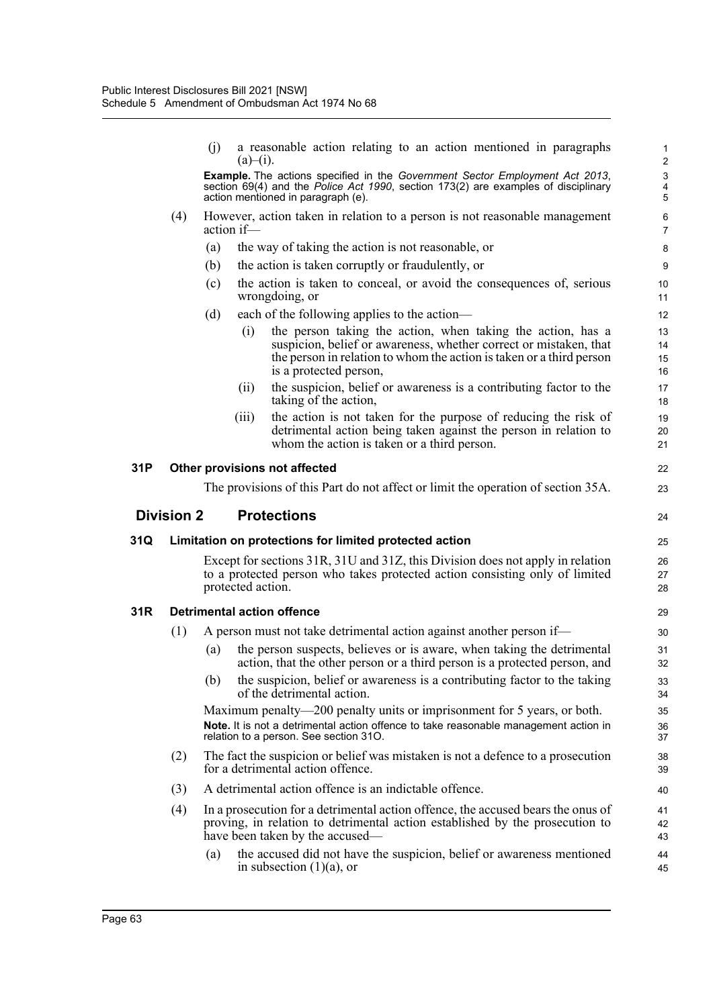|     |                   | (i)        | a reasonable action relating to an action mentioned in paragraphs<br>$(a)$ –(i).                                                                                                                                                          | $\mathbf{1}$<br>$\overline{2}$                            |
|-----|-------------------|------------|-------------------------------------------------------------------------------------------------------------------------------------------------------------------------------------------------------------------------------------------|-----------------------------------------------------------|
|     |                   |            | Example. The actions specified in the Government Sector Employment Act 2013,<br>section 69(4) and the Police Act 1990, section 173(2) are examples of disciplinary<br>action mentioned in paragraph (e).                                  | $\ensuremath{\mathsf{3}}$<br>$\overline{\mathbf{4}}$<br>5 |
|     | (4)               | action if— | However, action taken in relation to a person is not reasonable management                                                                                                                                                                | 6<br>$\overline{7}$                                       |
|     |                   | (a)        | the way of taking the action is not reasonable, or                                                                                                                                                                                        | 8                                                         |
|     |                   | (b)        | the action is taken corruptly or fraudulently, or                                                                                                                                                                                         | $\boldsymbol{9}$                                          |
|     |                   | (c)        | the action is taken to conceal, or avoid the consequences of, serious<br>wrongdoing, or                                                                                                                                                   | 10<br>11                                                  |
|     |                   | (d)        | each of the following applies to the action-                                                                                                                                                                                              | 12                                                        |
|     |                   |            | the person taking the action, when taking the action, has a<br>(1)<br>suspicion, belief or awareness, whether correct or mistaken, that<br>the person in relation to whom the action is taken or a third person<br>is a protected person, | 13<br>14<br>15<br>16                                      |
|     |                   |            | the suspicion, belief or awareness is a contributing factor to the<br>(ii)<br>taking of the action,                                                                                                                                       | 17<br>18                                                  |
|     |                   |            | (iii)<br>the action is not taken for the purpose of reducing the risk of<br>detrimental action being taken against the person in relation to<br>whom the action is taken or a third person.                                               | 19<br>20<br>21                                            |
| 31P |                   |            | Other provisions not affected                                                                                                                                                                                                             | 22                                                        |
|     |                   |            | The provisions of this Part do not affect or limit the operation of section 35A.                                                                                                                                                          | 23                                                        |
|     | <b>Division 2</b> |            | <b>Protections</b>                                                                                                                                                                                                                        | 24                                                        |
| 31Q |                   |            | Limitation on protections for limited protected action                                                                                                                                                                                    | 25                                                        |
|     |                   |            |                                                                                                                                                                                                                                           |                                                           |
|     |                   |            | Except for sections 31R, 31U and 31Z, this Division does not apply in relation<br>to a protected person who takes protected action consisting only of limited<br>protected action.                                                        | 26<br>27<br>28                                            |
| 31R |                   |            | <b>Detrimental action offence</b>                                                                                                                                                                                                         | 29                                                        |
|     | (1)               |            | A person must not take detrimental action against another person if—                                                                                                                                                                      | 30                                                        |
|     |                   | (a)        | the person suspects, believes or is aware, when taking the detrimental<br>action, that the other person or a third person is a protected person, and                                                                                      | 31<br>32                                                  |
|     |                   | (b)        | the suspicion, belief or awareness is a contributing factor to the taking<br>of the detrimental action.                                                                                                                                   | 33<br>34                                                  |
|     |                   |            | Maximum penalty—200 penalty units or imprisonment for 5 years, or both.<br>Note. It is not a detrimental action offence to take reasonable management action in<br>relation to a person. See section 310.                                 | 35<br>36<br>37                                            |
|     | (2)               |            | The fact the suspicion or belief was mistaken is not a defence to a prosecution<br>for a detrimental action offence.                                                                                                                      | 38<br>39                                                  |
|     | (3)               |            | A detrimental action offence is an indictable offence.                                                                                                                                                                                    | 40                                                        |
|     | (4)               |            | In a prosecution for a detrimental action offence, the accused bears the onus of<br>proving, in relation to detrimental action established by the prosecution to<br>have been taken by the accused—                                       | 41<br>42<br>43                                            |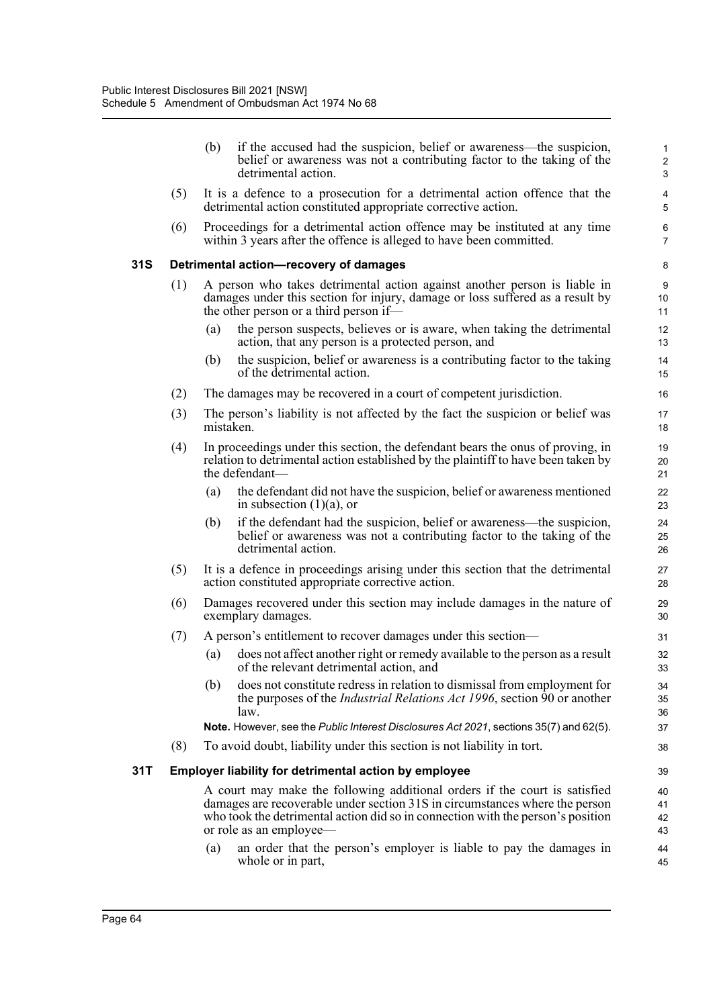|     |     | (b)       | if the accused had the suspicion, belief or awareness—the suspicion,<br>belief or awareness was not a contributing factor to the taking of the<br>detrimental action.                                                                                                   | 1<br>$\overline{c}$<br>3 |
|-----|-----|-----------|-------------------------------------------------------------------------------------------------------------------------------------------------------------------------------------------------------------------------------------------------------------------------|--------------------------|
|     | (5) |           | It is a defence to a prosecution for a detrimental action offence that the<br>detrimental action constituted appropriate corrective action.                                                                                                                             | 4<br>5                   |
|     | (6) |           | Proceedings for a detrimental action offence may be instituted at any time<br>within 3 years after the offence is alleged to have been committed.                                                                                                                       | 6<br>7                   |
| 31S |     |           | Detrimental action-recovery of damages                                                                                                                                                                                                                                  | 8                        |
|     | (1) |           | A person who takes detrimental action against another person is liable in<br>damages under this section for injury, damage or loss suffered as a result by<br>the other person or a third person if—                                                                    | 9<br>10<br>11            |
|     |     | (a)       | the person suspects, believes or is aware, when taking the detrimental<br>action, that any person is a protected person, and                                                                                                                                            | 12<br>13                 |
|     |     | (b)       | the suspicion, belief or awareness is a contributing factor to the taking<br>of the detrimental action.                                                                                                                                                                 | 14<br>15                 |
|     | (2) |           | The damages may be recovered in a court of competent jurisdiction.                                                                                                                                                                                                      | 16                       |
|     | (3) | mistaken. | The person's liability is not affected by the fact the suspicion or belief was                                                                                                                                                                                          | 17<br>18                 |
|     | (4) |           | In proceedings under this section, the defendant bears the onus of proving, in<br>relation to detrimental action established by the plaintiff to have been taken by<br>the defendant-                                                                                   | 19<br>20<br>21           |
|     |     | (a)       | the defendant did not have the suspicion, belief or awareness mentioned<br>in subsection $(1)(a)$ , or                                                                                                                                                                  | 22<br>23                 |
|     |     | (b)       | if the defendant had the suspicion, belief or awareness—the suspicion,<br>belief or awareness was not a contributing factor to the taking of the<br>detrimental action.                                                                                                 | 24<br>25<br>26           |
|     | (5) |           | It is a defence in proceedings arising under this section that the detrimental<br>action constituted appropriate corrective action.                                                                                                                                     | 27<br>28                 |
|     | (6) |           | Damages recovered under this section may include damages in the nature of<br>exemplary damages.                                                                                                                                                                         | 29<br>30                 |
|     | (7) |           | A person's entitlement to recover damages under this section—                                                                                                                                                                                                           | 31                       |
|     |     | (a)       | does not affect another right or remedy available to the person as a result<br>of the relevant detrimental action, and                                                                                                                                                  | 32<br>33                 |
|     |     | (b)       | does not constitute redress in relation to dismissal from employment for<br>the purposes of the Industrial Relations Act 1996, section 90 or another<br>law.                                                                                                            | 34<br>35<br>36           |
|     |     |           | Note. However, see the Public Interest Disclosures Act 2021, sections 35(7) and 62(5).                                                                                                                                                                                  | 37                       |
|     | (8) |           | To avoid doubt, liability under this section is not liability in tort.                                                                                                                                                                                                  | 38                       |
| 31T |     |           | <b>Employer liability for detrimental action by employee</b>                                                                                                                                                                                                            | 39                       |
|     |     |           | A court may make the following additional orders if the court is satisfied<br>damages are recoverable under section 31S in circumstances where the person<br>who took the detrimental action did so in connection with the person's position<br>or role as an employee- | 40<br>41<br>42<br>43     |
|     |     | (a)       | an order that the person's employer is liable to pay the damages in<br>whole or in part,                                                                                                                                                                                | 44<br>45                 |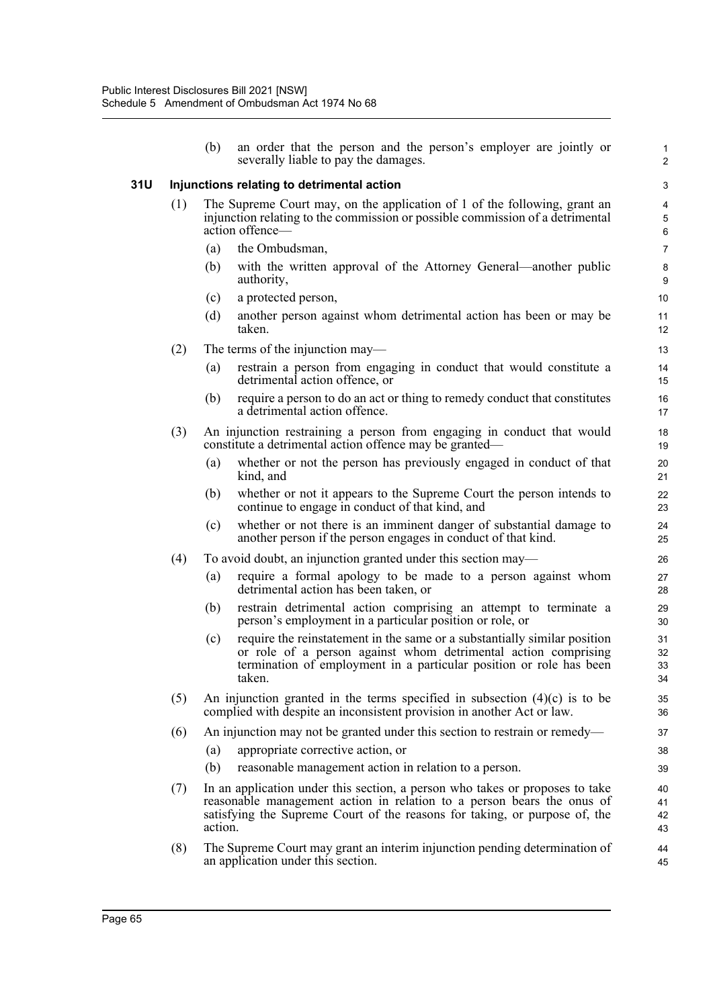|     |     | (b)     | an order that the person and the person's employer are jointly or<br>severally liable to pay the damages.                                                                                                                            | 1<br>$\overline{2}$  |
|-----|-----|---------|--------------------------------------------------------------------------------------------------------------------------------------------------------------------------------------------------------------------------------------|----------------------|
| 31U |     |         | Injunctions relating to detrimental action                                                                                                                                                                                           | 3                    |
|     | (1) |         | The Supreme Court may, on the application of 1 of the following, grant an<br>injunction relating to the commission or possible commission of a detrimental<br>action offence-                                                        | 4<br>5<br>$\,6\,$    |
|     |     | (a)     | the Ombudsman,                                                                                                                                                                                                                       | $\overline{7}$       |
|     |     | (b)     | with the written approval of the Attorney General—another public<br>authority,                                                                                                                                                       | 8<br>9               |
|     |     | (c)     | a protected person,                                                                                                                                                                                                                  | 10                   |
|     |     | (d)     | another person against whom detrimental action has been or may be<br>taken.                                                                                                                                                          | 11<br>12             |
|     | (2) |         | The terms of the injunction may-                                                                                                                                                                                                     | 13                   |
|     |     | (a)     | restrain a person from engaging in conduct that would constitute a<br>detrimental action offence, or                                                                                                                                 | 14<br>15             |
|     |     | (b)     | require a person to do an act or thing to remedy conduct that constitutes<br>a detrimental action offence.                                                                                                                           | 16<br>17             |
|     | (3) |         | An injunction restraining a person from engaging in conduct that would<br>constitute a detrimental action offence may be granted—                                                                                                    | 18<br>19             |
|     |     | (a)     | whether or not the person has previously engaged in conduct of that<br>kind, and                                                                                                                                                     | 20<br>21             |
|     |     | (b)     | whether or not it appears to the Supreme Court the person intends to<br>continue to engage in conduct of that kind, and                                                                                                              | 22<br>23             |
|     |     | (c)     | whether or not there is an imminent danger of substantial damage to<br>another person if the person engages in conduct of that kind.                                                                                                 | 24<br>25             |
|     | (4) |         | To avoid doubt, an injunction granted under this section may—                                                                                                                                                                        | 26                   |
|     |     | (a)     | require a formal apology to be made to a person against whom<br>detrimental action has been taken, or                                                                                                                                | 27<br>28             |
|     |     | (b)     | restrain detrimental action comprising an attempt to terminate a<br>person's employment in a particular position or role, or                                                                                                         | 29<br>30             |
|     |     | (c)     | require the reinstatement in the same or a substantially similar position<br>or role of a person against whom detrimental action comprising<br>termination of employment in a particular position or role has been<br>taken.         | 31<br>32<br>33<br>34 |
|     | (5) |         | An injunction granted in the terms specified in subsection $(4)(c)$ is to be<br>complied with despite an inconsistent provision in another Act or law.                                                                               | 35<br>36             |
|     | (6) |         | An injunction may not be granted under this section to restrain or remedy—                                                                                                                                                           | 37                   |
|     |     | (a)     | appropriate corrective action, or                                                                                                                                                                                                    | 38                   |
|     |     | (b)     | reasonable management action in relation to a person.                                                                                                                                                                                | 39                   |
|     | (7) | action. | In an application under this section, a person who takes or proposes to take<br>reasonable management action in relation to a person bears the onus of<br>satisfying the Supreme Court of the reasons for taking, or purpose of, the | 40<br>41<br>42<br>43 |
|     | (8) |         | The Supreme Court may grant an interim injunction pending determination of<br>an application under this section.                                                                                                                     | 44<br>45             |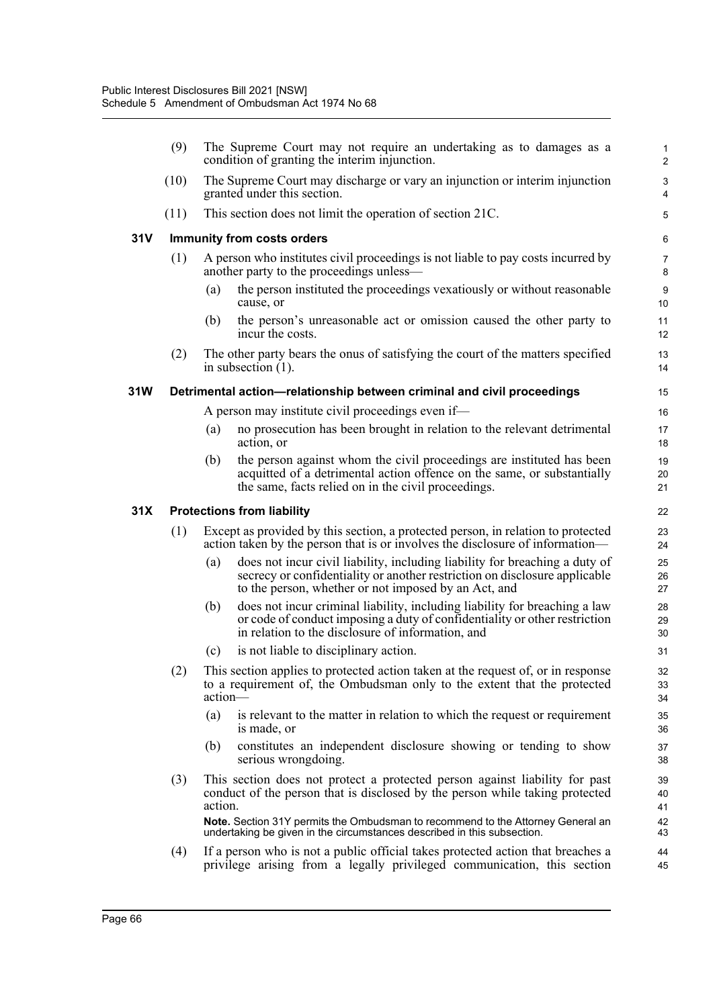|            | (9)  |         | The Supreme Court may not require an undertaking as to damages as a<br>condition of granting the interim injunction.                                                                                              | $\mathbf{1}$<br>$\overline{2}$ |
|------------|------|---------|-------------------------------------------------------------------------------------------------------------------------------------------------------------------------------------------------------------------|--------------------------------|
|            | (10) |         | The Supreme Court may discharge or vary an injunction or interim injunction<br>granted under this section.                                                                                                        | 3<br>4                         |
|            | (11) |         | This section does not limit the operation of section 21C.                                                                                                                                                         | 5                              |
| <b>31V</b> |      |         | Immunity from costs orders                                                                                                                                                                                        | 6                              |
|            | (1)  |         | A person who institutes civil proceedings is not liable to pay costs incurred by<br>another party to the proceedings unless—                                                                                      | $\overline{7}$<br>8            |
|            |      | (a)     | the person instituted the proceedings vexatiously or without reasonable<br>cause, or                                                                                                                              | 9<br>10                        |
|            |      | (b)     | the person's unreasonable act or omission caused the other party to<br>incur the costs.                                                                                                                           | 11<br>12                       |
|            | (2)  |         | The other party bears the onus of satisfying the court of the matters specified<br>in subsection $(1)$ .                                                                                                          | 13<br>14                       |
| 31W        |      |         | Detrimental action-relationship between criminal and civil proceedings                                                                                                                                            | 15                             |
|            |      |         | A person may institute civil proceedings even if—                                                                                                                                                                 | 16                             |
|            |      | (a)     | no prosecution has been brought in relation to the relevant detrimental<br>action, or                                                                                                                             | 17<br>18                       |
|            |      | (b)     | the person against whom the civil proceedings are instituted has been<br>acquitted of a detrimental action offence on the same, or substantially<br>the same, facts relied on in the civil proceedings.           | 19<br>20<br>21                 |
| 31X        |      |         | <b>Protections from liability</b>                                                                                                                                                                                 | 22                             |
|            | (1)  |         | Except as provided by this section, a protected person, in relation to protected<br>action taken by the person that is or involves the disclosure of information—                                                 | 23<br>24                       |
|            |      | (a)     | does not incur civil liability, including liability for breaching a duty of<br>secrecy or confidentiality or another restriction on disclosure applicable<br>to the person, whether or not imposed by an Act, and | 25<br>26<br>27                 |
|            |      | (b)     | does not incur criminal liability, including liability for breaching a law<br>or code of conduct imposing a duty of confidentiality or other restriction<br>in relation to the disclosure of information, and     | 28<br>29<br>30                 |
|            |      | (c)     | is not liable to disciplinary action.                                                                                                                                                                             | 31                             |
|            | (2)  | action- | This section applies to protected action taken at the request of, or in response<br>to a requirement of, the Ombudsman only to the extent that the protected                                                      | 32<br>33<br>34                 |
|            |      | (a)     | is relevant to the matter in relation to which the request or requirement<br>is made, or                                                                                                                          | 35<br>36                       |
|            |      | (b)     | constitutes an independent disclosure showing or tending to show<br>serious wrongdoing.                                                                                                                           | 37<br>38                       |
|            | (3)  | action. | This section does not protect a protected person against liability for past<br>conduct of the person that is disclosed by the person while taking protected                                                       | 39<br>40<br>41                 |
|            |      |         | Note. Section 31Y permits the Ombudsman to recommend to the Attorney General an<br>undertaking be given in the circumstances described in this subsection.                                                        | 42<br>43                       |
|            | (4)  |         | If a person who is not a public official takes protected action that breaches a<br>privilege arising from a legally privileged communication, this section                                                        | 44<br>45                       |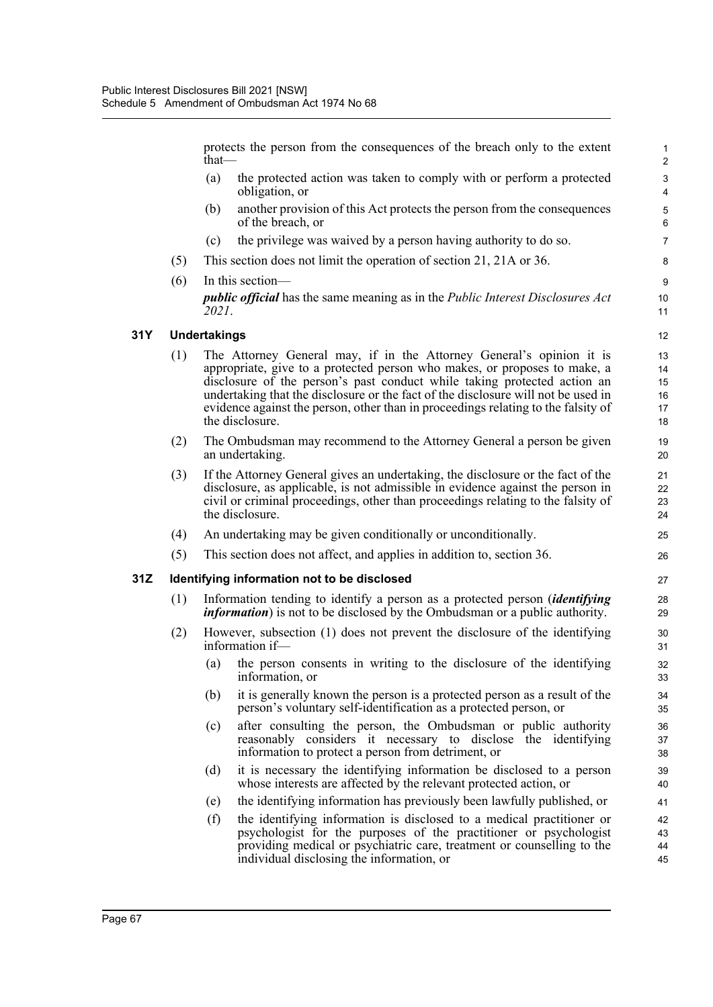|     |     | that $-$            | protects the person from the consequences of the breach only to the extent                                                                                                                                                                                                                                                                                                                                                 | $\mathbf{1}$<br>$\overline{2}$              |
|-----|-----|---------------------|----------------------------------------------------------------------------------------------------------------------------------------------------------------------------------------------------------------------------------------------------------------------------------------------------------------------------------------------------------------------------------------------------------------------------|---------------------------------------------|
|     |     | (a)                 | the protected action was taken to comply with or perform a protected<br>obligation, or                                                                                                                                                                                                                                                                                                                                     | $\ensuremath{\mathsf{3}}$<br>$\overline{4}$ |
|     |     | (b)                 | another provision of this Act protects the person from the consequences<br>of the breach, or                                                                                                                                                                                                                                                                                                                               | $\mathbf 5$<br>6                            |
|     |     | (c)                 | the privilege was waived by a person having authority to do so.                                                                                                                                                                                                                                                                                                                                                            | $\overline{7}$                              |
|     | (5) |                     | This section does not limit the operation of section 21, 21A or 36.                                                                                                                                                                                                                                                                                                                                                        | 8                                           |
|     | (6) |                     | In this section-                                                                                                                                                                                                                                                                                                                                                                                                           | $\boldsymbol{9}$                            |
|     |     | 2021.               | <i>public official</i> has the same meaning as in the <i>Public Interest Disclosures Act</i>                                                                                                                                                                                                                                                                                                                               | 10<br>11                                    |
| 31Y |     | <b>Undertakings</b> |                                                                                                                                                                                                                                                                                                                                                                                                                            | 12                                          |
|     | (1) |                     | The Attorney General may, if in the Attorney General's opinion it is<br>appropriate, give to a protected person who makes, or proposes to make, a<br>disclosure of the person's past conduct while taking protected action an<br>undertaking that the disclosure or the fact of the disclosure will not be used in<br>evidence against the person, other than in proceedings relating to the falsity of<br>the disclosure. | 13<br>14<br>15<br>16<br>17<br>18            |
|     | (2) |                     | The Ombudsman may recommend to the Attorney General a person be given<br>an undertaking.                                                                                                                                                                                                                                                                                                                                   | 19<br>20                                    |
|     | (3) |                     | If the Attorney General gives an undertaking, the disclosure or the fact of the<br>disclosure, as applicable, is not admissible in evidence against the person in<br>civil or criminal proceedings, other than proceedings relating to the falsity of<br>the disclosure.                                                                                                                                                   | 21<br>22<br>23<br>24                        |
|     | (4) |                     | An undertaking may be given conditionally or unconditionally.                                                                                                                                                                                                                                                                                                                                                              | 25                                          |
|     | (5) |                     | This section does not affect, and applies in addition to, section 36.                                                                                                                                                                                                                                                                                                                                                      | 26                                          |
| 31Z |     |                     | Identifying information not to be disclosed                                                                                                                                                                                                                                                                                                                                                                                | 27                                          |
|     | (1) |                     | Information tending to identify a person as a protected person (identifying<br><i>information</i> ) is not to be disclosed by the Ombudsman or a public authority.                                                                                                                                                                                                                                                         | 28<br>29                                    |
|     | (2) |                     | However, subsection (1) does not prevent the disclosure of the identifying<br>information if-                                                                                                                                                                                                                                                                                                                              | 30<br>31                                    |
|     |     | (a)                 | the person consents in writing to the disclosure of the identifying<br>information, or                                                                                                                                                                                                                                                                                                                                     | 32<br>33                                    |
|     |     | (b)                 | it is generally known the person is a protected person as a result of the<br>person's voluntary self-identification as a protected person, or                                                                                                                                                                                                                                                                              | 34<br>35                                    |
|     |     | (c)                 | after consulting the person, the Ombudsman or public authority<br>reasonably considers it necessary to disclose the identifying<br>information to protect a person from detriment, or                                                                                                                                                                                                                                      | 36<br>37<br>38                              |
|     |     | (d)                 | it is necessary the identifying information be disclosed to a person<br>whose interests are affected by the relevant protected action, or                                                                                                                                                                                                                                                                                  | 39<br>40                                    |
|     |     | (e)                 | the identifying information has previously been lawfully published, or                                                                                                                                                                                                                                                                                                                                                     | 41                                          |
|     |     | (f)                 | the identifying information is disclosed to a medical practitioner or<br>psychologist for the purposes of the practitioner or psychologist<br>providing medical or psychiatric care, treatment or counselling to the<br>individual disclosing the information, or                                                                                                                                                          | 42<br>43<br>44<br>45                        |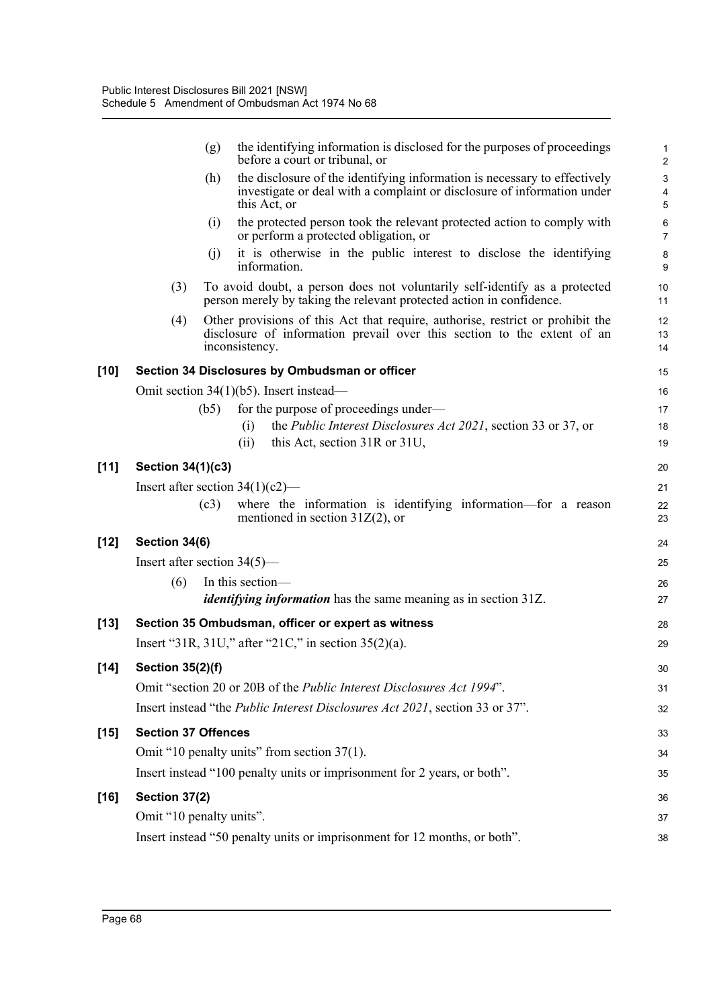|        |                                | (g)  | the identifying information is disclosed for the purposes of proceedings<br>before a court or tribunal, or                                                                  | $\mathbf{1}$<br>$\overline{c}$ |
|--------|--------------------------------|------|-----------------------------------------------------------------------------------------------------------------------------------------------------------------------------|--------------------------------|
|        |                                | (h)  | the disclosure of the identifying information is necessary to effectively<br>investigate or deal with a complaint or disclosure of information under<br>this Act, or        | $\mathbf{3}$<br>4<br>5         |
|        |                                | (i)  | the protected person took the relevant protected action to comply with<br>or perform a protected obligation, or                                                             | 6<br>$\overline{7}$            |
|        |                                | (i)  | it is otherwise in the public interest to disclose the identifying<br>information.                                                                                          | 8<br>9                         |
|        | (3)                            |      | To avoid doubt, a person does not voluntarily self-identify as a protected<br>person merely by taking the relevant protected action in confidence.                          | 10<br>11                       |
|        | (4)                            |      | Other provisions of this Act that require, authorise, restrict or prohibit the<br>disclosure of information prevail over this section to the extent of an<br>inconsistency. | 12<br>13<br>14                 |
| $[10]$ |                                |      | Section 34 Disclosures by Ombudsman or officer                                                                                                                              | 15                             |
|        |                                |      | Omit section $34(1)(b5)$ . Insert instead—                                                                                                                                  | 16                             |
|        |                                | (b5) | for the purpose of proceedings under—                                                                                                                                       | 17                             |
|        |                                |      | the <i>Public Interest Disclosures Act 2021</i> , section 33 or 37, or<br>(i)                                                                                               | 18                             |
|        |                                |      | this Act, section 31R or 31U,<br>(i)                                                                                                                                        | 19                             |
| [11]   | Section 34(1)(c3)              |      |                                                                                                                                                                             | 20                             |
|        |                                |      | Insert after section $34(1)(c2)$ —                                                                                                                                          | 21                             |
|        |                                | (c3) | where the information is identifying information—for a reason<br>mentioned in section $31Z(2)$ , or                                                                         | 22<br>23                       |
| $[12]$ | Section 34(6)                  |      |                                                                                                                                                                             | 24                             |
|        | Insert after section $34(5)$ — |      |                                                                                                                                                                             | 25                             |
|        | (6)                            |      | In this section-                                                                                                                                                            | 26                             |
|        |                                |      | <i>identifying information</i> has the same meaning as in section 31Z.                                                                                                      | 27                             |
| $[13]$ |                                |      | Section 35 Ombudsman, officer or expert as witness                                                                                                                          | 28                             |
|        |                                |      | Insert "31R, 31U," after "21C," in section $35(2)(a)$ .                                                                                                                     | 29                             |
| $[14]$ | <b>Section 35(2)(f)</b>        |      |                                                                                                                                                                             | 30                             |
|        |                                |      | Omit "section 20 or 20B of the Public Interest Disclosures Act 1994".                                                                                                       | 31                             |
|        |                                |      | Insert instead "the Public Interest Disclosures Act 2021, section 33 or 37".                                                                                                | 32                             |
|        |                                |      |                                                                                                                                                                             |                                |
| $[15]$ | <b>Section 37 Offences</b>     |      |                                                                                                                                                                             | 33                             |
|        |                                |      | Omit "10 penalty units" from section 37(1).                                                                                                                                 | 34                             |
|        |                                |      | Insert instead "100 penalty units or imprisonment for 2 years, or both".                                                                                                    | 35                             |
| $[16]$ | Section 37(2)                  |      |                                                                                                                                                                             | 36                             |
|        | Omit "10 penalty units".       |      |                                                                                                                                                                             | 37                             |
|        |                                |      | Insert instead "50 penalty units or imprisonment for 12 months, or both".                                                                                                   | 38                             |
|        |                                |      |                                                                                                                                                                             |                                |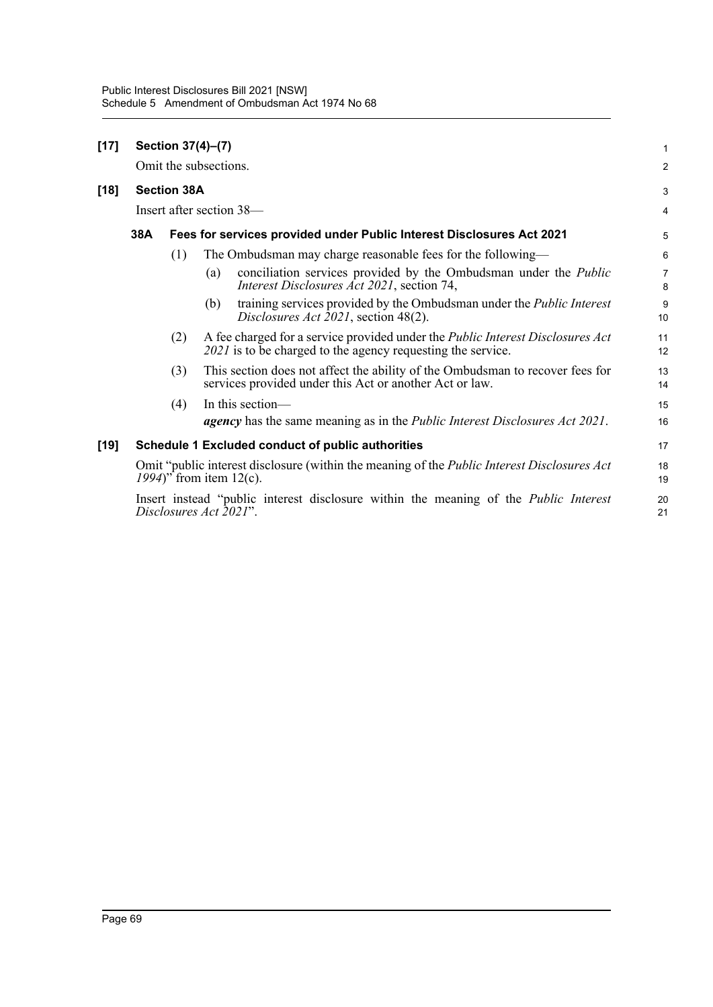| $[17]$ | Section 37(4)-(7)                                                                                                                |                        |     |                                                                                                                                                      |                     |  |
|--------|----------------------------------------------------------------------------------------------------------------------------------|------------------------|-----|------------------------------------------------------------------------------------------------------------------------------------------------------|---------------------|--|
|        |                                                                                                                                  | Omit the subsections.  |     |                                                                                                                                                      | $\overline{2}$      |  |
| $[18]$ |                                                                                                                                  | <b>Section 38A</b>     |     |                                                                                                                                                      | 3                   |  |
|        |                                                                                                                                  |                        |     | Insert after section 38—                                                                                                                             | $\overline{4}$      |  |
|        | 38A                                                                                                                              |                        |     | Fees for services provided under Public Interest Disclosures Act 2021                                                                                | 5                   |  |
|        |                                                                                                                                  | (1)                    |     | The Ombudsman may charge reasonable fees for the following—                                                                                          | 6                   |  |
|        |                                                                                                                                  |                        | (a) | conciliation services provided by the Ombudsman under the <i>Public</i><br>Interest Disclosures Act 2021, section 74,                                | $\overline{7}$<br>8 |  |
|        |                                                                                                                                  |                        | (b) | training services provided by the Ombudsman under the <i>Public Interest</i><br>Disclosures Act 2021, section 48(2).                                 | 9<br>10             |  |
|        |                                                                                                                                  | (2)                    |     | A fee charged for a service provided under the <i>Public Interest Disclosures Act</i><br>2021 is to be charged to the agency requesting the service. | 11<br>12            |  |
|        |                                                                                                                                  | (3)                    |     | This section does not affect the ability of the Ombudsman to recover fees for<br>services provided under this Act or another Act or law.             | 13<br>14            |  |
|        |                                                                                                                                  | (4)                    |     | In this section—                                                                                                                                     | 15                  |  |
|        |                                                                                                                                  |                        |     | <b>agency</b> has the same meaning as in the <i>Public Interest Disclosures Act 2021</i> .                                                           | 16                  |  |
| [19]   |                                                                                                                                  |                        |     | Schedule 1 Excluded conduct of public authorities                                                                                                    | 17                  |  |
|        | Omit "public interest disclosure (within the meaning of the <i>Public Interest Disclosures Act</i><br>1994)" from item $12(c)$ . |                        |     |                                                                                                                                                      |                     |  |
|        |                                                                                                                                  | Disclosures Act 2021". |     | Insert instead "public interest disclosure within the meaning of the <i>Public Interest</i>                                                          | 20<br>21            |  |
|        |                                                                                                                                  |                        |     |                                                                                                                                                      |                     |  |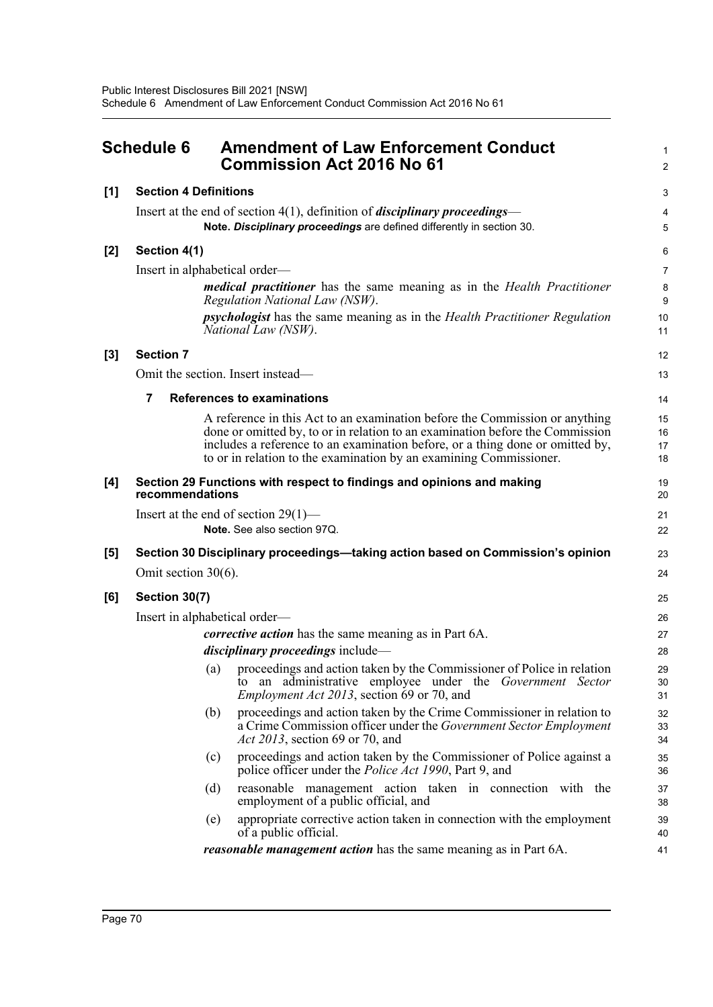|       | <b>Schedule 6</b>            | <b>Amendment of Law Enforcement Conduct</b><br><b>Commission Act 2016 No 61</b>                                                                                                               |                |  |
|-------|------------------------------|-----------------------------------------------------------------------------------------------------------------------------------------------------------------------------------------------|----------------|--|
| [1]   | <b>Section 4 Definitions</b> |                                                                                                                                                                                               | 3              |  |
|       |                              | Insert at the end of section $4(1)$ , definition of <i>disciplinary proceedings</i> —                                                                                                         | 4              |  |
|       |                              | Note. Disciplinary proceedings are defined differently in section 30.                                                                                                                         | 5              |  |
| [2]   | Section 4(1)                 |                                                                                                                                                                                               | 6              |  |
|       |                              | Insert in alphabetical order—                                                                                                                                                                 | $\overline{7}$ |  |
|       |                              | <i>medical practitioner</i> has the same meaning as in the <i>Health Practitioner</i><br>Regulation National Law (NSW).                                                                       | 8<br>9         |  |
|       |                              | <i>psychologist</i> has the same meaning as in the <i>Health Practitioner Regulation</i><br>National Law (NSW).                                                                               | 10<br>11       |  |
| $[3]$ | <b>Section 7</b>             |                                                                                                                                                                                               | 12             |  |
|       |                              | Omit the section. Insert instead—                                                                                                                                                             | 13             |  |
|       | $\overline{7}$               | <b>References to examinations</b>                                                                                                                                                             | 14             |  |
|       |                              | A reference in this Act to an examination before the Commission or anything                                                                                                                   | 15             |  |
|       |                              | done or omitted by, to or in relation to an examination before the Commission<br>includes a reference to an examination before, or a thing done or omitted by,                                | 16             |  |
|       |                              | to or in relation to the examination by an examining Commissioner.                                                                                                                            | 17<br>18       |  |
| [4]   | recommendations              | Section 29 Functions with respect to findings and opinions and making                                                                                                                         | 19<br>20       |  |
|       |                              | Insert at the end of section $29(1)$ —                                                                                                                                                        | 21             |  |
|       |                              | Note, See also section 97Q.                                                                                                                                                                   | 22             |  |
| [5]   |                              | Section 30 Disciplinary proceedings—taking action based on Commission's opinion                                                                                                               | 23             |  |
|       | Omit section $30(6)$ .       |                                                                                                                                                                                               | 24             |  |
| [6]   | Section 30(7)                |                                                                                                                                                                                               | 25             |  |
|       |                              | Insert in alphabetical order—                                                                                                                                                                 | 26             |  |
|       |                              | <i>corrective action</i> has the same meaning as in Part 6A.                                                                                                                                  | 27             |  |
|       |                              | <i>disciplinary proceedings</i> include—                                                                                                                                                      | 28             |  |
|       |                              | (a) proceedings and action taken by the Commissioner of Police in relation<br>to an administrative employee under the Government Sector<br><i>Employment Act 2013</i> , section 69 or 70, and | 29<br>30<br>31 |  |
|       |                              | proceedings and action taken by the Crime Commissioner in relation to<br>(b)<br>a Crime Commission officer under the <i>Government Sector Employment</i><br>Act 2013, section 69 or 70, and   | 32<br>33<br>34 |  |
|       |                              | proceedings and action taken by the Commissioner of Police against a<br>(c)<br>police officer under the <i>Police Act 1990</i> , Part 9, and                                                  | 35<br>36       |  |
|       |                              | (d)<br>reasonable management action taken in connection with the<br>employment of a public official, and                                                                                      | 37<br>38       |  |
|       |                              | appropriate corrective action taken in connection with the employment<br>(e)<br>of a public official.                                                                                         | 39<br>40       |  |
|       |                              | <i>reasonable management action</i> has the same meaning as in Part 6A.                                                                                                                       | 41             |  |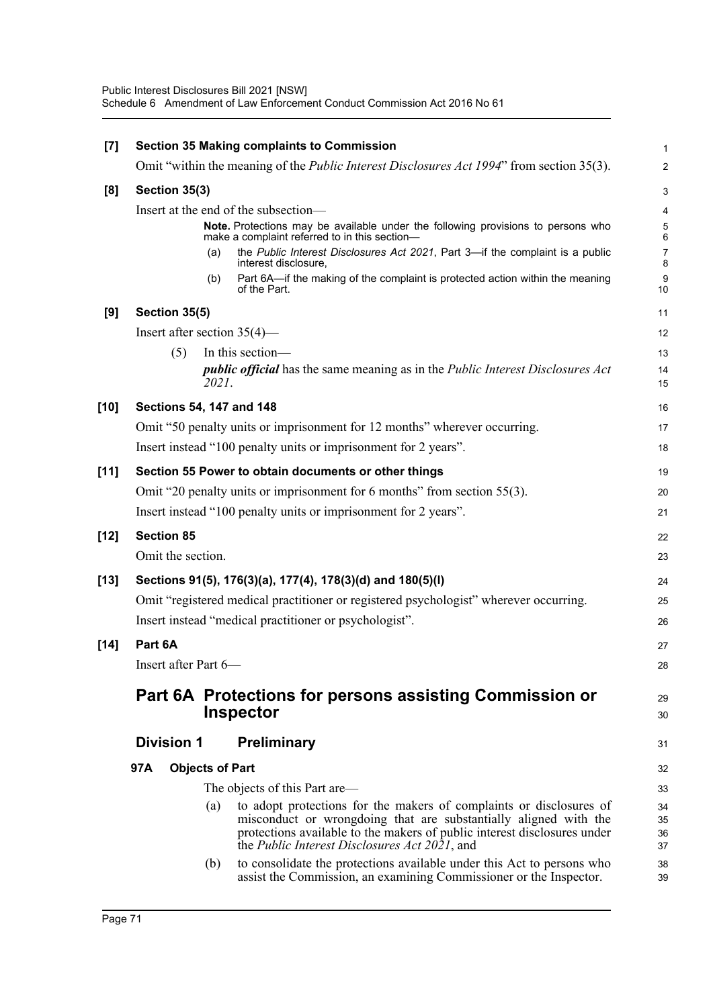| $[7]$  |                                |                        | <b>Section 35 Making complaints to Commission</b>                                                                                            | 1                   |
|--------|--------------------------------|------------------------|----------------------------------------------------------------------------------------------------------------------------------------------|---------------------|
|        |                                |                        | Omit "within the meaning of the <i>Public Interest Disclosures Act 1994</i> " from section 35(3).                                            | $\overline{c}$      |
| [8]    | Section 35(3)                  |                        |                                                                                                                                              | 3                   |
|        |                                |                        | Insert at the end of the subsection—                                                                                                         | 4                   |
|        |                                |                        | Note. Protections may be available under the following provisions to persons who<br>make a complaint referred to in this section-            | 5<br>6              |
|        |                                | (a)                    | the Public Interest Disclosures Act 2021, Part 3-if the complaint is a public<br>interest disclosure,                                        | $\overline{7}$<br>8 |
|        |                                | (b)                    | Part 6A-if the making of the complaint is protected action within the meaning<br>of the Part.                                                | 9<br>10             |
| [9]    | Section 35(5)                  |                        |                                                                                                                                              | 11                  |
|        | Insert after section $35(4)$ — |                        |                                                                                                                                              | 12                  |
|        | (5)                            |                        | In this section-                                                                                                                             | 13                  |
|        |                                | 2021.                  | <i>public official</i> has the same meaning as in the <i>Public Interest Disclosures Act</i>                                                 | 14<br>15            |
| $[10]$ | Sections 54, 147 and 148       |                        |                                                                                                                                              | 16                  |
|        |                                |                        | Omit "50 penalty units or imprisonment for 12 months" wherever occurring.                                                                    | 17                  |
|        |                                |                        | Insert instead "100 penalty units or imprisonment for 2 years".                                                                              | 18                  |
| $[11]$ |                                |                        | Section 55 Power to obtain documents or other things                                                                                         | 19                  |
|        |                                |                        | Omit "20 penalty units or imprisonment for 6 months" from section 55(3).                                                                     | 20                  |
|        |                                |                        | Insert instead "100 penalty units or imprisonment for 2 years".                                                                              | 21                  |
| $[12]$ | <b>Section 85</b>              |                        |                                                                                                                                              | 22                  |
|        | Omit the section.              |                        |                                                                                                                                              | 23                  |
| $[13]$ |                                |                        | Sections 91(5), 176(3)(a), 177(4), 178(3)(d) and 180(5)(l)                                                                                   | 24                  |
|        |                                |                        | Omit "registered medical practitioner or registered psychologist" wherever occurring.                                                        | 25                  |
|        |                                |                        | Insert instead "medical practitioner or psychologist".                                                                                       | 26                  |
| $[14]$ | Part 6A                        |                        |                                                                                                                                              | 27                  |
|        | Insert after Part 6-           |                        |                                                                                                                                              | 28                  |
|        |                                |                        | Part 6A Protections for persons assisting Commission or                                                                                      | 29                  |
|        |                                |                        | <b>Inspector</b>                                                                                                                             | 30                  |
|        | <b>Division 1</b>              |                        | <b>Preliminary</b>                                                                                                                           | 31                  |
|        | 97A                            | <b>Objects of Part</b> |                                                                                                                                              | 32                  |
|        |                                |                        | The objects of this Part are—                                                                                                                | 33                  |
|        |                                | (a)                    | to adopt protections for the makers of complaints or disclosures of                                                                          | 34                  |
|        |                                |                        | misconduct or wrongdoing that are substantially aligned with the<br>protections available to the makers of public interest disclosures under | 35<br>36            |
|        |                                |                        | the <i>Public Interest Disclosures Act 2021</i> , and                                                                                        | 37                  |
|        |                                | (b)                    | to consolidate the protections available under this Act to persons who<br>assist the Commission, an examining Commissioner or the Inspector. | 38<br>39            |
|        |                                |                        |                                                                                                                                              |                     |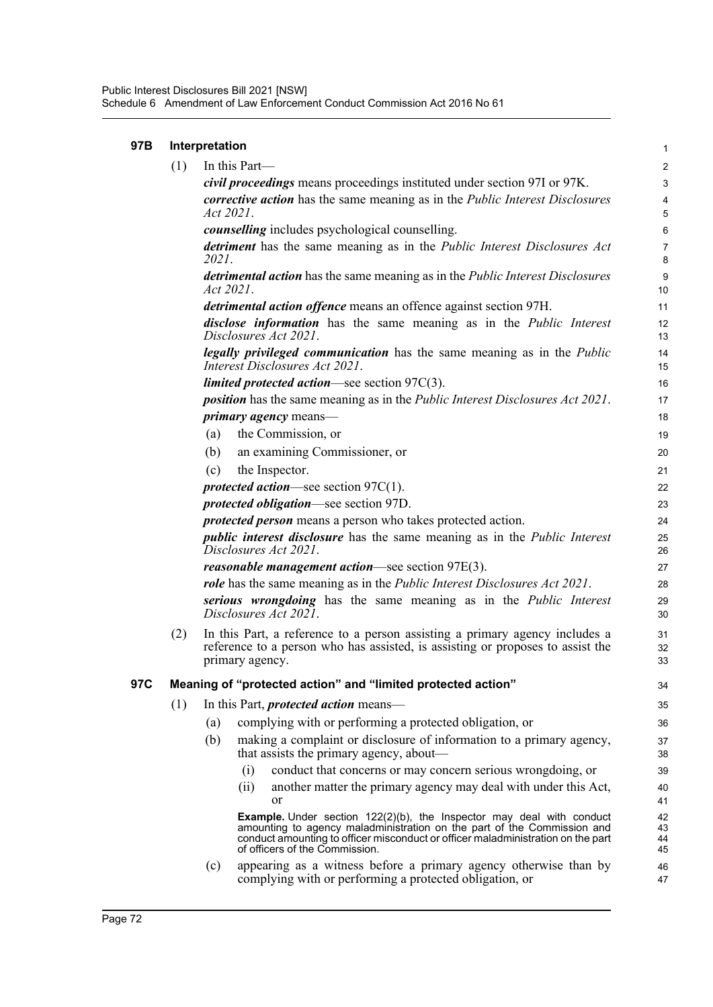| 97B | Interpretation |                                                             |                                                                                                                                                                                                                                                                               |                      |  |  |  |
|-----|----------------|-------------------------------------------------------------|-------------------------------------------------------------------------------------------------------------------------------------------------------------------------------------------------------------------------------------------------------------------------------|----------------------|--|--|--|
|     | (1)            |                                                             | In this Part-                                                                                                                                                                                                                                                                 | 2                    |  |  |  |
|     |                |                                                             | civil proceedings means proceedings instituted under section 97I or 97K.                                                                                                                                                                                                      | 3                    |  |  |  |
|     |                | Act 2021.                                                   | <i>corrective action</i> has the same meaning as in the <i>Public Interest Disclosures</i>                                                                                                                                                                                    | $\overline{4}$<br>5  |  |  |  |
|     |                |                                                             | <i>counselling</i> includes psychological counselling.                                                                                                                                                                                                                        | 6                    |  |  |  |
|     |                | 2021.                                                       | detriment has the same meaning as in the Public Interest Disclosures Act                                                                                                                                                                                                      | $\overline{7}$<br>8  |  |  |  |
|     |                | Act 2021.                                                   | detrimental action has the same meaning as in the Public Interest Disclosures                                                                                                                                                                                                 | 9<br>10              |  |  |  |
|     |                |                                                             | <i>detrimental action offence</i> means an offence against section 97H.                                                                                                                                                                                                       | 11                   |  |  |  |
|     |                |                                                             | disclose information has the same meaning as in the Public Interest<br>Disclosures Act 2021.                                                                                                                                                                                  | 12<br>13             |  |  |  |
|     |                |                                                             | legally privileged communication has the same meaning as in the Public<br>Interest Disclosures Act 2021.                                                                                                                                                                      | 14<br>15             |  |  |  |
|     |                |                                                             | <i>limited protected action</i> —see section $97C(3)$ .                                                                                                                                                                                                                       | 16                   |  |  |  |
|     |                |                                                             | <i>position</i> has the same meaning as in the <i>Public Interest Disclosures Act 2021</i> .                                                                                                                                                                                  | 17                   |  |  |  |
|     |                |                                                             | <i>primary agency</i> means—                                                                                                                                                                                                                                                  | 18                   |  |  |  |
|     |                | (a)                                                         | the Commission, or                                                                                                                                                                                                                                                            | 19                   |  |  |  |
|     |                | (b)                                                         | an examining Commissioner, or                                                                                                                                                                                                                                                 | 20                   |  |  |  |
|     |                | (c)                                                         | the Inspector.                                                                                                                                                                                                                                                                | 21                   |  |  |  |
|     |                |                                                             | <i>protected action</i> —see section $97C(1)$ .                                                                                                                                                                                                                               | 22                   |  |  |  |
|     |                |                                                             | <i>protected obligation</i> —see section 97D.                                                                                                                                                                                                                                 | 23                   |  |  |  |
|     |                | protected person means a person who takes protected action. |                                                                                                                                                                                                                                                                               |                      |  |  |  |
|     |                |                                                             | <i>public interest disclosure</i> has the same meaning as in the <i>Public Interest</i><br>Disclosures Act 2021.                                                                                                                                                              | 25<br>26             |  |  |  |
|     |                |                                                             | <i>reasonable management action—see section 97E(3).</i>                                                                                                                                                                                                                       | 27                   |  |  |  |
|     |                |                                                             | <i>role</i> has the same meaning as in the <i>Public Interest Disclosures Act 2021</i> .                                                                                                                                                                                      | 28                   |  |  |  |
|     |                |                                                             | serious wrongdoing has the same meaning as in the Public Interest<br>Disclosures Act 2021.                                                                                                                                                                                    | 29<br>30             |  |  |  |
|     | (2)            |                                                             | In this Part, a reference to a person assisting a primary agency includes a<br>reference to a person who has assisted, is assisting or proposes to assist the<br>primary agency.                                                                                              | 31<br>32<br>33       |  |  |  |
| 97C |                |                                                             | Meaning of "protected action" and "limited protected action"                                                                                                                                                                                                                  | 34                   |  |  |  |
|     | (1)            |                                                             | In this Part, <i>protected action</i> means—                                                                                                                                                                                                                                  | 35                   |  |  |  |
|     |                | (a)                                                         | complying with or performing a protected obligation, or                                                                                                                                                                                                                       | 36                   |  |  |  |
|     |                | (b)                                                         | making a complaint or disclosure of information to a primary agency,<br>that assists the primary agency, about—                                                                                                                                                               | 37<br>38             |  |  |  |
|     |                |                                                             | conduct that concerns or may concern serious wrongdoing, or<br>(i)                                                                                                                                                                                                            | 39                   |  |  |  |
|     |                |                                                             | another matter the primary agency may deal with under this Act,<br>(ii)<br>or                                                                                                                                                                                                 | 40<br>41             |  |  |  |
|     |                |                                                             | <b>Example.</b> Under section 122(2)(b), the Inspector may deal with conduct<br>amounting to agency maladministration on the part of the Commission and<br>conduct amounting to officer misconduct or officer maladministration on the part<br>of officers of the Commission. | 42<br>43<br>44<br>45 |  |  |  |
|     |                | (c)                                                         | appearing as a witness before a primary agency otherwise than by<br>complying with or performing a protected obligation, or                                                                                                                                                   | 46<br>47             |  |  |  |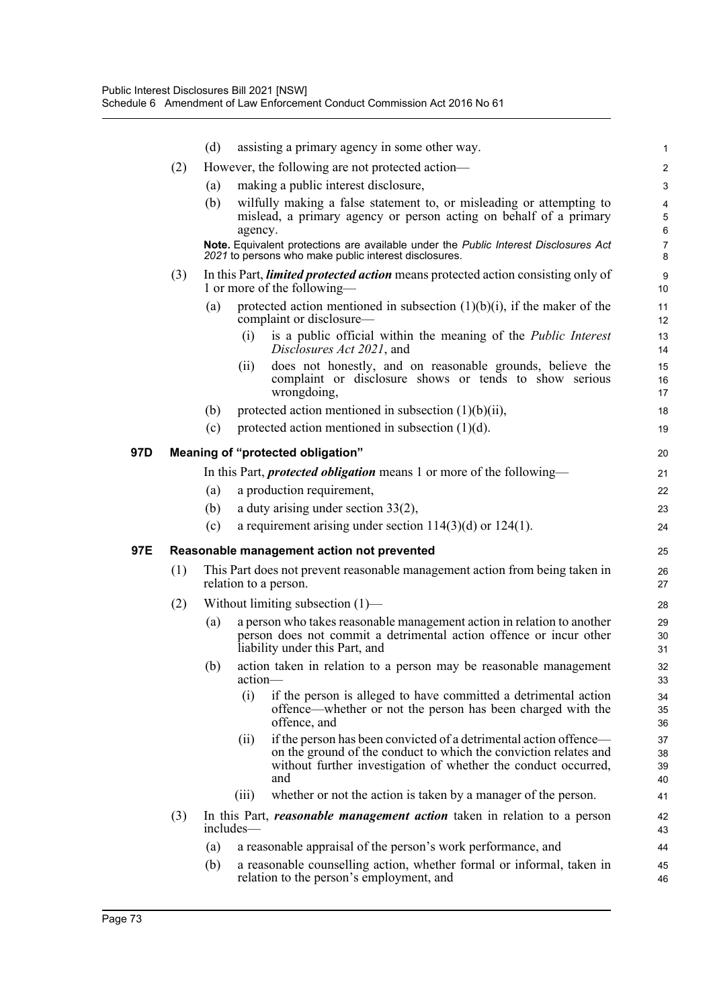|     |     | (d) | assisting a primary agency in some other way.                                                                                                                                                                          | 1                    |
|-----|-----|-----|------------------------------------------------------------------------------------------------------------------------------------------------------------------------------------------------------------------------|----------------------|
|     | (2) |     | However, the following are not protected action—                                                                                                                                                                       | $\overline{c}$       |
|     |     | (a) | making a public interest disclosure,                                                                                                                                                                                   | 3                    |
|     |     | (b) | wilfully making a false statement to, or misleading or attempting to<br>mislead, a primary agency or person acting on behalf of a primary                                                                              | 4<br>5               |
|     |     |     | agency.                                                                                                                                                                                                                | 6                    |
|     |     |     | Note. Equivalent protections are available under the Public Interest Disclosures Act<br>2021 to persons who make public interest disclosures.                                                                          | 7<br>8               |
|     | (3) |     | In this Part, <i>limited protected action</i> means protected action consisting only of<br>1 or more of the following—                                                                                                 | 9<br>10              |
|     |     | (a) | protected action mentioned in subsection $(1)(b)(i)$ , if the maker of the<br>complaint or disclosure—                                                                                                                 | 11<br>12             |
|     |     |     | (i)<br>is a public official within the meaning of the <i>Public Interest</i><br>Disclosures Act 2021, and                                                                                                              | 13<br>14             |
|     |     |     | does not honestly, and on reasonable grounds, believe the<br>(ii)<br>complaint or disclosure shows or tends to show serious<br>wrongdoing,                                                                             | 15<br>16<br>17       |
|     |     | (b) | protected action mentioned in subsection $(1)(b)(ii)$ ,                                                                                                                                                                | 18                   |
|     |     | (c) | protected action mentioned in subsection $(1)(d)$ .                                                                                                                                                                    | 19                   |
| 97D |     |     | Meaning of "protected obligation"                                                                                                                                                                                      | 20                   |
|     |     |     | In this Part, <i>protected obligation</i> means 1 or more of the following—                                                                                                                                            | 21                   |
|     |     | (a) | a production requirement,                                                                                                                                                                                              | 22                   |
|     |     | (b) | a duty arising under section $33(2)$ ,                                                                                                                                                                                 | 23                   |
|     |     | (c) | a requirement arising under section $114(3)(d)$ or $124(1)$ .                                                                                                                                                          | 24                   |
| 97E |     |     | Reasonable management action not prevented                                                                                                                                                                             | 25                   |
|     | (1) |     | This Part does not prevent reasonable management action from being taken in<br>relation to a person.                                                                                                                   | 26<br>27             |
|     | (2) |     | Without limiting subsection $(1)$ —                                                                                                                                                                                    | 28                   |
|     |     | (a) | a person who takes reasonable management action in relation to another<br>person does not commit a detrimental action offence or incur other<br>liability under this Part, and                                         | 29<br>30<br>31       |
|     |     | (b) | action taken in relation to a person may be reasonable management<br>action-                                                                                                                                           | 32<br>33             |
|     |     |     | (i)<br>if the person is alleged to have committed a detrimental action<br>offence—whether or not the person has been charged with the<br>offence, and                                                                  | 34<br>35<br>36       |
|     |     |     | if the person has been convicted of a detrimental action offence—<br>(ii)<br>on the ground of the conduct to which the conviction relates and<br>without further investigation of whether the conduct occurred,<br>and | 37<br>38<br>39<br>40 |
|     |     |     | whether or not the action is taken by a manager of the person.<br>(iii)                                                                                                                                                | 41                   |
|     | (3) |     | In this Part, <i>reasonable management action</i> taken in relation to a person<br>includes—                                                                                                                           | 42<br>43             |
|     |     | (a) | a reasonable appraisal of the person's work performance, and                                                                                                                                                           | 44                   |
|     |     | (b) | a reasonable counselling action, whether formal or informal, taken in<br>relation to the person's employment, and                                                                                                      | 45<br>46             |
|     |     |     |                                                                                                                                                                                                                        |                      |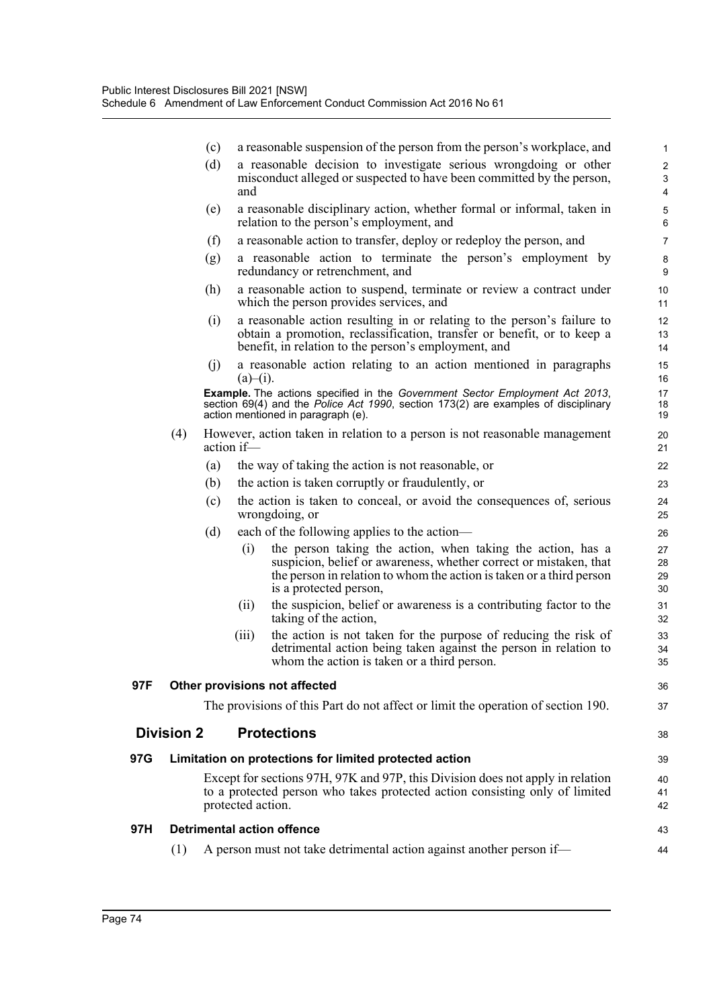|     |                   |            | a reasonable suspension of the person from the person's workplace, and                                                                                                                                                                    |                      |
|-----|-------------------|------------|-------------------------------------------------------------------------------------------------------------------------------------------------------------------------------------------------------------------------------------------|----------------------|
|     |                   | (c)<br>(d) | a reasonable decision to investigate serious wrongdoing or other                                                                                                                                                                          | 1<br>$\overline{c}$  |
|     |                   |            | misconduct alleged or suspected to have been committed by the person,<br>and                                                                                                                                                              | 3<br>4               |
|     |                   | (e)        | a reasonable disciplinary action, whether formal or informal, taken in<br>relation to the person's employment, and                                                                                                                        | $\mathbf 5$<br>6     |
|     |                   | (f)        | a reasonable action to transfer, deploy or redeploy the person, and                                                                                                                                                                       | 7                    |
|     |                   | (g)        | a reasonable action to terminate the person's employment by<br>redundancy or retrenchment, and                                                                                                                                            | 8<br>9               |
|     |                   | (h)        | a reasonable action to suspend, terminate or review a contract under<br>which the person provides services, and                                                                                                                           | 10<br>11             |
|     |                   | (i)        | a reasonable action resulting in or relating to the person's failure to<br>obtain a promotion, reclassification, transfer or benefit, or to keep a<br>benefit, in relation to the person's employment, and                                | 12<br>13<br>14       |
|     |                   | (i)        | a reasonable action relating to an action mentioned in paragraphs<br>$(a)$ –(i).                                                                                                                                                          | 15<br>16             |
|     |                   |            | Example. The actions specified in the Government Sector Employment Act 2013,<br>section 69(4) and the Police Act 1990, section 173(2) are examples of disciplinary<br>action mentioned in paragraph (e).                                  | 17<br>18<br>19       |
|     | (4)               |            | However, action taken in relation to a person is not reasonable management<br>action if-                                                                                                                                                  | 20<br>21             |
|     |                   | (a)        | the way of taking the action is not reasonable, or                                                                                                                                                                                        | 22                   |
|     |                   | (b)        | the action is taken corruptly or fraudulently, or                                                                                                                                                                                         | 23                   |
|     |                   | (c)        | the action is taken to conceal, or avoid the consequences of, serious<br>wrongdoing, or                                                                                                                                                   | 24<br>25             |
|     |                   | (d)        | each of the following applies to the action—                                                                                                                                                                                              | 26                   |
|     |                   |            | the person taking the action, when taking the action, has a<br>(i)<br>suspicion, belief or awareness, whether correct or mistaken, that<br>the person in relation to whom the action is taken or a third person<br>is a protected person, | 27<br>28<br>29<br>30 |
|     |                   |            | (ii)<br>the suspicion, belief or awareness is a contributing factor to the<br>taking of the action,                                                                                                                                       | 31<br>32             |
|     |                   |            | the action is not taken for the purpose of reducing the risk of<br>(iii)<br>detrimental action being taken against the person in relation to<br>whom the action is taken or a third person.                                               | 33<br>34<br>35       |
| 97F |                   |            | Other provisions not affected                                                                                                                                                                                                             | 36                   |
|     |                   |            | The provisions of this Part do not affect or limit the operation of section 190.                                                                                                                                                          | 37                   |
|     | <b>Division 2</b> |            | <b>Protections</b>                                                                                                                                                                                                                        | 38                   |
| 97G |                   |            | Limitation on protections for limited protected action                                                                                                                                                                                    | 39                   |
|     |                   |            | Except for sections 97H, 97K and 97P, this Division does not apply in relation<br>to a protected person who takes protected action consisting only of limited<br>protected action.                                                        | 40<br>41<br>42       |
| 97H |                   |            | <b>Detrimental action offence</b>                                                                                                                                                                                                         | 43                   |
|     | (1)               |            | A person must not take detrimental action against another person if—                                                                                                                                                                      | 44                   |

**97H**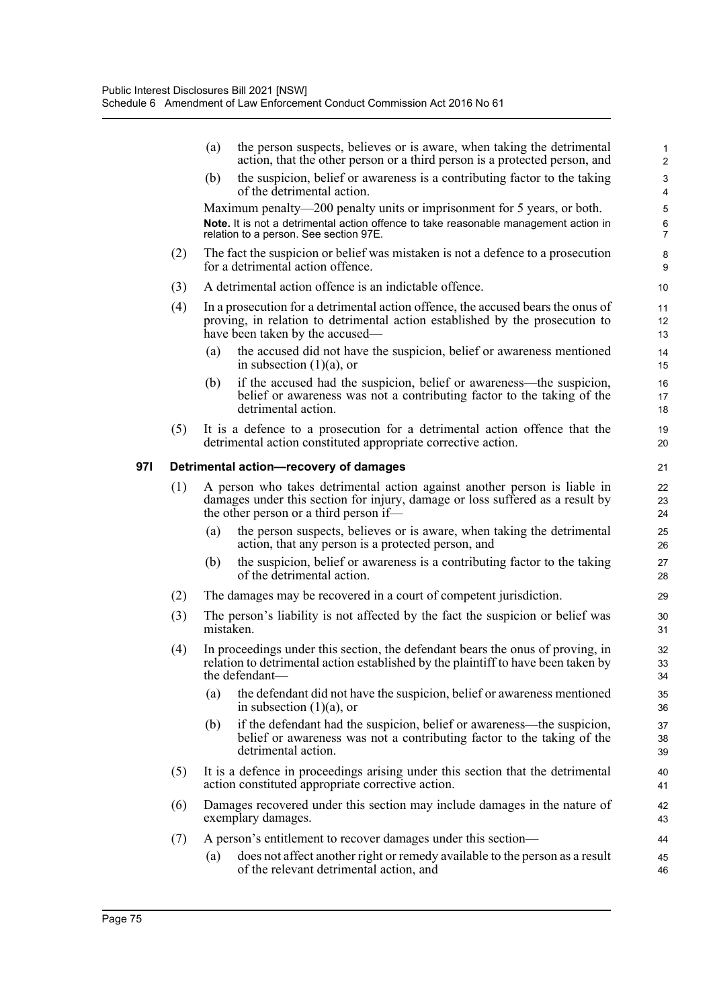|     |                                        | (a)                                                                                                                                 | the person suspects, believes or is aware, when taking the detrimental<br>action, that the other person or a third person is a protected person, and                                                      | $\mathbf{1}$<br>$\overline{2}$ |  |  |  |  |
|-----|----------------------------------------|-------------------------------------------------------------------------------------------------------------------------------------|-----------------------------------------------------------------------------------------------------------------------------------------------------------------------------------------------------------|--------------------------------|--|--|--|--|
|     |                                        | (b)                                                                                                                                 | the suspicion, belief or awareness is a contributing factor to the taking<br>of the detrimental action.                                                                                                   | $\ensuremath{\mathsf{3}}$<br>4 |  |  |  |  |
|     |                                        |                                                                                                                                     | Maximum penalty—200 penalty units or imprisonment for 5 years, or both.<br>Note. It is not a detrimental action offence to take reasonable management action in<br>relation to a person. See section 97E. | 5<br>6<br>7                    |  |  |  |  |
|     | (2)                                    |                                                                                                                                     | The fact the suspicion or belief was mistaken is not a defence to a prosecution<br>for a detrimental action offence.                                                                                      | 8<br>9                         |  |  |  |  |
|     | (3)                                    |                                                                                                                                     | A detrimental action offence is an indictable offence.                                                                                                                                                    | 10                             |  |  |  |  |
|     | (4)                                    |                                                                                                                                     | In a prosecution for a detrimental action offence, the accused bears the onus of<br>proving, in relation to detrimental action established by the prosecution to<br>have been taken by the accused—       | 11<br>12<br>13                 |  |  |  |  |
|     |                                        | (a)                                                                                                                                 | the accused did not have the suspicion, belief or awareness mentioned<br>in subsection $(1)(a)$ , or                                                                                                      | 14<br>15                       |  |  |  |  |
|     |                                        | (b)                                                                                                                                 | if the accused had the suspicion, belief or awareness—the suspicion,<br>belief or awareness was not a contributing factor to the taking of the<br>detrimental action.                                     | 16<br>17<br>18                 |  |  |  |  |
|     | (5)                                    |                                                                                                                                     | It is a defence to a prosecution for a detrimental action offence that the<br>detrimental action constituted appropriate corrective action.                                                               | 19<br>20                       |  |  |  |  |
| 97I | Detrimental action-recovery of damages |                                                                                                                                     |                                                                                                                                                                                                           |                                |  |  |  |  |
|     | (1)                                    |                                                                                                                                     | A person who takes detrimental action against another person is liable in<br>damages under this section for injury, damage or loss suffered as a result by<br>the other person or a third person if—      | 22<br>23<br>24                 |  |  |  |  |
|     |                                        | (a)                                                                                                                                 | the person suspects, believes or is aware, when taking the detrimental<br>action, that any person is a protected person, and                                                                              | 25<br>26                       |  |  |  |  |
|     |                                        | (b)                                                                                                                                 | the suspicion, belief or awareness is a contributing factor to the taking<br>of the detrimental action.                                                                                                   | 27<br>28                       |  |  |  |  |
|     | (2)                                    | The damages may be recovered in a court of competent jurisdiction.                                                                  |                                                                                                                                                                                                           |                                |  |  |  |  |
|     | (3)                                    | The person's liability is not affected by the fact the suspicion or belief was<br>mistaken.                                         |                                                                                                                                                                                                           |                                |  |  |  |  |
|     | (4)                                    |                                                                                                                                     | In proceedings under this section, the defendant bears the onus of proving, in<br>relation to detrimental action established by the plaintiff to have been taken by<br>the defendant-                     | 32<br>33<br>34                 |  |  |  |  |
|     |                                        | (a)                                                                                                                                 | the defendant did not have the suspicion, belief or awareness mentioned<br>in subsection $(1)(a)$ , or                                                                                                    | 35<br>36                       |  |  |  |  |
|     |                                        | (b)                                                                                                                                 | if the defendant had the suspicion, belief or awareness—the suspicion,<br>belief or awareness was not a contributing factor to the taking of the<br>detrimental action.                                   | 37<br>38<br>39                 |  |  |  |  |
|     | (5)                                    | It is a defence in proceedings arising under this section that the detrimental<br>action constituted appropriate corrective action. |                                                                                                                                                                                                           |                                |  |  |  |  |
|     | (6)                                    |                                                                                                                                     | Damages recovered under this section may include damages in the nature of<br>exemplary damages.                                                                                                           | 42<br>43                       |  |  |  |  |
|     | (7)                                    |                                                                                                                                     | A person's entitlement to recover damages under this section—                                                                                                                                             | 44                             |  |  |  |  |
|     |                                        | (a)                                                                                                                                 | does not affect another right or remedy available to the person as a result<br>of the relevant detrimental action, and                                                                                    | 45<br>46                       |  |  |  |  |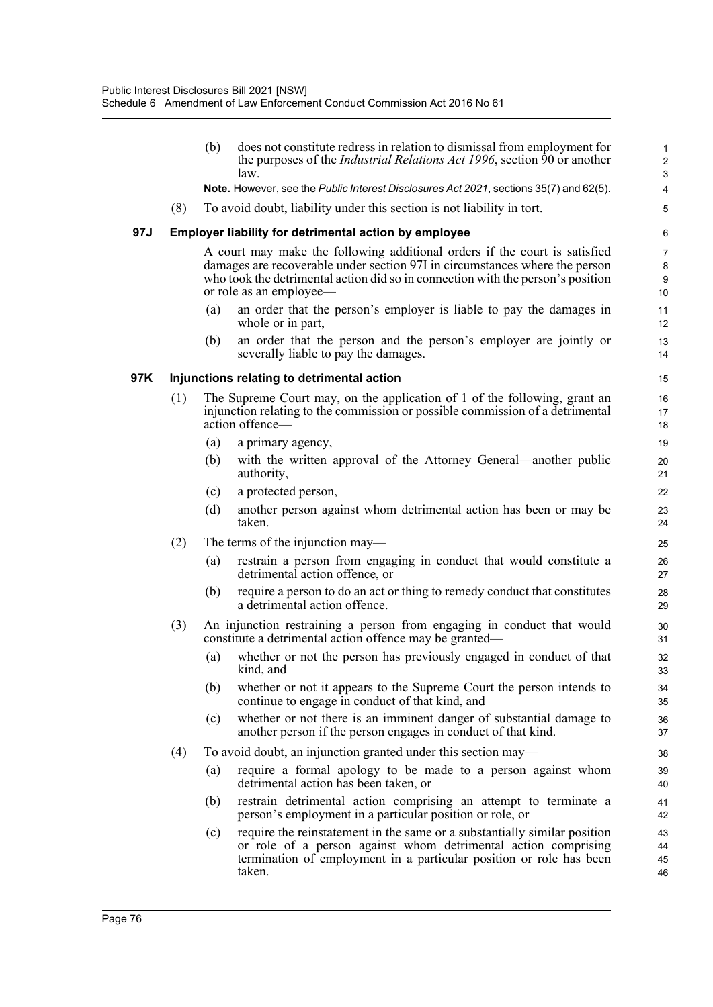|     |     | (b) | does not constitute redress in relation to dismissal from employment for<br>the purposes of the <i>Industrial Relations Act 1996</i> , section 90 or another<br>law.                                                                                                    | 1<br>$\overline{2}$<br>$\mathbf{3}$           |
|-----|-----|-----|-------------------------------------------------------------------------------------------------------------------------------------------------------------------------------------------------------------------------------------------------------------------------|-----------------------------------------------|
|     |     |     | Note. However, see the Public Interest Disclosures Act 2021, sections 35(7) and 62(5).                                                                                                                                                                                  | $\overline{\mathbf{4}}$                       |
|     | (8) |     | To avoid doubt, liability under this section is not liability in tort.                                                                                                                                                                                                  | 5                                             |
| 97J |     |     | Employer liability for detrimental action by employee                                                                                                                                                                                                                   | 6                                             |
|     |     |     | A court may make the following additional orders if the court is satisfied<br>damages are recoverable under section 97I in circumstances where the person<br>who took the detrimental action did so in connection with the person's position<br>or role as an employee— | $\overline{7}$<br>8<br>$\boldsymbol{9}$<br>10 |
|     |     | (a) | an order that the person's employer is liable to pay the damages in<br>whole or in part,                                                                                                                                                                                | 11<br>12                                      |
|     |     | (b) | an order that the person and the person's employer are jointly or<br>severally liable to pay the damages.                                                                                                                                                               | 13<br>14                                      |
| 97K |     |     | Injunctions relating to detrimental action                                                                                                                                                                                                                              | 15                                            |
|     | (1) |     | The Supreme Court may, on the application of 1 of the following, grant an<br>injunction relating to the commission or possible commission of a detrimental<br>action offence-                                                                                           | 16<br>17<br>18                                |
|     |     | (a) | a primary agency,                                                                                                                                                                                                                                                       | 19                                            |
|     |     | (b) | with the written approval of the Attorney General—another public<br>authority,                                                                                                                                                                                          | 20<br>21                                      |
|     |     | (c) | a protected person,                                                                                                                                                                                                                                                     | 22                                            |
|     |     | (d) | another person against whom detrimental action has been or may be<br>taken.                                                                                                                                                                                             | 23<br>24                                      |
|     | (2) |     | The terms of the injunction may—                                                                                                                                                                                                                                        | 25                                            |
|     |     | (a) | restrain a person from engaging in conduct that would constitute a<br>detrimental action offence, or                                                                                                                                                                    | 26<br>27                                      |
|     |     | (b) | require a person to do an act or thing to remedy conduct that constitutes<br>a detrimental action offence.                                                                                                                                                              | 28<br>29                                      |
|     | (3) |     | An injunction restraining a person from engaging in conduct that would<br>constitute a detrimental action offence may be granted—                                                                                                                                       | 30<br>31                                      |
|     |     | (a) | whether or not the person has previously engaged in conduct of that<br>kind, and                                                                                                                                                                                        | 32<br>33                                      |
|     |     | (b) | whether or not it appears to the Supreme Court the person intends to<br>continue to engage in conduct of that kind, and                                                                                                                                                 | 34<br>35                                      |
|     |     | (c) | whether or not there is an imminent danger of substantial damage to<br>another person if the person engages in conduct of that kind.                                                                                                                                    | 36<br>37                                      |
|     | (4) |     | To avoid doubt, an injunction granted under this section may—                                                                                                                                                                                                           | 38                                            |
|     |     | (a) | require a formal apology to be made to a person against whom<br>detrimental action has been taken, or                                                                                                                                                                   | 39<br>40                                      |
|     |     | (b) | restrain detrimental action comprising an attempt to terminate a<br>person's employment in a particular position or role, or                                                                                                                                            | 41<br>42                                      |
|     |     | (c) | require the reinstatement in the same or a substantially similar position<br>or role of a person against whom detrimental action comprising<br>termination of employment in a particular position or role has been<br>taken.                                            | 43<br>44<br>45<br>46                          |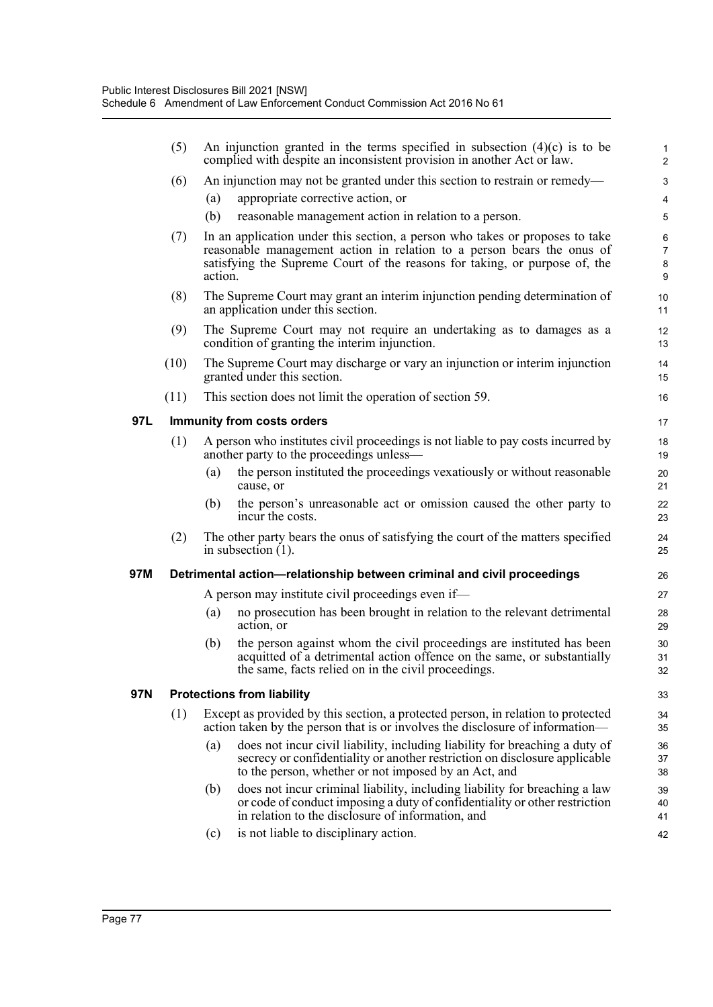|     | (5)  |         | An injunction granted in the terms specified in subsection $(4)(c)$ is to be<br>complied with despite an inconsistent provision in another Act or law.                                                            | $\mathbf{1}$<br>$\overline{c}$ |
|-----|------|---------|-------------------------------------------------------------------------------------------------------------------------------------------------------------------------------------------------------------------|--------------------------------|
|     | (6)  |         | An injunction may not be granted under this section to restrain or remedy—                                                                                                                                        | 3                              |
|     |      | (a)     | appropriate corrective action, or                                                                                                                                                                                 | 4                              |
|     |      | (b)     | reasonable management action in relation to a person.                                                                                                                                                             | 5                              |
|     | (7)  |         | In an application under this section, a person who takes or proposes to take                                                                                                                                      | $\,6\,$                        |
|     |      |         | reasonable management action in relation to a person bears the onus of<br>satisfying the Supreme Court of the reasons for taking, or purpose of, the                                                              | $\overline{7}$<br>8            |
|     |      | action. |                                                                                                                                                                                                                   | 9                              |
|     | (8)  |         | The Supreme Court may grant an interim injunction pending determination of                                                                                                                                        | 10                             |
|     |      |         | an application under this section.                                                                                                                                                                                | 11                             |
|     | (9)  |         | The Supreme Court may not require an undertaking as to damages as a<br>condition of granting the interim injunction.                                                                                              | 12<br>13                       |
|     | (10) |         | The Supreme Court may discharge or vary an injunction or interim injunction<br>granted under this section.                                                                                                        | 14<br>15                       |
|     | (11) |         | This section does not limit the operation of section 59.                                                                                                                                                          | 16                             |
| 97L |      |         | Immunity from costs orders                                                                                                                                                                                        | 17                             |
|     | (1)  |         | A person who institutes civil proceedings is not liable to pay costs incurred by<br>another party to the proceedings unless—                                                                                      | 18<br>19                       |
|     |      | (a)     | the person instituted the proceedings vexatiously or without reasonable<br>cause, or                                                                                                                              | 20<br>21                       |
|     |      | (b)     | the person's unreasonable act or omission caused the other party to<br>incur the costs.                                                                                                                           | 22<br>23                       |
|     | (2)  |         | The other party bears the onus of satisfying the court of the matters specified<br>in subsection $(1)$ .                                                                                                          | 24<br>25                       |
| 97M |      |         | Detrimental action-relationship between criminal and civil proceedings                                                                                                                                            | 26                             |
|     |      |         | A person may institute civil proceedings even if—                                                                                                                                                                 | 27                             |
|     |      | (a)     | no prosecution has been brought in relation to the relevant detrimental<br>action, or                                                                                                                             | 28<br>29                       |
|     |      | (b)     | the person against whom the civil proceedings are instituted has been                                                                                                                                             | 30                             |
|     |      |         | acquitted of a detrimental action offence on the same, or substantially<br>the same, facts relied on in the civil proceedings.                                                                                    | 31<br>32                       |
| 97N |      |         | <b>Protections from liability</b>                                                                                                                                                                                 | 33                             |
|     | (1)  |         | Except as provided by this section, a protected person, in relation to protected<br>action taken by the person that is or involves the disclosure of information—                                                 | 34<br>35                       |
|     |      | (a)     | does not incur civil liability, including liability for breaching a duty of<br>secrecy or confidentiality or another restriction on disclosure applicable<br>to the person, whether or not imposed by an Act, and | 36<br>37<br>38                 |
|     |      | (b)     | does not incur criminal liability, including liability for breaching a law<br>or code of conduct imposing a duty of confidentiality or other restriction<br>in relation to the disclosure of information, and     | 39<br>40<br>41                 |
|     |      | (c)     | is not liable to disciplinary action.                                                                                                                                                                             | 42                             |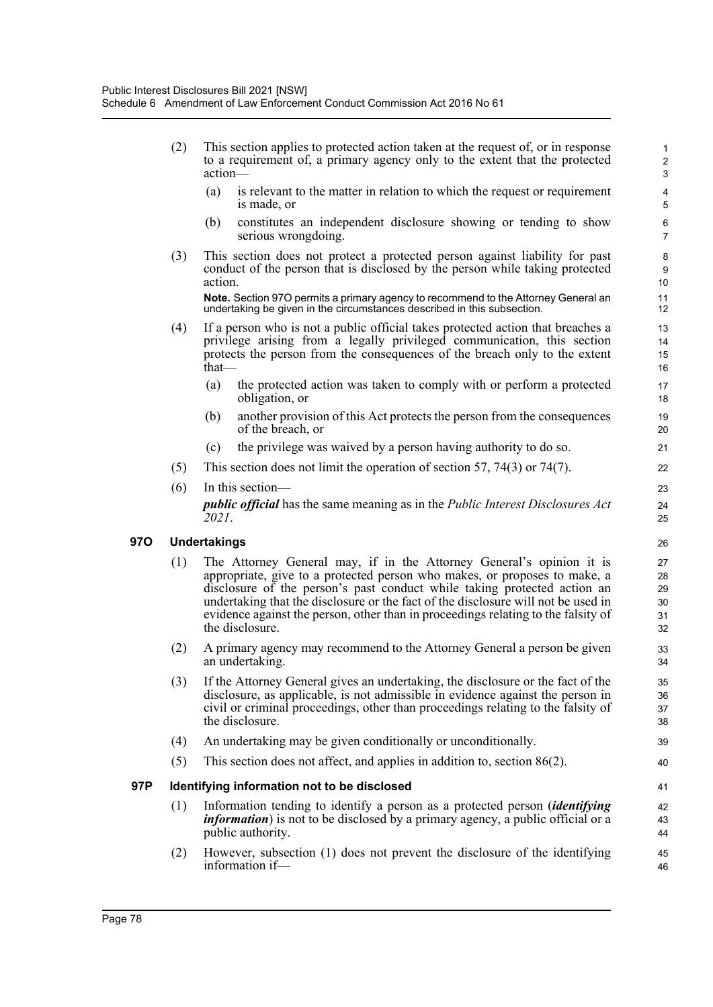(2) This section applies to protected action taken at the request of, or in response to a requirement of, a primary agency only to the extent that the protected action— (a) is relevant to the matter in relation to which the request or requirement is made, or (b) constitutes an independent disclosure showing or tending to show serious wrongdoing. (3) This section does not protect a protected person against liability for past conduct of the person that is disclosed by the person while taking protected action. **Note.** Section 97O permits a primary agency to recommend to the Attorney General an undertaking be given in the circumstances described in this subsection. (4) If a person who is not a public official takes protected action that breaches a privilege arising from a legally privileged communication, this section protects the person from the consequences of the breach only to the extent that— (a) the protected action was taken to comply with or perform a protected obligation, or (b) another provision of this Act protects the person from the consequences of the breach, or (c) the privilege was waived by a person having authority to do so. (5) This section does not limit the operation of section 57, 74(3) or 74(7). (6) In this section *public official* has the same meaning as in the *Public Interest Disclosures Act 2021*. **97O Undertakings** (1) The Attorney General may, if in the Attorney General's opinion it is appropriate, give to a protected person who makes, or proposes to make, a disclosure of the person's past conduct while taking protected action an undertaking that the disclosure or the fact of the disclosure will not be used in evidence against the person, other than in proceedings relating to the falsity of the disclosure. (2) A primary agency may recommend to the Attorney General a person be given an undertaking. (3) If the Attorney General gives an undertaking, the disclosure or the fact of the disclosure, as applicable, is not admissible in evidence against the person in civil or criminal proceedings, other than proceedings relating to the falsity of the disclosure. (4) An undertaking may be given conditionally or unconditionally. (5) This section does not affect, and applies in addition to, section 86(2). **97P Identifying information not to be disclosed** (1) Information tending to identify a person as a protected person (*identifying information*) is not to be disclosed by a primary agency, a public official or a public authority. (2) However, subsection (1) does not prevent the disclosure of the identifying 1 2 3 4 5 6 7 8 9 10 11 12 13 14 15 16 17 18 19 20 21 22 23 24 25 26 27 28 29 30 31 32 33 34 35 36 37 38 39 40 41 42 43 44 45

46

information if—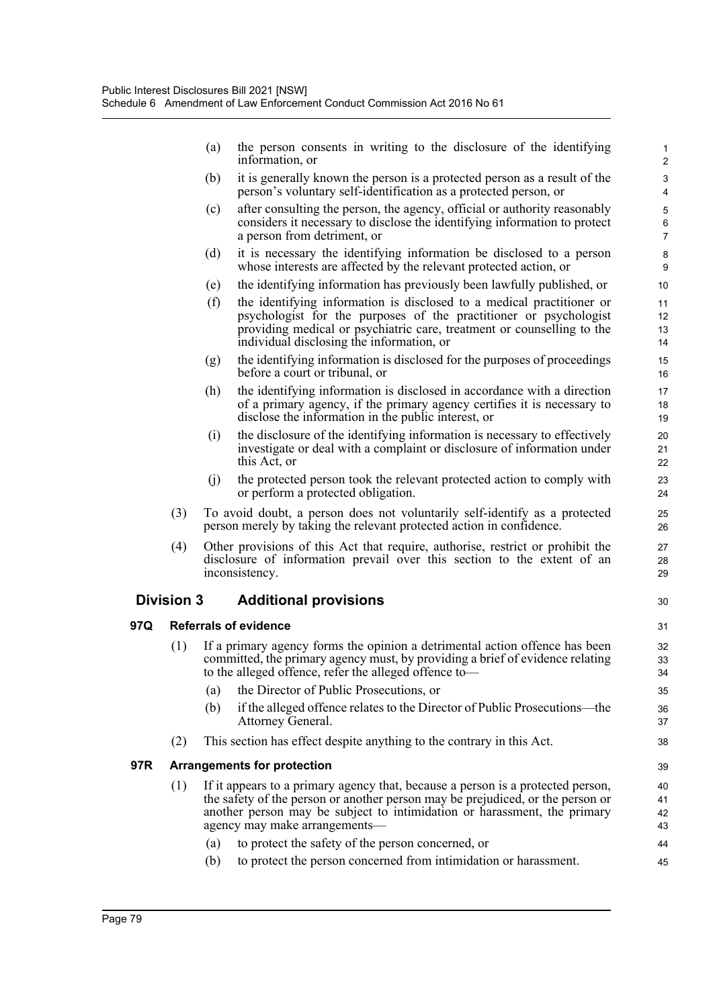|     |                   | (a) | the person consents in writing to the disclosure of the identifying<br>information, or                                                                                                                                                                            | 1<br>$\overline{2}$               |
|-----|-------------------|-----|-------------------------------------------------------------------------------------------------------------------------------------------------------------------------------------------------------------------------------------------------------------------|-----------------------------------|
|     |                   | (b) | it is generally known the person is a protected person as a result of the<br>person's voluntary self-identification as a protected person, or                                                                                                                     | 3<br>4                            |
|     |                   | (c) | after consulting the person, the agency, official or authority reasonably<br>considers it necessary to disclose the identifying information to protect<br>a person from detriment, or                                                                             | 5<br>6<br>$\overline{7}$          |
|     |                   | (d) | it is necessary the identifying information be disclosed to a person<br>whose interests are affected by the relevant protected action, or                                                                                                                         | 8<br>9                            |
|     |                   | (e) | the identifying information has previously been lawfully published, or                                                                                                                                                                                            | 10                                |
|     |                   | (f) | the identifying information is disclosed to a medical practitioner or<br>psychologist for the purposes of the practitioner or psychologist<br>providing medical or psychiatric care, treatment or counselling to the<br>individual disclosing the information, or | 11<br>12 <sup>2</sup><br>13<br>14 |
|     |                   | (g) | the identifying information is disclosed for the purposes of proceedings<br>before a court or tribunal, or                                                                                                                                                        | 15<br>16                          |
|     |                   | (h) | the identifying information is disclosed in accordance with a direction<br>of a primary agency, if the primary agency certifies it is necessary to<br>disclose the information in the public interest, or                                                         | 17<br>18<br>19                    |
|     |                   | (i) | the disclosure of the identifying information is necessary to effectively<br>investigate or deal with a complaint or disclosure of information under<br>this Act, or                                                                                              | 20<br>21<br>22                    |
|     |                   | (1) | the protected person took the relevant protected action to comply with<br>or perform a protected obligation.                                                                                                                                                      | 23<br>24                          |
|     | (3)               |     | To avoid doubt, a person does not voluntarily self-identify as a protected<br>person merely by taking the relevant protected action in confidence.                                                                                                                | 25<br>26                          |
|     | (4)               |     | Other provisions of this Act that require, authorise, restrict or prohibit the<br>disclosure of information prevail over this section to the extent of an<br>inconsistency.                                                                                       | 27<br>28<br>29                    |
|     | <b>Division 3</b> |     | <b>Additional provisions</b>                                                                                                                                                                                                                                      | 30                                |
| 97Q |                   |     | <b>Referrals of evidence</b>                                                                                                                                                                                                                                      | 31                                |
|     | (1)               |     | If a primary agency forms the opinion a detrimental action offence has been<br>committed, the primary agency must, by providing a brief of evidence relating<br>to the alleged offence, refer the alleged offence to-                                             | 32<br>33<br>34                    |
|     |                   | (a) | the Director of Public Prosecutions, or                                                                                                                                                                                                                           | 35                                |
|     |                   | (b) | if the alleged offence relates to the Director of Public Prosecutions—the<br>Attorney General.                                                                                                                                                                    | 36<br>37                          |
|     | (2)               |     | This section has effect despite anything to the contrary in this Act.                                                                                                                                                                                             | 38                                |
| 97R |                   |     | <b>Arrangements for protection</b>                                                                                                                                                                                                                                | 39                                |
|     | (1)               |     | If it appears to a primary agency that, because a person is a protected person,                                                                                                                                                                                   | 40                                |
|     |                   |     | the safety of the person or another person may be prejudiced, or the person or                                                                                                                                                                                    | 41                                |
|     |                   |     | another person may be subject to intimidation or harassment, the primary<br>agency may make arrangements-                                                                                                                                                         | 42<br>43                          |
|     |                   | (a) | to protect the safety of the person concerned, or                                                                                                                                                                                                                 | 44                                |
|     |                   | (b) | to protect the person concerned from intimidation or harassment.                                                                                                                                                                                                  | 45                                |

**97Q Referrals of evidence**

**97R Arrangements for protection**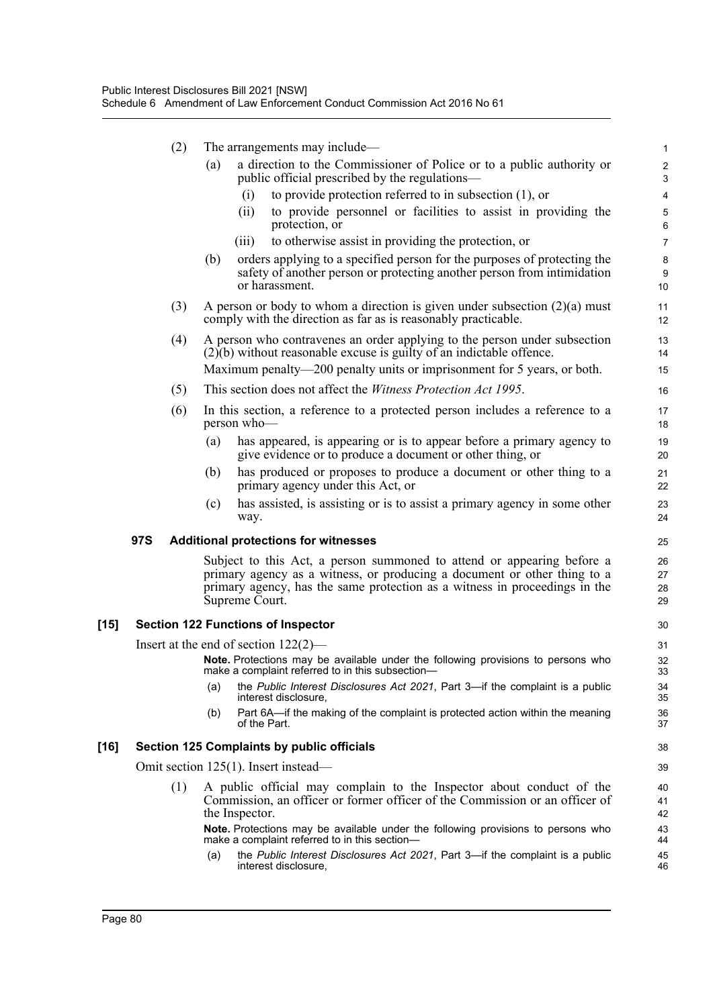|      |     | (2) | The arrangements may include—                                                                                                                                                                                                                      | 1                                |
|------|-----|-----|----------------------------------------------------------------------------------------------------------------------------------------------------------------------------------------------------------------------------------------------------|----------------------------------|
|      |     | (a) | a direction to the Commissioner of Police or to a public authority or<br>public official prescribed by the regulations—                                                                                                                            | $\boldsymbol{2}$<br>$\mathbf{3}$ |
|      |     |     | to provide protection referred to in subsection $(1)$ , or<br>(i)                                                                                                                                                                                  | 4                                |
|      |     |     | to provide personnel or facilities to assist in providing the<br>(ii)<br>protection, or                                                                                                                                                            | $\mathbf 5$<br>6                 |
|      |     |     | to otherwise assist in providing the protection, or<br>(iii)                                                                                                                                                                                       | $\overline{7}$                   |
|      |     | (b) | orders applying to a specified person for the purposes of protecting the<br>safety of another person or protecting another person from intimidation<br>or harassment.                                                                              | $\bf 8$<br>9<br>10               |
|      |     | (3) | A person or body to whom a direction is given under subsection $(2)(a)$ must<br>comply with the direction as far as is reasonably practicable.                                                                                                     | 11<br>12                         |
|      |     | (4) | A person who contravenes an order applying to the person under subsection<br>$(2)(b)$ without reasonable excuse is guilty of an indictable offence.                                                                                                | 13<br>14                         |
|      |     |     | Maximum penalty—200 penalty units or imprisonment for 5 years, or both.                                                                                                                                                                            | 15                               |
|      | (5) |     | This section does not affect the <i>Witness Protection Act 1995</i> .                                                                                                                                                                              | 16                               |
|      | (6) |     | In this section, a reference to a protected person includes a reference to a<br>person who-                                                                                                                                                        | 17<br>18                         |
|      |     | (a) | has appeared, is appearing or is to appear before a primary agency to<br>give evidence or to produce a document or other thing, or                                                                                                                 | 19<br>20                         |
|      |     | (b) | has produced or proposes to produce a document or other thing to a<br>primary agency under this Act, or                                                                                                                                            | 21<br>22                         |
|      |     | (c) | has assisted, is assisting or is to assist a primary agency in some other<br>way.                                                                                                                                                                  | 23<br>24                         |
|      | 97S |     | <b>Additional protections for witnesses</b>                                                                                                                                                                                                        | 25                               |
|      |     |     | Subject to this Act, a person summoned to attend or appearing before a<br>primary agency as a witness, or producing a document or other thing to a<br>primary agency, has the same protection as a witness in proceedings in the<br>Supreme Court. | 26<br>27<br>28<br>29             |
| [15] |     |     | <b>Section 122 Functions of Inspector</b>                                                                                                                                                                                                          | 30                               |
|      |     |     | Insert at the end of section $122(2)$ —                                                                                                                                                                                                            | 31                               |
|      |     |     | Note. Protections may be available under the following provisions to persons who<br>make a complaint referred to in this subsection-                                                                                                               | 32<br>33                         |
|      |     | (a) | the Public Interest Disclosures Act 2021, Part 3-if the complaint is a public<br>interest disclosure.                                                                                                                                              | 34<br>35                         |
|      |     | (b) | Part 6A—if the making of the complaint is protected action within the meaning<br>of the Part.                                                                                                                                                      | 36<br>37                         |
| [16] |     |     | <b>Section 125 Complaints by public officials</b>                                                                                                                                                                                                  | 38                               |
|      |     |     | Omit section 125(1). Insert instead—                                                                                                                                                                                                               | 39                               |
|      |     | (1) | A public official may complain to the Inspector about conduct of the<br>Commission, an officer or former officer of the Commission or an officer of<br>the Inspector.                                                                              | 40<br>41<br>42                   |
|      |     |     | Note. Protections may be available under the following provisions to persons who<br>make a complaint referred to in this section-                                                                                                                  | 43<br>44                         |
|      |     | (a) | the Public Interest Disclosures Act 2021, Part 3-if the complaint is a public<br>interest disclosure,                                                                                                                                              | 45<br>46                         |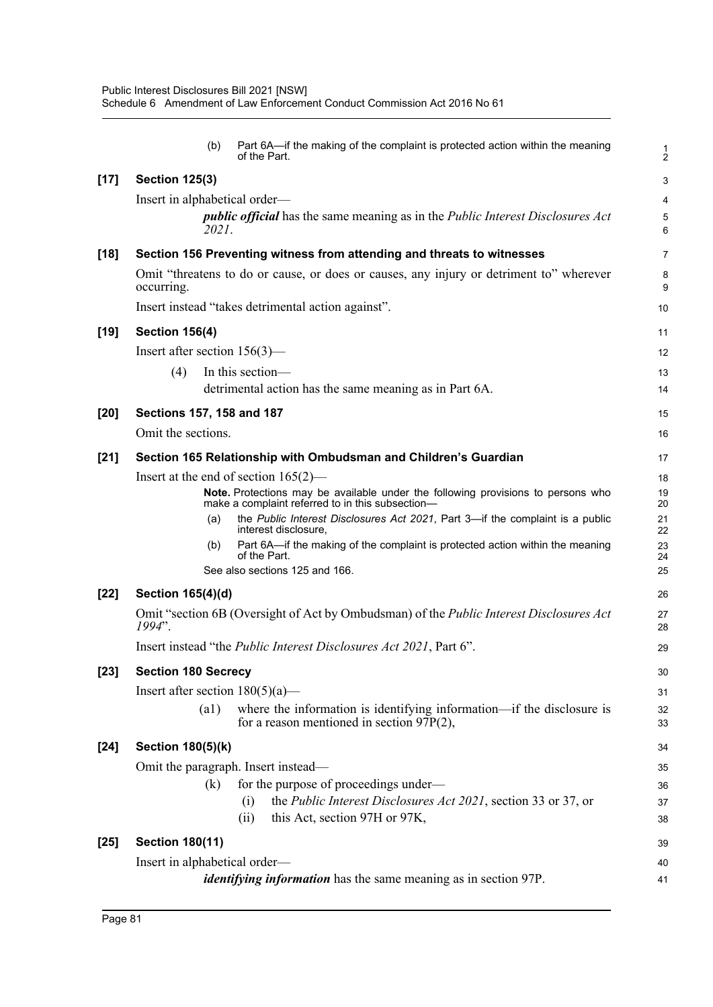|        | Part 6A-if the making of the complaint is protected action within the meaning<br>(b)<br>of the Part.                                 | 1<br>$\overline{2}$ |
|--------|--------------------------------------------------------------------------------------------------------------------------------------|---------------------|
| $[17]$ | <b>Section 125(3)</b>                                                                                                                | 3                   |
|        | Insert in alphabetical order—                                                                                                        | 4                   |
|        | <i>public official</i> has the same meaning as in the <i>Public Interest Disclosures Act</i><br>2021.                                | 5<br>6              |
| $[18]$ | Section 156 Preventing witness from attending and threats to witnesses                                                               | $\overline{7}$      |
|        | Omit "threatens to do or cause, or does or causes, any injury or detriment to" wherever<br>occurring.                                | 8<br>9              |
|        | Insert instead "takes detrimental action against".                                                                                   | 10                  |
| $[19]$ | <b>Section 156(4)</b>                                                                                                                | 11                  |
|        | Insert after section $156(3)$ —                                                                                                      | 12                  |
|        | In this section-<br>(4)                                                                                                              | 13                  |
|        | detrimental action has the same meaning as in Part 6A.                                                                               | 14                  |
| $[20]$ | Sections 157, 158 and 187                                                                                                            | 15                  |
|        | Omit the sections.                                                                                                                   | 16                  |
| $[21]$ | Section 165 Relationship with Ombudsman and Children's Guardian                                                                      | 17                  |
|        | Insert at the end of section $165(2)$ —                                                                                              | 18                  |
|        | Note. Protections may be available under the following provisions to persons who<br>make a complaint referred to in this subsection- | 19<br>20            |
|        | the Public Interest Disclosures Act 2021, Part 3-if the complaint is a public<br>(a)<br>interest disclosure,                         | 21<br>22            |
|        | Part 6A-if the making of the complaint is protected action within the meaning<br>(b)<br>of the Part.                                 | 23<br>24            |
|        | See also sections 125 and 166.                                                                                                       | 25                  |
| $[22]$ | Section 165(4)(d)                                                                                                                    | 26                  |
|        | Omit "section 6B (Oversight of Act by Ombudsman) of the <i>Public Interest Disclosures Act</i><br>1994".                             | 27<br>28            |
|        | Insert instead "the <i>Public Interest Disclosures Act 2021</i> , Part 6".                                                           | 29                  |
| $[23]$ | <b>Section 180 Secrecy</b>                                                                                                           | 30                  |
|        | Insert after section $180(5)(a)$ —                                                                                                   | 31                  |
|        | where the information is identifying information—if the disclosure is<br>(a1)<br>for a reason mentioned in section $97P(2)$ ,        | 32<br>33            |
| $[24]$ | <b>Section 180(5)(k)</b>                                                                                                             | 34                  |
|        | Omit the paragraph. Insert instead—                                                                                                  | 35                  |
|        | for the purpose of proceedings under—<br>(k)                                                                                         | 36                  |
|        | the <i>Public Interest Disclosures Act 2021</i> , section 33 or 37, or<br>(i)                                                        | 37                  |
|        | this Act, section 97H or 97K,<br>(ii)                                                                                                | 38                  |
| $[25]$ | <b>Section 180(11)</b>                                                                                                               | 39                  |
|        | Insert in alphabetical order—                                                                                                        | 40                  |
|        | <i>identifying information</i> has the same meaning as in section 97P.                                                               | 41                  |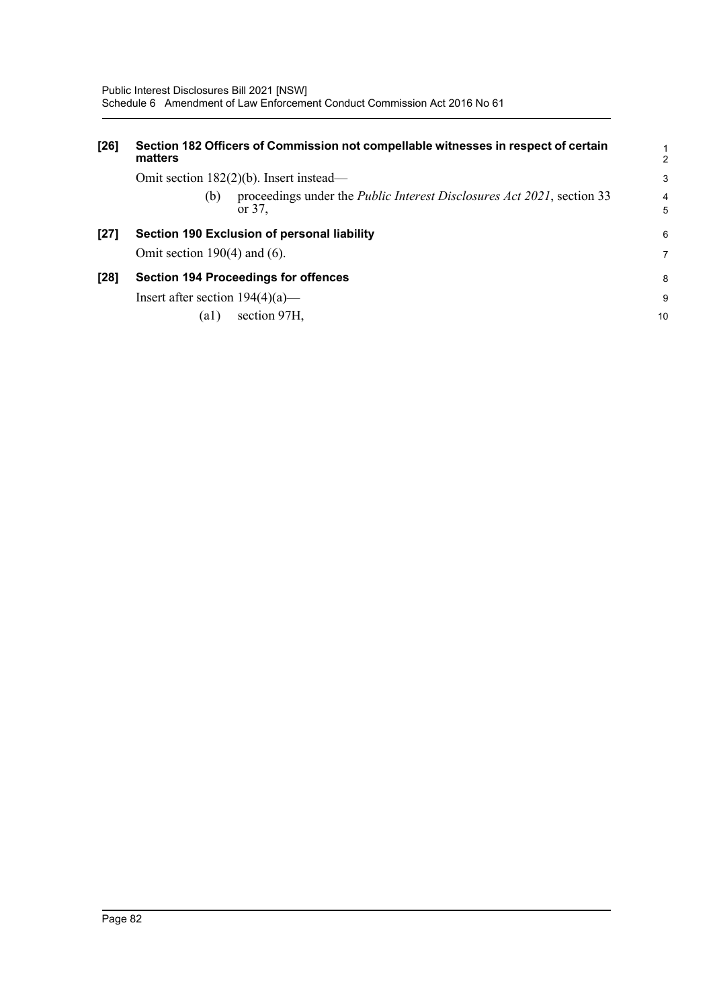| $[26]$ | Section 182 Officers of Commission not compellable witnesses in respect of certain<br>matters   | $\mathbf{1}$<br>2   |
|--------|-------------------------------------------------------------------------------------------------|---------------------|
|        | Omit section $182(2)(b)$ . Insert instead—                                                      | 3                   |
|        | proceedings under the <i>Public Interest Disclosures Act 2021</i> , section 33<br>(b)<br>or 37. | $\overline{4}$<br>5 |
| $[27]$ | Section 190 Exclusion of personal liability                                                     | 6                   |
|        | Omit section $190(4)$ and (6).                                                                  | 7                   |
| $[28]$ | <b>Section 194 Proceedings for offences</b>                                                     | 8                   |
|        | Insert after section $194(4)(a)$ —                                                              | 9                   |
|        | section 97H,<br>(a1)                                                                            | 10                  |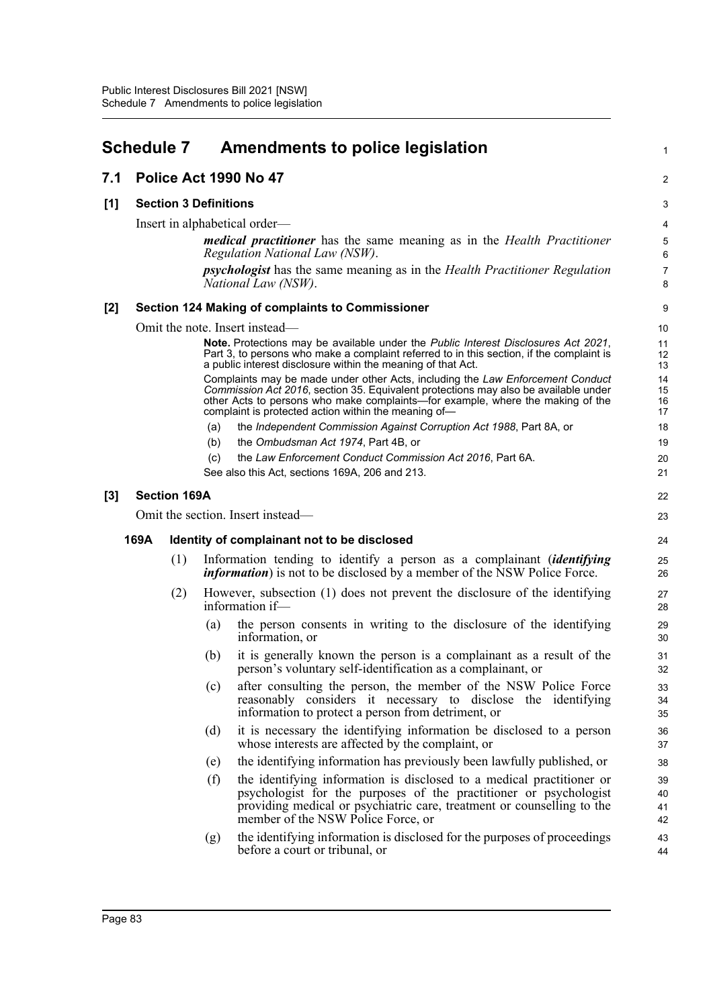|     | <b>Schedule 7</b> |                              |     | <b>Amendments to police legislation</b>                                                                                                                                                                                                                                                                         | 1                    |  |  |  |
|-----|-------------------|------------------------------|-----|-----------------------------------------------------------------------------------------------------------------------------------------------------------------------------------------------------------------------------------------------------------------------------------------------------------------|----------------------|--|--|--|
| 7.1 |                   |                              |     | Police Act 1990 No 47                                                                                                                                                                                                                                                                                           | $\overline{c}$       |  |  |  |
| [1] |                   | <b>Section 3 Definitions</b> |     |                                                                                                                                                                                                                                                                                                                 |                      |  |  |  |
|     |                   |                              |     | Insert in alphabetical order—                                                                                                                                                                                                                                                                                   | 4                    |  |  |  |
|     |                   |                              |     | <i>medical practitioner</i> has the same meaning as in the <i>Health Practitioner</i><br>Regulation National Law (NSW).                                                                                                                                                                                         | 5<br>6               |  |  |  |
|     |                   |                              |     | <i>psychologist</i> has the same meaning as in the <i>Health Practitioner Regulation</i><br>National Law (NSW).                                                                                                                                                                                                 | 7<br>8               |  |  |  |
| [2] |                   |                              |     | Section 124 Making of complaints to Commissioner                                                                                                                                                                                                                                                                | 9                    |  |  |  |
|     |                   |                              |     | Omit the note. Insert instead—                                                                                                                                                                                                                                                                                  | 10                   |  |  |  |
|     |                   |                              |     | Note. Protections may be available under the Public Interest Disclosures Act 2021,<br>Part 3, to persons who make a complaint referred to in this section, if the complaint is<br>a public interest disclosure within the meaning of that Act.                                                                  | 11<br>12<br>13       |  |  |  |
|     |                   |                              |     | Complaints may be made under other Acts, including the Law Enforcement Conduct<br>Commission Act 2016, section 35. Equivalent protections may also be available under<br>other Acts to persons who make complaints—for example, where the making of the<br>complaint is protected action within the meaning of- | 14<br>15<br>16<br>17 |  |  |  |
|     |                   |                              | (a) | the Independent Commission Against Corruption Act 1988, Part 8A, or                                                                                                                                                                                                                                             | 18                   |  |  |  |
|     |                   |                              | (b) | the Ombudsman Act 1974, Part 4B, or                                                                                                                                                                                                                                                                             | 19                   |  |  |  |
|     |                   |                              | (c) | the Law Enforcement Conduct Commission Act 2016, Part 6A.                                                                                                                                                                                                                                                       | 20                   |  |  |  |
|     |                   |                              |     | See also this Act, sections 169A, 206 and 213.                                                                                                                                                                                                                                                                  | 21                   |  |  |  |
| [3] |                   | <b>Section 169A</b>          |     |                                                                                                                                                                                                                                                                                                                 | 22                   |  |  |  |
|     |                   |                              |     | Omit the section. Insert instead—                                                                                                                                                                                                                                                                               | 23                   |  |  |  |
|     | 169A              |                              |     | Identity of complainant not to be disclosed                                                                                                                                                                                                                                                                     | 24                   |  |  |  |
|     |                   | (1)                          |     | Information tending to identify a person as a complainant <i>(identifying</i><br><i>information</i> ) is not to be disclosed by a member of the NSW Police Force.                                                                                                                                               | 25<br>26             |  |  |  |
|     |                   | (2)                          |     | However, subsection (1) does not prevent the disclosure of the identifying<br>information if-                                                                                                                                                                                                                   | 27<br>28             |  |  |  |
|     |                   |                              | (a) | the person consents in writing to the disclosure of the identifying<br>information, or                                                                                                                                                                                                                          | 29<br>30             |  |  |  |
|     |                   |                              | (b) | it is generally known the person is a complainant as a result of the<br>person's voluntary self-identification as a complainant, or                                                                                                                                                                             | 31<br>32             |  |  |  |
|     |                   |                              | (c) | after consulting the person, the member of the NSW Police Force<br>reasonably considers it necessary to disclose the identifying<br>information to protect a person from detriment, or                                                                                                                          | 33<br>34<br>35       |  |  |  |
|     |                   |                              | (d) | it is necessary the identifying information be disclosed to a person<br>whose interests are affected by the complaint, or                                                                                                                                                                                       | 36<br>37             |  |  |  |
|     |                   |                              | (e) | the identifying information has previously been lawfully published, or                                                                                                                                                                                                                                          | 38                   |  |  |  |
|     |                   |                              | (f) | the identifying information is disclosed to a medical practitioner or<br>psychologist for the purposes of the practitioner or psychologist<br>providing medical or psychiatric care, treatment or counselling to the<br>member of the NSW Police Force, or                                                      | 39<br>40<br>41<br>42 |  |  |  |
|     |                   |                              | (g) | the identifying information is disclosed for the purposes of proceedings<br>before a court or tribunal, or                                                                                                                                                                                                      | 43<br>44             |  |  |  |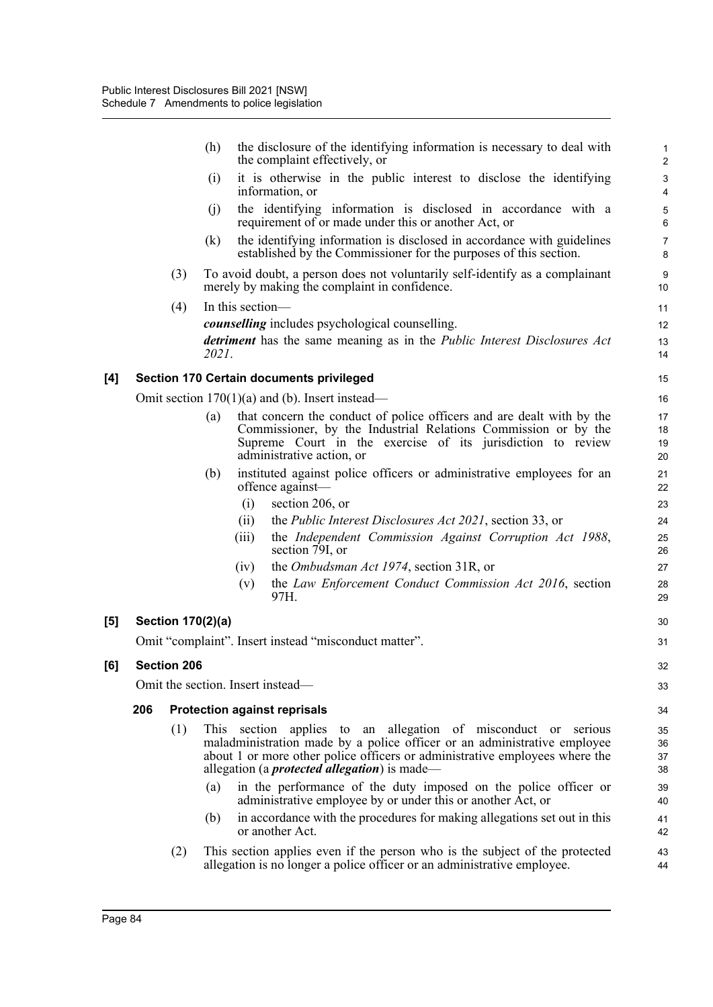|     |     |                    | (h)   |                  | the disclosure of the identifying information is necessary to deal with<br>the complaint effectively, or                                                                                                                                                                          | $\mathbf{1}$<br>$\overline{2}$ |
|-----|-----|--------------------|-------|------------------|-----------------------------------------------------------------------------------------------------------------------------------------------------------------------------------------------------------------------------------------------------------------------------------|--------------------------------|
|     |     |                    | (i)   |                  | it is otherwise in the public interest to disclose the identifying<br>information, or                                                                                                                                                                                             | $\ensuremath{\mathsf{3}}$<br>4 |
|     |     |                    | (i)   |                  | the identifying information is disclosed in accordance with a<br>requirement of or made under this or another Act, or                                                                                                                                                             | $\overline{5}$<br>$\,6$        |
|     |     |                    | (k)   |                  | the identifying information is disclosed in accordance with guidelines<br>established by the Commissioner for the purposes of this section.                                                                                                                                       | $\overline{7}$<br>8            |
|     |     | (3)                |       |                  | To avoid doubt, a person does not voluntarily self-identify as a complainant<br>merely by making the complaint in confidence.                                                                                                                                                     | 9<br>10                        |
|     |     | (4)                | 2021. | In this section- | <i>counselling</i> includes psychological counselling.<br>detriment has the same meaning as in the Public Interest Disclosures Act                                                                                                                                                | 11<br>12<br>13<br>14           |
| [4] |     |                    |       |                  | <b>Section 170 Certain documents privileged</b>                                                                                                                                                                                                                                   | 15                             |
|     |     |                    |       |                  | Omit section $170(1)(a)$ and (b). Insert instead—                                                                                                                                                                                                                                 | 16                             |
|     |     |                    | (a)   |                  | that concern the conduct of police officers and are dealt with by the<br>Commissioner, by the Industrial Relations Commission or by the<br>Supreme Court in the exercise of its jurisdiction to review<br>administrative action, or                                               | 17<br>18<br>19<br>20           |
|     |     |                    | (b)   |                  | instituted against police officers or administrative employees for an<br>offence against-                                                                                                                                                                                         | 21<br>22                       |
|     |     |                    |       | (i)              | section 206, or                                                                                                                                                                                                                                                                   | 23                             |
|     |     |                    |       | (ii)             | the Public Interest Disclosures Act 2021, section 33, or                                                                                                                                                                                                                          | 24                             |
|     |     |                    |       | (iii)            | the Independent Commission Against Corruption Act 1988,<br>section 79I, or                                                                                                                                                                                                        | 25<br>26                       |
|     |     |                    |       | (iv)             | the <i>Ombudsman Act 1974</i> , section 31R, or                                                                                                                                                                                                                                   | 27                             |
|     |     |                    |       | (v)              | the Law Enforcement Conduct Commission Act 2016, section<br>97H.                                                                                                                                                                                                                  | 28<br>29                       |
| [5] |     | Section 170(2)(a)  |       |                  |                                                                                                                                                                                                                                                                                   | 30                             |
|     |     |                    |       |                  | Omit "complaint". Insert instead "misconduct matter".                                                                                                                                                                                                                             | 31                             |
| [6] |     | <b>Section 206</b> |       |                  |                                                                                                                                                                                                                                                                                   | 32                             |
|     |     |                    |       |                  | Omit the section. Insert instead—                                                                                                                                                                                                                                                 | 33                             |
|     | 206 |                    |       |                  | <b>Protection against reprisals</b>                                                                                                                                                                                                                                               | 34                             |
|     |     | (1)                |       |                  | This section applies to an allegation of misconduct or serious<br>maladministration made by a police officer or an administrative employee<br>about 1 or more other police officers or administrative employees where the<br>allegation (a <i>protected allegation</i> ) is made— | 35<br>36<br>37<br>38           |
|     |     |                    | (a)   |                  | in the performance of the duty imposed on the police officer or<br>administrative employee by or under this or another Act, or                                                                                                                                                    | 39<br>40                       |
|     |     |                    | (b)   |                  | in accordance with the procedures for making allegations set out in this<br>or another Act.                                                                                                                                                                                       | 41<br>42                       |
|     |     | (2)                |       |                  | This section applies even if the person who is the subject of the protected<br>allegation is no longer a police officer or an administrative employee.                                                                                                                            | 43<br>44                       |

 $[5]$ 

**[6]**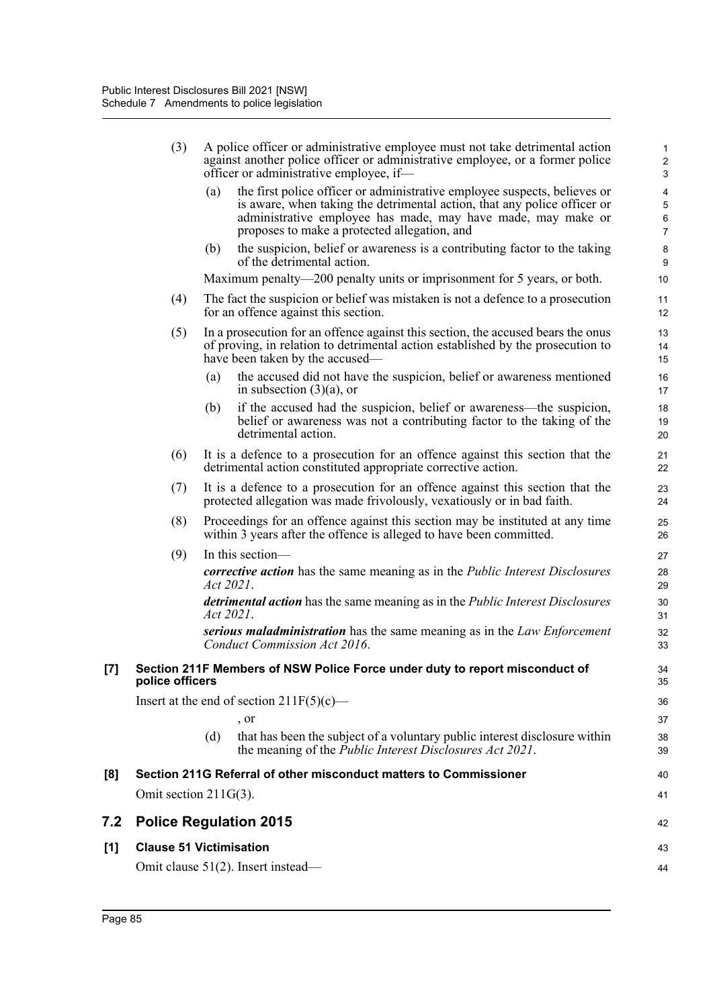|     | (3)                      | A police officer or administrative employee must not take detrimental action<br>against another police officer or administrative employee, or a former police<br>officer or administrative employee, if-                                                                     | 1<br>$\sqrt{2}$<br>$\sqrt{3}$                                       |
|-----|--------------------------|------------------------------------------------------------------------------------------------------------------------------------------------------------------------------------------------------------------------------------------------------------------------------|---------------------------------------------------------------------|
|     |                          | the first police officer or administrative employee suspects, believes or<br>(a)<br>is aware, when taking the detrimental action, that any police officer or<br>administrative employee has made, may have made, may make or<br>proposes to make a protected allegation, and | $\overline{\mathbf{4}}$<br>$\mathbf 5$<br>$\,6\,$<br>$\overline{7}$ |
|     |                          | the suspicion, belief or awareness is a contributing factor to the taking<br>(b)<br>of the detrimental action.                                                                                                                                                               | 8<br>9                                                              |
|     |                          | Maximum penalty—200 penalty units or imprisonment for 5 years, or both.                                                                                                                                                                                                      | 10                                                                  |
|     | (4)                      | The fact the suspicion or belief was mistaken is not a defence to a prosecution<br>for an offence against this section.                                                                                                                                                      | 11<br>12                                                            |
|     | (5)                      | In a prosecution for an offence against this section, the accused bears the onus<br>of proving, in relation to detrimental action established by the prosecution to<br>have been taken by the accused—                                                                       | 13<br>14<br>15                                                      |
|     |                          | the accused did not have the suspicion, belief or awareness mentioned<br>(a)<br>in subsection $(3)(a)$ , or                                                                                                                                                                  | 16<br>17                                                            |
|     |                          | if the accused had the suspicion, belief or awareness—the suspicion,<br>(b)<br>belief or awareness was not a contributing factor to the taking of the<br>detrimental action.                                                                                                 | 18<br>19<br>20                                                      |
|     | (6)                      | It is a defence to a prosecution for an offence against this section that the<br>detrimental action constituted appropriate corrective action.                                                                                                                               | 21<br>22                                                            |
|     | (7)                      | It is a defence to a prosecution for an offence against this section that the<br>protected allegation was made frivolously, vexatiously or in bad faith.                                                                                                                     | 23<br>24                                                            |
|     | (8)                      | Proceedings for an offence against this section may be instituted at any time<br>within 3 years after the offence is alleged to have been committed.                                                                                                                         | 25<br>26                                                            |
|     | (9)                      | In this section-                                                                                                                                                                                                                                                             | 27                                                                  |
|     |                          | <i>corrective action</i> has the same meaning as in the <i>Public Interest Disclosures</i><br>Act 2021.                                                                                                                                                                      | 28<br>29                                                            |
|     |                          | <i>detrimental action</i> has the same meaning as in the <i>Public Interest Disclosures</i><br>Act 2021.                                                                                                                                                                     | 30<br>31                                                            |
|     |                          | serious maladministration has the same meaning as in the Law Enforcement<br>Conduct Commission Act 2016.                                                                                                                                                                     | 32<br>33                                                            |
| [7] | police officers          | Section 211F Members of NSW Police Force under duty to report misconduct of                                                                                                                                                                                                  | 34<br>35                                                            |
|     |                          | Insert at the end of section $211F(5)(c)$ —                                                                                                                                                                                                                                  | 36                                                                  |
|     |                          | , or                                                                                                                                                                                                                                                                         | 37                                                                  |
|     |                          | (d)<br>that has been the subject of a voluntary public interest disclosure within<br>the meaning of the <i>Public Interest Disclosures Act 2021</i> .                                                                                                                        | 38<br>39                                                            |
| [8] |                          | Section 211G Referral of other misconduct matters to Commissioner                                                                                                                                                                                                            | 40                                                                  |
|     | Omit section $211G(3)$ . |                                                                                                                                                                                                                                                                              | 41                                                                  |
| 7.2 |                          | <b>Police Regulation 2015</b>                                                                                                                                                                                                                                                | 42                                                                  |
| [1] |                          | <b>Clause 51 Victimisation</b>                                                                                                                                                                                                                                               | 43                                                                  |
|     |                          | Omit clause 51(2). Insert instead—                                                                                                                                                                                                                                           | 44                                                                  |

**7.2 Police Regulation 2015**

 $[1]$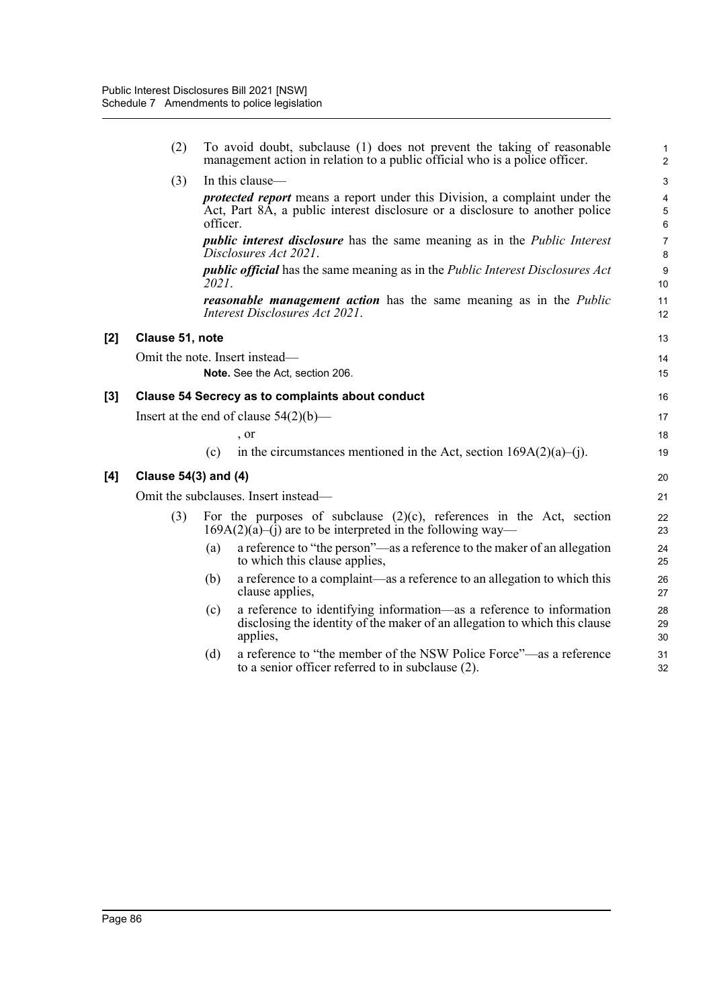|                  | (2)                             | To avoid doubt, subclause (1) does not prevent the taking of reasonable<br>management action in relation to a public official who is a police officer.                        | $\mathbf{1}$<br>$\overline{2}$       |  |  |  |  |  |
|------------------|---------------------------------|-------------------------------------------------------------------------------------------------------------------------------------------------------------------------------|--------------------------------------|--|--|--|--|--|
|                  | (3)                             | In this clause—                                                                                                                                                               | $\sqrt{3}$                           |  |  |  |  |  |
|                  |                                 | <i>protected report</i> means a report under this Division, a complaint under the<br>Act, Part 8A, a public interest disclosure or a disclosure to another police<br>officer. | $\pmb{4}$<br>$\overline{5}$<br>$6\,$ |  |  |  |  |  |
|                  |                                 | <i>public interest disclosure</i> has the same meaning as in the <i>Public Interest</i><br>Disclosures Act 2021.                                                              | $\overline{7}$<br>$\bf 8$            |  |  |  |  |  |
|                  |                                 | <i>public official</i> has the same meaning as in the <i>Public Interest Disclosures Act</i><br>2021.                                                                         | $9\,$<br>10                          |  |  |  |  |  |
|                  |                                 | <b>reasonable management action</b> has the same meaning as in the <i>Public</i><br>Interest Disclosures Act 2021.                                                            | 11<br>12                             |  |  |  |  |  |
| [2]              | Clause 51, note                 |                                                                                                                                                                               | 13                                   |  |  |  |  |  |
|                  |                                 | Omit the note. Insert instead-                                                                                                                                                | 14                                   |  |  |  |  |  |
|                  | Note. See the Act, section 206. |                                                                                                                                                                               |                                      |  |  |  |  |  |
| $\left[3\right]$ |                                 | <b>Clause 54 Secrecy as to complaints about conduct</b>                                                                                                                       | 16                                   |  |  |  |  |  |
|                  |                                 | Insert at the end of clause $54(2)(b)$ —                                                                                                                                      | 17                                   |  |  |  |  |  |
|                  |                                 | , or                                                                                                                                                                          | 18                                   |  |  |  |  |  |
|                  |                                 | in the circumstances mentioned in the Act, section $169A(2)(a)$ –(j).<br>(c)                                                                                                  | 19                                   |  |  |  |  |  |
| [4]              | Clause 54(3) and (4)            |                                                                                                                                                                               | 20                                   |  |  |  |  |  |
|                  |                                 | Omit the subclauses. Insert instead—                                                                                                                                          | 21                                   |  |  |  |  |  |
|                  | (3)                             | For the purposes of subclause $(2)(c)$ , references in the Act, section<br>$169A(2)(a)$ –(1) are to be interpreted in the following way—                                      | 22<br>23                             |  |  |  |  |  |
|                  |                                 | a reference to "the person"—as a reference to the maker of an allegation<br>(a)<br>to which this clause applies,                                                              | 24<br>25                             |  |  |  |  |  |
|                  |                                 | a reference to a complaint—as a reference to an allegation to which this<br>(b)<br>clause applies,                                                                            | 26<br>27                             |  |  |  |  |  |
|                  |                                 | a reference to identifying information—as a reference to information<br>(c)<br>disclosing the identity of the maker of an allegation to which this clause<br>applies,         | 28<br>29<br>30                       |  |  |  |  |  |
|                  |                                 | a reference to "the member of the NSW Police Force"—as a reference<br>(d)<br>to a senior officer referred to in subclause (2).                                                | 31<br>32                             |  |  |  |  |  |

**[2] Clause 51, note**

 $[4]$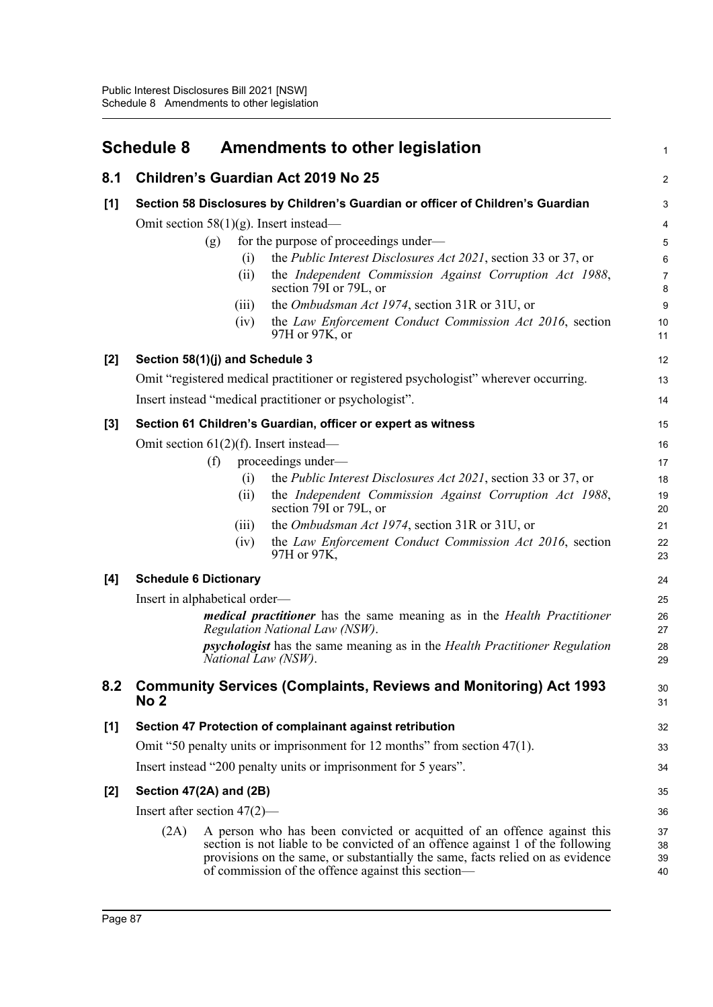|       | <b>Schedule 8</b>                                                                                                       | <b>Amendments to other legislation</b>                                                                                                                                                                                                                                                            | $\mathbf{1}$            |  |  |
|-------|-------------------------------------------------------------------------------------------------------------------------|---------------------------------------------------------------------------------------------------------------------------------------------------------------------------------------------------------------------------------------------------------------------------------------------------|-------------------------|--|--|
| 8.1   |                                                                                                                         | Children's Guardian Act 2019 No 25                                                                                                                                                                                                                                                                | $\overline{2}$          |  |  |
| [1]   | Section 58 Disclosures by Children's Guardian or officer of Children's Guardian                                         |                                                                                                                                                                                                                                                                                                   |                         |  |  |
|       |                                                                                                                         | Omit section $58(1)(g)$ . Insert instead—                                                                                                                                                                                                                                                         | $\overline{\mathbf{4}}$ |  |  |
|       | (g)                                                                                                                     | for the purpose of proceedings under—                                                                                                                                                                                                                                                             | 5                       |  |  |
|       |                                                                                                                         | the <i>Public Interest Disclosures Act 2021</i> , section 33 or 37, or<br>(i)                                                                                                                                                                                                                     | 6                       |  |  |
|       |                                                                                                                         | (ii)<br>the Independent Commission Against Corruption Act 1988,<br>section 79I or 79L, or                                                                                                                                                                                                         | $\overline{7}$<br>8     |  |  |
|       |                                                                                                                         | the Ombudsman Act 1974, section 31R or 31U, or<br>(iii)                                                                                                                                                                                                                                           | $9\,$                   |  |  |
|       |                                                                                                                         | the Law Enforcement Conduct Commission Act 2016, section<br>(iv)<br>97H or 97K, or                                                                                                                                                                                                                | 10<br>11                |  |  |
| [2]   |                                                                                                                         | Section 58(1)(j) and Schedule 3                                                                                                                                                                                                                                                                   | 12                      |  |  |
|       |                                                                                                                         | Omit "registered medical practitioner or registered psychologist" wherever occurring.                                                                                                                                                                                                             | 13                      |  |  |
|       |                                                                                                                         | Insert instead "medical practitioner or psychologist".                                                                                                                                                                                                                                            | 14                      |  |  |
| [3]   |                                                                                                                         | Section 61 Children's Guardian, officer or expert as witness                                                                                                                                                                                                                                      | 15                      |  |  |
|       |                                                                                                                         | Omit section $61(2)(f)$ . Insert instead—                                                                                                                                                                                                                                                         | 16                      |  |  |
|       | (f)                                                                                                                     | proceedings under-                                                                                                                                                                                                                                                                                | 17                      |  |  |
|       |                                                                                                                         | the <i>Public Interest Disclosures Act 2021</i> , section 33 or 37, or<br>(i)                                                                                                                                                                                                                     | 18                      |  |  |
|       |                                                                                                                         | the Independent Commission Against Corruption Act 1988,<br>(ii)<br>section 79I or 79L, or                                                                                                                                                                                                         | 19<br>20                |  |  |
|       |                                                                                                                         | the Ombudsman Act 1974, section 31R or 31U, or<br>(iii)                                                                                                                                                                                                                                           | 21                      |  |  |
|       |                                                                                                                         | the Law Enforcement Conduct Commission Act 2016, section<br>(iv)<br>97H or 97K,                                                                                                                                                                                                                   | 22<br>23                |  |  |
| [4]   | <b>Schedule 6 Dictionary</b>                                                                                            |                                                                                                                                                                                                                                                                                                   | 24                      |  |  |
|       | Insert in alphabetical order—                                                                                           |                                                                                                                                                                                                                                                                                                   | 25                      |  |  |
|       | <i>medical practitioner</i> has the same meaning as in the <i>Health Practitioner</i><br>Regulation National Law (NSW). |                                                                                                                                                                                                                                                                                                   |                         |  |  |
|       | <i>psychologist</i> has the same meaning as in the <i>Health Practitioner Regulation</i><br>National Law (NSW).         |                                                                                                                                                                                                                                                                                                   |                         |  |  |
| 8.2   |                                                                                                                         | <b>Community Services (Complaints, Reviews and Monitoring) Act 1993</b>                                                                                                                                                                                                                           | 30                      |  |  |
|       | No 2                                                                                                                    |                                                                                                                                                                                                                                                                                                   | 31                      |  |  |
| $[1]$ |                                                                                                                         | Section 47 Protection of complainant against retribution                                                                                                                                                                                                                                          | 32                      |  |  |
|       | Omit "50 penalty units or imprisonment for 12 months" from section $47(1)$ .                                            |                                                                                                                                                                                                                                                                                                   |                         |  |  |
|       |                                                                                                                         | Insert instead "200 penalty units or imprisonment for 5 years".                                                                                                                                                                                                                                   | 34                      |  |  |
| [2]   | Section 47(2A) and (2B)                                                                                                 |                                                                                                                                                                                                                                                                                                   | 35                      |  |  |
|       | Insert after section $47(2)$ —                                                                                          |                                                                                                                                                                                                                                                                                                   | 36                      |  |  |
|       | (2A)                                                                                                                    | A person who has been convicted or acquitted of an offence against this<br>section is not liable to be convicted of an offence against 1 of the following<br>provisions on the same, or substantially the same, facts relied on as evidence<br>of commission of the offence against this section— | 37<br>38<br>39<br>40    |  |  |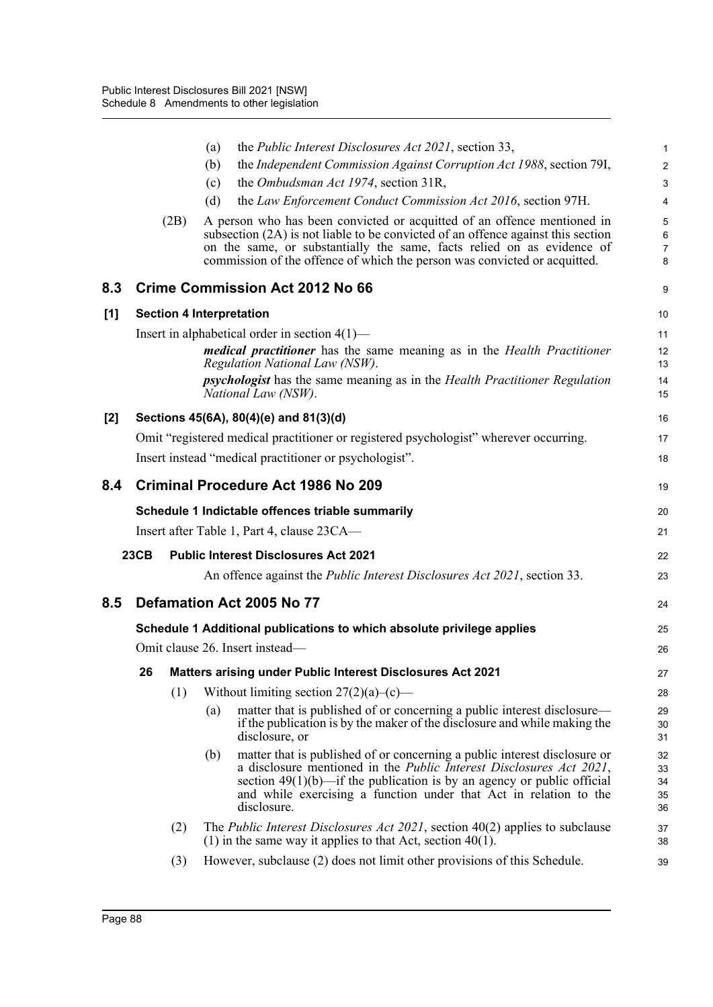|     |             | the <i>Public Interest Disclosures Act 2021</i> , section 33,<br>(a)                                                                                                                                                                                                                                                             | 1                          |
|-----|-------------|----------------------------------------------------------------------------------------------------------------------------------------------------------------------------------------------------------------------------------------------------------------------------------------------------------------------------------|----------------------------|
|     |             | the Independent Commission Against Corruption Act 1988, section 791,<br>(b)                                                                                                                                                                                                                                                      | $\overline{\mathbf{c}}$    |
|     |             | the Ombudsman Act 1974, section 31R,<br>(c)                                                                                                                                                                                                                                                                                      | 3                          |
|     |             | the Law Enforcement Conduct Commission Act 2016, section 97H.<br>(d)                                                                                                                                                                                                                                                             | 4                          |
|     | (2B)        | A person who has been convicted or acquitted of an offence mentioned in<br>subsection (2A) is not liable to be convicted of an offence against this section<br>on the same, or substantially the same, facts relied on as evidence of<br>commission of the offence of which the person was convicted or acquitted.               | 5<br>6<br>7<br>8           |
| 8.3 |             | <b>Crime Commission Act 2012 No 66</b>                                                                                                                                                                                                                                                                                           | 9                          |
| [1] |             | <b>Section 4 Interpretation</b>                                                                                                                                                                                                                                                                                                  | 10                         |
|     |             | Insert in alphabetical order in section $4(1)$ —                                                                                                                                                                                                                                                                                 | 11                         |
|     |             | medical practitioner has the same meaning as in the Health Practitioner<br>Regulation National Law (NSW).                                                                                                                                                                                                                        | 12<br>13                   |
|     |             | <i>psychologist</i> has the same meaning as in the <i>Health Practitioner Regulation</i><br>National Law (NSW).                                                                                                                                                                                                                  | 14<br>15                   |
| [2] |             | Sections 45(6A), 80(4)(e) and 81(3)(d)                                                                                                                                                                                                                                                                                           | 16                         |
|     |             | Omit "registered medical practitioner or registered psychologist" wherever occurring.                                                                                                                                                                                                                                            | 17                         |
|     |             | Insert instead "medical practitioner or psychologist".                                                                                                                                                                                                                                                                           | 18                         |
| 8.4 |             | <b>Criminal Procedure Act 1986 No 209</b>                                                                                                                                                                                                                                                                                        | 19                         |
|     |             | Schedule 1 Indictable offences triable summarily                                                                                                                                                                                                                                                                                 | 20                         |
|     |             | Insert after Table 1, Part 4, clause 23CA—                                                                                                                                                                                                                                                                                       | 21                         |
|     | <b>23CB</b> | <b>Public Interest Disclosures Act 2021</b>                                                                                                                                                                                                                                                                                      |                            |
|     |             |                                                                                                                                                                                                                                                                                                                                  | 22                         |
|     |             | An offence against the <i>Public Interest Disclosures Act 2021</i> , section 33.                                                                                                                                                                                                                                                 | 23                         |
|     |             | Defamation Act 2005 No 77                                                                                                                                                                                                                                                                                                        | 24                         |
|     |             | Schedule 1 Additional publications to which absolute privilege applies                                                                                                                                                                                                                                                           | 25                         |
|     |             | Omit clause 26. Insert instead-                                                                                                                                                                                                                                                                                                  | 26                         |
|     | 26          | Matters arising under Public Interest Disclosures Act 2021                                                                                                                                                                                                                                                                       | 27                         |
|     | (1)         | Without limiting section $27(2)(a)-(c)$ —                                                                                                                                                                                                                                                                                        | 28                         |
| 8.5 |             | matter that is published of or concerning a public interest disclosure—<br>(a)<br>if the publication is by the maker of the disclosure and while making the<br>disclosure, or                                                                                                                                                    | 29<br>30<br>31             |
|     |             | matter that is published of or concerning a public interest disclosure or<br>(b)<br>a disclosure mentioned in the <i>Public Interest Disclosures Act 2021</i> ,<br>section $49(1)(b)$ —if the publication is by an agency or public official<br>and while exercising a function under that Act in relation to the<br>disclosure. | 32<br>33<br>34<br>35<br>36 |
|     | (2)         | The <i>Public Interest Disclosures Act 2021</i> , section $40(2)$ applies to subclause<br>$(1)$ in the same way it applies to that Act, section 40(1).                                                                                                                                                                           | 37<br>38                   |
|     | (3)         | However, subclause (2) does not limit other provisions of this Schedule.                                                                                                                                                                                                                                                         | 39                         |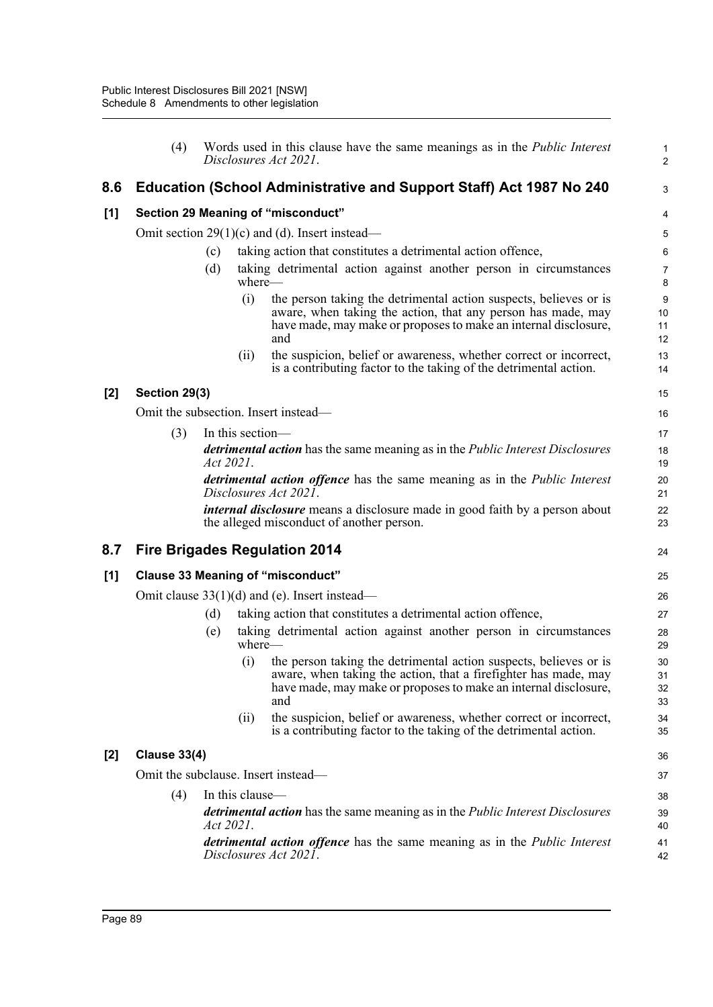|     | (4)                                                                                                              |           |                  | Words used in this clause have the same meanings as in the <i>Public Interest</i><br>Disclosures Act 2021.                                                                                                     | 1<br>$\overline{\mathbf{c}}$ |  |  |  |
|-----|------------------------------------------------------------------------------------------------------------------|-----------|------------------|----------------------------------------------------------------------------------------------------------------------------------------------------------------------------------------------------------------|------------------------------|--|--|--|
| 8.6 |                                                                                                                  |           |                  | Education (School Administrative and Support Staff) Act 1987 No 240                                                                                                                                            | 3                            |  |  |  |
| [1] |                                                                                                                  |           |                  | Section 29 Meaning of "misconduct"                                                                                                                                                                             | 4                            |  |  |  |
|     |                                                                                                                  |           |                  | Omit section $29(1)(c)$ and (d). Insert instead—                                                                                                                                                               | 5                            |  |  |  |
|     |                                                                                                                  | (c)       |                  | taking action that constitutes a detrimental action offence,                                                                                                                                                   | 6                            |  |  |  |
|     |                                                                                                                  | (d)       | where-           | taking detrimental action against another person in circumstances                                                                                                                                              | 7<br>8                       |  |  |  |
|     |                                                                                                                  |           | (i)              | the person taking the detrimental action suspects, believes or is<br>aware, when taking the action, that any person has made, may<br>have made, may make or proposes to make an internal disclosure,<br>and    | 9<br>10<br>11<br>12          |  |  |  |
|     |                                                                                                                  |           | (ii)             | the suspicion, belief or awareness, whether correct or incorrect,<br>is a contributing factor to the taking of the detrimental action.                                                                         | 13<br>14                     |  |  |  |
| [2] | Section 29(3)                                                                                                    |           |                  |                                                                                                                                                                                                                | 15                           |  |  |  |
|     |                                                                                                                  |           |                  | Omit the subsection. Insert instead-                                                                                                                                                                           | 16                           |  |  |  |
|     | (3)                                                                                                              |           | In this section— |                                                                                                                                                                                                                | 17                           |  |  |  |
|     | detrimental action has the same meaning as in the Public Interest Disclosures<br>Act 2021.                       |           |                  |                                                                                                                                                                                                                |                              |  |  |  |
|     | <i>detrimental action offence</i> has the same meaning as in the <i>Public Interest</i><br>Disclosures Act 2021. |           |                  |                                                                                                                                                                                                                |                              |  |  |  |
|     |                                                                                                                  |           |                  | <i>internal disclosure</i> means a disclosure made in good faith by a person about<br>the alleged misconduct of another person.                                                                                | 22<br>23                     |  |  |  |
| 8.7 |                                                                                                                  |           |                  | <b>Fire Brigades Regulation 2014</b>                                                                                                                                                                           | 24                           |  |  |  |
| [1] |                                                                                                                  |           |                  | <b>Clause 33 Meaning of "misconduct"</b>                                                                                                                                                                       | 25                           |  |  |  |
|     |                                                                                                                  |           |                  | Omit clause $33(1)(d)$ and (e). Insert instead—                                                                                                                                                                | 26                           |  |  |  |
|     |                                                                                                                  | (d)       |                  | taking action that constitutes a detrimental action offence,                                                                                                                                                   | 27                           |  |  |  |
|     |                                                                                                                  | (e)       | $where$ —        | taking detrimental action against another person in circumstances                                                                                                                                              | 28<br>29                     |  |  |  |
|     |                                                                                                                  |           | (i)              | the person taking the detrimental action suspects, believes or is<br>aware, when taking the action, that a firefighter has made, may<br>have made, may make or proposes to make an internal disclosure,<br>and | 30<br>31<br>32<br>33         |  |  |  |
|     |                                                                                                                  |           | (ii)             | the suspicion, belief or awareness, whether correct or incorrect,<br>is a contributing factor to the taking of the detrimental action.                                                                         | 34<br>35                     |  |  |  |
| [2] | <b>Clause 33(4)</b>                                                                                              |           |                  |                                                                                                                                                                                                                | 36                           |  |  |  |
|     |                                                                                                                  |           |                  | Omit the subclause. Insert instead-                                                                                                                                                                            | 37                           |  |  |  |
|     | (4)                                                                                                              |           | In this clause-  |                                                                                                                                                                                                                | 38                           |  |  |  |
|     |                                                                                                                  | Act 2021. |                  | detrimental action has the same meaning as in the Public Interest Disclosures                                                                                                                                  | 39<br>40                     |  |  |  |
|     |                                                                                                                  |           |                  | <i>detrimental action offence</i> has the same meaning as in the <i>Public Interest</i><br>Disclosures Act 2021.                                                                                               | 41<br>42                     |  |  |  |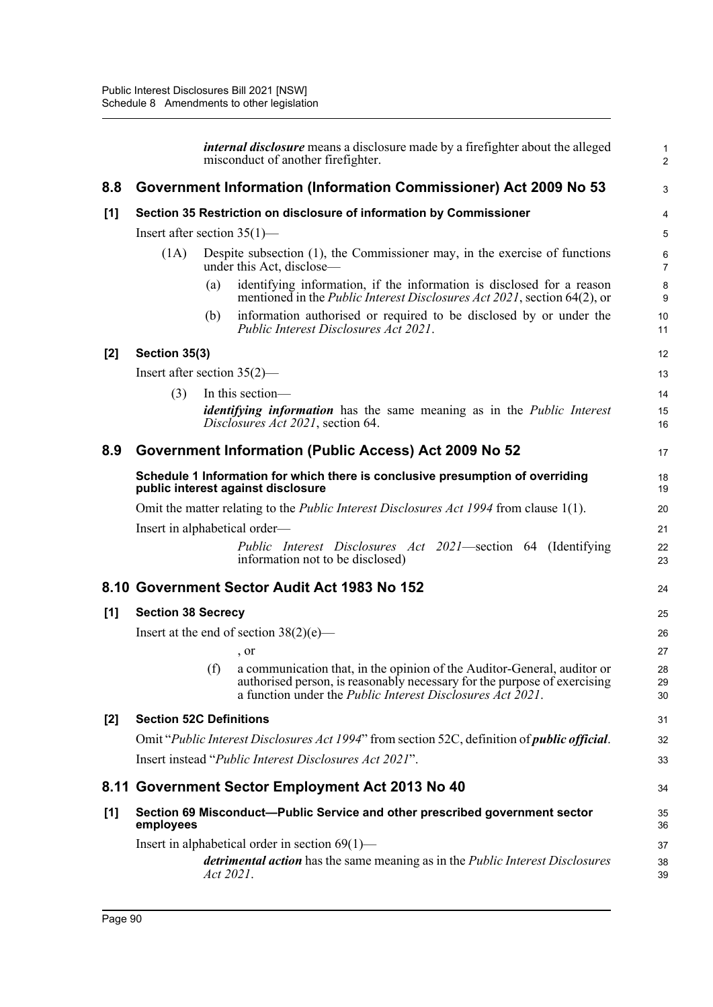|       |                                |           | <i>internal disclosure</i> means a disclosure made by a firefighter about the alleged<br>misconduct of another firefighter.                                                                                                                                | $\mathbf{1}$<br>$\overline{2}$ |  |  |  |  |
|-------|--------------------------------|-----------|------------------------------------------------------------------------------------------------------------------------------------------------------------------------------------------------------------------------------------------------------------|--------------------------------|--|--|--|--|
| 8.8   |                                |           | Government Information (Information Commissioner) Act 2009 No 53                                                                                                                                                                                           | 3                              |  |  |  |  |
| [1]   |                                |           | Section 35 Restriction on disclosure of information by Commissioner                                                                                                                                                                                        | 4                              |  |  |  |  |
|       | Insert after section $35(1)$ — |           |                                                                                                                                                                                                                                                            | 5                              |  |  |  |  |
|       | (1A)                           |           | Despite subsection (1), the Commissioner may, in the exercise of functions<br>under this Act, disclose—                                                                                                                                                    | 6<br>$\overline{7}$            |  |  |  |  |
|       |                                | (a)       | identifying information, if the information is disclosed for a reason<br>mentioned in the <i>Public Interest Disclosures Act 2021</i> , section 64(2), or                                                                                                  | 8<br>9                         |  |  |  |  |
|       |                                | (b)       | information authorised or required to be disclosed by or under the<br>Public Interest Disclosures Act 2021.                                                                                                                                                | 10<br>11                       |  |  |  |  |
| $[2]$ | Section 35(3)                  |           |                                                                                                                                                                                                                                                            | 12                             |  |  |  |  |
|       | Insert after section $35(2)$ — |           |                                                                                                                                                                                                                                                            | 13                             |  |  |  |  |
|       | (3)                            |           | In this section-                                                                                                                                                                                                                                           | 14                             |  |  |  |  |
|       |                                |           | <i>identifying information</i> has the same meaning as in the <i>Public Interest</i><br>Disclosures Act 2021, section 64.                                                                                                                                  | 15<br>16                       |  |  |  |  |
| 8.9   |                                |           | Government Information (Public Access) Act 2009 No 52                                                                                                                                                                                                      | 17                             |  |  |  |  |
|       |                                |           | Schedule 1 Information for which there is conclusive presumption of overriding<br>public interest against disclosure                                                                                                                                       | 18<br>19                       |  |  |  |  |
|       |                                |           | Omit the matter relating to the <i>Public Interest Disclosures Act 1994</i> from clause 1(1).                                                                                                                                                              | 20                             |  |  |  |  |
|       | Insert in alphabetical order—  |           |                                                                                                                                                                                                                                                            |                                |  |  |  |  |
|       |                                |           | Public Interest Disclosures Act 2021—section 64 (Identifying<br>information not to be disclosed)                                                                                                                                                           | 22<br>23                       |  |  |  |  |
|       |                                |           | 8.10 Government Sector Audit Act 1983 No 152                                                                                                                                                                                                               | 24                             |  |  |  |  |
| [1]   | <b>Section 38 Secrecy</b>      |           |                                                                                                                                                                                                                                                            | 25                             |  |  |  |  |
|       |                                |           | Insert at the end of section $38(2)(e)$ —                                                                                                                                                                                                                  | 26                             |  |  |  |  |
|       |                                |           | , or                                                                                                                                                                                                                                                       | 27                             |  |  |  |  |
|       |                                |           | (f) a communication that, in the opinion of the Auditor-General, auditor or<br>authorised person, is reasonably necessary for the purpose of exercising<br>a function under the <i>Public Interest Disclosures <math>\text{Act}</math></i> $\text{2021}$ . | 28<br>29<br>30                 |  |  |  |  |
| [2]   | <b>Section 52C Definitions</b> |           |                                                                                                                                                                                                                                                            | 31                             |  |  |  |  |
|       |                                |           | Omit "Public Interest Disclosures Act 1994" from section 52C, definition of <i>public official</i> .                                                                                                                                                       | 32                             |  |  |  |  |
|       |                                |           | Insert instead "Public Interest Disclosures Act 2021".                                                                                                                                                                                                     | 33                             |  |  |  |  |
|       |                                |           | 8.11 Government Sector Employment Act 2013 No 40                                                                                                                                                                                                           | 34                             |  |  |  |  |
| [1]   | employees                      |           | Section 69 Misconduct—Public Service and other prescribed government sector                                                                                                                                                                                | 35<br>36                       |  |  |  |  |
|       |                                | Act 2021. | Insert in alphabetical order in section $69(1)$ —<br><i>detrimental action</i> has the same meaning as in the <i>Public Interest Disclosures</i>                                                                                                           | 37<br>38<br>39                 |  |  |  |  |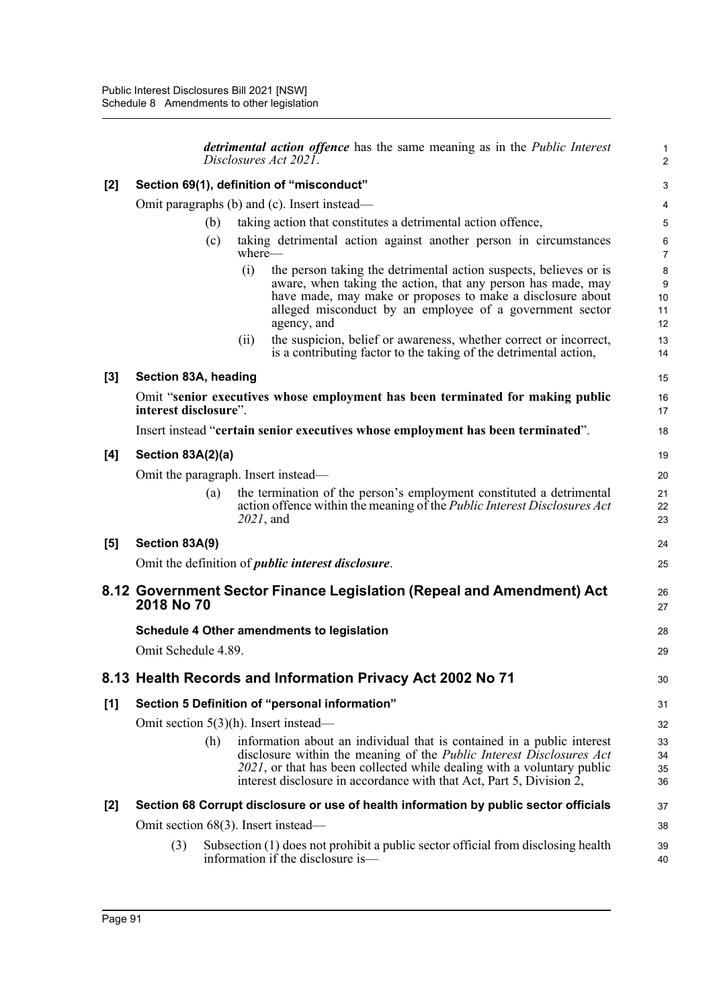|       |                                              |     |              | <i>detrimental action offence</i> has the same meaning as in the <i>Public Interest</i><br>Disclosures Act 2021.                                                                                                                                                                                                      | $\mathbf{1}$<br>2            |  |  |
|-------|----------------------------------------------|-----|--------------|-----------------------------------------------------------------------------------------------------------------------------------------------------------------------------------------------------------------------------------------------------------------------------------------------------------------------|------------------------------|--|--|
| $[2]$ | Section 69(1), definition of "misconduct"    |     |              |                                                                                                                                                                                                                                                                                                                       |                              |  |  |
|       | Omit paragraphs (b) and (c). Insert instead— |     |              |                                                                                                                                                                                                                                                                                                                       |                              |  |  |
|       |                                              | (b) |              | taking action that constitutes a detrimental action offence,                                                                                                                                                                                                                                                          | 5                            |  |  |
|       |                                              | (c) | where—       | taking detrimental action against another person in circumstances                                                                                                                                                                                                                                                     | 6<br>$\overline{7}$          |  |  |
|       |                                              |     | (i)          | the person taking the detrimental action suspects, believes or is<br>aware, when taking the action, that any person has made, may<br>have made, may make or proposes to make a disclosure about<br>alleged misconduct by an employee of a government sector<br>agency, and                                            | 8<br>$9\,$<br>10<br>11<br>12 |  |  |
|       |                                              |     | (ii)         | the suspicion, belief or awareness, whether correct or incorrect,<br>is a contributing factor to the taking of the detrimental action,                                                                                                                                                                                | 13<br>14                     |  |  |
| $[3]$ | Section 83A, heading                         |     |              |                                                                                                                                                                                                                                                                                                                       | 15                           |  |  |
|       | interest disclosure".                        |     |              | Omit "senior executives whose employment has been terminated for making public                                                                                                                                                                                                                                        | 16<br>17                     |  |  |
|       |                                              |     |              | Insert instead "certain senior executives whose employment has been terminated".                                                                                                                                                                                                                                      | 18                           |  |  |
| [4]   | Section 83A(2)(a)                            |     |              |                                                                                                                                                                                                                                                                                                                       | 19                           |  |  |
|       | Omit the paragraph. Insert instead—          |     |              |                                                                                                                                                                                                                                                                                                                       | 20                           |  |  |
|       |                                              | (a) | $2021$ , and | the termination of the person's employment constituted a detrimental<br>action offence within the meaning of the <i>Public Interest Disclosures Act</i>                                                                                                                                                               | 21<br>22<br>23               |  |  |
| [5]   | Section 83A(9)                               |     |              |                                                                                                                                                                                                                                                                                                                       | 24                           |  |  |
|       |                                              |     |              | Omit the definition of <i>public interest disclosure</i> .                                                                                                                                                                                                                                                            | 25                           |  |  |
|       | 2018 No 70                                   |     |              | 8.12 Government Sector Finance Legislation (Repeal and Amendment) Act                                                                                                                                                                                                                                                 | 26<br>27                     |  |  |
|       |                                              |     |              | Schedule 4 Other amendments to legislation                                                                                                                                                                                                                                                                            | 28                           |  |  |
|       | Omit Schedule 4.89.                          |     |              |                                                                                                                                                                                                                                                                                                                       | 29                           |  |  |
|       |                                              |     |              | 8.13 Health Records and Information Privacy Act 2002 No 71                                                                                                                                                                                                                                                            | 30                           |  |  |
| [1]   |                                              |     |              | Section 5 Definition of "personal information"                                                                                                                                                                                                                                                                        | 31                           |  |  |
|       |                                              |     |              | Omit section $5(3)(h)$ . Insert instead—                                                                                                                                                                                                                                                                              | 32                           |  |  |
|       |                                              | (h) |              | information about an individual that is contained in a public interest<br>disclosure within the meaning of the <i>Public Interest Disclosures Act</i><br>2021, or that has been collected while dealing with a voluntary public<br>interest disclosure in accordance with that Act, Part 5, Division $\overline{2}$ , | 33<br>34<br>35<br>36         |  |  |
| [2]   |                                              |     |              | Section 68 Corrupt disclosure or use of health information by public sector officials                                                                                                                                                                                                                                 | 37                           |  |  |
|       | Omit section 68(3). Insert instead—          |     |              |                                                                                                                                                                                                                                                                                                                       | 38                           |  |  |
|       | (3)                                          |     |              | Subsection (1) does not prohibit a public sector official from disclosing health<br>information if the disclosure is—                                                                                                                                                                                                 | 39<br>40                     |  |  |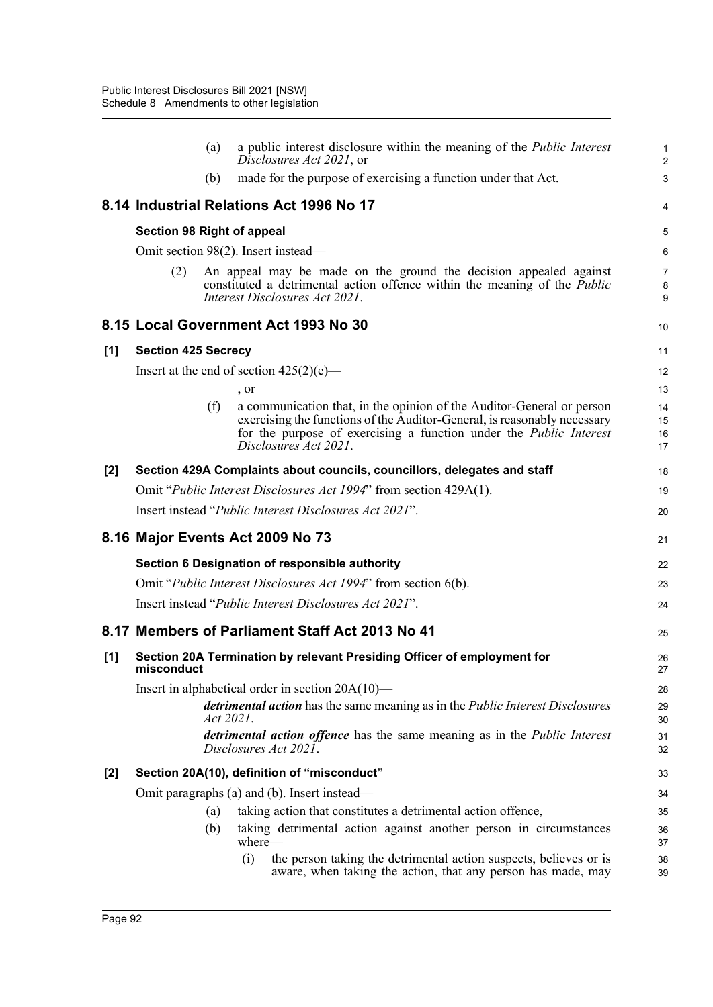|       |                                                                                                                 | (a)               | a public interest disclosure within the meaning of the <i>Public Interest</i><br>Disclosures Act 2021, or                                                                                                                                               | 1<br>$\overline{\mathbf{c}}$ |  |  |  |  |
|-------|-----------------------------------------------------------------------------------------------------------------|-------------------|---------------------------------------------------------------------------------------------------------------------------------------------------------------------------------------------------------------------------------------------------------|------------------------------|--|--|--|--|
|       |                                                                                                                 | (b)               | made for the purpose of exercising a function under that Act.                                                                                                                                                                                           | 3                            |  |  |  |  |
|       |                                                                                                                 |                   | 8.14 Industrial Relations Act 1996 No 17                                                                                                                                                                                                                | 4                            |  |  |  |  |
|       | <b>Section 98 Right of appeal</b>                                                                               |                   |                                                                                                                                                                                                                                                         | 5                            |  |  |  |  |
|       |                                                                                                                 |                   | Omit section 98(2). Insert instead—                                                                                                                                                                                                                     | 6                            |  |  |  |  |
|       | (2)                                                                                                             |                   | An appeal may be made on the ground the decision appealed against<br>constituted a detrimental action offence within the meaning of the <i>Public</i><br>Interest Disclosures Act 2021.                                                                 | 7<br>8<br>9                  |  |  |  |  |
|       |                                                                                                                 |                   | 8.15 Local Government Act 1993 No 30                                                                                                                                                                                                                    | 10                           |  |  |  |  |
| [1]   | <b>Section 425 Secrecy</b>                                                                                      |                   |                                                                                                                                                                                                                                                         | 11                           |  |  |  |  |
|       |                                                                                                                 |                   | Insert at the end of section $425(2)(e)$ —                                                                                                                                                                                                              | 12                           |  |  |  |  |
|       |                                                                                                                 |                   | , or                                                                                                                                                                                                                                                    | 13                           |  |  |  |  |
|       |                                                                                                                 | (f)               | a communication that, in the opinion of the Auditor-General or person<br>exercising the functions of the Auditor-General, is reasonably necessary<br>for the purpose of exercising a function under the <i>Public Interest</i><br>Disclosures Act 2021. | 14<br>15<br>16<br>17         |  |  |  |  |
| $[2]$ |                                                                                                                 |                   | Section 429A Complaints about councils, councillors, delegates and staff                                                                                                                                                                                | 18                           |  |  |  |  |
|       |                                                                                                                 |                   | Omit "Public Interest Disclosures Act 1994" from section 429A(1).                                                                                                                                                                                       | 19                           |  |  |  |  |
|       |                                                                                                                 |                   | Insert instead "Public Interest Disclosures Act 2021".                                                                                                                                                                                                  | 20                           |  |  |  |  |
|       |                                                                                                                 |                   | 8.16 Major Events Act 2009 No 73                                                                                                                                                                                                                        | 21                           |  |  |  |  |
|       |                                                                                                                 |                   | Section 6 Designation of responsible authority                                                                                                                                                                                                          | 22                           |  |  |  |  |
|       |                                                                                                                 |                   | Omit " <i>Public Interest Disclosures Act 1994</i> " from section 6(b).                                                                                                                                                                                 | 23                           |  |  |  |  |
|       |                                                                                                                 |                   | Insert instead " <i>Public Interest Disclosures Act 2021</i> ".                                                                                                                                                                                         | 24                           |  |  |  |  |
|       |                                                                                                                 |                   | 8.17 Members of Parliament Staff Act 2013 No 41                                                                                                                                                                                                         | 25                           |  |  |  |  |
| [1]   | misconduct                                                                                                      |                   | Section 20A Termination by relevant Presiding Officer of employment for                                                                                                                                                                                 | 26<br>27                     |  |  |  |  |
|       | Insert in alphabetical order in section 20A(10)-                                                                |                   |                                                                                                                                                                                                                                                         |                              |  |  |  |  |
|       | <i>detrimental action</i> has the same meaning as in the <i>Public Interest Disclosures</i><br><i>Act 2021.</i> |                   |                                                                                                                                                                                                                                                         |                              |  |  |  |  |
|       |                                                                                                                 |                   | <i>detrimental action offence</i> has the same meaning as in the <i>Public Interest</i><br>Disclosures Act 2021.                                                                                                                                        | 31<br>32                     |  |  |  |  |
| [2]   |                                                                                                                 |                   | Section 20A(10), definition of "misconduct"                                                                                                                                                                                                             | 33                           |  |  |  |  |
|       |                                                                                                                 |                   | Omit paragraphs (a) and (b). Insert instead-                                                                                                                                                                                                            | 34                           |  |  |  |  |
|       |                                                                                                                 | $\left( a\right)$ | taking action that constitutes a detrimental action offence,                                                                                                                                                                                            | 35                           |  |  |  |  |
|       |                                                                                                                 | (b)               | taking detrimental action against another person in circumstances<br>where—                                                                                                                                                                             | 36<br>37                     |  |  |  |  |
|       |                                                                                                                 |                   | (i)<br>the person taking the detrimental action suspects, believes or is<br>aware, when taking the action, that any person has made, may                                                                                                                | 38<br>39                     |  |  |  |  |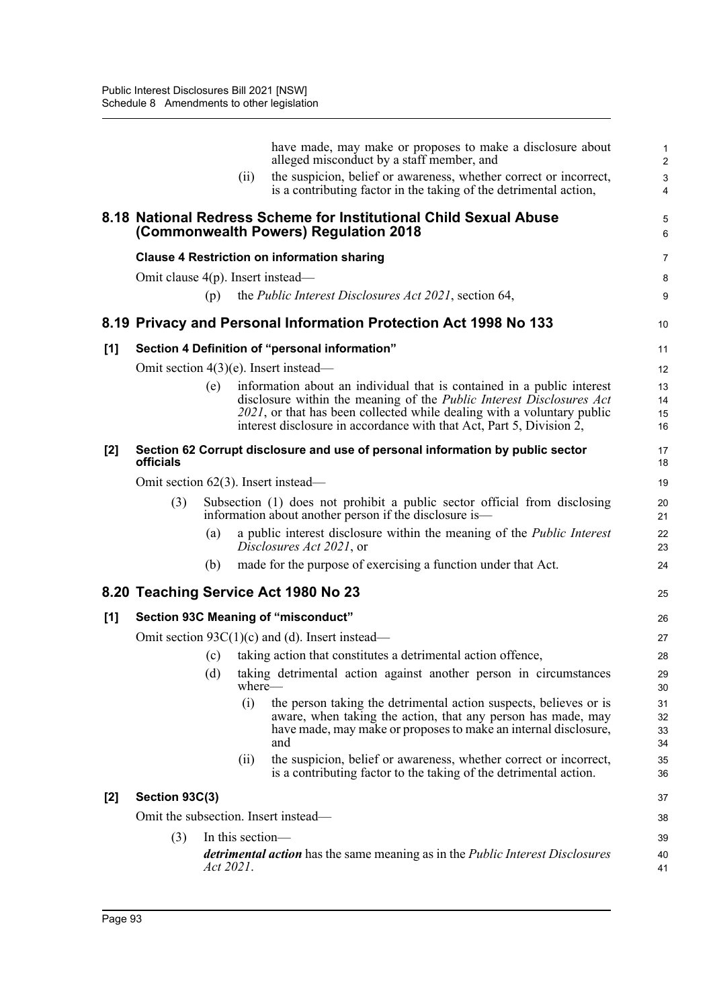|       |                                                                                                                 |     | (i)                                                                                                                                 | have made, may make or proposes to make a disclosure about<br>alleged misconduct by a staff member, and<br>the suspicion, belief or awareness, whether correct or incorrect,<br>is a contributing factor in the taking of the detrimental action,                                                       | $\mathbf{1}$<br>$\overline{2}$<br>$\mathbf{3}$<br>$\overline{\mathbf{4}}$ |
|-------|-----------------------------------------------------------------------------------------------------------------|-----|-------------------------------------------------------------------------------------------------------------------------------------|---------------------------------------------------------------------------------------------------------------------------------------------------------------------------------------------------------------------------------------------------------------------------------------------------------|---------------------------------------------------------------------------|
|       | 8.18 National Redress Scheme for Institutional Child Sexual Abuse<br>(Commonwealth Powers) Regulation 2018      |     |                                                                                                                                     |                                                                                                                                                                                                                                                                                                         | 5<br>6                                                                    |
|       | <b>Clause 4 Restriction on information sharing</b>                                                              |     |                                                                                                                                     |                                                                                                                                                                                                                                                                                                         | 7                                                                         |
|       | Omit clause $4(p)$ . Insert instead—                                                                            |     |                                                                                                                                     |                                                                                                                                                                                                                                                                                                         | 8                                                                         |
|       |                                                                                                                 | (p) |                                                                                                                                     | the <i>Public Interest Disclosures Act 2021</i> , section 64,                                                                                                                                                                                                                                           | 9                                                                         |
|       |                                                                                                                 |     |                                                                                                                                     | 8.19 Privacy and Personal Information Protection Act 1998 No 133                                                                                                                                                                                                                                        | 10                                                                        |
| [1]   | Section 4 Definition of "personal information"                                                                  |     |                                                                                                                                     |                                                                                                                                                                                                                                                                                                         | 11                                                                        |
|       | Omit section $4(3)(e)$ . Insert instead—                                                                        |     |                                                                                                                                     |                                                                                                                                                                                                                                                                                                         | 12                                                                        |
|       |                                                                                                                 | (e) |                                                                                                                                     | information about an individual that is contained in a public interest<br>disclosure within the meaning of the <i>Public Interest Disclosures Act</i><br>2021, or that has been collected while dealing with a voluntary public<br>interest disclosure in accordance with that Act, Part 5, Division 2, | 13<br>14<br>15<br>16                                                      |
| $[2]$ | Section 62 Corrupt disclosure and use of personal information by public sector<br>officials                     |     |                                                                                                                                     |                                                                                                                                                                                                                                                                                                         | 17<br>18                                                                  |
|       | Omit section 62(3). Insert instead—                                                                             |     |                                                                                                                                     |                                                                                                                                                                                                                                                                                                         | 19                                                                        |
|       | (3)                                                                                                             |     | Subsection (1) does not prohibit a public sector official from disclosing<br>information about another person if the disclosure is— |                                                                                                                                                                                                                                                                                                         |                                                                           |
|       |                                                                                                                 | (a) |                                                                                                                                     | a public interest disclosure within the meaning of the <i>Public Interest</i><br>Disclosures Act 2021, or                                                                                                                                                                                               | 22<br>23                                                                  |
|       |                                                                                                                 | (b) |                                                                                                                                     | made for the purpose of exercising a function under that Act.                                                                                                                                                                                                                                           | 24                                                                        |
|       |                                                                                                                 |     |                                                                                                                                     | 8.20 Teaching Service Act 1980 No 23                                                                                                                                                                                                                                                                    | 25                                                                        |
| [1]   | <b>Section 93C Meaning of "misconduct"</b>                                                                      |     |                                                                                                                                     |                                                                                                                                                                                                                                                                                                         | 26                                                                        |
|       | Omit section $93C(1)(c)$ and (d). Insert instead—                                                               |     |                                                                                                                                     |                                                                                                                                                                                                                                                                                                         | 27                                                                        |
|       |                                                                                                                 | (c) |                                                                                                                                     | taking action that constitutes a detrimental action offence,                                                                                                                                                                                                                                            | 28                                                                        |
|       |                                                                                                                 |     | where—                                                                                                                              | (d) taking detrimental action against another person in circumstances                                                                                                                                                                                                                                   | 29<br>30                                                                  |
|       |                                                                                                                 |     | (i)                                                                                                                                 | the person taking the detrimental action suspects, believes or is<br>aware, when taking the action, that any person has made, may<br>have made, may make or proposes to make an internal disclosure,<br>and                                                                                             | 31<br>32<br>33<br>34                                                      |
|       |                                                                                                                 |     | (ii)                                                                                                                                | the suspicion, belief or awareness, whether correct or incorrect,<br>is a contributing factor to the taking of the detrimental action.                                                                                                                                                                  | 35<br>36                                                                  |
| $[2]$ | Section 93C(3)                                                                                                  |     |                                                                                                                                     |                                                                                                                                                                                                                                                                                                         | 37                                                                        |
|       | Omit the subsection. Insert instead—                                                                            |     |                                                                                                                                     |                                                                                                                                                                                                                                                                                                         | 38                                                                        |
|       | (3)                                                                                                             |     | In this section-                                                                                                                    |                                                                                                                                                                                                                                                                                                         |                                                                           |
|       | <i>detrimental action</i> has the same meaning as in the <i>Public Interest Disclosures</i><br><i>Act 2021.</i> |     |                                                                                                                                     |                                                                                                                                                                                                                                                                                                         | 40<br>41                                                                  |